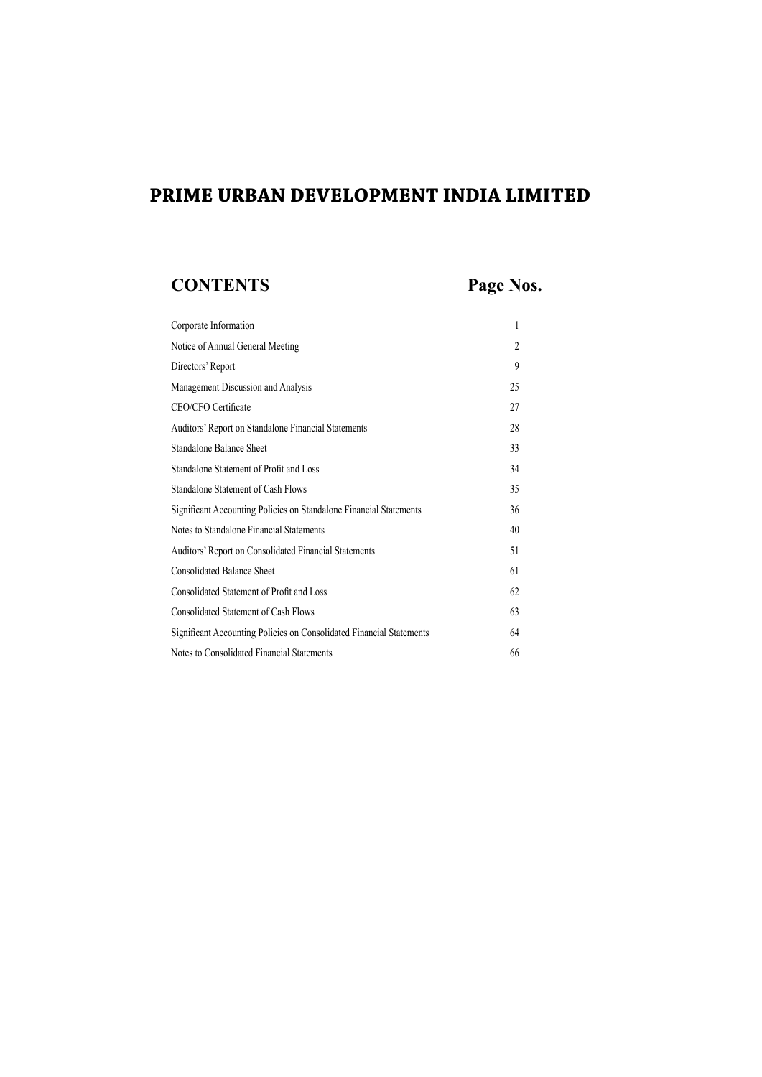# *83rd Annual Report 2019-2020*



# **PRIME URBAN** DEVELOPMENT INDIA LTD.  $\circledR$

we make your dreams come true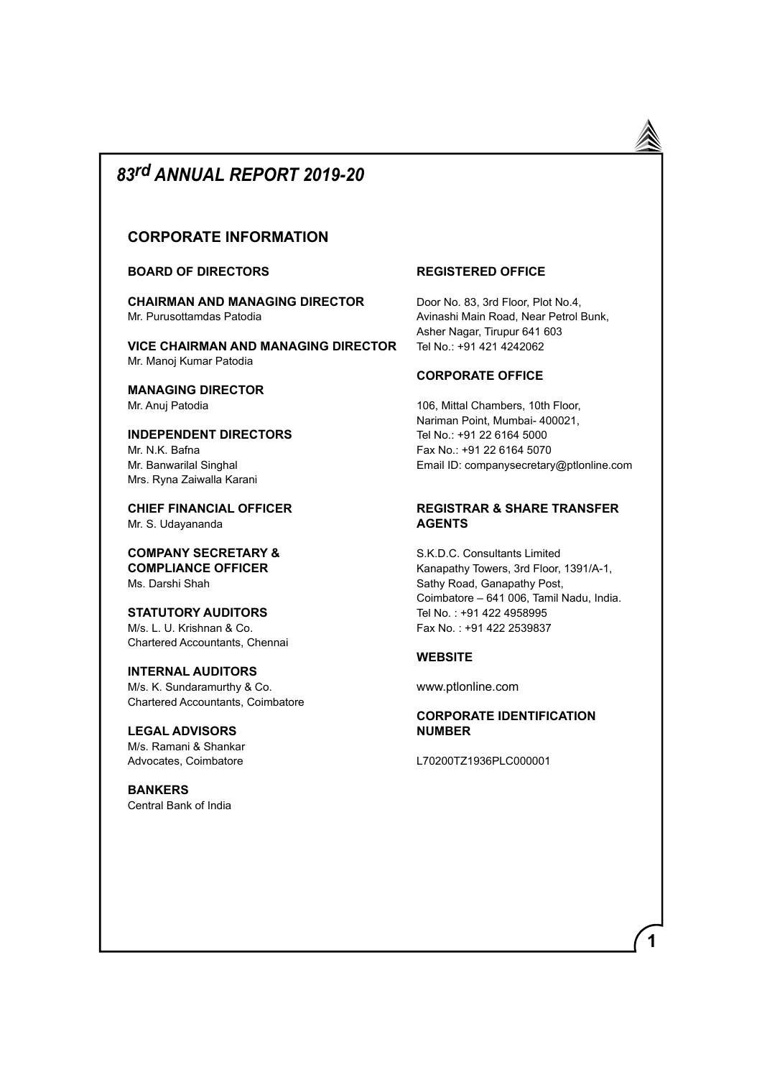# **CONTENTS Page Nos.**

| 1  |  |
|----|--|
| 2  |  |
| 9  |  |
| 25 |  |
| 27 |  |
| 28 |  |
| 33 |  |
| 34 |  |
| 35 |  |
| 36 |  |
| 40 |  |
| 51 |  |
| 61 |  |
| 62 |  |
| 63 |  |
| 64 |  |
| 66 |  |
|    |  |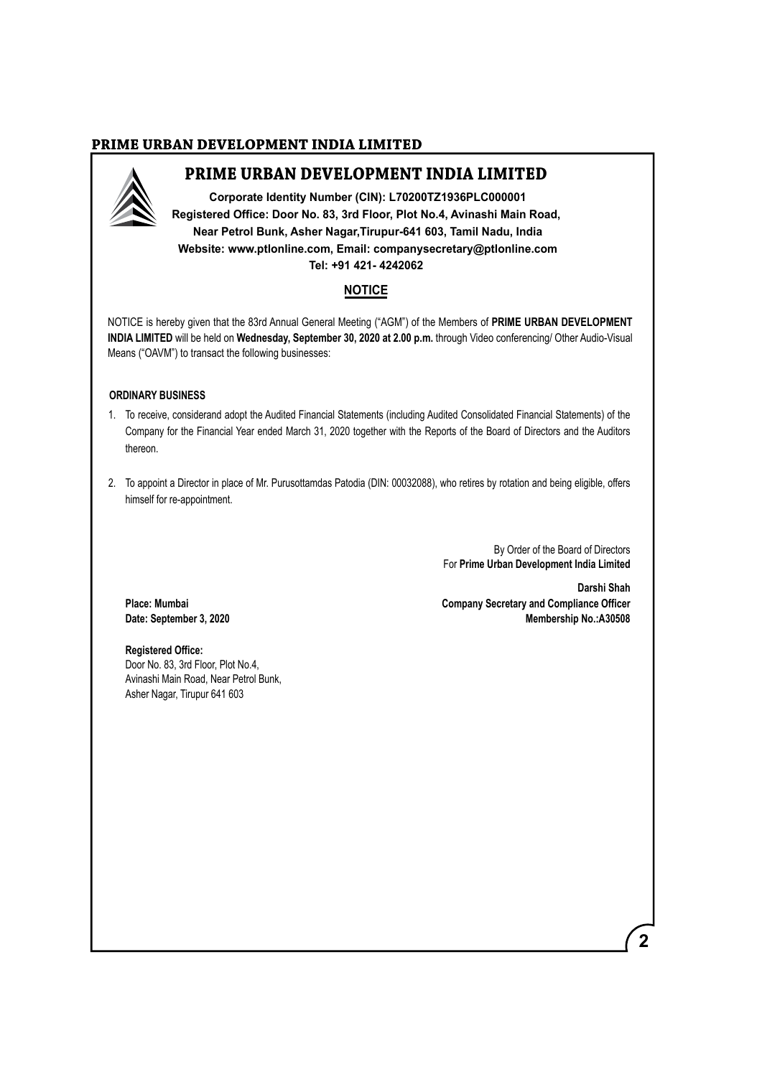# *83rd ANNUAL REPORT 2019-20*

# **CORPORATE INFORMATION**

# **BOARD OF DIRECTORS**

**CHAIRMAN AND MANAGING DIRECTOR** Mr. Purusottamdas Patodia

**VICE CHAIRMAN AND MANAGING DIRECTOR** Mr. Manoj Kumar Patodia

**MANAGING DIRECTOR**  Mr. Anuj Patodia

**INDEPENDENT DIRECTORS** Mr. N.K. Bafna Mr. Banwarilal Singhal Mrs. Ryna Zaiwalla Karani

**CHIEF FINANCIAL OFFICER** Mr. S. Udayananda

**COMPANY SECRETARY & COMPLIANCE OFFICER** Ms. Darshi Shah

**STATUTORY AUDITORS** M/s. L. U. Krishnan & Co. Chartered Accountants, Chennai

**INTERNAL AUDITORS** M/s. K. Sundaramurthy & Co. Chartered Accountants, Coimbatore

**LEGAL ADVISORS** M/s. Ramani & Shankar Advocates, Coimbatore

**BANKERS** Central Bank of India

# **REGISTERED OFFICE**

Door No. 83, 3rd Floor, Plot No.4, Avinashi Main Road, Near Petrol Bunk, Asher Nagar, Tirupur 641 603 Tel No.: +91 421 4242062

# **CORPORATE OFFICE**

106, Mittal Chambers, 10th Floor, Nariman Point, Mumbai- 400021, Tel No.: +91 22 6164 5000 Fax No.: +91 22 6164 5070 Email ID: companysecretary@ptlonline.com

# **REGISTRAR & SHARE TRANSFER AGENTS**

S.K.D.C. Consultants Limited Kanapathy Towers, 3rd Floor, 1391/A-1, Sathy Road, Ganapathy Post, Coimbatore – 641 006, Tamil Nadu, India. Tel No. : +91 422 4958995 Fax No. : +91 422 2539837

# **WEBSITE**

www.ptlonline.com

**CORPORATE IDENTIFICATION NUMBER**

**1**

L70200TZ1936PLC000001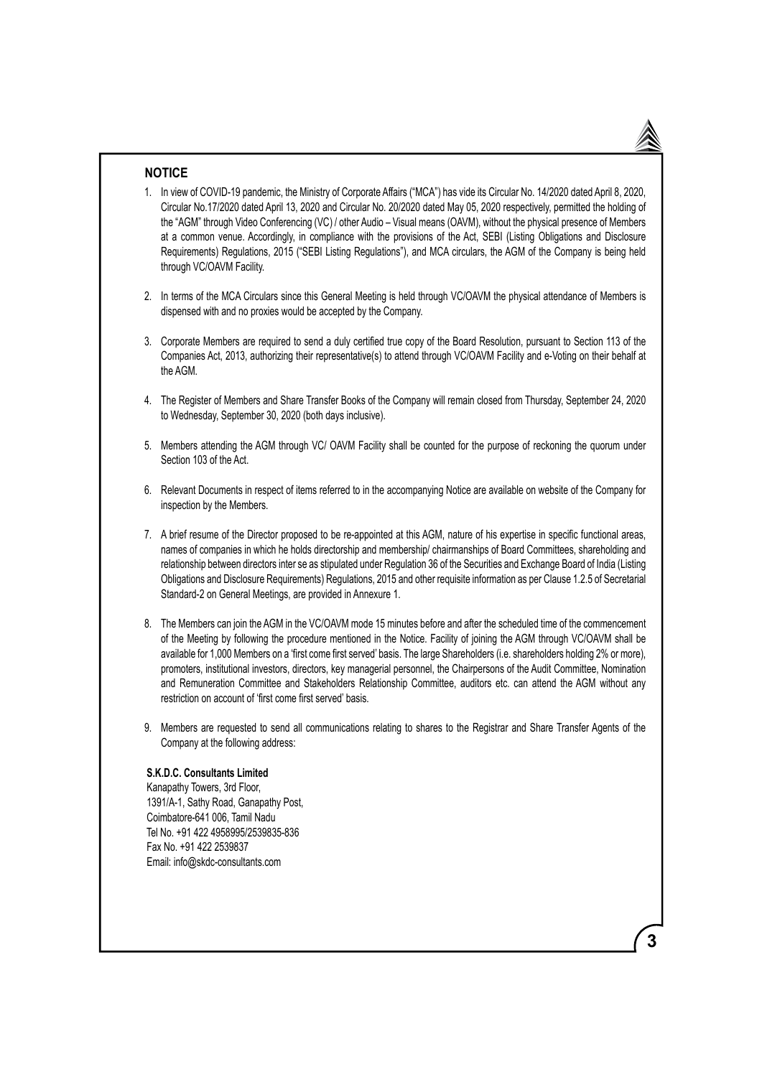

# **PRIME URBAN DEVELOPMENT INDIA LIMITED**

**Corporate Identity Number (CIN): L70200TZ1936PLC000001 Registered Office: Door No. 83, 3rd Floor, Plot No.4, Avinashi Main Road, Near Petrol Bunk, Asher Nagar,Tirupur-641 603, Tamil Nadu, India Website: www.ptlonline.com, Email: companysecretary@ptlonline.com Tel: +91 421- 4242062** 

# **NOTICE**

NOTICE is hereby given that the 83rd Annual General Meeting ("AGM") of the Members of **PRIME URBAN DEVELOPMENT INDIA LIMITED** will be held on **Wednesday, September 30, 2020 at 2.00 p.m.** through Video conferencing/ Other Audio-Visual Means ("OAVM") to transact the following businesses:

# **ORDINARY BUSINESS**

- 1. To receive, considerand adopt the Audited Financial Statements (including Audited Consolidated Financial Statements) of the Company for the Financial Year ended March 31, 2020 together with the Reports of the Board of Directors and the Auditors thereon.
- 2. To appoint a Director in place of Mr. Purusottamdas Patodia (DIN: 00032088), who retires by rotation and being eligible, offers himself for re-appointment.

By Order of the Board of Directors For **Prime Urban Development India Limited**

 **Darshi Shah Place: Mumbai Company Secretary and Compliance Officer Date: September 3, 2020** Membership No.:A30508

 **Registered Office:**  Door No. 83, 3rd Floor, Plot No.4, Avinashi Main Road, Near Petrol Bunk, Asher Nagar, Tirupur 641 603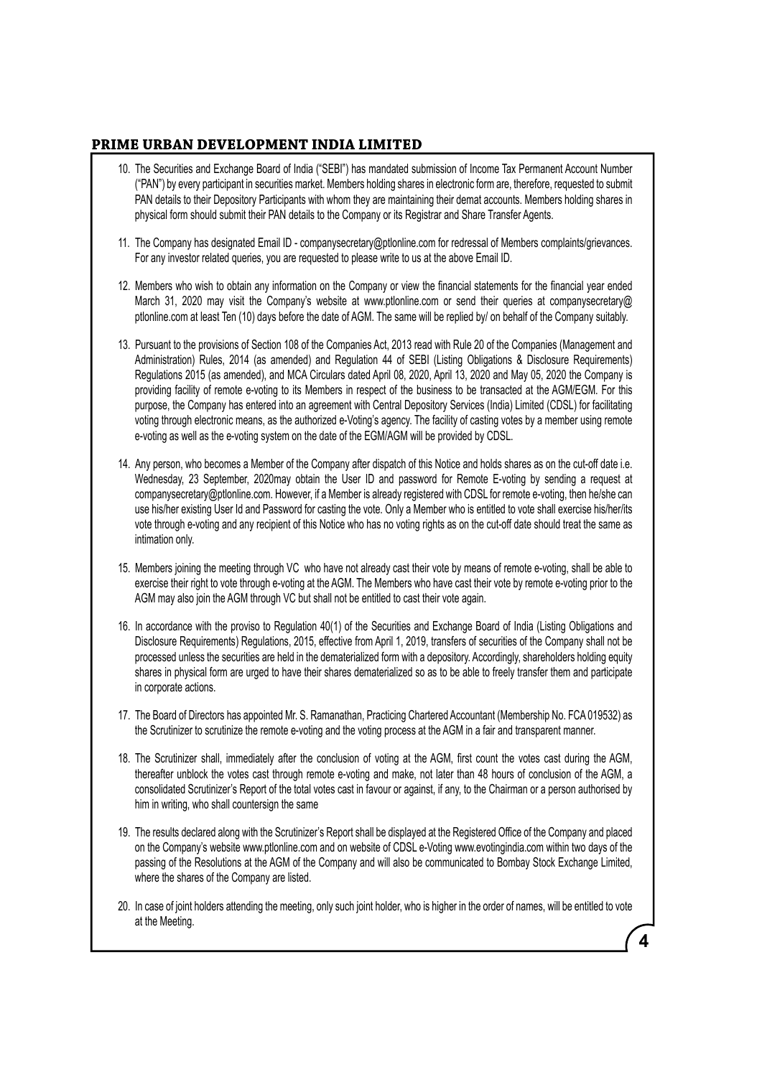# **NOTICE**

- 1. In view of COVID-19 pandemic, the Ministry of Corporate Affairs ("MCA") has vide its Circular No. 14/2020 dated April 8, 2020, Circular No.17/2020 dated April 13, 2020 and Circular No. 20/2020 dated May 05, 2020 respectively, permitted the holding of the "AGM" through Video Conferencing (VC) / other Audio – Visual means (OAVM), without the physical presence of Members at a common venue. Accordingly, in compliance with the provisions of the Act, SEBI (Listing Obligations and Disclosure Requirements) Regulations, 2015 ("SEBI Listing Regulations"), and MCA circulars, the AGM of the Company is being held through VC/OAVM Facility.
- 2. In terms of the MCA Circulars since this General Meeting is held through VC/OAVM the physical attendance of Members is dispensed with and no proxies would be accepted by the Company.
- 3. Corporate Members are required to send a duly certified true copy of the Board Resolution, pursuant to Section 113 of the Companies Act, 2013, authorizing their representative(s) to attend through VC/OAVM Facility and e-Voting on their behalf at the AGM.
- 4. The Register of Members and Share Transfer Books of the Company will remain closed from Thursday, September 24, 2020 to Wednesday, September 30, 2020 (both days inclusive).
- 5. Members attending the AGM through VC/ OAVM Facility shall be counted for the purpose of reckoning the quorum under Section 103 of the Act.
- 6. Relevant Documents in respect of items referred to in the accompanying Notice are available on website of the Company for inspection by the Members.
- 7. A brief resume of the Director proposed to be re-appointed at this AGM, nature of his expertise in specific functional areas, names of companies in which he holds directorship and membership/ chairmanships of Board Committees, shareholding and relationship between directors inter se as stipulated under Regulation 36 of the Securities and Exchange Board of India (Listing Obligations and Disclosure Requirements) Regulations, 2015 and other requisite information as per Clause 1.2.5 of Secretarial Standard-2 on General Meetings, are provided in Annexure 1.
- 8. The Members can join the AGM in the VC/OAVM mode 15 minutes before and after the scheduled time of the commencement of the Meeting by following the procedure mentioned in the Notice. Facility of joining the AGM through VC/OAVM shall be available for 1,000 Members on a 'first come first served' basis. The large Shareholders (i.e. shareholders holding 2% or more), promoters, institutional investors, directors, key managerial personnel, the Chairpersons of the Audit Committee, Nomination and Remuneration Committee and Stakeholders Relationship Committee, auditors etc. can attend the AGM without any restriction on account of 'first come first served' basis.
- 9. Members are requested to send all communications relating to shares to the Registrar and Share Transfer Agents of the Company at the following address:

# **S.K.D.C. Consultants Limited**

 Kanapathy Towers, 3rd Floor, 1391/A-1, Sathy Road, Ganapathy Post, Coimbatore-641 006, Tamil Nadu Tel No. +91 422 4958995/2539835-836 Fax No. +91 422 2539837 Email: info@skdc-consultants.com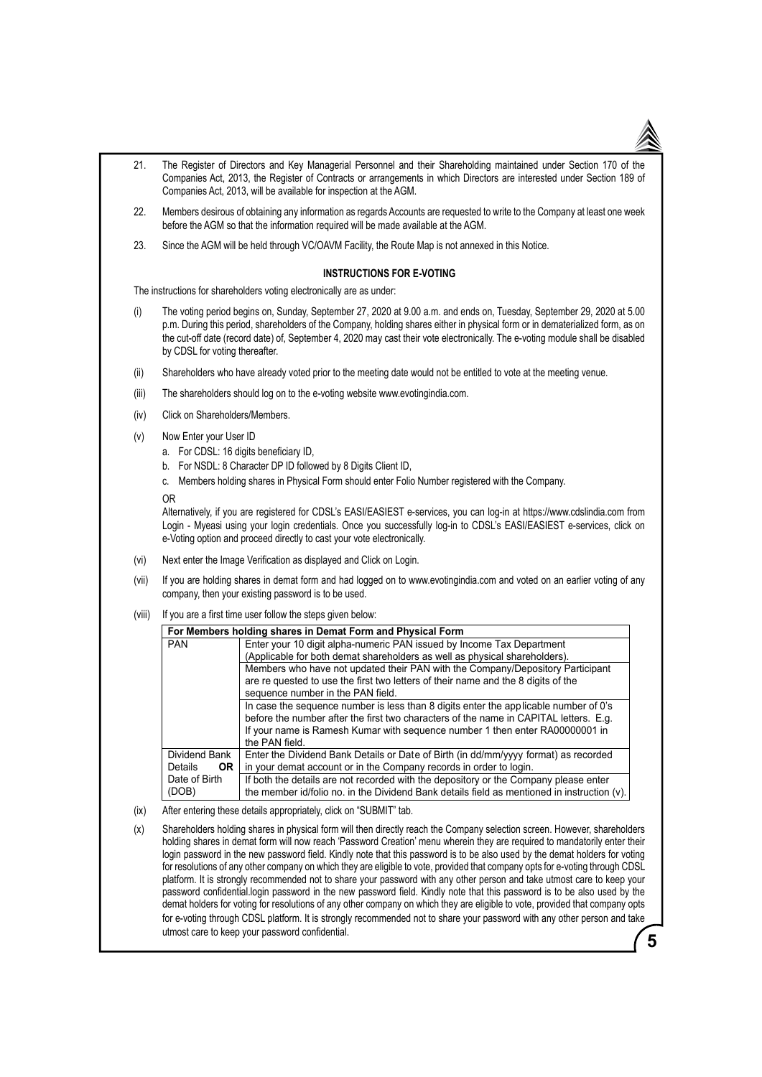- 10. The Securities and Exchange Board of India ("SEBI") has mandated submission of Income Tax Permanent Account Number ("PAN") by every participant in securities market. Members holding shares in electronic form are, therefore, requested to submit PAN details to their Depository Participants with whom they are maintaining their demat accounts. Members holding shares in physical form should submit their PAN details to the Company or its Registrar and Share Transfer Agents.
- 11. The Company has designated Email ID companysecretary@ptlonline.com for redressal of Members complaints/grievances. For any investor related queries, you are requested to please write to us at the above Email ID.
- 12. Members who wish to obtain any information on the Company or view the financial statements for the financial year ended March 31, 2020 may visit the Company's website at www.ptlonline.com or send their queries at companysecretary@ ptlonline.com at least Ten (10) days before the date of AGM. The same will be replied by/ on behalf of the Company suitably.
- 13. Pursuant to the provisions of Section 108 of the Companies Act, 2013 read with Rule 20 of the Companies (Management and Administration) Rules, 2014 (as amended) and Regulation 44 of SEBI (Listing Obligations & Disclosure Requirements) Regulations 2015 (as amended), and MCA Circulars dated April 08, 2020, April 13, 2020 and May 05, 2020 the Company is providing facility of remote e-voting to its Members in respect of the business to be transacted at the AGM/EGM. For this purpose, the Company has entered into an agreement with Central Depository Services (India) Limited (CDSL) for facilitating voting through electronic means, as the authorized e-Voting's agency. The facility of casting votes by a member using remote e-voting as well as the e-voting system on the date of the EGM/AGM will be provided by CDSL.
- 14. Any person, who becomes a Member of the Company after dispatch of this Notice and holds shares as on the cut-off date i.e. Wednesday, 23 September, 2020may obtain the User ID and password for Remote E-voting by sending a request at companysecretary@ptlonline.com. However, if a Member is already registered with CDSL for remote e-voting, then he/she can use his/her existing User Id and Password for casting the vote. Only a Member who is entitled to vote shall exercise his/her/its vote through e-voting and any recipient of this Notice who has no voting rights as on the cut-off date should treat the same as intimation only.
- 15. Members joining the meeting through VC who have not already cast their vote by means of remote e-voting, shall be able to exercise their right to vote through e-voting at the AGM. The Members who have cast their vote by remote e-voting prior to the AGM may also join the AGM through VC but shall not be entitled to cast their vote again.
- 16. In accordance with the proviso to Regulation 40(1) of the Securities and Exchange Board of India (Listing Obligations and Disclosure Requirements) Regulations, 2015, effective from April 1, 2019, transfers of securities of the Company shall not be processed unless the securities are held in the dematerialized form with a depository. Accordingly, shareholders holding equity shares in physical form are urged to have their shares dematerialized so as to be able to freely transfer them and participate in corporate actions.
- 17. The Board of Directors has appointed Mr. S. Ramanathan, Practicing Chartered Accountant (Membership No. FCA 019532) as the Scrutinizer to scrutinize the remote e-voting and the voting process at the AGM in a fair and transparent manner.
- 18. The Scrutinizer shall, immediately after the conclusion of voting at the AGM, first count the votes cast during the AGM, thereafter unblock the votes cast through remote e-voting and make, not later than 48 hours of conclusion of the AGM, a consolidated Scrutinizer's Report of the total votes cast in favour or against, if any, to the Chairman or a person authorised by him in writing, who shall countersign the same
- 19. The results declared along with the Scrutinizer's Report shall be displayed at the Registered Office of the Company and placed on the Company's website www.ptlonline.com and on website of CDSL e-Voting www.evotingindia.com within two days of the passing of the Resolutions at the AGM of the Company and will also be communicated to Bombay Stock Exchange Limited, where the shares of the Company are listed.
- 20. In case of joint holders attending the meeting, only such joint holder, who is higher in the order of names, will be entitled to vote at the Meeting.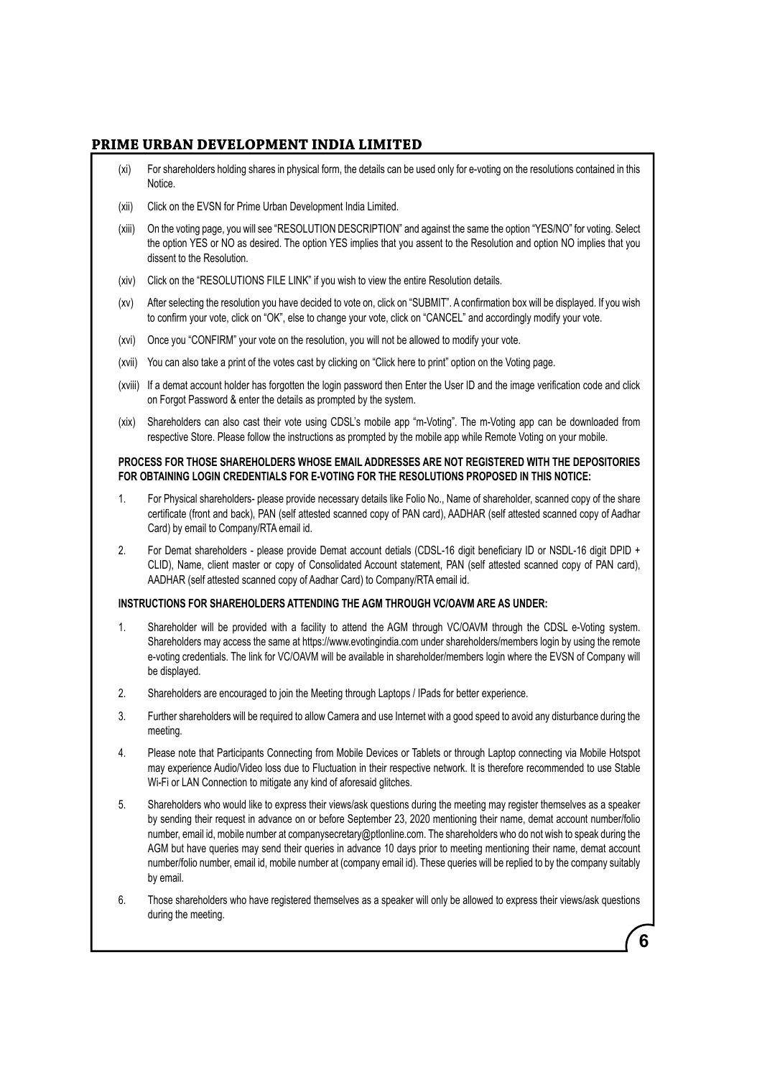- 21. The Register of Directors and Key Managerial Personnel and their Shareholding maintained under Section 170 of the Companies Act, 2013, the Register of Contracts or arrangements in which Directors are interested under Section 189 of Companies Act, 2013, will be available for inspection at the AGM.
- 22. Members desirous of obtaining any information as regards Accounts are requested to write to the Company at least one week before the AGM so that the information required will be made available at the AGM.
- 23. Since the AGM will be held through VC/OAVM Facility, the Route Map is not annexed in this Notice.

# **INSTRUCTIONS FOR E-VOTING**

The instructions for shareholders voting electronically are as under:

- (i) The voting period begins on, Sunday, September 27, 2020 at 9.00 a.m. and ends on, Tuesday, September 29, 2020 at 5.00 p.m. During this period, shareholders of the Company, holding shares either in physical form or in dematerialized form, as on the cut-off date (record date) of, September 4, 2020 may cast their vote electronically. The e-voting module shall be disabled by CDSL for voting thereafter.
- (ii) Shareholders who have already voted prior to the meeting date would not be entitled to vote at the meeting venue.
- (iii) The shareholders should log on to the e-voting website www.evotingindia.com.
- (iv) Click on Shareholders/Members.
- (v) Now Enter your User ID
	- a. For CDSL: 16 digits beneficiary ID,
	- b. For NSDL: 8 Character DP ID followed by 8 Digits Client ID,
	- c. Members holding shares in Physical Form should enter Folio Number registered with the Company.

OR

 Alternatively, if you are registered for CDSL's EASI/EASIEST e-services, you can log-in at https://www.cdslindia.com from Login - Myeasi using your login credentials. Once you successfully log-in to CDSL's EASI/EASIEST e-services, click on e-Voting option and proceed directly to cast your vote electronically.

- (vi) Next enter the Image Verification as displayed and Click on Login.
- (vii) If you are holding shares in demat form and had logged on to www.evotingindia.com and voted on an earlier voting of any company, then your existing password is to be used.
- (viii) If you are a first time user follow the steps given below:

|                | For Members holding shares in Demat Form and Physical Form                                  |
|----------------|---------------------------------------------------------------------------------------------|
| <b>PAN</b>     | Enter your 10 digit alpha-numeric PAN issued by Income Tax Department                       |
|                | (Applicable for both demat shareholders as well as physical shareholders).                  |
|                | Members who have not updated their PAN with the Company/Depository Participant              |
|                | are re quested to use the first two letters of their name and the 8 digits of the           |
|                | sequence number in the PAN field.                                                           |
|                | In case the sequence number is less than 8 digits enter the applicable number of 0's        |
|                | before the number after the first two characters of the name in CAPITAL letters. E.g.       |
|                | If your name is Ramesh Kumar with sequence number 1 then enter RA00000001 in                |
|                | the PAN field.                                                                              |
| Dividend Bank  | Enter the Dividend Bank Details or Date of Birth (in dd/mm/yyyy format) as recorded         |
| OR.<br>Details | in your demat account or in the Company records in order to login.                          |
| Date of Birth  | If both the details are not recorded with the depository or the Company please enter        |
| (DOB)          | the member id/folio no. in the Dividend Bank details field as mentioned in instruction (v). |

- (ix) After entering these details appropriately, click on "SUBMIT" tab.
- **5** (x) Shareholders holding shares in physical form will then directly reach the Company selection screen. However, shareholders holding shares in demat form will now reach 'Password Creation' menu wherein they are required to mandatorily enter their login password in the new password field. Kindly note that this password is to be also used by the demat holders for voting for resolutions of any other company on which they are eligible to vote, provided that company opts for e-voting through CDSL platform. It is strongly recommended not to share your password with any other person and take utmost care to keep your password confidential.login password in the new password field. Kindly note that this password is to be also used by the demat holders for voting for resolutions of any other company on which they are eligible to vote, provided that company opts for e-voting through CDSL platform. It is strongly recommended not to share your password with any other person and take utmost care to keep your password confidential.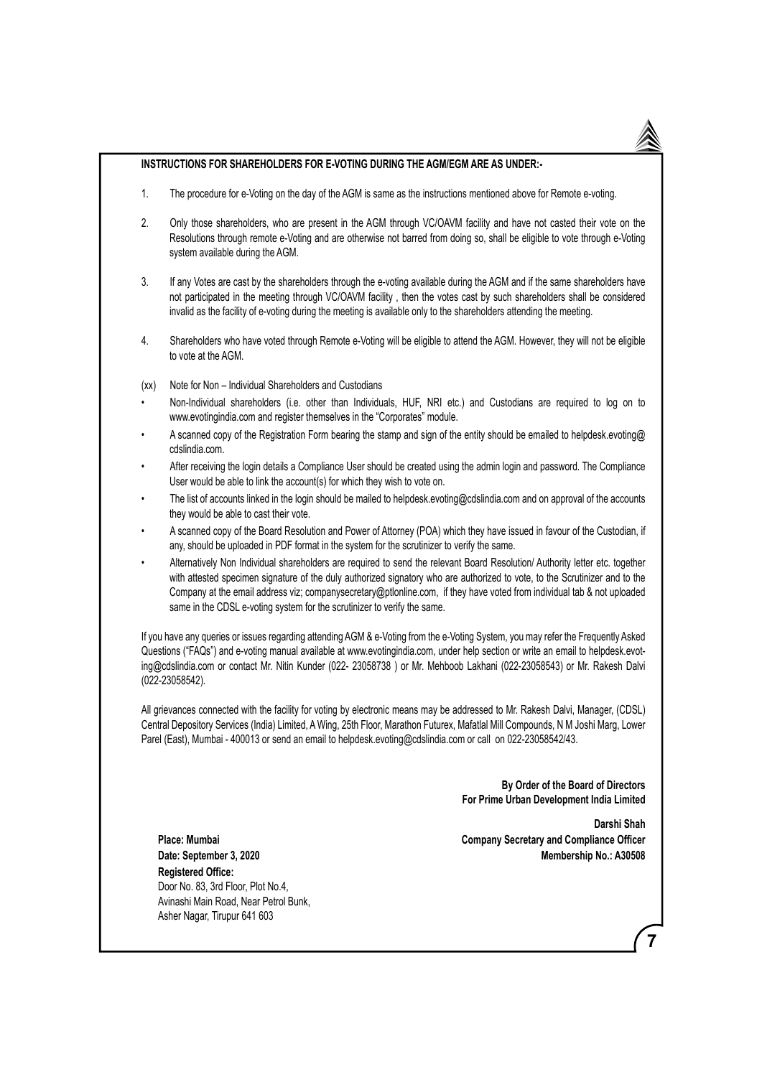- (xi) For shareholders holding shares in physical form, the details can be used only for e-voting on the resolutions contained in this Notice.
- (xii) Click on the EVSN for Prime Urban Development India Limited.
- (xiii) On the voting page, you will see "RESOLUTION DESCRIPTION" and against the same the option "YES/NO" for voting. Select the option YES or NO as desired. The option YES implies that you assent to the Resolution and option NO implies that you dissent to the Resolution.
- (xiv) Click on the "RESOLUTIONS FILE LINK" if you wish to view the entire Resolution details.
- (xv) After selecting the resolution you have decided to vote on, click on "SUBMIT". A confirmation box will be displayed. If you wish to confirm your vote, click on "OK", else to change your vote, click on "CANCEL" and accordingly modify your vote.
- (xvi) Once you "CONFIRM" your vote on the resolution, you will not be allowed to modify your vote.
- (xvii) You can also take a print of the votes cast by clicking on "Click here to print" option on the Voting page.
- (xviii) If a demat account holder has forgotten the login password then Enter the User ID and the image verification code and click on Forgot Password & enter the details as prompted by the system.
- (xix) Shareholders can also cast their vote using CDSL's mobile app "m-Voting". The m-Voting app can be downloaded from respective Store. Please follow the instructions as prompted by the mobile app while Remote Voting on your mobile.

# **PROCESS FOR THOSE SHAREHOLDERS WHOSE EMAIL ADDRESSES ARE NOT REGISTERED WITH THE DEPOSITORIES FOR OBTAINING LOGIN CREDENTIALS FOR E-VOTING FOR THE RESOLUTIONS PROPOSED IN THIS NOTICE:**

- 1. For Physical shareholders- please provide necessary details like Folio No., Name of shareholder, scanned copy of the share certificate (front and back), PAN (self attested scanned copy of PAN card), AADHAR (self attested scanned copy of Aadhar Card) by email to Company/RTA email id.
- 2. For Demat shareholders please provide Demat account detials (CDSL-16 digit beneficiary ID or NSDL-16 digit DPID + CLID), Name, client master or copy of Consolidated Account statement, PAN (self attested scanned copy of PAN card), AADHAR (self attested scanned copy of Aadhar Card) to Company/RTA email id.

### **INSTRUCTIONS FOR SHAREHOLDERS ATTENDING THE AGM THROUGH VC/OAVM ARE AS UNDER:**

- 1. Shareholder will be provided with a facility to attend the AGM through VC/OAVM through the CDSL e-Voting system. Shareholders may access the same at https://www.evotingindia.com under shareholders/members login by using the remote e-voting credentials. The link for VC/OAVM will be available in shareholder/members login where the EVSN of Company will be displayed.
- 2. Shareholders are encouraged to join the Meeting through Laptops / IPads for better experience.
- 3. Further shareholders will be required to allow Camera and use Internet with a good speed to avoid any disturbance during the meeting.
- 4. Please note that Participants Connecting from Mobile Devices or Tablets or through Laptop connecting via Mobile Hotspot may experience Audio/Video loss due to Fluctuation in their respective network. It is therefore recommended to use Stable Wi-Fi or LAN Connection to mitigate any kind of aforesaid glitches.
- 5. Shareholders who would like to express their views/ask questions during the meeting may register themselves as a speaker by sending their request in advance on or before September 23, 2020 mentioning their name, demat account number/folio number, email id, mobile number at companysecretary@ptlonline.com. The shareholders who do not wish to speak during the AGM but have queries may send their queries in advance 10 days prior to meeting mentioning their name, demat account number/folio number, email id, mobile number at (company email id). These queries will be replied to by the company suitably by email.
- 6. Those shareholders who have registered themselves as a speaker will only be allowed to express their views/ask questions during the meeting.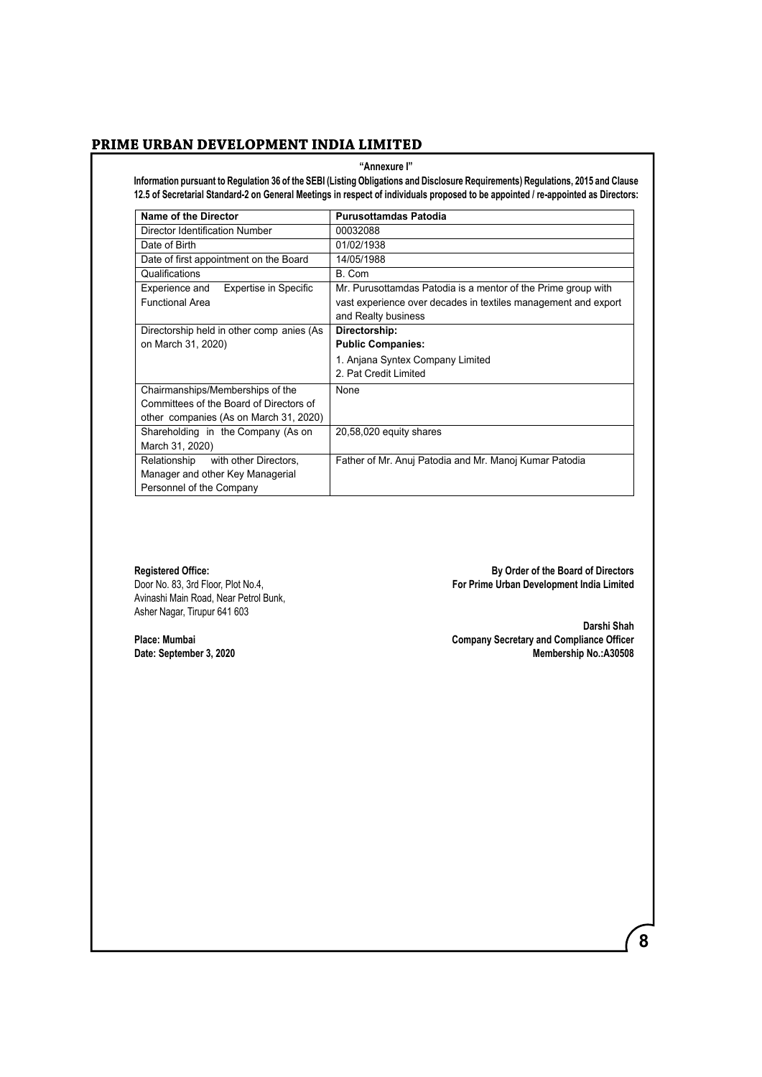# **INSTRUCTIONS FOR SHAREHOLDERS FOR E-VOTING DURING THE AGM/EGM ARE AS UNDER:-**

- 1. The procedure for e-Voting on the day of the AGM is same as the instructions mentioned above for Remote e-voting.
- 2. Only those shareholders, who are present in the AGM through VC/OAVM facility and have not casted their vote on the Resolutions through remote e-Voting and are otherwise not barred from doing so, shall be eligible to vote through e-Voting system available during the AGM.
- 3. If any Votes are cast by the shareholders through the e-voting available during the AGM and if the same shareholders have not participated in the meeting through VC/OAVM facility , then the votes cast by such shareholders shall be considered invalid as the facility of e-voting during the meeting is available only to the shareholders attending the meeting.
- 4. Shareholders who have voted through Remote e-Voting will be eligible to attend the AGM. However, they will not be eligible to vote at the AGM.
- (xx) Note for Non Individual Shareholders and Custodians
- Non-Individual shareholders (i.e. other than Individuals, HUF, NRI etc.) and Custodians are required to log on to www.evotingindia.com and register themselves in the "Corporates" module.
- A scanned copy of the Registration Form bearing the stamp and sign of the entity should be emailed to helpdesk.evoting@ cdslindia.com.
- After receiving the login details a Compliance User should be created using the admin login and password. The Compliance User would be able to link the account(s) for which they wish to vote on.
- The list of accounts linked in the login should be mailed to helpdesk.evoting@cdslindia.com and on approval of the accounts they would be able to cast their vote.
- A scanned copy of the Board Resolution and Power of Attorney (POA) which they have issued in favour of the Custodian, if any, should be uploaded in PDF format in the system for the scrutinizer to verify the same.
- Alternatively Non Individual shareholders are required to send the relevant Board Resolution/Authority letter etc. together with attested specimen signature of the duly authorized signatory who are authorized to vote, to the Scrutinizer and to the Company at the email address viz; companysecretary@ptlonline.com, if they have voted from individual tab & not uploaded same in the CDSL e-voting system for the scrutinizer to verify the same.

If you have any queries or issues regarding attending AGM & e-Voting from the e-Voting System, you may refer the Frequently Asked Questions ("FAQs") and e-voting manual available at www.evotingindia.com, under help section or write an email to helpdesk.evoting@cdslindia.com or contact Mr. Nitin Kunder (022- 23058738 ) or Mr. Mehboob Lakhani (022-23058543) or Mr. Rakesh Dalvi (022-23058542).

All grievances connected with the facility for voting by electronic means may be addressed to Mr. Rakesh Dalvi, Manager, (CDSL) Central Depository Services (India) Limited, A Wing, 25th Floor, Marathon Futurex, Mafatlal Mill Compounds, N M Joshi Marg, Lower Parel (East), Mumbai - 400013 or send an email to helpdesk.evoting@cdslindia.com or call on 022-23058542/43.

> **By Order of the Board of Directors For Prime Urban Development India Limited**

 **Darshi Shah Place: Mumbai Company Secretary and Compliance Officer Date: September 3, 2020** Membership No.: A30508

 **Registered Office:**  Door No. 83, 3rd Floor, Plot No.4, Avinashi Main Road, Near Petrol Bunk, Asher Nagar, Tirupur 641 603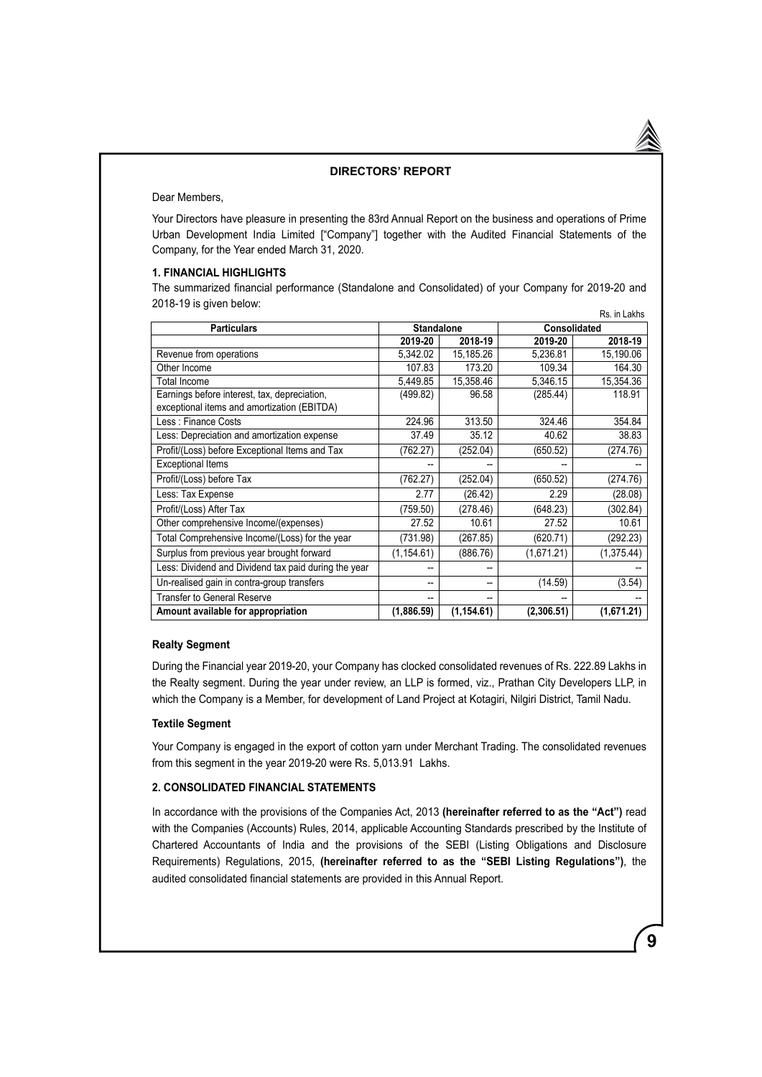# **"Annexure I"**

**Information pursuant to Regulation 36 of the SEBI (Listing Obligations and Disclosure Requirements) Regulations, 2015 and Clause 12.5 of Secretarial Standard-2 on General Meetings in respect of individuals proposed to be appointed / re-appointed as Directors:**

| Name of the Director                           | <b>Purusottamdas Patodia</b>                                   |
|------------------------------------------------|----------------------------------------------------------------|
| Director Identification Number                 | 00032088                                                       |
| Date of Birth                                  | 01/02/1938                                                     |
| Date of first appointment on the Board         | 14/05/1988                                                     |
| Qualifications                                 | B. Com                                                         |
| Experience and<br><b>Expertise in Specific</b> | Mr. Purusottamdas Patodia is a mentor of the Prime group with  |
| <b>Functional Area</b>                         | vast experience over decades in textiles management and export |
|                                                | and Realty business                                            |
| Directorship held in other comp anies (As      | Directorship:                                                  |
| on March 31, 2020)                             | <b>Public Companies:</b>                                       |
|                                                | 1. Anjana Syntex Company Limited                               |
|                                                | 2. Pat Credit Limited                                          |
| Chairmanships/Memberships of the               | None                                                           |
| Committees of the Board of Directors of        |                                                                |
| other companies (As on March 31, 2020)         |                                                                |
| Shareholding in the Company (As on             | 20,58,020 equity shares                                        |
| March 31, 2020)                                |                                                                |
| Relationship<br>with other Directors,          | Father of Mr. Anuj Patodia and Mr. Manoj Kumar Patodia         |
| Manager and other Key Managerial               |                                                                |
| Personnel of the Company                       |                                                                |

Avinashi Main Road, Near Petrol Bunk, Asher Nagar, Tirupur 641 603

**Registered Office:** By Order of the Board of Directors<br>Door No. 83, 3rd Floor, Plot No.4, **By Order of the Board of Directors**<br>For Prime Urban Development India Limited **For Prime Urban Development India Limited** 

 **Darshi Shah Place: Mumbai Company Secretary and Compliance Officer Date: September 3, 2020 Membership No.:A30508**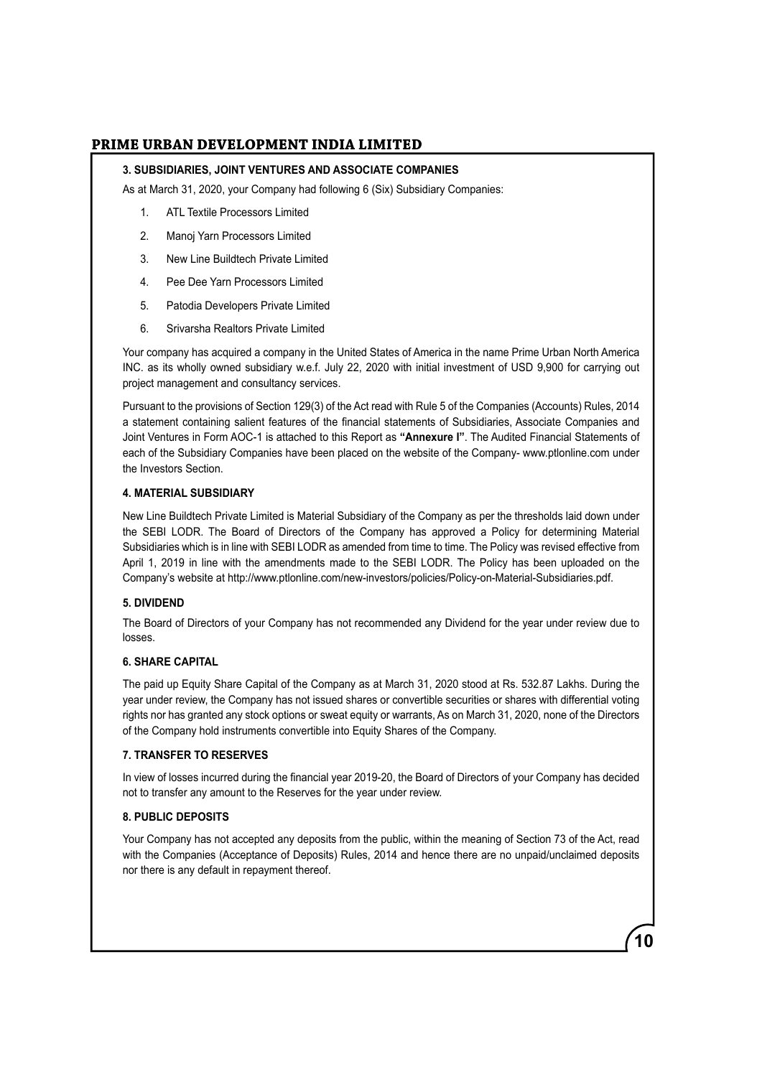# **DIRECTORS' REPORT**

### Dear Members,

Your Directors have pleasure in presenting the 83rd Annual Report on the business and operations of Prime Urban Development India Limited ["Company"] together with the Audited Financial Statements of the Company, for the Year ended March 31, 2020.

# **1. FINANCIAL HIGHLIGHTS**

 The summarized financial performance (Standalone and Consolidated) of your Company for 2019-20 and 2018-19 is given below: Rs. in Lakhs

| <b>Particulars</b>                                                                          | <b>Standalone</b> |             | <b>Consolidated</b> |            |
|---------------------------------------------------------------------------------------------|-------------------|-------------|---------------------|------------|
|                                                                                             | 2019-20           | 2018-19     | 2019-20             | 2018-19    |
| Revenue from operations                                                                     | 5,342.02          | 15,185.26   | 5,236.81            | 15,190.06  |
| Other Income                                                                                | 107.83            | 173.20      | 109.34              | 164.30     |
| Total Income                                                                                | 5,449.85          | 15,358.46   | 5,346.15            | 15,354.36  |
| Earnings before interest, tax, depreciation,<br>exceptional items and amortization (EBITDA) | (499.82)          | 96.58       | (285.44)            | 118.91     |
| Less: Finance Costs                                                                         | 224.96            | 313.50      | 324.46              | 354.84     |
| Less: Depreciation and amortization expense                                                 | 37.49             | 35.12       | 40.62               | 38.83      |
| Profit/(Loss) before Exceptional Items and Tax                                              | (762.27)          | (252.04)    | (650.52)            | (274.76)   |
| <b>Exceptional Items</b>                                                                    |                   |             |                     |            |
| Profit/(Loss) before Tax                                                                    | (762.27)          | (252.04)    | (650.52)            | (274.76)   |
| Less: Tax Expense                                                                           | 2.77              | (26.42)     | 2.29                | (28.08)    |
| Profit/(Loss) After Tax                                                                     | (759.50)          | (278.46)    | (648.23)            | (302.84)   |
| Other comprehensive Income/(expenses)                                                       | 27.52             | 10.61       | 27.52               | 10.61      |
| Total Comprehensive Income/(Loss) for the year                                              | (731.98)          | (267.85)    | (620.71)            | (292.23)   |
| Surplus from previous year brought forward                                                  | (1, 154.61)       | (886.76)    | (1,671.21)          | (1,375.44) |
| Less: Dividend and Dividend tax paid during the year                                        |                   |             |                     |            |
| Un-realised gain in contra-group transfers                                                  | --                | --          | (14.59)             | (3.54)     |
| <b>Transfer to General Reserve</b>                                                          |                   |             |                     |            |
| Amount available for appropriation                                                          | (1,886.59)        | (1, 154.61) | (2,306.51)          | (1,671.21) |

### **Realty Segment**

 During the Financial year 2019-20, your Company has clocked consolidated revenues of Rs. 222.89 Lakhs in the Realty segment. During the year under review, an LLP is formed, viz., Prathan City Developers LLP, in which the Company is a Member, for development of Land Project at Kotagiri, Nilgiri District, Tamil Nadu.

### **Textile Segment**

 Your Company is engaged in the export of cotton yarn under Merchant Trading. The consolidated revenues from this segment in the year 2019-20 were Rs. 5,013.91 Lakhs.

# **2. CONSOLIDATED FINANCIAL STATEMENTS**

 In accordance with the provisions of the Companies Act, 2013 **(hereinafter referred to as the "Act")** read with the Companies (Accounts) Rules, 2014, applicable Accounting Standards prescribed by the Institute of Chartered Accountants of India and the provisions of the SEBI (Listing Obligations and Disclosure Requirements) Regulations, 2015, **(hereinafter referred to as the "SEBI Listing Regulations")**, the audited consolidated financial statements are provided in this Annual Report.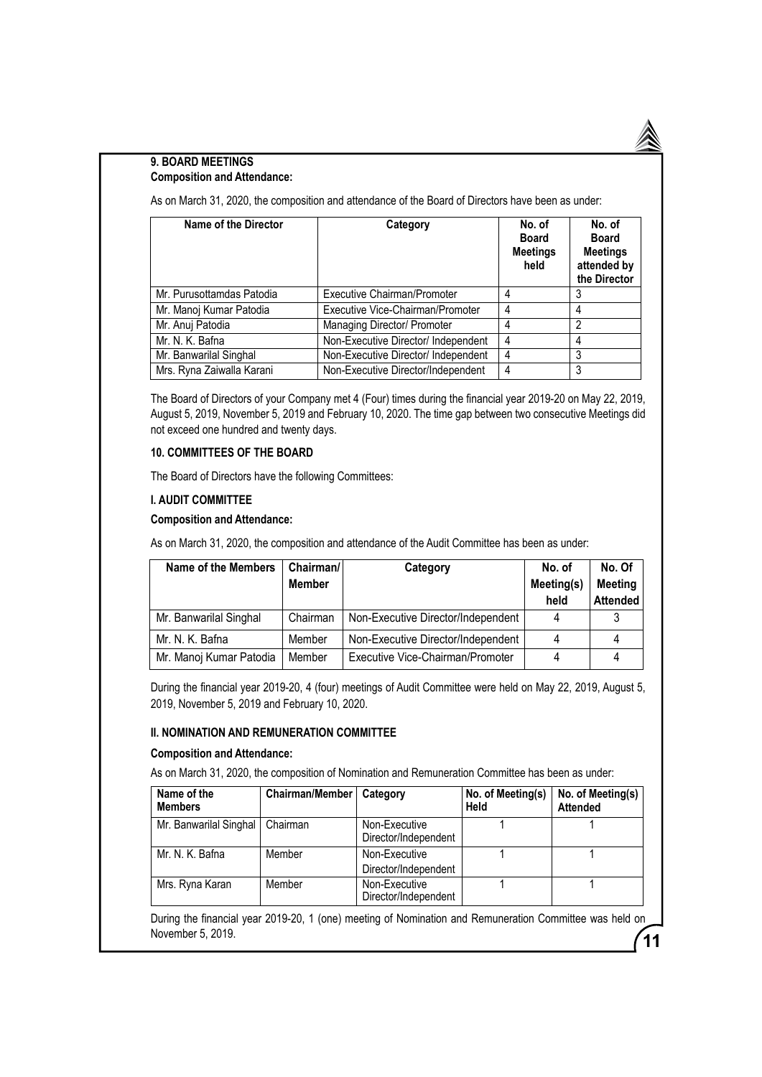# **3. SUBSIDIARIES, JOINT VENTURES AND ASSOCIATE COMPANIES**

As at March 31, 2020, your Company had following 6 (Six) Subsidiary Companies:

- 1. ATL Textile Processors Limited
- 2. Manoj Yarn Processors Limited
- 3. New Line Buildtech Private Limited
- 4. Pee Dee Yarn Processors Limited
- 5. Patodia Developers Private Limited
- 6. Srivarsha Realtors Private Limited

Your company has acquired a company in the United States of America in the name Prime Urban North America INC. as its wholly owned subsidiary w.e.f. July 22, 2020 with initial investment of USD 9,900 for carrying out project management and consultancy services.

Pursuant to the provisions of Section 129(3) of the Act read with Rule 5 of the Companies (Accounts) Rules, 2014 a statement containing salient features of the financial statements of Subsidiaries, Associate Companies and Joint Ventures in Form AOC-1 is attached to this Report as **"Annexure I"**. The Audited Financial Statements of each of the Subsidiary Companies have been placed on the website of the Company- www.ptlonline.com under the Investors Section.

# **4. MATERIAL SUBSIDIARY**

New Line Buildtech Private Limited is Material Subsidiary of the Company as per the thresholds laid down under the SEBI LODR. The Board of Directors of the Company has approved a Policy for determining Material Subsidiaries which is in line with SEBI LODR as amended from time to time. The Policy was revised effective from April 1, 2019 in line with the amendments made to the SEBI LODR. The Policy has been uploaded on the Company's website at http://www.ptlonline.com/new-investors/policies/Policy-on-Material-Subsidiaries.pdf.

# **5. DIVIDEND**

The Board of Directors of your Company has not recommended any Dividend for the year under review due to losses.

# **6. SHARE CAPITAL**

The paid up Equity Share Capital of the Company as at March 31, 2020 stood at Rs. 532.87 Lakhs. During the year under review, the Company has not issued shares or convertible securities or shares with differential voting rights nor has granted any stock options or sweat equity or warrants, As on March 31, 2020, none of the Directors of the Company hold instruments convertible into Equity Shares of the Company.

# **7. TRANSFER TO RESERVES**

In view of losses incurred during the financial year 2019-20, the Board of Directors of your Company has decided not to transfer any amount to the Reserves for the year under review.

# **8. PUBLIC DEPOSITS**

Your Company has not accepted any deposits from the public, within the meaning of Section 73 of the Act, read with the Companies (Acceptance of Deposits) Rules, 2014 and hence there are no unpaid/unclaimed deposits nor there is any default in repayment thereof.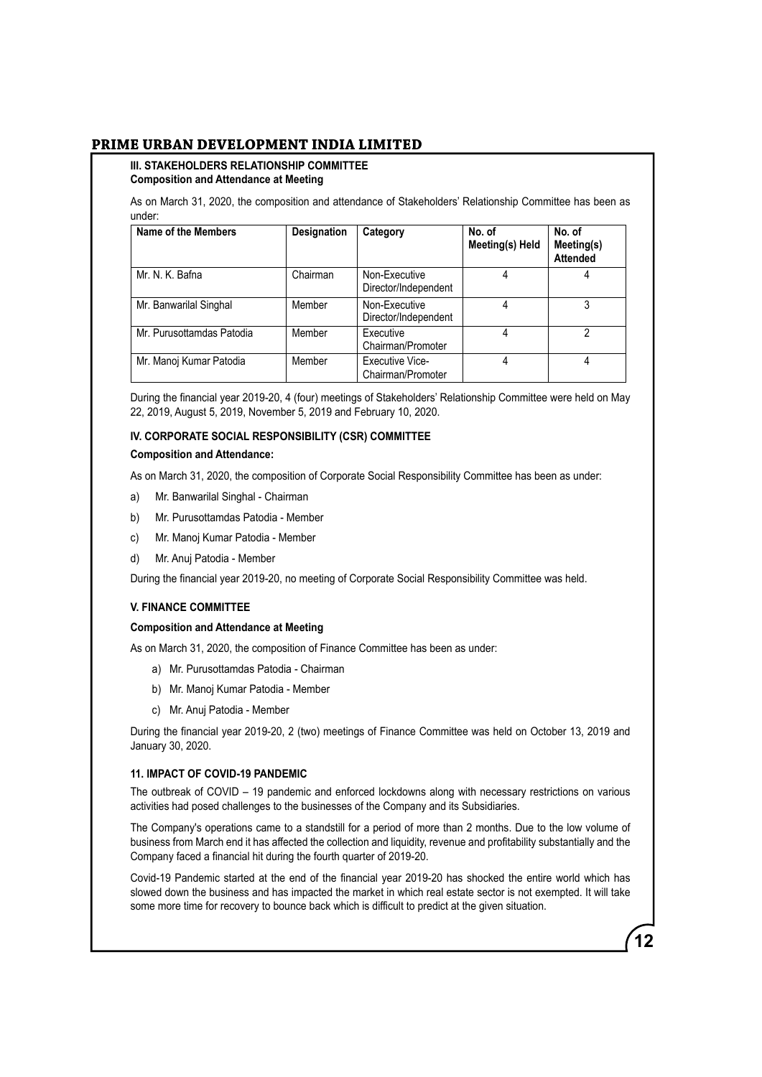# **9. BOARD MEETINGS Composition and Attendance:**

As on March 31, 2020, the composition and attendance of the Board of Directors have been as under:

| Name of the Director      | Category                            | No. of<br><b>Board</b><br><b>Meetings</b><br>held | No. of<br><b>Board</b><br><b>Meetings</b><br>attended by<br>the Director |
|---------------------------|-------------------------------------|---------------------------------------------------|--------------------------------------------------------------------------|
| Mr. Purusottamdas Patodia | Executive Chairman/Promoter         |                                                   | 3                                                                        |
| Mr. Manoj Kumar Patodia   | Executive Vice-Chairman/Promoter    | 4                                                 | 4                                                                        |
| Mr. Anuj Patodia          | Managing Director/ Promoter         |                                                   | 2                                                                        |
| Mr. N. K. Bafna           | Non-Executive Director/ Independent | 4                                                 | 4                                                                        |
| Mr. Banwarilal Singhal    | Non-Executive Director/ Independent | 4                                                 | 3                                                                        |
| Mrs. Ryna Zaiwalla Karani | Non-Executive Director/Independent  | 4                                                 | 3                                                                        |

The Board of Directors of your Company met 4 (Four) times during the financial year 2019-20 on May 22, 2019, August 5, 2019, November 5, 2019 and February 10, 2020. The time gap between two consecutive Meetings did not exceed one hundred and twenty days.

# **10. COMMITTEES OF THE BOARD**

The Board of Directors have the following Committees:

# **I. AUDIT COMMITTEE**

# **Composition and Attendance:**

As on March 31, 2020, the composition and attendance of the Audit Committee has been as under:

| Name of the Members     | Chairman/     | Category                           | No. of     | No. Of          |
|-------------------------|---------------|------------------------------------|------------|-----------------|
|                         | <b>Member</b> |                                    | Meeting(s) | <b>Meeting</b>  |
|                         |               |                                    | held       | <b>Attended</b> |
| Mr. Banwarilal Singhal  | Chairman      | Non-Executive Director/Independent |            |                 |
| Mr. N. K. Bafna         | Member        | Non-Executive Director/Independent |            | 4               |
| Mr. Manoj Kumar Patodia | Member        | Executive Vice-Chairman/Promoter   |            | 4               |

During the financial year 2019-20, 4 (four) meetings of Audit Committee were held on May 22, 2019, August 5, 2019, November 5, 2019 and February 10, 2020.

# **II. NOMINATION AND REMUNERATION COMMITTEE**

# **Composition and Attendance:**

As on March 31, 2020, the composition of Nomination and Remuneration Committee has been as under:

| Name of the<br><b>Members</b> | Chairman/Member | Category                              | No. of Meeting(s)<br><b>Held</b> | No. of Meeting(s)<br><b>Attended</b> |
|-------------------------------|-----------------|---------------------------------------|----------------------------------|--------------------------------------|
| Mr. Banwarilal Singhal        | Chairman        | Non-Executive<br>Director/Independent |                                  |                                      |
| Mr. N. K. Bafna               | Member          | Non-Executive<br>Director/Independent |                                  |                                      |
| Mrs. Ryna Karan               | Member          | Non-Executive<br>Director/Independent |                                  |                                      |

**11** During the financial year 2019-20, 1 (one) meeting of Nomination and Remuneration Committee was held on November 5, 2019.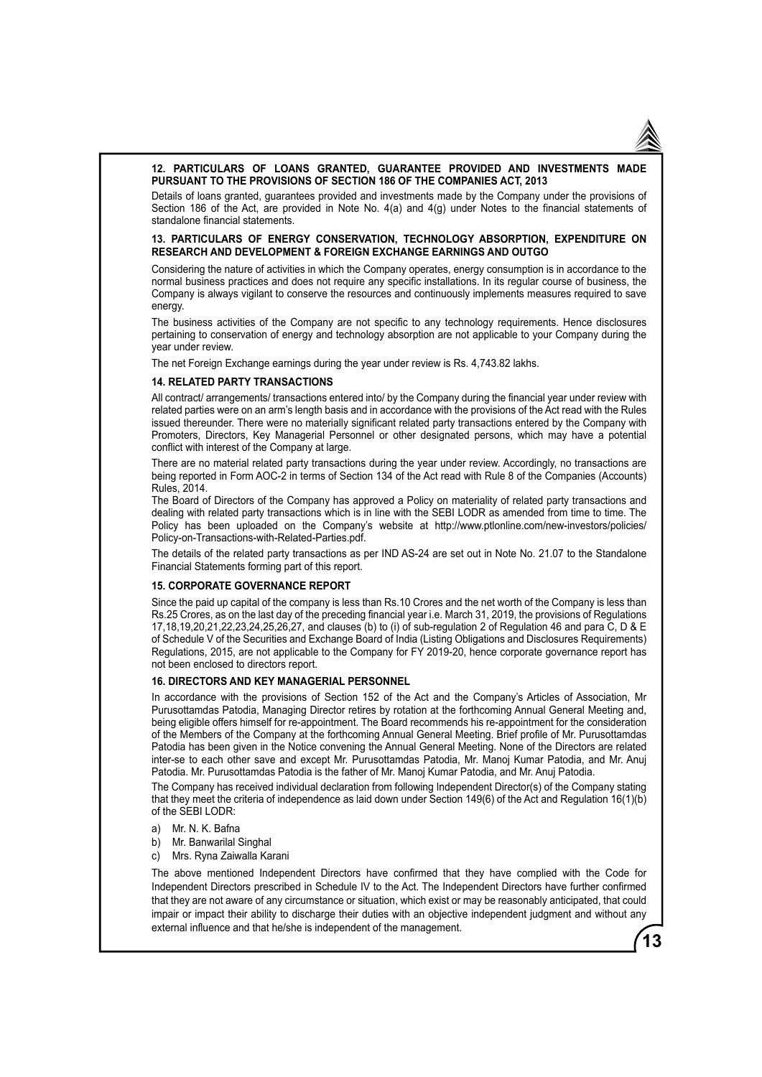### **III. STAKEHOLDERS RELATIONSHIP COMMITTEE Composition and Attendance at Meeting**

As on March 31, 2020, the composition and attendance of Stakeholders' Relationship Committee has been as under:

| Name of the Members       | <b>Designation</b> | Category                                    | No. of<br>Meeting(s) Held | No. of<br>Meeting(s)<br><b>Attended</b> |
|---------------------------|--------------------|---------------------------------------------|---------------------------|-----------------------------------------|
| Mr. N. K. Bafna           | Chairman           | Non-Executive<br>Director/Independent       | 4                         |                                         |
| Mr. Banwarilal Singhal    | Member             | Non-Executive<br>Director/Independent       | 4                         | 3                                       |
| Mr. Purusottamdas Patodia | Member             | Executive<br>Chairman/Promoter              | 4                         | $\overline{2}$                          |
| Mr. Manoj Kumar Patodia   | Member             | <b>Executive Vice-</b><br>Chairman/Promoter | 4                         | 4                                       |

During the financial year 2019-20, 4 (four) meetings of Stakeholders' Relationship Committee were held on May 22, 2019, August 5, 2019, November 5, 2019 and February 10, 2020.

# **IV. CORPORATE SOCIAL RESPONSIBILITY (CSR) COMMITTEE**

# **Composition and Attendance:**

As on March 31, 2020, the composition of Corporate Social Responsibility Committee has been as under:

- a) Mr. Banwarilal Singhal Chairman
- b) Mr. Purusottamdas Patodia Member
- c) Mr. Manoj Kumar Patodia Member
- d) Mr. Anuj Patodia Member

During the financial year 2019-20, no meeting of Corporate Social Responsibility Committee was held.

# **V. FINANCE COMMITTEE**

### **Composition and Attendance at Meeting**

As on March 31, 2020, the composition of Finance Committee has been as under:

- a) Mr. Purusottamdas Patodia Chairman
- b) Mr. Manoj Kumar Patodia Member
- c) Mr. Anuj Patodia Member

During the financial year 2019-20, 2 (two) meetings of Finance Committee was held on October 13, 2019 and January 30, 2020.

# **11. IMPACT OF COVID-19 PANDEMIC**

The outbreak of COVID – 19 pandemic and enforced lockdowns along with necessary restrictions on various activities had posed challenges to the businesses of the Company and its Subsidiaries.

The Company's operations came to a standstill for a period of more than 2 months. Due to the low volume of business from March end it has affected the collection and liquidity, revenue and profitability substantially and the Company faced a financial hit during the fourth quarter of 2019-20.

Covid-19 Pandemic started at the end of the financial year 2019-20 has shocked the entire world which has slowed down the business and has impacted the market in which real estate sector is not exempted. It will take some more time for recovery to bounce back which is difficult to predict at the given situation.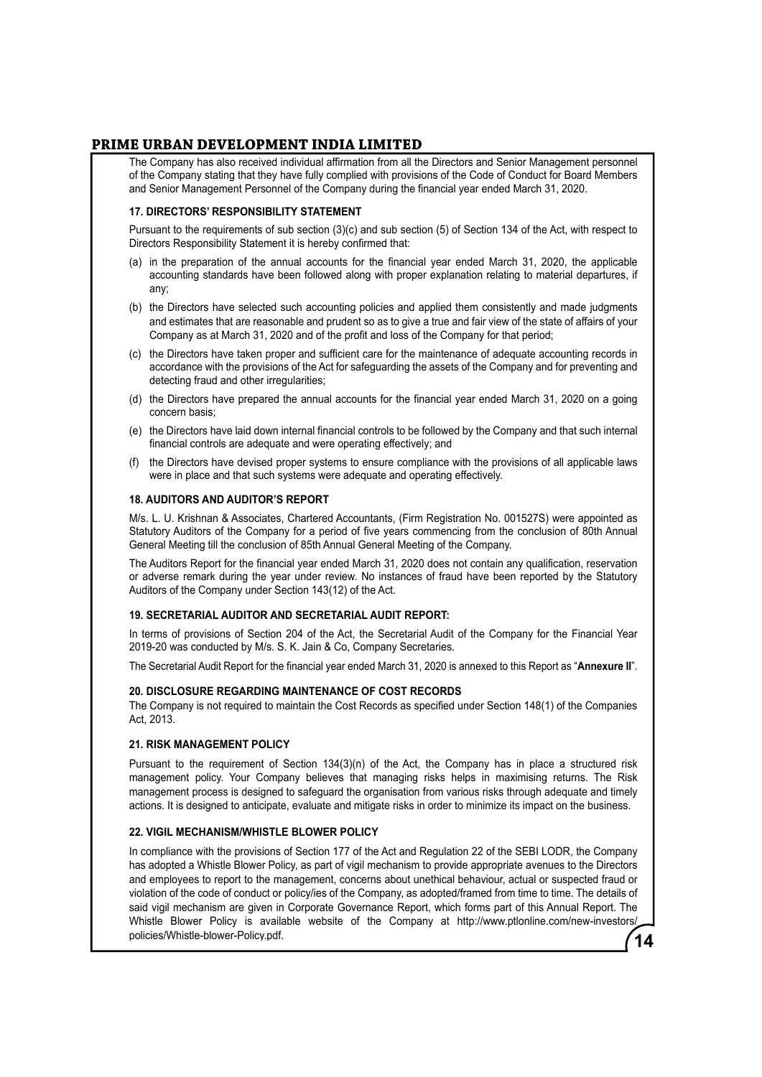#### **12. PARTICULARS OF LOANS GRANTED, GUARANTEE PROVIDED AND INVESTMENTS MADE PURSUANT TO THE PROVISIONS OF SECTION 186 OF THE COMPANIES ACT, 2013**

Details of loans granted, guarantees provided and investments made by the Company under the provisions of Section 186 of the Act, are provided in Note No. 4(a) and 4(g) under Notes to the financial statements of standalone financial statements.

#### **13. PARTICULARS OF ENERGY CONSERVATION, TECHNOLOGY ABSORPTION, EXPENDITURE ON RESEARCH AND DEVELOPMENT & FOREIGN EXCHANGE EARNINGS AND OUTGO**

Considering the nature of activities in which the Company operates, energy consumption is in accordance to the normal business practices and does not require any specific installations. In its regular course of business, the Company is always vigilant to conserve the resources and continuously implements measures required to save energy.

The business activities of the Company are not specific to any technology requirements. Hence disclosures pertaining to conservation of energy and technology absorption are not applicable to your Company during the year under review.

The net Foreign Exchange earnings during the year under review is Rs. 4,743.82 lakhs.

### **14. RELATED PARTY TRANSACTIONS**

All contract/ arrangements/ transactions entered into/ by the Company during the financial year under review with related parties were on an arm's length basis and in accordance with the provisions of the Act read with the Rules issued thereunder. There were no materially significant related party transactions entered by the Company with Promoters, Directors, Key Managerial Personnel or other designated persons, which may have a potential conflict with interest of the Company at large.

There are no material related party transactions during the year under review. Accordingly, no transactions are being reported in Form AOC-2 in terms of Section 134 of the Act read with Rule 8 of the Companies (Accounts) Rules, 2014.

The Board of Directors of the Company has approved a Policy on materiality of related party transactions and dealing with related party transactions which is in line with the SEBI LODR as amended from time to time. The Policy has been uploaded on the Company's website at http://www.ptlonline.com/new-investors/policies/ Policy-on-Transactions-with-Related-Parties.pdf.

The details of the related party transactions as per IND AS-24 are set out in Note No. 21.07 to the Standalone Financial Statements forming part of this report.

### **15. CORPORATE GOVERNANCE REPORT**

Since the paid up capital of the company is less than Rs.10 Crores and the net worth of the Company is less than Rs.25 Crores, as on the last day of the preceding financial year i.e. March 31, 2019, the provisions of Regulations 17,18,19,20,21,22,23,24,25,26,27, and clauses (b) to (i) of sub-regulation 2 of Regulation 46 and para C, D & E of Schedule V of the Securities and Exchange Board of India (Listing Obligations and Disclosures Requirements) Regulations, 2015, are not applicable to the Company for FY 2019-20, hence corporate governance report has not been enclosed to directors report.

#### **16. DIRECTORS AND KEY MANAGERIAL PERSONNEL**

In accordance with the provisions of Section 152 of the Act and the Company's Articles of Association, Mr Purusottamdas Patodia, Managing Director retires by rotation at the forthcoming Annual General Meeting and, being eligible offers himself for re-appointment. The Board recommends his re-appointment for the consideration of the Members of the Company at the forthcoming Annual General Meeting. Brief profile of Mr. Purusottamdas Patodia has been given in the Notice convening the Annual General Meeting. None of the Directors are related inter-se to each other save and except Mr. Purusottamdas Patodia, Mr. Manoj Kumar Patodia, and Mr. Anuj Patodia. Mr. Purusottamdas Patodia is the father of Mr. Manoj Kumar Patodia, and Mr. Anuj Patodia.

The Company has received individual declaration from following Independent Director(s) of the Company stating that they meet the criteria of independence as laid down under Section 149(6) of the Act and Regulation 16(1)(b) of the SEBI LODR:

- a) Mr. N. K. Bafna
- b) Mr. Banwarilal Singhal
- c) Mrs. Ryna Zaiwalla Karani

The above mentioned Independent Directors have confirmed that they have complied with the Code for Independent Directors prescribed in Schedule IV to the Act. The Independent Directors have further confirmed that they are not aware of any circumstance or situation, which exist or may be reasonably anticipated, that could impair or impact their ability to discharge their duties with an objective independent judgment and without any external influence and that he/she is independent of the management.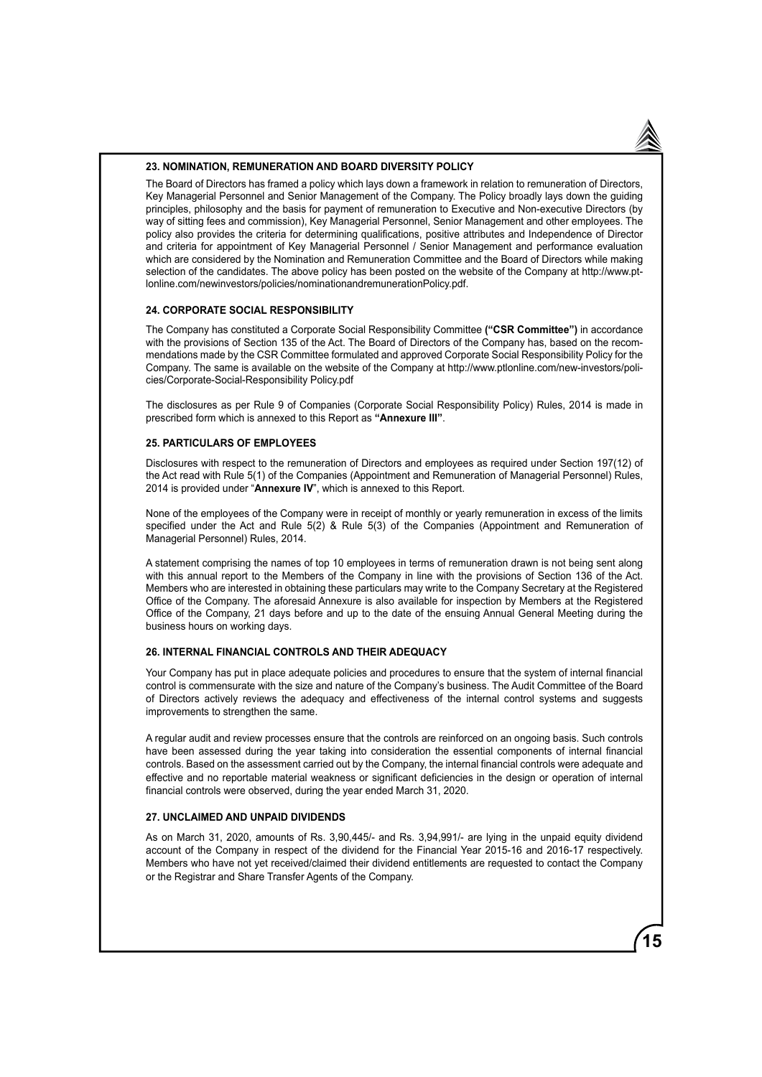The Company has also received individual affirmation from all the Directors and Senior Management personnel of the Company stating that they have fully complied with provisions of the Code of Conduct for Board Members and Senior Management Personnel of the Company during the financial year ended March 31, 2020.

# **17. DIRECTORS' RESPONSIBILITY STATEMENT**

Pursuant to the requirements of sub section (3)(c) and sub section (5) of Section 134 of the Act, with respect to Directors Responsibility Statement it is hereby confirmed that:

- (a) in the preparation of the annual accounts for the financial year ended March 31, 2020, the applicable accounting standards have been followed along with proper explanation relating to material departures, if any;
- (b) the Directors have selected such accounting policies and applied them consistently and made judgments and estimates that are reasonable and prudent so as to give a true and fair view of the state of affairs of your Company as at March 31, 2020 and of the profit and loss of the Company for that period;
- (c) the Directors have taken proper and sufficient care for the maintenance of adequate accounting records in accordance with the provisions of the Act for safeguarding the assets of the Company and for preventing and detecting fraud and other irregularities;
- (d) the Directors have prepared the annual accounts for the financial year ended March 31, 2020 on a going concern basis;
- (e) the Directors have laid down internal financial controls to be followed by the Company and that such internal financial controls are adequate and were operating effectively; and
- (f) the Directors have devised proper systems to ensure compliance with the provisions of all applicable laws were in place and that such systems were adequate and operating effectively.

# **18. AUDITORS AND AUDITOR'S REPORT**

M/s. L. U. Krishnan & Associates, Chartered Accountants, (Firm Registration No. 001527S) were appointed as Statutory Auditors of the Company for a period of five years commencing from the conclusion of 80th Annual General Meeting till the conclusion of 85th Annual General Meeting of the Company.

The Auditors Report for the financial year ended March 31, 2020 does not contain any qualification, reservation or adverse remark during the year under review. No instances of fraud have been reported by the Statutory Auditors of the Company under Section 143(12) of the Act.

# **19. SECRETARIAL AUDITOR AND SECRETARIAL AUDIT REPORT:**

In terms of provisions of Section 204 of the Act, the Secretarial Audit of the Company for the Financial Year 2019-20 was conducted by M/s. S. K. Jain & Co, Company Secretaries.

The Secretarial Audit Report for the financial year ended March 31, 2020 is annexed to this Report as "**Annexure II**".

# **20. DISCLOSURE REGARDING MAINTENANCE OF COST RECORDS**

The Company is not required to maintain the Cost Records as specified under Section 148(1) of the Companies Act, 2013.

# **21. RISK MANAGEMENT POLICY**

Pursuant to the requirement of Section  $134(3)(n)$  of the Act, the Company has in place a structured risk management policy. Your Company believes that managing risks helps in maximising returns. The Risk management process is designed to safeguard the organisation from various risks through adequate and timely actions. It is designed to anticipate, evaluate and mitigate risks in order to minimize its impact on the business.

# **22. VIGIL MECHANISM/WHISTLE BLOWER POLICY**

**14** In compliance with the provisions of Section 177 of the Act and Regulation 22 of the SEBI LODR, the Company has adopted a Whistle Blower Policy, as part of vigil mechanism to provide appropriate avenues to the Directors and employees to report to the management, concerns about unethical behaviour, actual or suspected fraud or violation of the code of conduct or policy/ies of the Company, as adopted/framed from time to time. The details of said vigil mechanism are given in Corporate Governance Report, which forms part of this Annual Report. The Whistle Blower Policy is available website of the Company at http://www.ptlonline.com/new-investors/ policies/Whistle-blower-Policy.pdf.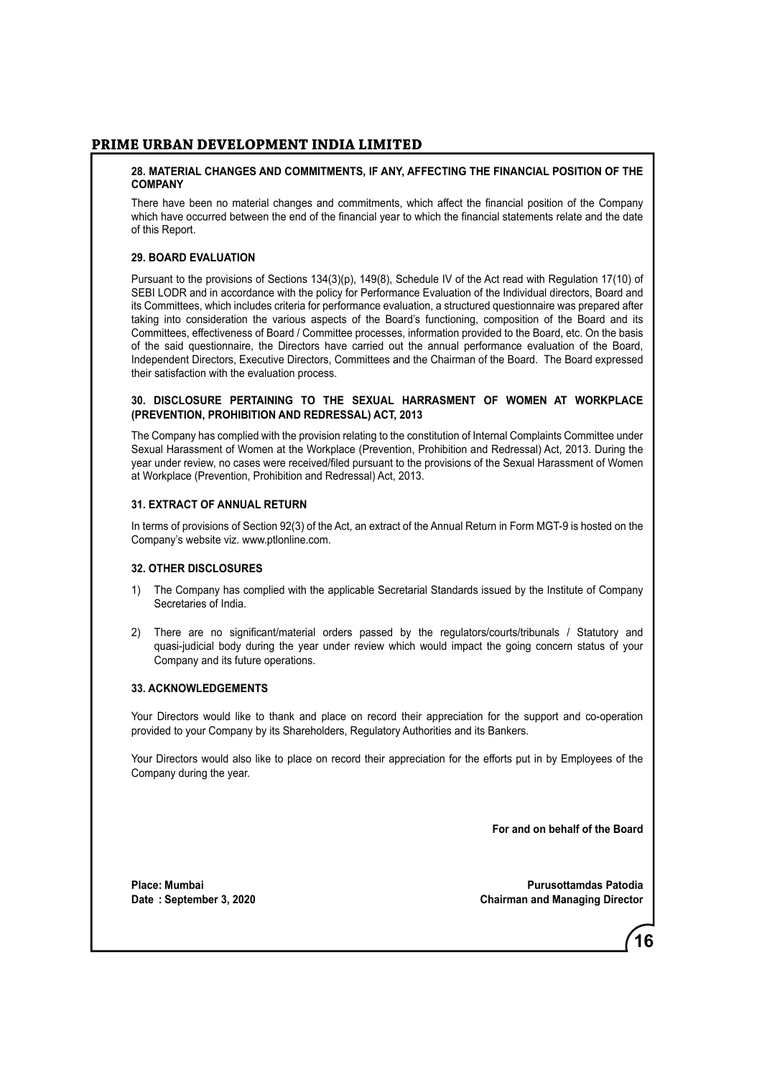#### **23. NOMINATION, REMUNERATION AND BOARD DIVERSITY POLICY**

The Board of Directors has framed a policy which lays down a framework in relation to remuneration of Directors, Key Managerial Personnel and Senior Management of the Company. The Policy broadly lays down the guiding principles, philosophy and the basis for payment of remuneration to Executive and Non-executive Directors (by way of sitting fees and commission), Key Managerial Personnel, Senior Management and other employees. The policy also provides the criteria for determining qualifications, positive attributes and Independence of Director and criteria for appointment of Key Managerial Personnel / Senior Management and performance evaluation which are considered by the Nomination and Remuneration Committee and the Board of Directors while making selection of the candidates. The above policy has been posted on the website of the Company at http://www.ptlonline.com/newinvestors/policies/nominationandremunerationPolicy.pdf.

#### **24. CORPORATE SOCIAL RESPONSIBILITY**

The Company has constituted a Corporate Social Responsibility Committee **("CSR Committee")** in accordance with the provisions of Section 135 of the Act. The Board of Directors of the Company has, based on the recommendations made by the CSR Committee formulated and approved Corporate Social Responsibility Policy for the Company. The same is available on the website of the Company at http://www.ptlonline.com/new-investors/policies/Corporate-Social-Responsibility Policy.pdf

The disclosures as per Rule 9 of Companies (Corporate Social Responsibility Policy) Rules, 2014 is made in prescribed form which is annexed to this Report as **"Annexure III"**.

### **25. PARTICULARS OF EMPLOYEES**

Disclosures with respect to the remuneration of Directors and employees as required under Section 197(12) of the Act read with Rule 5(1) of the Companies (Appointment and Remuneration of Managerial Personnel) Rules, 2014 is provided under "**Annexure IV**", which is annexed to this Report.

None of the employees of the Company were in receipt of monthly or yearly remuneration in excess of the limits specified under the Act and Rule 5(2) & Rule 5(3) of the Companies (Appointment and Remuneration of Managerial Personnel) Rules, 2014.

A statement comprising the names of top 10 employees in terms of remuneration drawn is not being sent along with this annual report to the Members of the Company in line with the provisions of Section 136 of the Act. Members who are interested in obtaining these particulars may write to the Company Secretary at the Registered Office of the Company. The aforesaid Annexure is also available for inspection by Members at the Registered Office of the Company, 21 days before and up to the date of the ensuing Annual General Meeting during the business hours on working days.

### **26. INTERNAL FINANCIAL CONTROLS AND THEIR ADEQUACY**

Your Company has put in place adequate policies and procedures to ensure that the system of internal financial control is commensurate with the size and nature of the Company's business. The Audit Committee of the Board of Directors actively reviews the adequacy and effectiveness of the internal control systems and suggests improvements to strengthen the same.

A regular audit and review processes ensure that the controls are reinforced on an ongoing basis. Such controls have been assessed during the year taking into consideration the essential components of internal financial controls. Based on the assessment carried out by the Company, the internal financial controls were adequate and effective and no reportable material weakness or significant deficiencies in the design or operation of internal financial controls were observed, during the year ended March 31, 2020.

### **27. UNCLAIMED AND UNPAID DIVIDENDS**

As on March 31, 2020, amounts of Rs. 3,90,445/- and Rs. 3,94,991/- are lying in the unpaid equity dividend account of the Company in respect of the dividend for the Financial Year 2015-16 and 2016-17 respectively. Members who have not yet received/claimed their dividend entitlements are requested to contact the Company or the Registrar and Share Transfer Agents of the Company.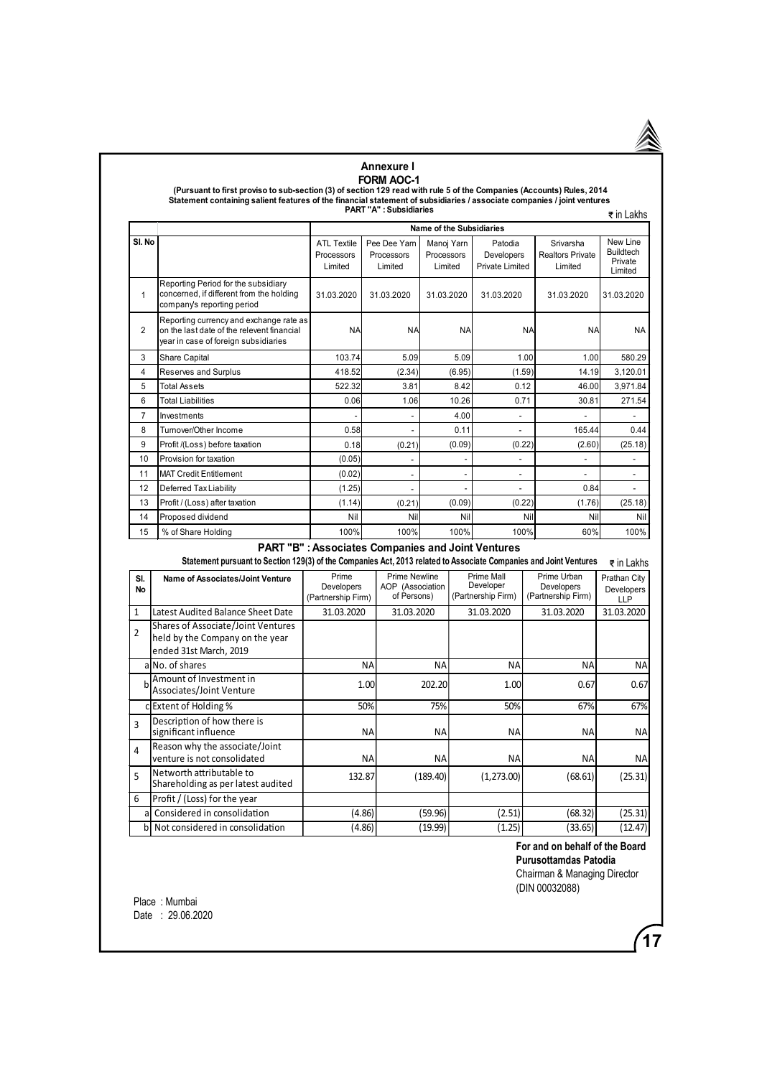# **28. MATERIAL CHANGES AND COMMITMENTS, IF ANY, AFFECTING THE FINANCIAL POSITION OF THE COMPANY**

There have been no material changes and commitments, which affect the financial position of the Company which have occurred between the end of the financial year to which the financial statements relate and the date of this Report.

# **29. BOARD EVALUATION**

Pursuant to the provisions of Sections 134(3)(p), 149(8), Schedule IV of the Act read with Regulation 17(10) of SEBI LODR and in accordance with the policy for Performance Evaluation of the Individual directors, Board and its Committees, which includes criteria for performance evaluation, a structured questionnaire was prepared after taking into consideration the various aspects of the Board's functioning, composition of the Board and its Committees, effectiveness of Board / Committee processes, information provided to the Board, etc. On the basis of the said questionnaire, the Directors have carried out the annual performance evaluation of the Board, Independent Directors, Executive Directors, Committees and the Chairman of the Board. The Board expressed their satisfaction with the evaluation process.

# **30. DISCLOSURE PERTAINING TO THE SEXUAL HARRASMENT OF WOMEN AT WORKPLACE (PREVENTION, PROHIBITION AND REDRESSAL) ACT, 2013**

The Company has complied with the provision relating to the constitution of Internal Complaints Committee under Sexual Harassment of Women at the Workplace (Prevention, Prohibition and Redressal) Act, 2013. During the year under review, no cases were received/filed pursuant to the provisions of the Sexual Harassment of Women at Workplace (Prevention, Prohibition and Redressal) Act, 2013.

# **31. EXTRACT OF ANNUAL RETURN**

In terms of provisions of Section 92(3) of the Act, an extract of the Annual Return in Form MGT-9 is hosted on the Company's website viz. www.ptlonline.com.

# **32. OTHER DISCLOSURES**

- 1) The Company has complied with the applicable Secretarial Standards issued by the Institute of Company Secretaries of India.
- 2) There are no significant/material orders passed by the regulators/courts/tribunals / Statutory and quasi-judicial body during the year under review which would impact the going concern status of your Company and its future operations.

# **33. ACKNOWLEDGEMENTS**

Your Directors would like to thank and place on record their appreciation for the support and co-operation provided to your Company by its Shareholders, Regulatory Authorities and its Bankers.

Your Directors would also like to place on record their appreciation for the efforts put in by Employees of the Company during the year.

**For and on behalf of the Board** 

**Place : Mumbai Purusottamdas Patodia Date : September 3, 2020 Chairman and Managing Director**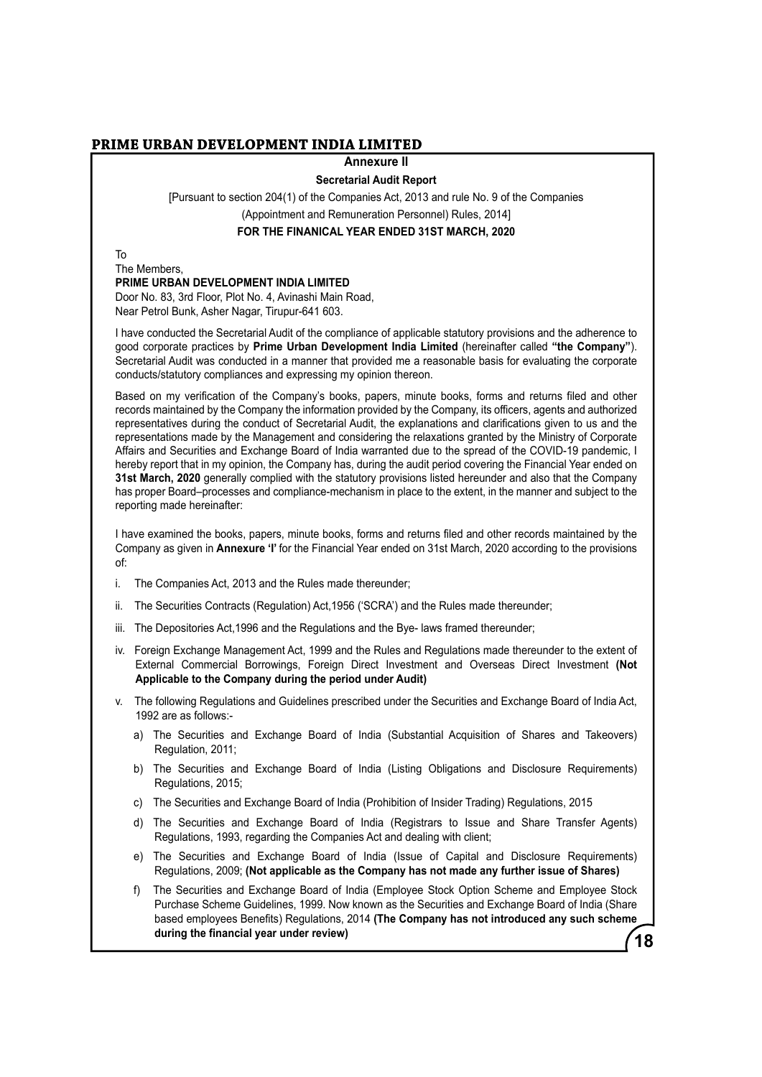|        |                                                                                                                               |                                             | <b>PART "A": Subsidiaries</b>         |                                     |                                                 |                                                 | ₹ in Lakhs                                         |
|--------|-------------------------------------------------------------------------------------------------------------------------------|---------------------------------------------|---------------------------------------|-------------------------------------|-------------------------------------------------|-------------------------------------------------|----------------------------------------------------|
|        |                                                                                                                               |                                             |                                       | Name of the Subsidiaries            |                                                 |                                                 |                                                    |
| SI. No |                                                                                                                               | <b>ATL Textile</b><br>Processors<br>Limited | Pee Dee Yarn<br>Processors<br>Limited | Manoj Yarn<br>Processors<br>Limited | Patodia<br><b>Developers</b><br>Private Limited | Srivarsha<br><b>Realtors Private</b><br>Limited | New Line<br><b>Buildtech</b><br>Private<br>Limited |
| 1      | Reporting Period for the subsidiary<br>concerned, if different from the holding<br>company's reporting period                 | 31.03.2020                                  | 31.03.2020                            | 31.03.2020                          | 31.03.2020                                      | 31.03.2020                                      | 31.03.2020                                         |
| 2      | Reporting currency and exchange rate as<br>on the last date of the relevent financial<br>year in case of foreign subsidiaries | <b>NA</b>                                   | <b>NA</b>                             | <b>NA</b>                           | <b>NA</b>                                       | <b>NA</b>                                       | <b>NA</b>                                          |
| 3      | Share Capital                                                                                                                 | 103.74                                      | 5.09                                  | 5.09                                | 1.00                                            | 1.00                                            | 580.29                                             |
| 4      | Reserves and Surplus                                                                                                          | 418.52                                      | (2.34)                                | (6.95)                              | (1.59)                                          | 14.19                                           | 3,120.01                                           |
| 5      | <b>Total Assets</b>                                                                                                           | 522.32                                      | 3.81                                  | 8.42                                | 0.12                                            | 46.00                                           | 3,971.84                                           |
| 6      | Total Liabilities                                                                                                             | 0.06                                        | 1.06                                  | 10.26                               | 0.71                                            | 30.81                                           | 271.54                                             |
| 7      | Investments                                                                                                                   |                                             |                                       | 4.00                                | $\overline{a}$                                  |                                                 |                                                    |
| 8      | Turnover/Other Income                                                                                                         | 0.58                                        |                                       | 0.11                                | $\mathbf{r}$                                    | 165.44                                          | 0.44                                               |
| 9      | Profit /(Loss) before taxation                                                                                                | 0.18                                        | (0.21)                                | (0.09)                              | (0.22)                                          | (2.60)                                          | (25.18)                                            |
| 10     | Provision for taxation                                                                                                        | (0.05)                                      |                                       |                                     | L,                                              | $\overline{a}$                                  |                                                    |
| 11     | <b>MAT Credit Entitlement</b>                                                                                                 | (0.02)                                      |                                       | $\overline{a}$                      | L,                                              |                                                 | L,                                                 |
| 12     | Deferred Tax Liability                                                                                                        | (1.25)                                      |                                       |                                     |                                                 | 0.84                                            |                                                    |
| 13     | Profit / (Loss) after taxation                                                                                                | (1.14)                                      | (0.21)                                | (0.09)                              | (0.22)                                          | (1.76)                                          | (25.18)                                            |
| 14     | Proposed dividend                                                                                                             | Nil                                         | Nil                                   | Nil                                 | Nil                                             | Nil                                             | Nil                                                |
| 15     | % of Share Holding                                                                                                            | 100%                                        | 100%                                  | 100%                                | 100%                                            | 60%                                             | 100%                                               |

| SI.<br>No      | Name of Associates/Joint Venture                                                                | Prime<br>Developers<br>(Partnership Firm) | <b>Prime Newline</b><br>AOP (Association<br>of Persons) | Prime Mall<br>Developer<br>(Partnership Firm) | Prime Urban<br>Developers<br>(Partnership Firm) | Prathan City<br><b>Developers</b><br><b>LLP</b> |
|----------------|-------------------------------------------------------------------------------------------------|-------------------------------------------|---------------------------------------------------------|-----------------------------------------------|-------------------------------------------------|-------------------------------------------------|
| 1              | Latest Audited Balance Sheet Date                                                               | 31.03.2020                                | 31.03.2020                                              | 31.03.2020                                    | 31.03.2020                                      | 31.03.2020                                      |
| $\overline{2}$ | Shares of Associate/Joint Ventures<br>held by the Company on the year<br>ended 31st March, 2019 |                                           |                                                         |                                               |                                                 |                                                 |
|                | alNo. of shares                                                                                 | <b>NA</b>                                 | <b>NA</b>                                               | <b>NA</b>                                     | <b>NA</b>                                       | <b>NA</b>                                       |
|                | Amount of Investment in<br>Associates/Joint Venture                                             | 1.00                                      | 202.20                                                  | 1.00                                          | 0.67                                            | 0.67                                            |
|                | clExtent of Holding %                                                                           | 50%                                       | 75%                                                     | 50%                                           | 67%                                             | 67%                                             |
| ξ              | Description of how there is<br>significant influence                                            | <b>NA</b>                                 | <b>NA</b>                                               | <b>NA</b>                                     | <b>NA</b>                                       | <b>NA</b>                                       |
| 4              | Reason why the associate/Joint<br>venture is not consolidated                                   | <b>NA</b>                                 | <b>NA</b>                                               | <b>NA</b>                                     | <b>NA</b>                                       | <b>NA</b>                                       |
| 5              | lNetworth attributable to<br>Shareholding as per latest audited                                 | 132.87                                    | (189.40)                                                | (1, 273.00)                                   | (68.61)                                         | (25.31)                                         |
| 6              | Profit / (Loss) for the year                                                                    |                                           |                                                         |                                               |                                                 |                                                 |
| al             | Considered in consolidation                                                                     | (4.86)                                    | (59.96)                                                 | (2.51)                                        | (68.32)                                         | (25.31)                                         |
|                | b Not considered in consolidation                                                               | (4.86)                                    | (19.99)                                                 | (1.25)                                        | (33.65)                                         | (12.47)                                         |

 **For and on behalf of the Board Purusottamdas Patodia**  Chairman & Managing Director

(DIN 00032088)

Place : Mumbai Date : 29.06.2020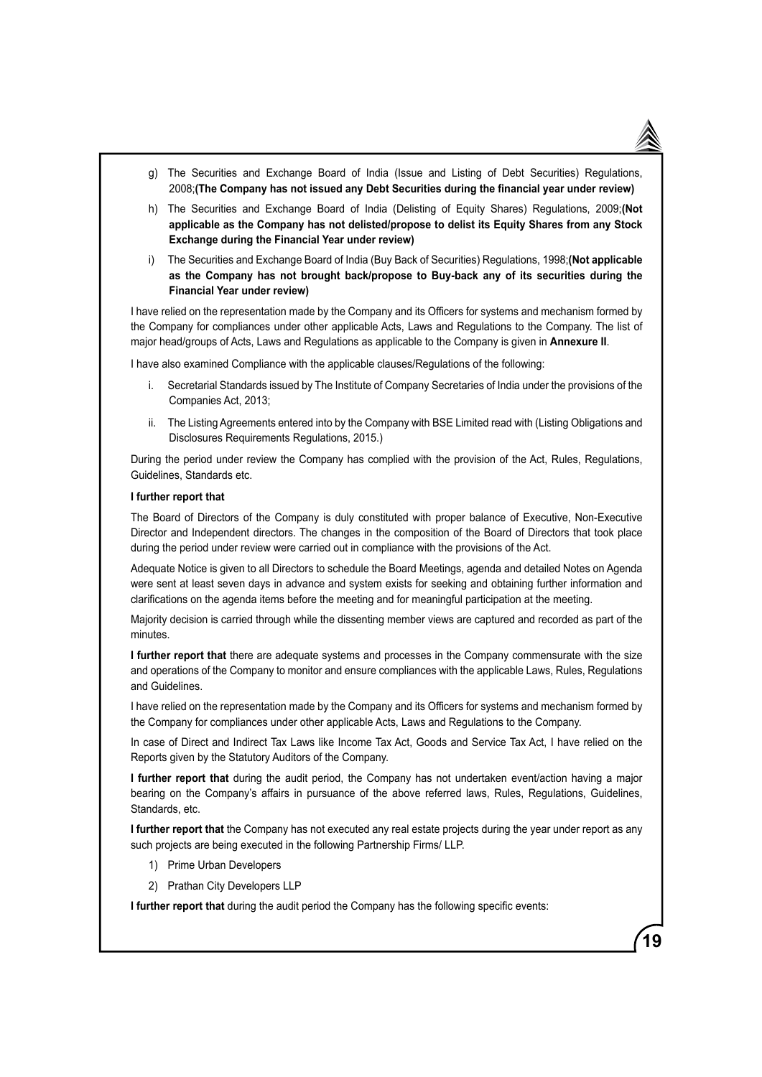**Annexure II**

### **Secretarial Audit Report**

[Pursuant to section 204(1) of the Companies Act, 2013 and rule No. 9 of the Companies (Appointment and Remuneration Personnel) Rules, 2014]

**FOR THE FINANICAL YEAR ENDED 31ST MARCH, 2020**

To

The Members, **PRIME URBAN DEVELOPMENT INDIA LIMITED**

Door No. 83, 3rd Floor, Plot No. 4, Avinashi Main Road, Near Petrol Bunk, Asher Nagar, Tirupur-641 603.

I have conducted the Secretarial Audit of the compliance of applicable statutory provisions and the adherence to good corporate practices by **Prime Urban Development India Limited** (hereinafter called **"the Company"**). Secretarial Audit was conducted in a manner that provided me a reasonable basis for evaluating the corporate conducts/statutory compliances and expressing my opinion thereon.

Based on my verification of the Company's books, papers, minute books, forms and returns filed and other records maintained by the Company the information provided by the Company, its officers, agents and authorized representatives during the conduct of Secretarial Audit, the explanations and clarifications given to us and the representations made by the Management and considering the relaxations granted by the Ministry of Corporate Affairs and Securities and Exchange Board of India warranted due to the spread of the COVID-19 pandemic, I hereby report that in my opinion, the Company has, during the audit period covering the Financial Year ended on **31st March, 2020** generally complied with the statutory provisions listed hereunder and also that the Company has proper Board–processes and compliance-mechanism in place to the extent, in the manner and subject to the reporting made hereinafter:

I have examined the books, papers, minute books, forms and returns filed and other records maintained by the Company as given in **Annexure 'I'** for the Financial Year ended on 31st March, 2020 according to the provisions of:

- i. The Companies Act, 2013 and the Rules made thereunder;
- ii. The Securities Contracts (Regulation) Act,1956 ('SCRA') and the Rules made thereunder;
- iii. The Depositories Act,1996 and the Regulations and the Bye- laws framed thereunder;
- iv. Foreign Exchange Management Act, 1999 and the Rules and Regulations made thereunder to the extent of External Commercial Borrowings, Foreign Direct Investment and Overseas Direct Investment **(Not Applicable to the Company during the period under Audit)**
- v. The following Regulations and Guidelines prescribed under the Securities and Exchange Board of India Act, 1992 are as follows:
	- a) The Securities and Exchange Board of India (Substantial Acquisition of Shares and Takeovers) Regulation, 2011;
	- b) The Securities and Exchange Board of India (Listing Obligations and Disclosure Requirements) Regulations, 2015;
	- c) The Securities and Exchange Board of India (Prohibition of Insider Trading) Regulations, 2015
	- d) The Securities and Exchange Board of India (Registrars to Issue and Share Transfer Agents) Regulations, 1993, regarding the Companies Act and dealing with client;
	- e) The Securities and Exchange Board of India (Issue of Capital and Disclosure Requirements) Regulations, 2009; **(Not applicable as the Company has not made any further issue of Shares)**
	- f) The Securities and Exchange Board of India (Employee Stock Option Scheme and Employee Stock Purchase Scheme Guidelines, 1999. Now known as the Securities and Exchange Board of India (Share based employees Benefits) Regulations, 2014 **(The Company has not introduced any such scheme during the financial year under review)**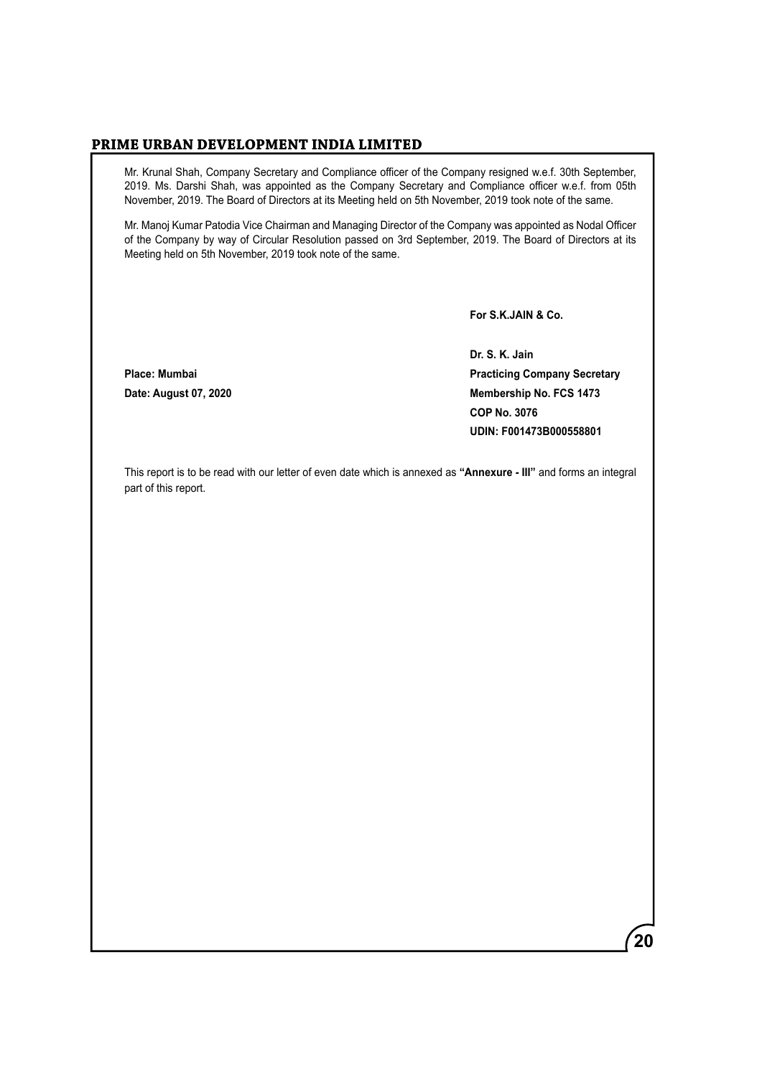- g) The Securities and Exchange Board of India (Issue and Listing of Debt Securities) Regulations, 2008;**(The Company has not issued any Debt Securities during the financial year under review)**
- h) The Securities and Exchange Board of India (Delisting of Equity Shares) Regulations, 2009;**(Not applicable as the Company has not delisted/propose to delist its Equity Shares from any Stock Exchange during the Financial Year under review)**
- i) The Securities and Exchange Board of India (Buy Back of Securities) Regulations, 1998;**(Not applicable as the Company has not brought back/propose to Buy-back any of its securities during the Financial Year under review)**

I have relied on the representation made by the Company and its Officers for systems and mechanism formed by the Company for compliances under other applicable Acts, Laws and Regulations to the Company. The list of major head/groups of Acts, Laws and Regulations as applicable to the Company is given in **Annexure II**.

I have also examined Compliance with the applicable clauses/Regulations of the following:

- i. Secretarial Standards issued by The Institute of Company Secretaries of India under the provisions of the Companies Act, 2013;
- ii. The Listing Agreements entered into by the Company with BSE Limited read with (Listing Obligations and Disclosures Requirements Regulations, 2015.)

During the period under review the Company has complied with the provision of the Act, Rules, Regulations, Guidelines, Standards etc.

# **I further report that**

The Board of Directors of the Company is duly constituted with proper balance of Executive, Non-Executive Director and Independent directors. The changes in the composition of the Board of Directors that took place during the period under review were carried out in compliance with the provisions of the Act.

Adequate Notice is given to all Directors to schedule the Board Meetings, agenda and detailed Notes on Agenda were sent at least seven days in advance and system exists for seeking and obtaining further information and clarifications on the agenda items before the meeting and for meaningful participation at the meeting.

Majority decision is carried through while the dissenting member views are captured and recorded as part of the minutes.

**I further report that** there are adequate systems and processes in the Company commensurate with the size and operations of the Company to monitor and ensure compliances with the applicable Laws, Rules, Regulations and Guidelines.

I have relied on the representation made by the Company and its Officers for systems and mechanism formed by the Company for compliances under other applicable Acts, Laws and Regulations to the Company.

In case of Direct and Indirect Tax Laws like Income Tax Act, Goods and Service Tax Act, I have relied on the Reports given by the Statutory Auditors of the Company.

**I further report that** during the audit period, the Company has not undertaken event/action having a major bearing on the Company's affairs in pursuance of the above referred laws, Rules, Regulations, Guidelines, Standards, etc.

**I further report that** the Company has not executed any real estate projects during the year under report as any such projects are being executed in the following Partnership Firms/ LLP.

- 1) Prime Urban Developers
- 2) Prathan City Developers LLP

**I further report that** during the audit period the Company has the following specific events: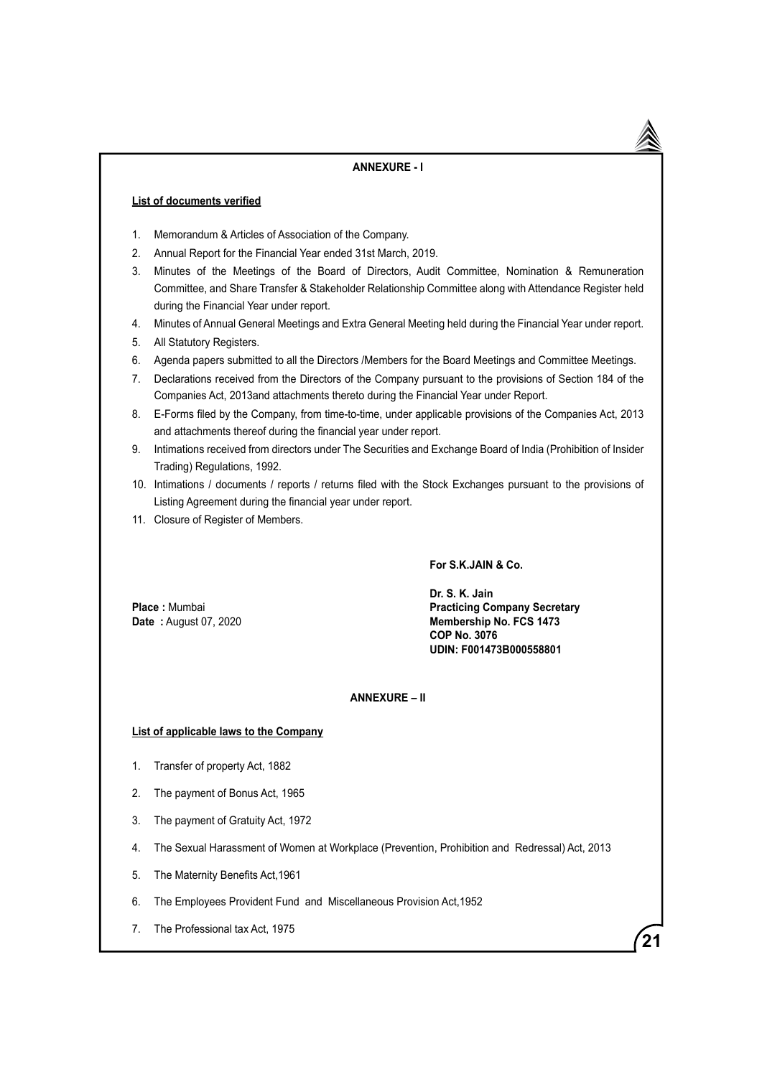Mr. Krunal Shah, Company Secretary and Compliance officer of the Company resigned w.e.f. 30th September, 2019. Ms. Darshi Shah, was appointed as the Company Secretary and Compliance officer w.e.f. from 05th November, 2019. The Board of Directors at its Meeting held on 5th November, 2019 took note of the same.

Mr. Manoj Kumar Patodia Vice Chairman and Managing Director of the Company was appointed as Nodal Officer of the Company by way of Circular Resolution passed on 3rd September, 2019. The Board of Directors at its Meeting held on 5th November, 2019 took note of the same.

**For S.K.JAIN & Co.**

**Dr. S. K. Jain Place: Mumbai Practicing Company Secretary** Date: August 07, 2020 **Membership No. FCS 1473 COP No. 3076 UDIN: F001473B000558801**

**20**

This report is to be read with our letter of even date which is annexed as **"Annexure - III"** and forms an integral part of this report.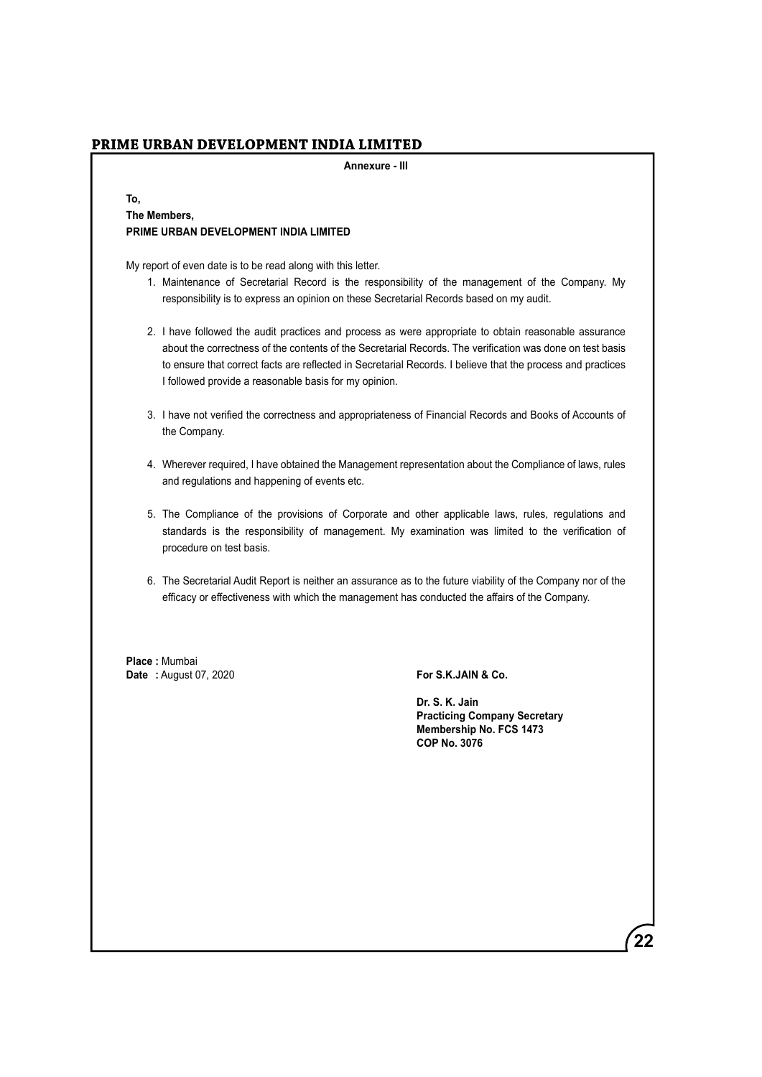# **ANNEXURE - I**

# **List of documents verified**

- 1. Memorandum & Articles of Association of the Company.
- 2. Annual Report for the Financial Year ended 31st March, 2019.
- 3. Minutes of the Meetings of the Board of Directors, Audit Committee, Nomination & Remuneration Committee, and Share Transfer & Stakeholder Relationship Committee along with Attendance Register held during the Financial Year under report.
- 4. Minutes of Annual General Meetings and Extra General Meeting held during the Financial Year under report.
- 5. All Statutory Registers.
- 6. Agenda papers submitted to all the Directors /Members for the Board Meetings and Committee Meetings.
- 7. Declarations received from the Directors of the Company pursuant to the provisions of Section 184 of the Companies Act, 2013and attachments thereto during the Financial Year under Report.
- 8. E-Forms filed by the Company, from time-to-time, under applicable provisions of the Companies Act, 2013 and attachments thereof during the financial year under report.
- 9. Intimations received from directors under The Securities and Exchange Board of India (Prohibition of Insider Trading) Regulations, 1992.
- 10. Intimations / documents / reports / returns filed with the Stock Exchanges pursuant to the provisions of Listing Agreement during the financial year under report.
- 11. Closure of Register of Members.

# **For S.K.JAIN & Co.**

**Dr. S. K. Jain Place :** Mumbai **Practicing Company Secretary**<br> **Practicing Company Secretary**<br> **Practicing Company Secretary**<br> **Practicing Company Secretary Membership No. FCS 1473 COP No. 3076 UDIN: F001473B000558801**

# **ANNEXURE – II**

### **List of applicable laws to the Company**

- 1. Transfer of property Act, 1882
- 2. The payment of Bonus Act, 1965
- 3. The payment of Gratuity Act, 1972
- 4. The Sexual Harassment of Women at Workplace (Prevention, Prohibition and Redressal) Act, 2013
- 5. The Maternity Benefits Act,1961
- 6. The Employees Provident Fund and Miscellaneous Provision Act,1952
- 7. The Professional tax Act, 1975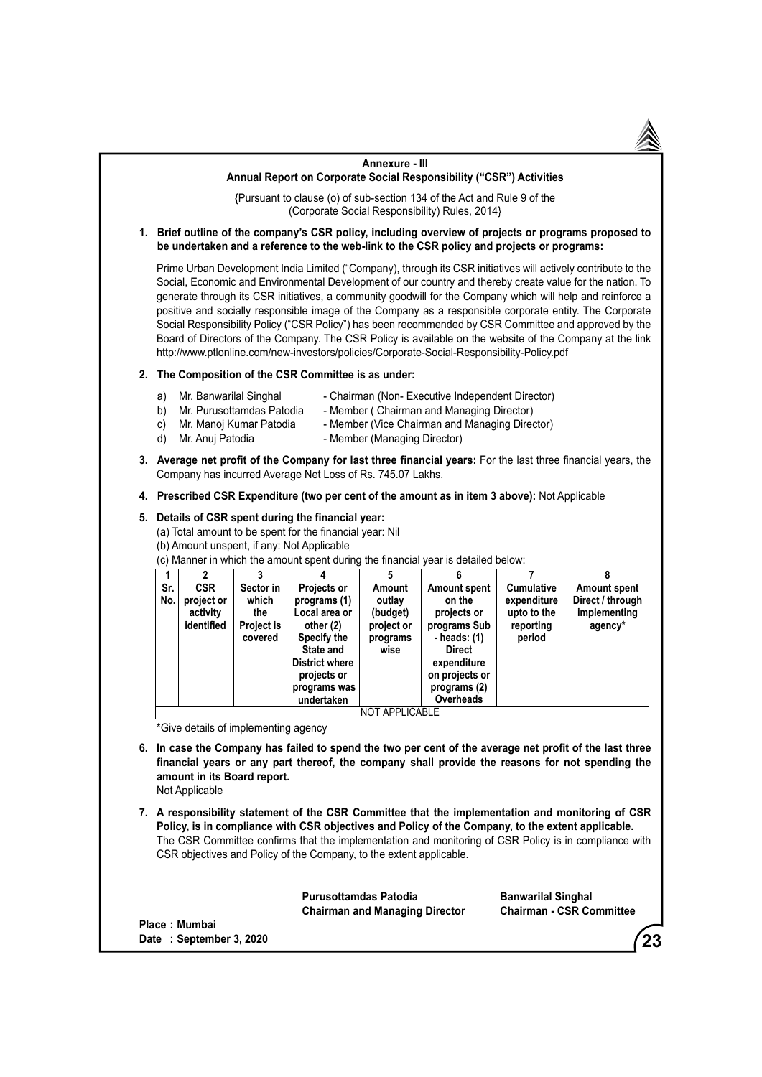**Annexure - III**

**To, The Members, PRIME URBAN DEVELOPMENT INDIA LIMITED**

My report of even date is to be read along with this letter.

- 1. Maintenance of Secretarial Record is the responsibility of the management of the Company. My responsibility is to express an opinion on these Secretarial Records based on my audit.
- 2. I have followed the audit practices and process as were appropriate to obtain reasonable assurance about the correctness of the contents of the Secretarial Records. The verification was done on test basis to ensure that correct facts are reflected in Secretarial Records. I believe that the process and practices I followed provide a reasonable basis for my opinion.
- 3. I have not verified the correctness and appropriateness of Financial Records and Books of Accounts of the Company.
- 4. Wherever required, I have obtained the Management representation about the Compliance of laws, rules and regulations and happening of events etc.
- 5. The Compliance of the provisions of Corporate and other applicable laws, rules, regulations and standards is the responsibility of management. My examination was limited to the verification of procedure on test basis.
- 6. The Secretarial Audit Report is neither an assurance as to the future viability of the Company nor of the efficacy or effectiveness with which the management has conducted the affairs of the Company.

**Place :** Mumbai **Date :** August 07, 2020 **For S.K.JAIN & Co.** 

**Dr. S. K. Jain Practicing Company Secretary Membership No. FCS 1473 COP No. 3076**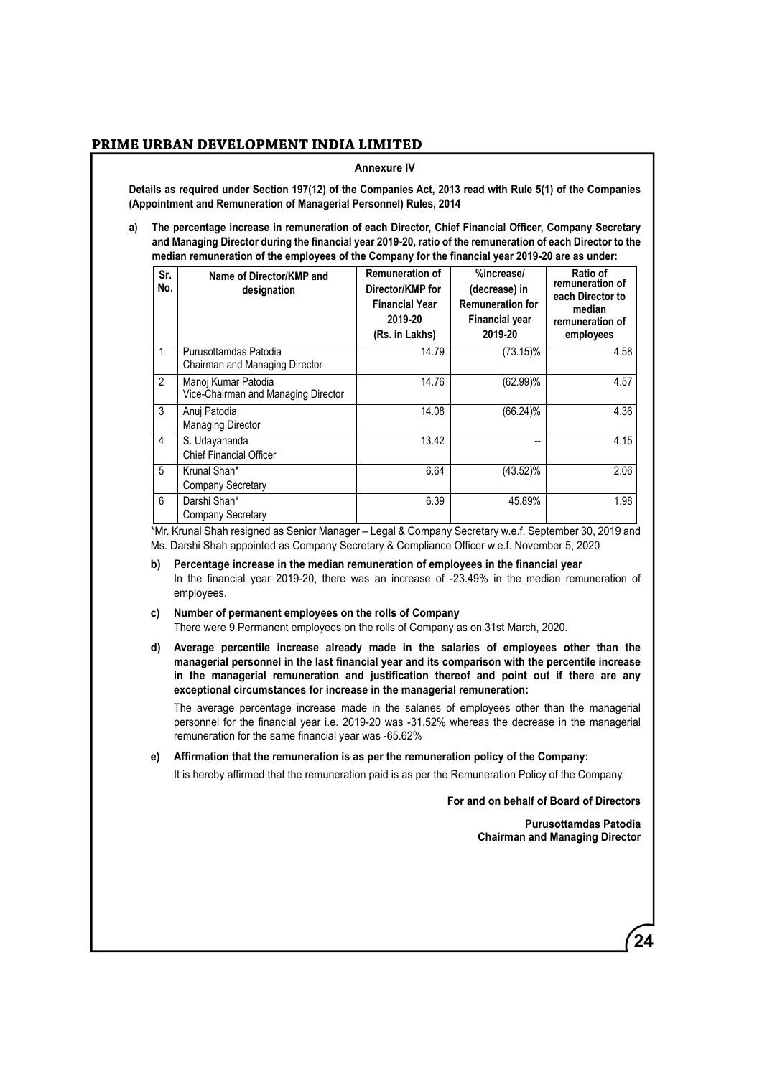|    | Annexure - III<br>Annual Report on Corporate Social Responsibility ("CSR") Activities                                                                                                                                                             |                                                                                                    |                                                    |                                                                                                                       |                                                                       |                                                                                                                                                |                                                                 |                                                                                                                                                                                                                                                                                                                                                                                                                                                                                                                                                                                                                                                                          |
|----|---------------------------------------------------------------------------------------------------------------------------------------------------------------------------------------------------------------------------------------------------|----------------------------------------------------------------------------------------------------|----------------------------------------------------|-----------------------------------------------------------------------------------------------------------------------|-----------------------------------------------------------------------|------------------------------------------------------------------------------------------------------------------------------------------------|-----------------------------------------------------------------|--------------------------------------------------------------------------------------------------------------------------------------------------------------------------------------------------------------------------------------------------------------------------------------------------------------------------------------------------------------------------------------------------------------------------------------------------------------------------------------------------------------------------------------------------------------------------------------------------------------------------------------------------------------------------|
|    | {Pursuant to clause (o) of sub-section 134 of the Act and Rule 9 of the<br>(Corporate Social Responsibility) Rules, 2014}                                                                                                                         |                                                                                                    |                                                    |                                                                                                                       |                                                                       |                                                                                                                                                |                                                                 |                                                                                                                                                                                                                                                                                                                                                                                                                                                                                                                                                                                                                                                                          |
| 1. |                                                                                                                                                                                                                                                   |                                                                                                    |                                                    |                                                                                                                       |                                                                       | be undertaken and a reference to the web-link to the CSR policy and projects or programs:                                                      |                                                                 | Brief outline of the company's CSR policy, including overview of projects or programs proposed to                                                                                                                                                                                                                                                                                                                                                                                                                                                                                                                                                                        |
|    |                                                                                                                                                                                                                                                   |                                                                                                    |                                                    |                                                                                                                       |                                                                       | http://www.ptlonline.com/new-investors/policies/Corporate-Social-Responsibility-Policy.pdf                                                     |                                                                 | Prime Urban Development India Limited ("Company), through its CSR initiatives will actively contribute to the<br>Social, Economic and Environmental Development of our country and thereby create value for the nation. To<br>generate through its CSR initiatives, a community goodwill for the Company which will help and reinforce a<br>positive and socially responsible image of the Company as a responsible corporate entity. The Corporate<br>Social Responsibility Policy ("CSR Policy") has been recommended by CSR Committee and approved by the<br>Board of Directors of the Company. The CSR Policy is available on the website of the Company at the link |
| 2. |                                                                                                                                                                                                                                                   |                                                                                                    |                                                    | The Composition of the CSR Committee is as under:                                                                     |                                                                       |                                                                                                                                                |                                                                 |                                                                                                                                                                                                                                                                                                                                                                                                                                                                                                                                                                                                                                                                          |
|    | a)<br>b)<br>C)<br>d)                                                                                                                                                                                                                              | Mr. Banwarilal Singhal<br>Mr. Purusottamdas Patodia<br>Mr. Manoj Kumar Patodia<br>Mr. Anuj Patodia |                                                    |                                                                                                                       | - Member (Managing Director)                                          | - Chairman (Non-Executive Independent Director)<br>- Member (Chairman and Managing Director)<br>- Member (Vice Chairman and Managing Director) |                                                                 |                                                                                                                                                                                                                                                                                                                                                                                                                                                                                                                                                                                                                                                                          |
|    |                                                                                                                                                                                                                                                   |                                                                                                    |                                                    | Company has incurred Average Net Loss of Rs. 745.07 Lakhs.                                                            |                                                                       |                                                                                                                                                |                                                                 | 3. Average net profit of the Company for last three financial years: For the last three financial years, the                                                                                                                                                                                                                                                                                                                                                                                                                                                                                                                                                             |
|    |                                                                                                                                                                                                                                                   |                                                                                                    |                                                    |                                                                                                                       |                                                                       | 4. Prescribed CSR Expenditure (two per cent of the amount as in item 3 above): Not Applicable                                                  |                                                                 |                                                                                                                                                                                                                                                                                                                                                                                                                                                                                                                                                                                                                                                                          |
|    | 5. Details of CSR spent during the financial year:<br>(a) Total amount to be spent for the financial year: Nil<br>(b) Amount unspent, if any: Not Applicable<br>(c) Manner in which the amount spent during the financial year is detailed below: |                                                                                                    |                                                    |                                                                                                                       |                                                                       |                                                                                                                                                |                                                                 |                                                                                                                                                                                                                                                                                                                                                                                                                                                                                                                                                                                                                                                                          |
|    | 1                                                                                                                                                                                                                                                 | $\overline{2}$                                                                                     | 3                                                  | 4                                                                                                                     | 5                                                                     | 6                                                                                                                                              | 7                                                               | 8                                                                                                                                                                                                                                                                                                                                                                                                                                                                                                                                                                                                                                                                        |
|    | Sr.<br>No.                                                                                                                                                                                                                                        | CSR<br>project or<br>activity<br>identified                                                        | Sector in<br>which<br>the<br>Project is<br>covered | Projects or<br>programs (1)<br>Local area or<br>other (2)<br>Specify the<br><b>State and</b><br><b>District where</b> | <b>Amount</b><br>outlay<br>(budget)<br>project or<br>programs<br>wise | <b>Amount spent</b><br>on the<br>projects or<br>programs Sub<br>$-$ heads: $(1)$<br><b>Direct</b><br>expenditure                               | Cumulative<br>expenditure<br>upto to the<br>reporting<br>period | <b>Amount spent</b><br>Direct / through<br>implementing<br>agency*                                                                                                                                                                                                                                                                                                                                                                                                                                                                                                                                                                                                       |

\*Give details of implementing agency

**6. In case the Company has failed to spend the two per cent of the average net profit of the last three financial years or any part thereof, the company shall provide the reasons for not spending the amount in its Board report.** Not Applicable

NOT APPLICABLE

**on projects or programs (2) Overheads**

**7. A responsibility statement of the CSR Committee that the implementation and monitoring of CSR Policy, is in compliance with CSR objectives and Policy of the Company, to the extent applicable.**  The CSR Committee confirms that the implementation and monitoring of CSR Policy is in compliance with CSR objectives and Policy of the Company, to the extent applicable.

**projects or programs was undertaken**

> **Purusottamdas Patodia Banwarilal Singhal**<br>Chairman and Managing Director **Chairman - CSR Committee Chairman and Managing Director**

**Place : Mumbai Date : September 3, 2020**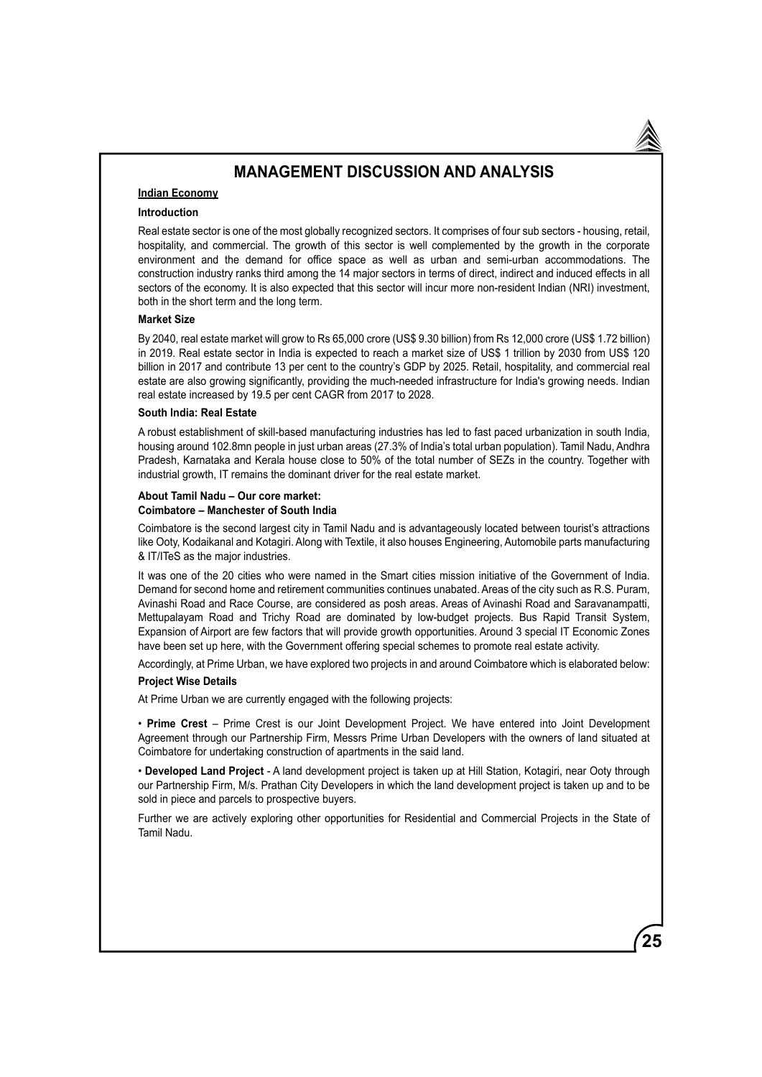### **Annexure IV**

**Details as required under Section 197(12) of the Companies Act, 2013 read with Rule 5(1) of the Companies (Appointment and Remuneration of Managerial Personnel) Rules, 2014**

**a) The percentage increase in remuneration of each Director, Chief Financial Officer, Company Secretary and Managing Director during the financial year 2019-20, ratio of the remuneration of each Director to the median remuneration of the employees of the Company for the financial year 2019-20 are as under:**

| Sr.<br>No.     | Name of Director/KMP and<br>designation                    | <b>Remuneration of</b><br>Director/KMP for<br><b>Financial Year</b><br>2019-20<br>(Rs. in Lakhs) | %increase/<br>(decrease) in<br><b>Remuneration for</b><br><b>Financial year</b><br>2019-20 | Ratio of<br>remuneration of<br>each Director to<br>median<br>remuneration of<br>employees |
|----------------|------------------------------------------------------------|--------------------------------------------------------------------------------------------------|--------------------------------------------------------------------------------------------|-------------------------------------------------------------------------------------------|
| $\mathbf{1}$   | Purusottamdas Patodia<br>Chairman and Managing Director    | 14.79                                                                                            | $(73.15)\%$                                                                                | 4.58                                                                                      |
| $\overline{2}$ | Manoj Kumar Patodia<br>Vice-Chairman and Managing Director | 14.76                                                                                            | (62.99)%                                                                                   | 4.57                                                                                      |
| 3              | Anuj Patodia<br><b>Managing Director</b>                   | 14.08                                                                                            | $(66.24)\%$                                                                                | 4.36                                                                                      |
| 4              | S. Udayananda<br><b>Chief Financial Officer</b>            | 13.42                                                                                            |                                                                                            | 4.15                                                                                      |
| 5              | Krunal Shah*<br>Company Secretary                          | 6.64                                                                                             | $(43.52)\%$                                                                                | 2.06                                                                                      |
| 6              | Darshi Shah*<br>Company Secretary                          | 6.39                                                                                             | 45.89%                                                                                     | 1.98                                                                                      |

\*Mr. Krunal Shah resigned as Senior Manager – Legal & Company Secretary w.e.f. September 30, 2019 and Ms. Darshi Shah appointed as Company Secretary & Compliance Officer w.e.f. November 5, 2020

- **b) Percentage increase in the median remuneration of employees in the financial year** In the financial year 2019-20, there was an increase of -23.49% in the median remuneration of employees.
- **c) Number of permanent employees on the rolls of Company** There were 9 Permanent employees on the rolls of Company as on 31st March, 2020.
- **d) Average percentile increase already made in the salaries of employees other than the managerial personnel in the last financial year and its comparison with the percentile increase in the managerial remuneration and justification thereof and point out if there are any exceptional circumstances for increase in the managerial remuneration:**

 The average percentage increase made in the salaries of employees other than the managerial personnel for the financial year i.e. 2019-20 was -31.52% whereas the decrease in the managerial remuneration for the same financial year was -65.62%

**e) Affirmation that the remuneration is as per the remuneration policy of the Company:**

It is hereby affirmed that the remuneration paid is as per the Remuneration Policy of the Company.

**For and on behalf of Board of Directors**

 **Purusottamdas Patodia Chairman and Managing Director**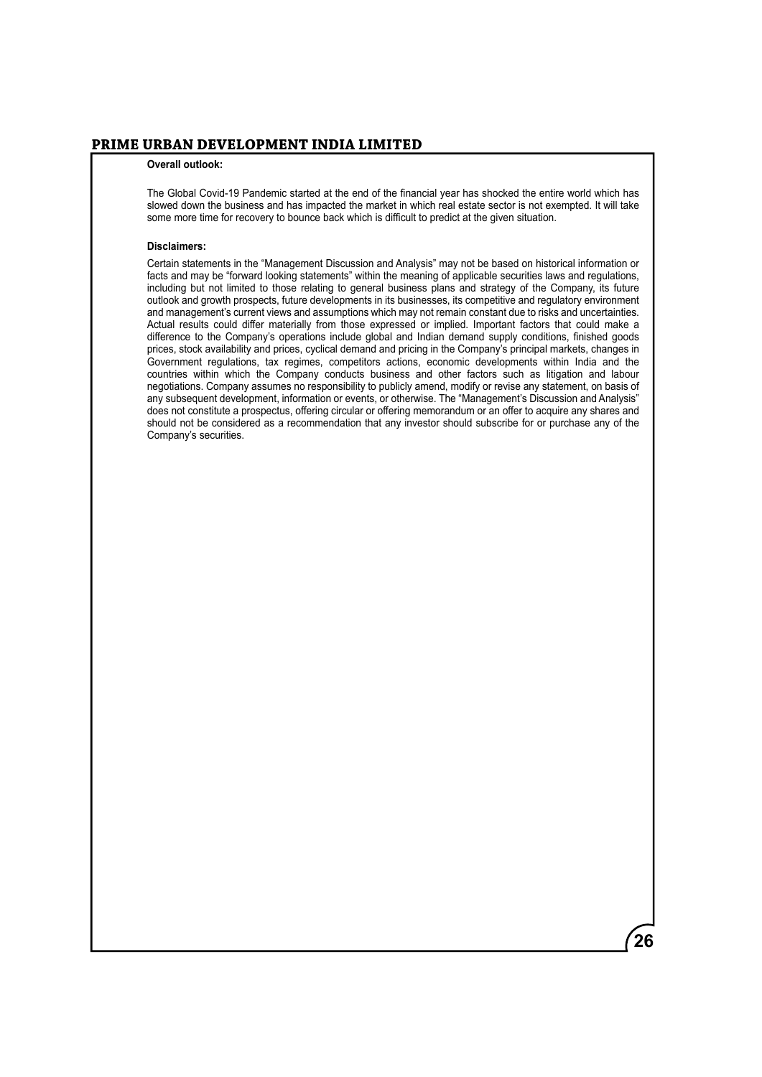# **MANAGEMENT DISCUSSION AND ANALYSIS**

# **Indian Economy**

### **Introduction**

Real estate sector is one of the most globally recognized sectors. It comprises of four sub sectors - housing, retail, hospitality, and commercial. The growth of this sector is well complemented by the growth in the corporate environment and the demand for office space as well as urban and semi-urban accommodations. The construction industry ranks third among the 14 major sectors in terms of direct, indirect and induced effects in all sectors of the economy. It is also expected that this sector will incur more non-resident Indian (NRI) investment, both in the short term and the long term.

### **Market Size**

By 2040, real estate market will grow to Rs 65,000 crore (US\$ 9.30 billion) from Rs 12,000 crore (US\$ 1.72 billion) in 2019. Real estate sector in India is expected to reach a market size of US\$ 1 trillion by 2030 from US\$ 120 billion in 2017 and contribute 13 per cent to the country's GDP by 2025. Retail, hospitality, and commercial real estate are also growing significantly, providing the much-needed infrastructure for India's growing needs. Indian real estate increased by 19.5 per cent CAGR from 2017 to 2028.

## **South India: Real Estate**

A robust establishment of skill-based manufacturing industries has led to fast paced urbanization in south India, housing around 102.8mn people in just urban areas (27.3% of India's total urban population). Tamil Nadu, Andhra Pradesh, Karnataka and Kerala house close to 50% of the total number of SEZs in the country. Together with industrial growth, IT remains the dominant driver for the real estate market.

# **About Tamil Nadu – Our core market:**

# **Coimbatore – Manchester of South India**

Coimbatore is the second largest city in Tamil Nadu and is advantageously located between tourist's attractions like Ooty, Kodaikanal and Kotagiri. Along with Textile, it also houses Engineering, Automobile parts manufacturing & IT/ITeS as the major industries.

It was one of the 20 cities who were named in the Smart cities mission initiative of the Government of India. Demand for second home and retirement communities continues unabated. Areas of the city such as R.S. Puram, Avinashi Road and Race Course, are considered as posh areas. Areas of Avinashi Road and Saravanampatti, Mettupalayam Road and Trichy Road are dominated by low-budget projects. Bus Rapid Transit System, Expansion of Airport are few factors that will provide growth opportunities. Around 3 special IT Economic Zones have been set up here, with the Government offering special schemes to promote real estate activity.

Accordingly, at Prime Urban, we have explored two projects in and around Coimbatore which is elaborated below:

### **Project Wise Details**

At Prime Urban we are currently engaged with the following projects:

• **Prime Crest** – Prime Crest is our Joint Development Project. We have entered into Joint Development Agreement through our Partnership Firm, Messrs Prime Urban Developers with the owners of land situated at Coimbatore for undertaking construction of apartments in the said land.

• **Developed Land Project** - A land development project is taken up at Hill Station, Kotagiri, near Ooty through our Partnership Firm, M/s. Prathan City Developers in which the land development project is taken up and to be sold in piece and parcels to prospective buyers.

Further we are actively exploring other opportunities for Residential and Commercial Projects in the State of Tamil Nadu.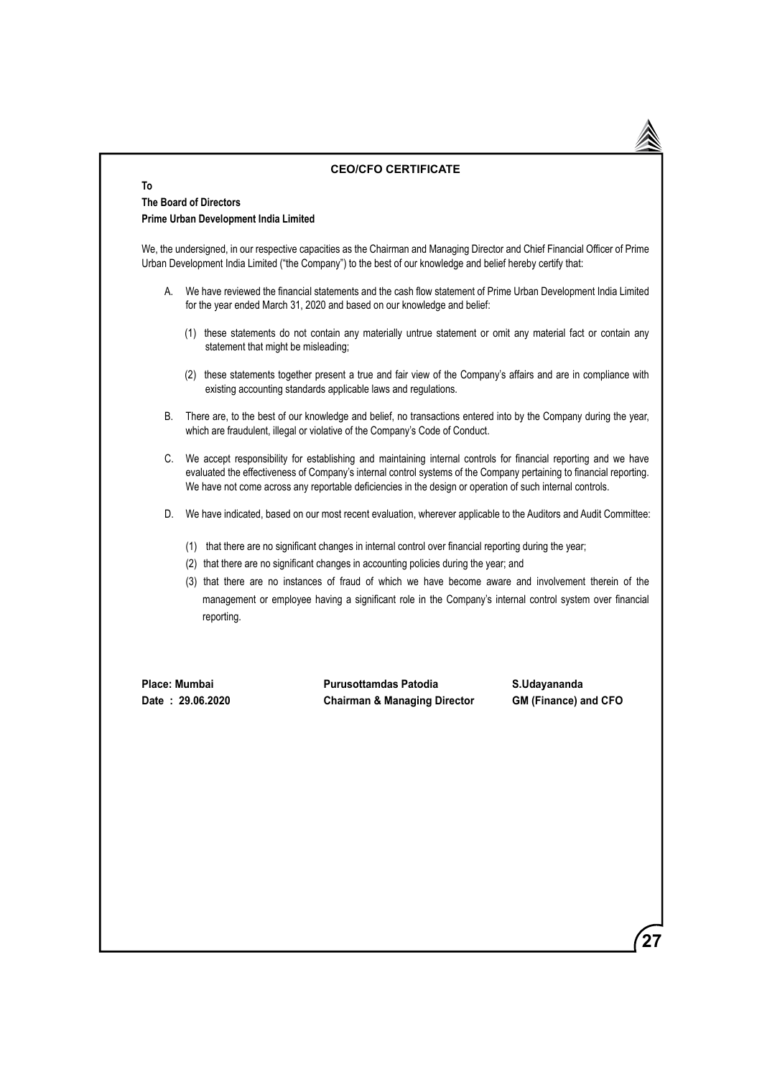#### **Overall outlook:**

The Global Covid-19 Pandemic started at the end of the financial year has shocked the entire world which has slowed down the business and has impacted the market in which real estate sector is not exempted. It will take some more time for recovery to bounce back which is difficult to predict at the given situation.

#### **Disclaimers:**

Certain statements in the "Management Discussion and Analysis" may not be based on historical information or facts and may be "forward looking statements" within the meaning of applicable securities laws and regulations, including but not limited to those relating to general business plans and strategy of the Company, its future outlook and growth prospects, future developments in its businesses, its competitive and regulatory environment and management's current views and assumptions which may not remain constant due to risks and uncertainties. Actual results could differ materially from those expressed or implied. Important factors that could make a difference to the Company's operations include global and Indian demand supply conditions, finished goods prices, stock availability and prices, cyclical demand and pricing in the Company's principal markets, changes in Government regulations, tax regimes, competitors actions, economic developments within India and the countries within which the Company conducts business and other factors such as litigation and labour negotiations. Company assumes no responsibility to publicly amend, modify or revise any statement, on basis of any subsequent development, information or events, or otherwise. The "Management's Discussion and Analysis" does not constitute a prospectus, offering circular or offering memorandum or an offer to acquire any shares and should not be considered as a recommendation that any investor should subscribe for or purchase any of the Company's securities.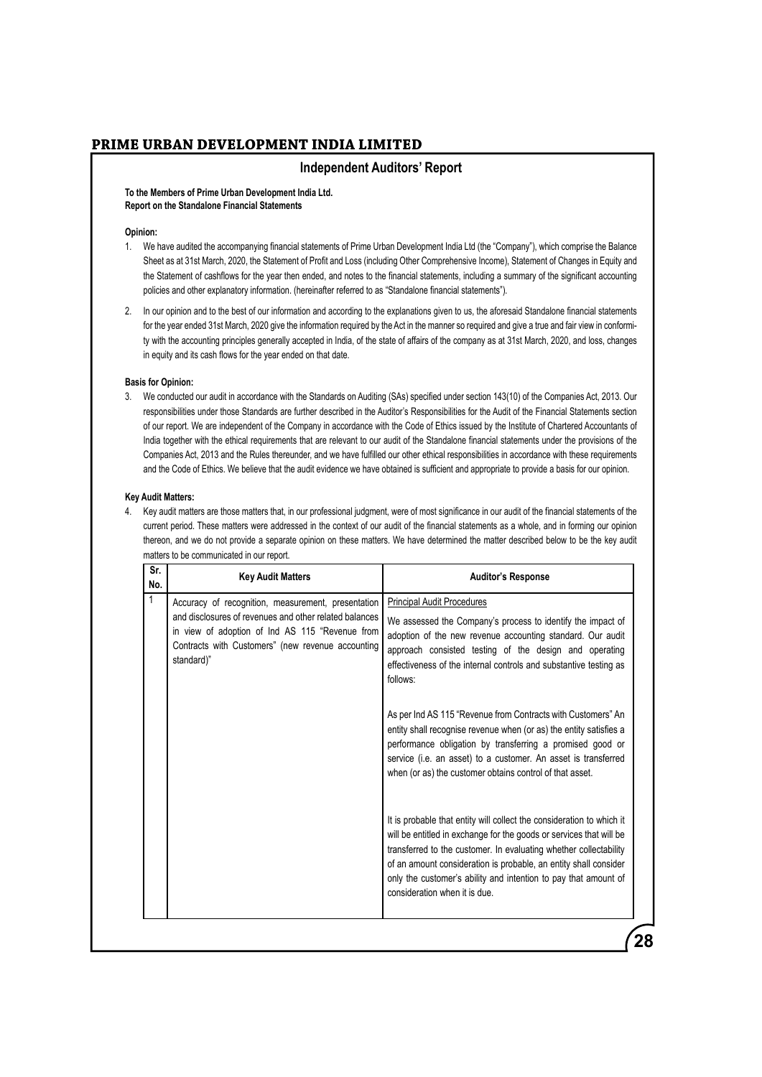# **CEO/CFO CERTIFICATE**

# **To The Board of Directors Prime Urban Development India Limited**

We, the undersigned, in our respective capacities as the Chairman and Managing Director and Chief Financial Officer of Prime Urban Development India Limited ("the Company") to the best of our knowledge and belief hereby certify that:

- A. We have reviewed the financial statements and the cash flow statement of Prime Urban Development India Limited for the year ended March 31, 2020 and based on our knowledge and belief:
	- (1) these statements do not contain any materially untrue statement or omit any material fact or contain any statement that might be misleading;
	- (2) these statements together present a true and fair view of the Company's affairs and are in compliance with existing accounting standards applicable laws and regulations.
- B. There are, to the best of our knowledge and belief, no transactions entered into by the Company during the year, which are fraudulent, illegal or violative of the Company's Code of Conduct.
- C. We accept responsibility for establishing and maintaining internal controls for financial reporting and we have evaluated the effectiveness of Company's internal control systems of the Company pertaining to financial reporting. We have not come across any reportable deficiencies in the design or operation of such internal controls.
- D. We have indicated, based on our most recent evaluation, wherever applicable to the Auditors and Audit Committee:
	- (1) that there are no significant changes in internal control over financial reporting during the year;
	- (2) that there are no significant changes in accounting policies during the year; and
	- (3) that there are no instances of fraud of which we have become aware and involvement therein of the management or employee having a significant role in the Company's internal control system over financial reporting.

**Place: Mumbai Purusottamdas Patodia S.Udayananda Date : 29.06.2020 Chairman & Managing Director GM (Finance) and CFO**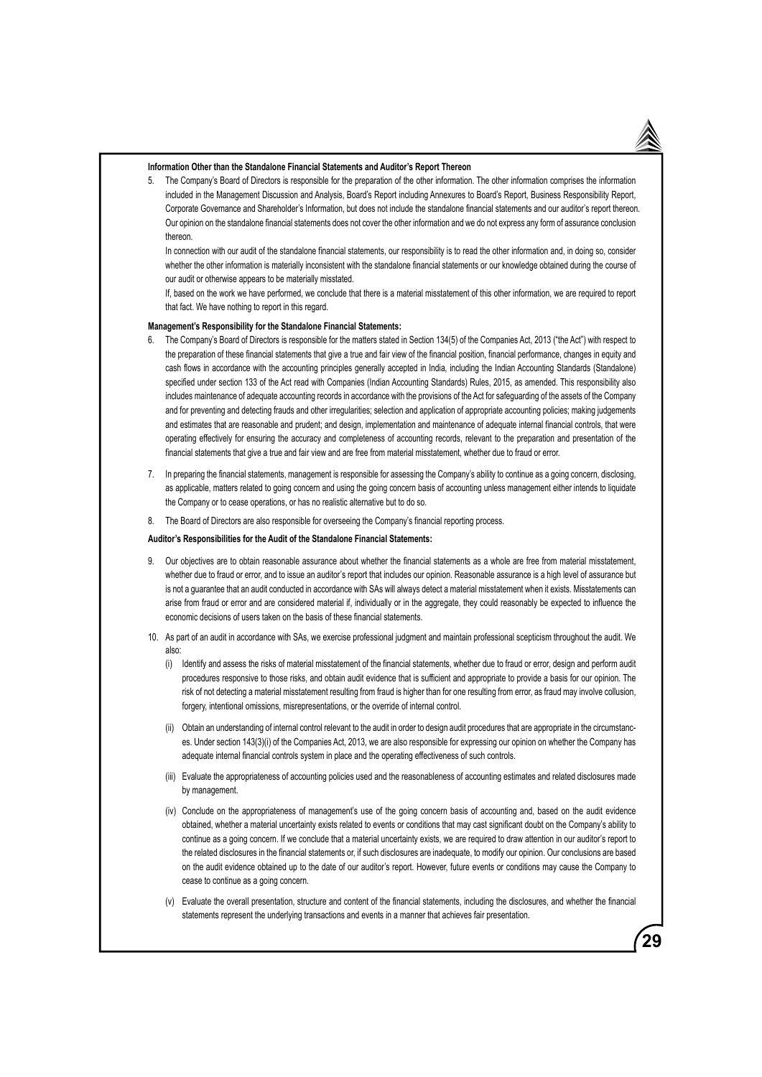# **Independent Auditors' Report**

**To the Members of Prime Urban Development India Ltd. Report on the Standalone Financial Statements**

#### **Opinion:**

- 1. We have audited the accompanying financial statements of Prime Urban Development India Ltd (the "Company"), which comprise the Balance Sheet as at 31st March, 2020, the Statement of Profit and Loss (including Other Comprehensive Income), Statement of Changes in Equity and the Statement of cashflows for the year then ended, and notes to the financial statements, including a summary of the significant accounting policies and other explanatory information. (hereinafter referred to as "Standalone financial statements").
- 2. In our opinion and to the best of our information and according to the explanations given to us, the aforesaid Standalone financial statements for the year ended 31st March, 2020 give the information required by the Act in the manner so required and give a true and fair view in conformity with the accounting principles generally accepted in India, of the state of affairs of the company as at 31st March, 2020, and loss, changes in equity and its cash flows for the year ended on that date.

### **Basis for Opinion:**

3. We conducted our audit in accordance with the Standards on Auditing (SAs) specified under section 143(10) of the Companies Act, 2013. Our responsibilities under those Standards are further described in the Auditor's Responsibilities for the Audit of the Financial Statements section of our report. We are independent of the Company in accordance with the Code of Ethics issued by the Institute of Chartered Accountants of India together with the ethical requirements that are relevant to our audit of the Standalone financial statements under the provisions of the Companies Act, 2013 and the Rules thereunder, and we have fulfilled our other ethical responsibilities in accordance with these requirements and the Code of Ethics. We believe that the audit evidence we have obtained is sufficient and appropriate to provide a basis for our opinion.

# **Key Audit Matters:**

4. Key audit matters are those matters that, in our professional judgment, were of most significance in our audit of the financial statements of the current period. These matters were addressed in the context of our audit of the financial statements as a whole, and in forming our opinion thereon, and we do not provide a separate opinion on these matters. We have determined the matter described below to be the key audit matters to be communicated in our report.

| Sr.<br>No. | <b>Key Audit Matters</b>                                                                                                                                                                                                           | <b>Auditor's Response</b>                                                                                                                                                                                                                                                                                                                                                                                                                                                                                                                                                                                                                  |  |
|------------|------------------------------------------------------------------------------------------------------------------------------------------------------------------------------------------------------------------------------------|--------------------------------------------------------------------------------------------------------------------------------------------------------------------------------------------------------------------------------------------------------------------------------------------------------------------------------------------------------------------------------------------------------------------------------------------------------------------------------------------------------------------------------------------------------------------------------------------------------------------------------------------|--|
| 1          | Accuracy of recognition, measurement, presentation<br>and disclosures of revenues and other related balances<br>in view of adoption of Ind AS 115 "Revenue from<br>Contracts with Customers" (new revenue accounting<br>standard)" | <b>Principal Audit Procedures</b><br>We assessed the Company's process to identify the impact of<br>adoption of the new revenue accounting standard. Our audit<br>approach consisted testing of the design and operating<br>effectiveness of the internal controls and substantive testing as<br>follows:<br>As per Ind AS 115 "Revenue from Contracts with Customers" An<br>entity shall recognise revenue when (or as) the entity satisfies a<br>performance obligation by transferring a promised good or<br>service (i.e. an asset) to a customer. An asset is transferred<br>when (or as) the customer obtains control of that asset. |  |
|            |                                                                                                                                                                                                                                    | It is probable that entity will collect the consideration to which it<br>will be entitled in exchange for the goods or services that will be<br>transferred to the customer. In evaluating whether collectability<br>of an amount consideration is probable, an entity shall consider<br>only the customer's ability and intention to pay that amount of<br>consideration when it is due.                                                                                                                                                                                                                                                  |  |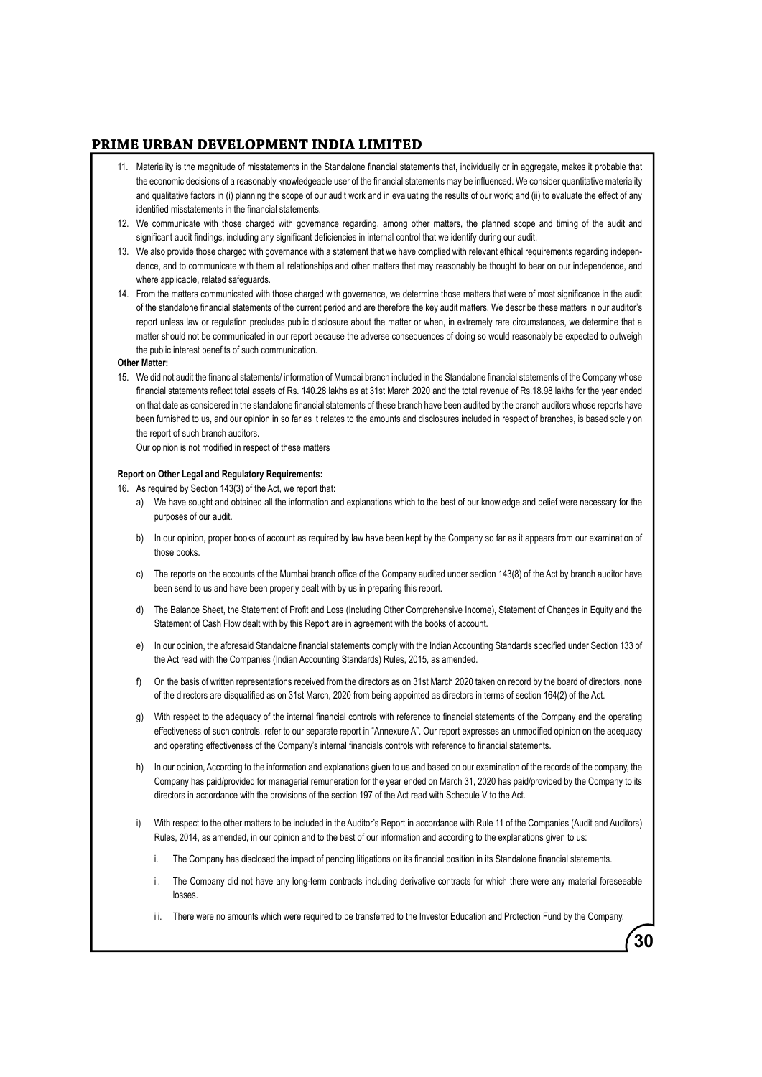#### **Information Other than the Standalone Financial Statements and Auditor's Report Thereon**

5. The Company's Board of Directors is responsible for the preparation of the other information. The other information comprises the information included in the Management Discussion and Analysis, Board's Report including Annexures to Board's Report, Business Responsibility Report, Corporate Governance and Shareholder's Information, but does not include the standalone financial statements and our auditor's report thereon. Our opinion on the standalone financial statements does not cover the other information and we do not express any form of assurance conclusion thereon.

 In connection with our audit of the standalone financial statements, our responsibility is to read the other information and, in doing so, consider whether the other information is materially inconsistent with the standalone financial statements or our knowledge obtained during the course of our audit or otherwise appears to be materially misstated.

 If, based on the work we have performed, we conclude that there is a material misstatement of this other information, we are required to report that fact. We have nothing to report in this regard.

#### **Management's Responsibility for the Standalone Financial Statements:**

- 6. The Company's Board of Directors is responsible for the matters stated in Section 134(5) of the Companies Act, 2013 ("the Act") with respect to the preparation of these financial statements that give a true and fair view of the financial position, financial performance, changes in equity and cash flows in accordance with the accounting principles generally accepted in India, including the Indian Accounting Standards (Standalone) specified under section 133 of the Act read with Companies (Indian Accounting Standards) Rules, 2015, as amended. This responsibility also includes maintenance of adequate accounting records in accordance with the provisions of the Act for safeguarding of the assets of the Company and for preventing and detecting frauds and other irregularities; selection and application of appropriate accounting policies; making judgements and estimates that are reasonable and prudent; and design, implementation and maintenance of adequate internal financial controls, that were operating effectively for ensuring the accuracy and completeness of accounting records, relevant to the preparation and presentation of the financial statements that give a true and fair view and are free from material misstatement, whether due to fraud or error.
- 7. In preparing the financial statements, management is responsible for assessing the Company's ability to continue as a going concern, disclosing, as applicable, matters related to going concern and using the going concern basis of accounting unless management either intends to liquidate the Company or to cease operations, or has no realistic alternative but to do so.
- 8. The Board of Directors are also responsible for overseeing the Company's financial reporting process.

#### **Auditor's Responsibilities for the Audit of the Standalone Financial Statements:**

- 9. Our objectives are to obtain reasonable assurance about whether the financial statements as a whole are free from material misstatement, whether due to fraud or error, and to issue an auditor's report that includes our opinion. Reasonable assurance is a high level of assurance but is not a guarantee that an audit conducted in accordance with SAs will always detect a material misstatement when it exists. Misstatements can arise from fraud or error and are considered material if, individually or in the aggregate, they could reasonably be expected to influence the economic decisions of users taken on the basis of these financial statements.
- 10. As part of an audit in accordance with SAs, we exercise professional judgment and maintain professional scepticism throughout the audit. We also:
	- (i) Identify and assess the risks of material misstatement of the financial statements, whether due to fraud or error, design and perform audit procedures responsive to those risks, and obtain audit evidence that is sufficient and appropriate to provide a basis for our opinion. The risk of not detecting a material misstatement resulting from fraud is higher than for one resulting from error, as fraud may involve collusion, forgery, intentional omissions, misrepresentations, or the override of internal control.
	- (ii) Obtain an understanding of internal control relevant to the audit in order to design audit procedures that are appropriate in the circumstances. Under section 143(3)(i) of the Companies Act, 2013, we are also responsible for expressing our opinion on whether the Company has adequate internal financial controls system in place and the operating effectiveness of such controls.
	- (iii) Evaluate the appropriateness of accounting policies used and the reasonableness of accounting estimates and related disclosures made by management.
	- (iv) Conclude on the appropriateness of management's use of the going concern basis of accounting and, based on the audit evidence obtained, whether a material uncertainty exists related to events or conditions that may cast significant doubt on the Company's ability to continue as a going concern. If we conclude that a material uncertainty exists, we are required to draw attention in our auditor's report to the related disclosures in the financial statements or, if such disclosures are inadequate, to modify our opinion. Our conclusions are based on the audit evidence obtained up to the date of our auditor's report. However, future events or conditions may cause the Company to cease to continue as a going concern.
	- (v) Evaluate the overall presentation, structure and content of the financial statements, including the disclosures, and whether the financial statements represent the underlying transactions and events in a manner that achieves fair presentation.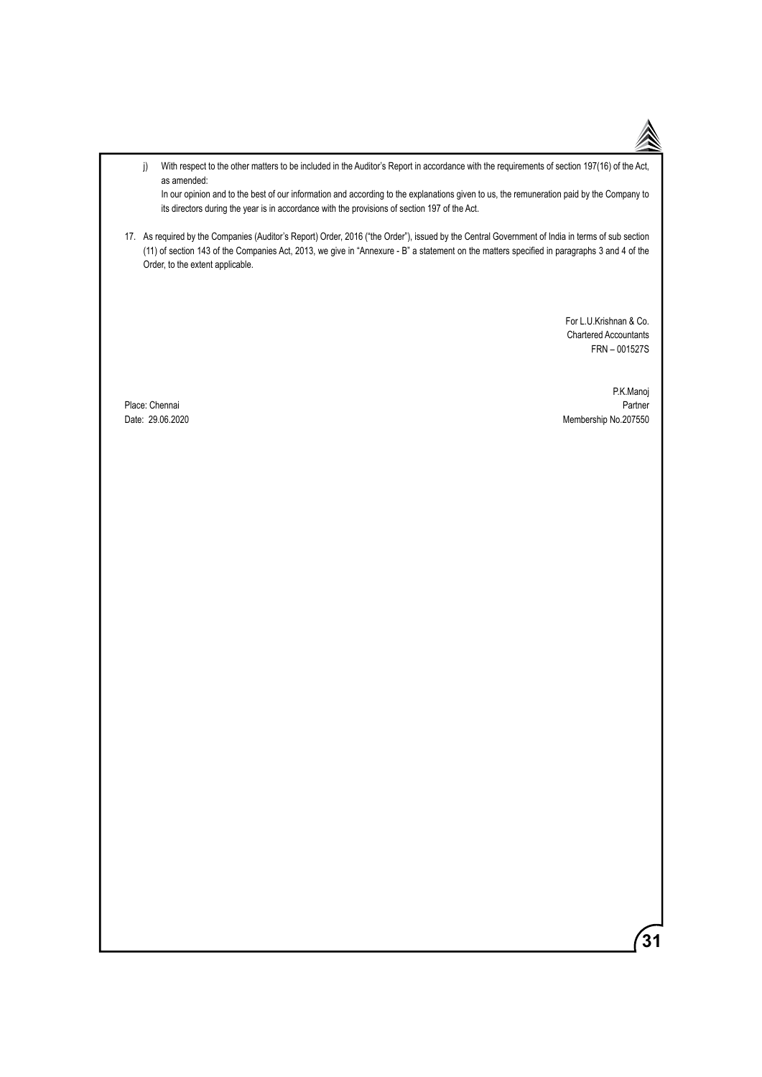- 11. Materiality is the magnitude of misstatements in the Standalone financial statements that, individually or in aggregate, makes it probable that the economic decisions of a reasonably knowledgeable user of the financial statements may be influenced. We consider quantitative materiality and qualitative factors in (i) planning the scope of our audit work and in evaluating the results of our work; and (ii) to evaluate the effect of any identified misstatements in the financial statements.
- 12. We communicate with those charged with governance regarding, among other matters, the planned scope and timing of the audit and significant audit findings, including any significant deficiencies in internal control that we identify during our audit.
- 13. We also provide those charged with governance with a statement that we have complied with relevant ethical requirements regarding independence, and to communicate with them all relationships and other matters that may reasonably be thought to bear on our independence, and where applicable, related safeguards.
- 14. From the matters communicated with those charged with governance, we determine those matters that were of most significance in the audit of the standalone financial statements of the current period and are therefore the key audit matters. We describe these matters in our auditor's report unless law or regulation precludes public disclosure about the matter or when, in extremely rare circumstances, we determine that a matter should not be communicated in our report because the adverse consequences of doing so would reasonably be expected to outweigh the public interest benefits of such communication.

#### **Other Matter:**

15. We did not audit the financial statements/ information of Mumbai branch included in the Standalone financial statements of the Company whose financial statements reflect total assets of Rs. 140.28 lakhs as at 31st March 2020 and the total revenue of Rs.18.98 lakhs for the year ended on that date as considered in the standalone financial statements of these branch have been audited by the branch auditors whose reports have been furnished to us, and our opinion in so far as it relates to the amounts and disclosures included in respect of branches, is based solely on the report of such branch auditors.

Our opinion is not modified in respect of these matters

### **Report on Other Legal and Regulatory Requirements:**

- 16. As required by Section 143(3) of the Act, we report that:
	- a) We have sought and obtained all the information and explanations which to the best of our knowledge and belief were necessary for the purposes of our audit.
	- b) In our opinion, proper books of account as required by law have been kept by the Company so far as it appears from our examination of those books.
	- c) The reports on the accounts of the Mumbai branch office of the Company audited under section 143(8) of the Act by branch auditor have been send to us and have been properly dealt with by us in preparing this report.
	- d) The Balance Sheet, the Statement of Profit and Loss (Including Other Comprehensive Income), Statement of Changes in Equity and the Statement of Cash Flow dealt with by this Report are in agreement with the books of account.
	- e) In our opinion, the aforesaid Standalone financial statements comply with the Indian Accounting Standards specified under Section 133 of the Act read with the Companies (Indian Accounting Standards) Rules, 2015, as amended.
	- f) On the basis of written representations received from the directors as on 31st March 2020 taken on record by the board of directors, none of the directors are disqualified as on 31st March, 2020 from being appointed as directors in terms of section 164(2) of the Act.
	- g) With respect to the adequacy of the internal financial controls with reference to financial statements of the Company and the operating effectiveness of such controls, refer to our separate report in "Annexure A". Our report expresses an unmodified opinion on the adequacy and operating effectiveness of the Company's internal financials controls with reference to financial statements.
	- h) In our opinion, According to the information and explanations given to us and based on our examination of the records of the company, the Company has paid/provided for managerial remuneration for the year ended on March 31, 2020 has paid/provided by the Company to its directors in accordance with the provisions of the section 197 of the Act read with Schedule V to the Act.
	- i) With respect to the other matters to be included in the Auditor's Report in accordance with Rule 11 of the Companies (Audit and Auditors) Rules, 2014, as amended, in our opinion and to the best of our information and according to the explanations given to us:
		- i. The Company has disclosed the impact of pending litigations on its financial position in its Standalone financial statements.
		- ii. The Company did not have any long-term contracts including derivative contracts for which there were any material foreseeable losses.

**30**

iii. There were no amounts which were required to be transferred to the Investor Education and Protection Fund by the Company.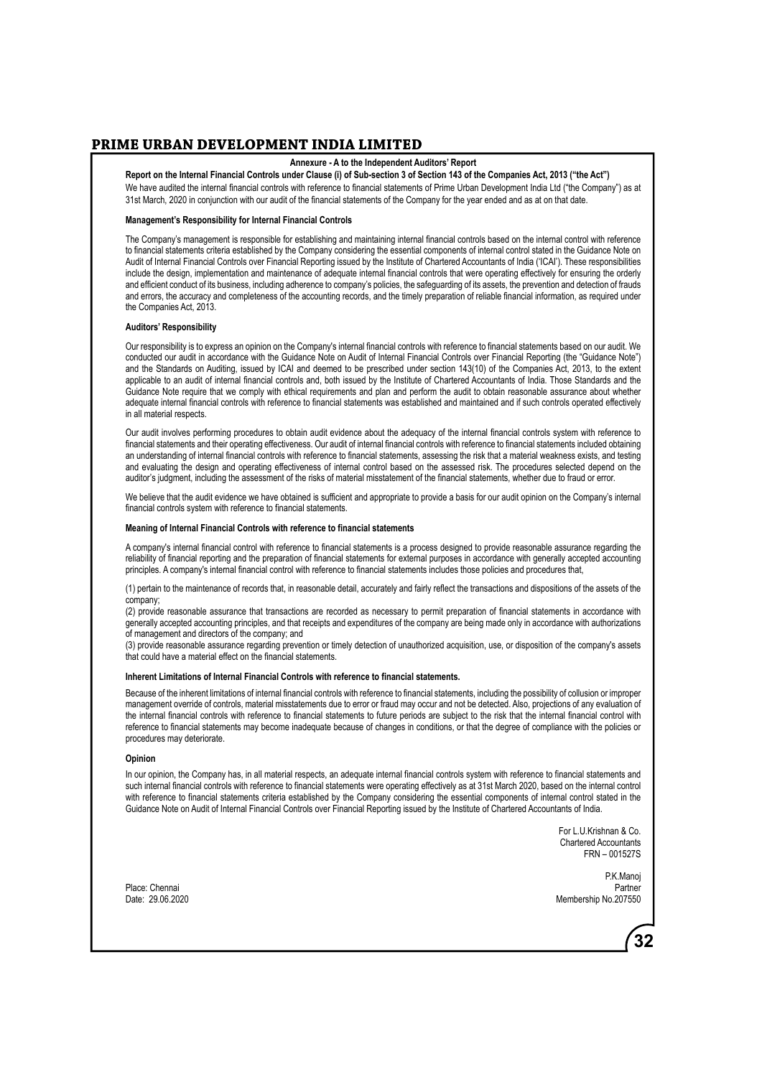|  | With respect to the other matters to be included in the Auditor's Report in accordance with the requirements of section 197(16) of the Act, |
|--|---------------------------------------------------------------------------------------------------------------------------------------------|
|  | as amended:                                                                                                                                 |

 In our opinion and to the best of our information and according to the explanations given to us, the remuneration paid by the Company to its directors during the year is in accordance with the provisions of section 197 of the Act.

17. As required by the Companies (Auditor's Report) Order, 2016 ("the Order"), issued by the Central Government of India in terms of sub section (11) of section 143 of the Companies Act, 2013, we give in "Annexure - B" a statement on the matters specified in paragraphs 3 and 4 of the Order, to the extent applicable.

> For L.U.Krishnan & Co. Chartered Accountants FRN – 001527S

P.K.Manoj Place: Chennai Partner et al. 2006. Il suoi est anno 1992 anno 1992 anno 1992 anno 1992 anno 1992 anno 1992 an Date: 29.06.2020 Membership No.207550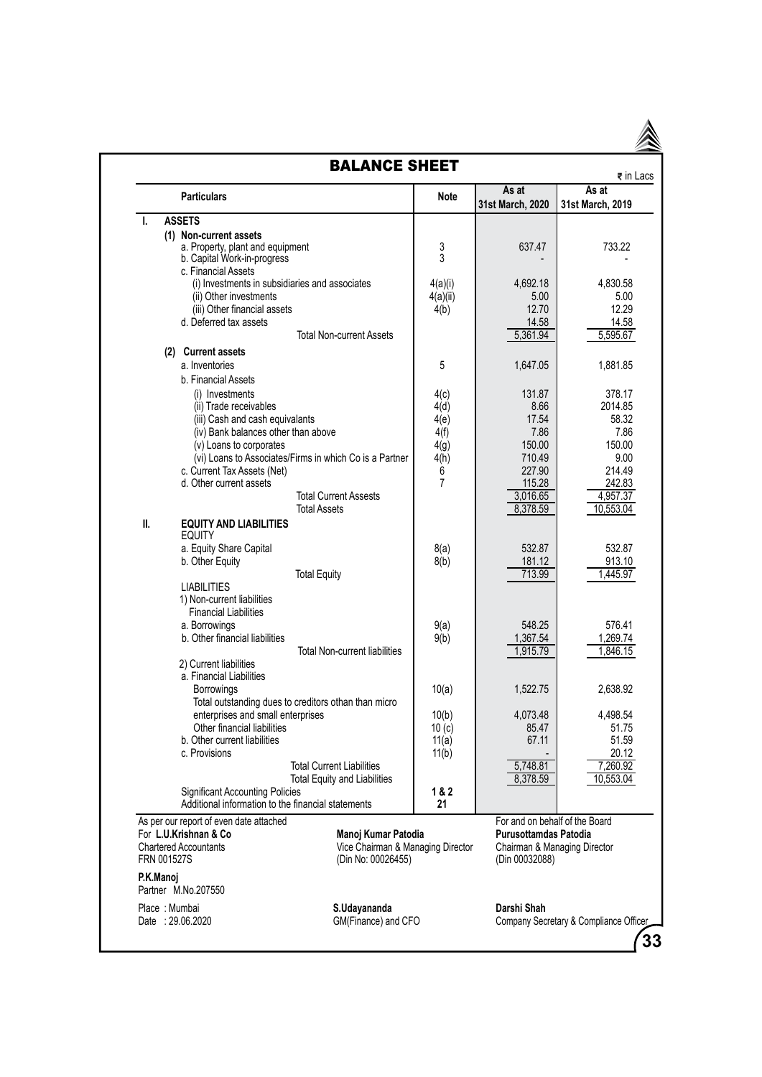#### **Annexure - A to the Independent Auditors' Report**

**Report on the Internal Financial Controls under Clause (i) of Sub-section 3 of Section 143 of the Companies Act, 2013 ("the Act")** We have audited the internal financial controls with reference to financial statements of Prime Urban Development India Ltd ("the Company") as at 31st March, 2020 in conjunction with our audit of the financial statements of the Company for the year ended and as at on that date.

#### **Management's Responsibility for Internal Financial Controls**

The Company's management is responsible for establishing and maintaining internal financial controls based on the internal control with reference to financial statements criteria established by the Company considering the essential components of internal control stated in the Guidance Note on Audit of Internal Financial Controls over Financial Reporting issued by the Institute of Chartered Accountants of India ('ICAI'). These responsibilities include the design, implementation and maintenance of adequate internal financial controls that were operating effectively for ensuring the orderly and efficient conduct of its business, including adherence to company's policies, the safeguarding of its assets, the prevention and detection of frauds and errors, the accuracy and completeness of the accounting records, and the timely preparation of reliable financial information, as required under the Companies Act, 2013.

#### **Auditors' Responsibility**

Our responsibility is to express an opinion on the Company's internal financial controls with reference to financial statements based on our audit. We conducted our audit in accordance with the Guidance Note on Audit of Internal Financial Controls over Financial Reporting (the "Guidance Note") and the Standards on Auditing, issued by ICAI and deemed to be prescribed under section 143(10) of the Companies Act, 2013, to the extent applicable to an audit of internal financial controls and, both issued by the Institute of Chartered Accountants of India. Those Standards and the Guidance Note require that we comply with ethical requirements and plan and perform the audit to obtain reasonable assurance about whether adequate internal financial controls with reference to financial statements was established and maintained and if such controls operated effectively in all material respects.

Our audit involves performing procedures to obtain audit evidence about the adequacy of the internal financial controls system with reference to financial statements and their operating effectiveness. Our audit of internal financial controls with reference to financial statements included obtaining an understanding of internal financial controls with reference to financial statements, assessing the risk that a material weakness exists, and testing and evaluating the design and operating effectiveness of internal control based on the assessed risk. The procedures selected depend on the auditor's judgment, including the assessment of the risks of material misstatement of the financial statements, whether due to fraud or error.

We believe that the audit evidence we have obtained is sufficient and appropriate to provide a basis for our audit opinion on the Company's internal financial controls system with reference to financial statements.

#### **Meaning of Internal Financial Controls with reference to financial statements**

A company's internal financial control with reference to financial statements is a process designed to provide reasonable assurance regarding the reliability of financial reporting and the preparation of financial statements for external purposes in accordance with generally accepted accounting principles. A company's internal financial control with reference to financial statements includes those policies and procedures that,

(1) pertain to the maintenance of records that, in reasonable detail, accurately and fairly reflect the transactions and dispositions of the assets of the company;

(2) provide reasonable assurance that transactions are recorded as necessary to permit preparation of financial statements in accordance with generally accepted accounting principles, and that receipts and expenditures of the company are being made only in accordance with authorizations of management and directors of the company; and

(3) provide reasonable assurance regarding prevention or timely detection of unauthorized acquisition, use, or disposition of the company's assets that could have a material effect on the financial statements.

#### **Inherent Limitations of Internal Financial Controls with reference to financial statements.**

Because of the inherent limitations of internal financial controls with reference to financial statements, including the possibility of collusion or improper management override of controls, material misstatements due to error or fraud may occur and not be detected. Also, projections of any evaluation of the internal financial controls with reference to financial statements to future periods are subject to the risk that the internal financial control with reference to financial statements may become inadequate because of changes in conditions, or that the degree of compliance with the policies or procedures may deteriorate.

#### **Opinion**

In our opinion, the Company has, in all material respects, an adequate internal financial controls system with reference to financial statements and such internal financial controls with reference to financial statements were operating effectively as at 31st March 2020, based on the internal control with reference to financial statements criteria established by the Company considering the essential components of internal control stated in the Guidance Note on Audit of Internal Financial Controls over Financial Reporting issued by the Institute of Chartered Accountants of India.

> For L.U.Krishnan & Co. Chartered Accountants FRN – 001527S

P.K.Manoj Place: Chennai Partner et al. 2006. Il alternative anno 1992 anno 1992 anno 1992 anno 1992 anno 1992 anno 1992 Date: 29.06.2020 Membership No.207550

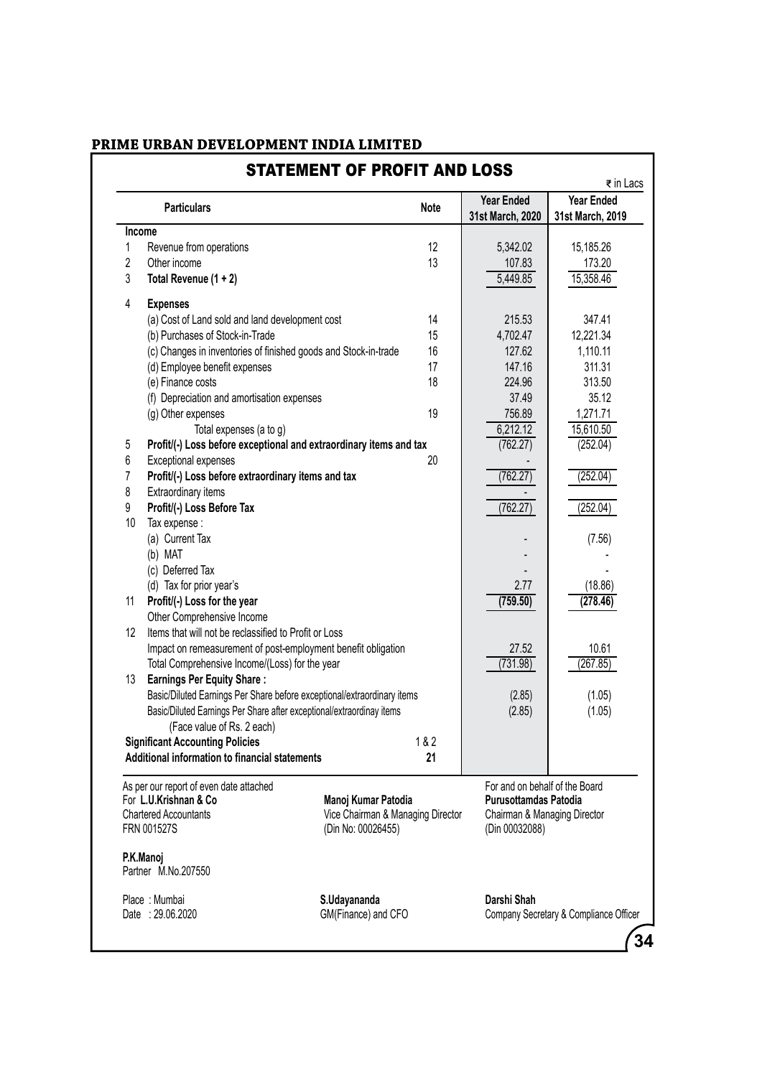|                                              | <b>BALANCE SHEET</b>                                                                                   |                   |                                                | ₹ in Lacs                 |  |
|----------------------------------------------|--------------------------------------------------------------------------------------------------------|-------------------|------------------------------------------------|---------------------------|--|
|                                              | <b>Particulars</b>                                                                                     | Note              | As at<br>31st March, 2020                      | As at<br>31st March, 2019 |  |
| L                                            | <b>ASSETS</b>                                                                                          |                   |                                                |                           |  |
|                                              | (1) Non-current assets                                                                                 |                   |                                                |                           |  |
|                                              | a. Property, plant and equipment                                                                       | 3<br>3            | 637.47                                         | 733.22                    |  |
|                                              | b. Capital Work-in-progress<br>c. Financial Assets                                                     |                   |                                                |                           |  |
|                                              | (i) Investments in subsidiaries and associates                                                         | 4(a)(i)           | 4,692.18                                       | 4,830.58                  |  |
|                                              | (ii) Other investments                                                                                 | 4(a)(ii)          | 5.00                                           | 5.00                      |  |
|                                              | (iii) Other financial assets                                                                           | 4(b)              | 12.70                                          | 12.29                     |  |
|                                              | d. Deferred tax assets                                                                                 |                   | 14.58                                          | 14.58                     |  |
|                                              | <b>Total Non-current Assets</b>                                                                        |                   | 5,361.94                                       | 5,595.67                  |  |
|                                              | (2) Current assets                                                                                     |                   |                                                |                           |  |
|                                              | a. Inventories                                                                                         | 5                 | 1,647.05                                       | 1,881.85                  |  |
|                                              | b. Financial Assets                                                                                    |                   |                                                |                           |  |
|                                              | (i) Investments                                                                                        | 4(c)              | 131.87                                         | 378.17                    |  |
|                                              | (ii) Trade receivables                                                                                 | 4(d)              | 8.66<br>17.54                                  | 2014.85<br>58.32          |  |
|                                              | (iii) Cash and cash equivalants<br>(iv) Bank balances other than above                                 | 4(e)<br>4(f)      | 7.86                                           | 7.86                      |  |
|                                              | (v) Loans to corporates                                                                                | 4(g)              | 150.00                                         | 150.00                    |  |
|                                              | (vi) Loans to Associates/Firms in which Co is a Partner                                                | 4(h)              | 710.49                                         | 9.00                      |  |
|                                              | c. Current Tax Assets (Net)                                                                            | 6                 | 227.90                                         | 214.49                    |  |
|                                              | d. Other current assets                                                                                | 7                 | 115.28                                         | 242.83                    |  |
|                                              | <b>Total Current Assests</b>                                                                           |                   | 3,016.65                                       | 4,957.37                  |  |
|                                              | <b>Total Assets</b>                                                                                    |                   | 8,378.59                                       | 10,553.04                 |  |
| Ш.                                           | <b>EQUITY AND LIABILITIES</b><br><b>EQUITY</b>                                                         |                   |                                                |                           |  |
|                                              | a. Equity Share Capital                                                                                | 8(a)              | 532.87                                         | 532.87                    |  |
|                                              | b. Other Equity                                                                                        | 8(b)              | 181.12                                         | 913.10                    |  |
|                                              | <b>Total Equity</b>                                                                                    |                   | 713.99                                         | 1,445.97                  |  |
|                                              | <b>LIABILITIES</b>                                                                                     |                   |                                                |                           |  |
|                                              | 1) Non-current liabilities                                                                             |                   |                                                |                           |  |
|                                              | <b>Financial Liabilities</b>                                                                           |                   |                                                |                           |  |
|                                              | a. Borrowings<br>b. Other financial liabilities                                                        | 9(a)<br>9(b)      | 548.25<br>1,367.54                             | 576.41<br>1,269.74        |  |
|                                              | <b>Total Non-current liabilities</b>                                                                   |                   | 1,915.79                                       | 1,846.15                  |  |
|                                              | 2) Current liabilities                                                                                 |                   |                                                |                           |  |
|                                              | a. Financial Liabilities                                                                               |                   |                                                |                           |  |
|                                              | Borrowings                                                                                             | 10(a)             | 1,522.75                                       | 2,638.92                  |  |
|                                              | Total outstanding dues to creditors othan than micro                                                   |                   |                                                |                           |  |
|                                              | enterprises and small enterprises                                                                      | 10(b)             | 4,073.48                                       | 4,498.54                  |  |
|                                              | Other financial liabilities<br>b. Other current liabilities                                            | 10 <sub>(c)</sub> | 85.47                                          | 51.75                     |  |
|                                              | c. Provisions                                                                                          | 11(a)<br>11(b)    | 67.11                                          | 51.59<br>20.12            |  |
|                                              | <b>Total Current Liabilities</b>                                                                       |                   | 5,748.81                                       | 7,260.92                  |  |
|                                              | Total Equity and Liabilities                                                                           |                   | 8,378.59                                       | 10,553.04                 |  |
|                                              | <b>Significant Accounting Policies</b>                                                                 | 1&2               |                                                |                           |  |
|                                              | Additional information to the financial statements                                                     | 21                |                                                |                           |  |
|                                              | As per our report of even date attached                                                                |                   | For and on behalf of the Board                 |                           |  |
| For L.U.Krishnan & Co<br>Manoj Kumar Patodia |                                                                                                        |                   | <b>Purusottamdas Patodia</b>                   |                           |  |
|                                              | <b>Chartered Accountants</b><br>Vice Chairman & Managing Director<br>(Din No: 00026455)<br>FRN 001527S |                   | Chairman & Managing Director<br>(Din 00032088) |                           |  |
|                                              |                                                                                                        |                   |                                                |                           |  |
|                                              | P.K.Manoj<br>Partner M.No.207550                                                                       |                   |                                                |                           |  |
| S.Udayananda<br>Place: Mumbai                |                                                                                                        |                   | Darshi Shah                                    |                           |  |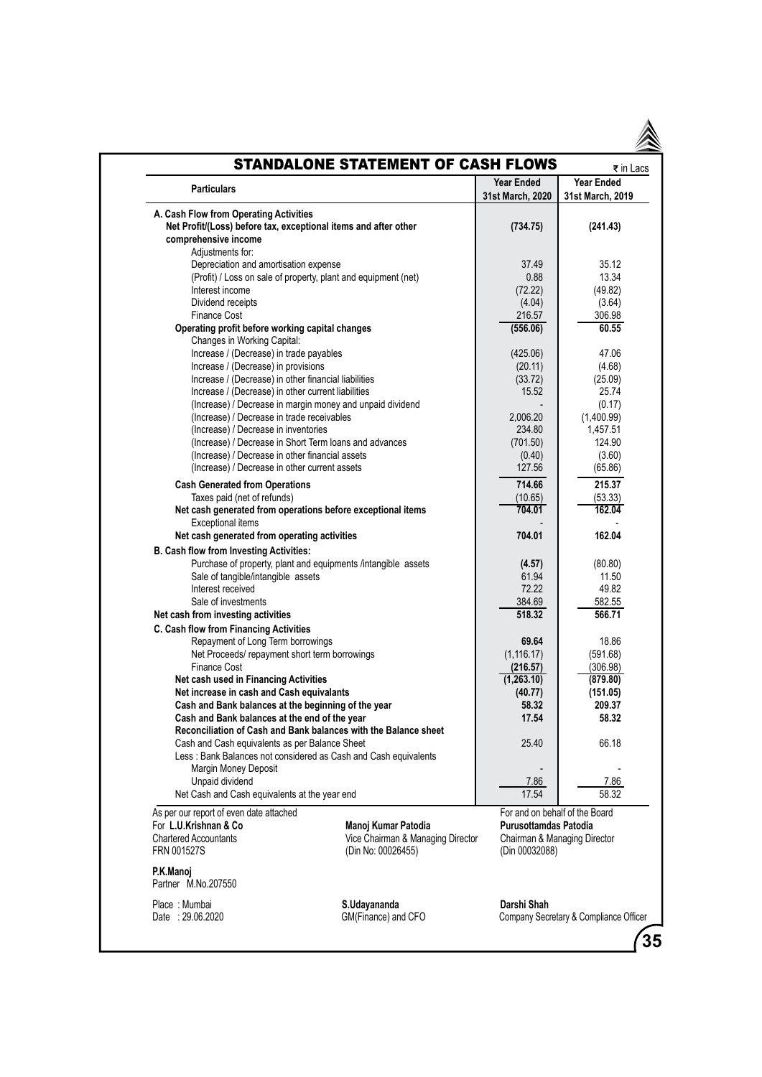|                | <b>Particulars</b>                                                                       | <b>Note</b>                       | <b>Year Ended</b><br>31st March, 2020 | <b>Year Ended</b><br>31st March, 2019 |
|----------------|------------------------------------------------------------------------------------------|-----------------------------------|---------------------------------------|---------------------------------------|
| Income         |                                                                                          |                                   |                                       |                                       |
| 1              | Revenue from operations                                                                  | 12                                | 5,342.02                              | 15,185.26                             |
| $\overline{2}$ | Other income                                                                             | 13                                | 107.83                                | 173.20                                |
| 3              | Total Revenue $(1 + 2)$                                                                  |                                   | 5,449.85                              | 15,358.46                             |
| 4              | <b>Expenses</b>                                                                          |                                   |                                       |                                       |
|                | (a) Cost of Land sold and land development cost                                          | 14                                | 215.53                                | 347.41                                |
|                | (b) Purchases of Stock-in-Trade                                                          | 15                                | 4,702.47                              | 12,221.34                             |
|                | (c) Changes in inventories of finished goods and Stock-in-trade                          | 16                                | 127.62                                | 1,110.11                              |
|                | (d) Employee benefit expenses                                                            | 17                                | 147.16                                | 311.31                                |
|                | (e) Finance costs                                                                        | 18                                | 224.96                                | 313.50                                |
|                | (f) Depreciation and amortisation expenses                                               |                                   | 37.49                                 | 35.12                                 |
|                | (g) Other expenses                                                                       | 19                                | 756.89                                | 1,271.71                              |
|                | Total expenses (a to g)                                                                  |                                   | 6,212.12                              | 15,610.50                             |
| 5              | Profit/(-) Loss before exceptional and extraordinary items and tax                       |                                   | (762.27)                              | (252.04)                              |
| 6              | Exceptional expenses                                                                     | 20                                |                                       |                                       |
| $\overline{7}$ | Profit/(-) Loss before extraordinary items and tax                                       |                                   | (762.27)                              | (252.04)                              |
| 8              | Extraordinary items                                                                      |                                   |                                       |                                       |
| 9              | Profit/(-) Loss Before Tax                                                               |                                   | (762.27)                              | (252.04)                              |
| 10             | Tax expense :                                                                            |                                   |                                       |                                       |
|                | (a) Current Tax                                                                          |                                   |                                       | (7.56)                                |
|                | (b) MAT                                                                                  |                                   |                                       |                                       |
|                | (c) Deferred Tax                                                                         |                                   |                                       |                                       |
|                | (d) Tax for prior year's                                                                 |                                   | 2.77                                  | (18.86)                               |
| 11             | Profit/(-) Loss for the year                                                             |                                   | (759.50)                              | (278.46)                              |
|                | Other Comprehensive Income                                                               |                                   |                                       |                                       |
| 12             | Items that will not be reclassified to Profit or Loss                                    |                                   |                                       |                                       |
|                | Impact on remeasurement of post-employment benefit obligation                            |                                   | 27.52                                 | 10.61                                 |
|                | Total Comprehensive Income/(Loss) for the year                                           |                                   | (731.98)                              | (267.85)                              |
| 13             | <b>Earnings Per Equity Share:</b>                                                        |                                   |                                       |                                       |
|                | Basic/Diluted Earnings Per Share before exceptional/extraordinary items                  |                                   |                                       |                                       |
|                | Basic/Diluted Earnings Per Share after exceptional/extraordinay items                    |                                   | (2.85)                                | (1.05)                                |
|                | (Face value of Rs. 2 each)                                                               |                                   | (2.85)                                | (1.05)                                |
|                |                                                                                          |                                   |                                       |                                       |
|                | <b>Significant Accounting Policies</b><br>Additional information to financial statements | 1 & 2<br>21                       |                                       |                                       |
|                | As per our report of even date attached                                                  |                                   | For and on behalf of the Board        |                                       |
|                | For L.U.Krishnan & Co                                                                    | Manoj Kumar Patodia               | <b>Purusottamdas Patodia</b>          |                                       |
|                | <b>Chartered Accountants</b>                                                             | Vice Chairman & Managing Director | Chairman & Managing Director          |                                       |
|                | FRN 001527S                                                                              | (Din No: 00026455)                | (Din 00032088)                        |                                       |
|                | P.K.Manoj<br>Partner M.No.207550                                                         |                                   |                                       |                                       |
|                | Place: Mumbai                                                                            | S.Udayananda                      | Darshi Shah                           |                                       |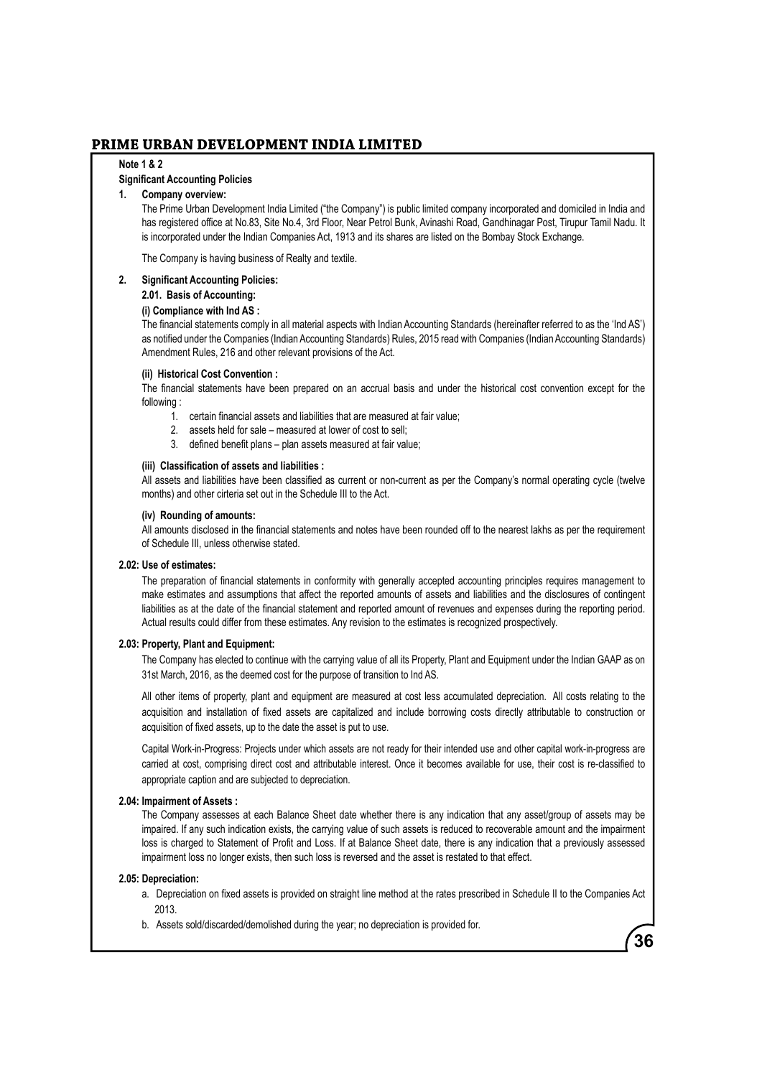| <b>Year Ended</b><br><b>Particulars</b><br>31st March, 2020<br>A. Cash Flow from Operating Activities<br>Net Profit/(Loss) before tax, exceptional items and after other<br>(734.75)<br>comprehensive income<br>Adjustments for:<br>Depreciation and amortisation expense<br>37.49<br>(Profit) / Loss on sale of property, plant and equipment (net)<br>0.88<br>Interest income<br>(72.22)<br>Dividend receipts<br>(4.04)<br><b>Finance Cost</b><br>216.57<br>Operating profit before working capital changes<br>(556.06)<br>Changes in Working Capital:<br>Increase / (Decrease) in trade payables<br>(425.06)<br>Increase / (Decrease) in provisions<br>(20.11)<br>Increase / (Decrease) in other financial liabilities<br>(33.72)<br>Increase / (Decrease) in other current liabilities<br>15.52<br>(Increase) / Decrease in margin money and unpaid dividend<br>(Increase) / Decrease in trade receivables<br>2,006.20<br>(Increase) / Decrease in inventories<br>234.80<br>(Increase) / Decrease in Short Term loans and advances<br>(701.50)<br>(Increase) / Decrease in other financial assets<br>(0.40)<br>127.56<br>(Increase) / Decrease in other current assets<br><b>Cash Generated from Operations</b><br>714.66<br>Taxes paid (net of refunds)<br>(10.65)<br>704.01<br>Net cash generated from operations before exceptional items<br><b>Exceptional items</b><br>Net cash generated from operating activities<br>704.01<br>B. Cash flow from Investing Activities:<br>Purchase of property, plant and equipments /intangible assets<br>(4.57)<br>Sale of tangible/intangible assets<br>61.94<br>Interest received<br>72.22<br>Sale of investments<br>384.69<br>518.32<br>Net cash from investing activities<br>C. Cash flow from Financing Activities<br>Repayment of Long Term borrowings<br>69.64<br>Net Proceeds/repayment short term borrowings<br>(1, 116.17)<br><b>Finance Cost</b><br>(216.57)<br>(1, 263.10)<br>Net cash used in Financing Activities<br>Net increase in cash and Cash equivalants<br>(40.77)<br>Cash and Bank balances at the beginning of the year<br>58.32<br>Cash and Bank balances at the end of the year<br>17.54<br>Reconciliation of Cash and Bank balances with the Balance sheet<br>Cash and Cash equivalents as per Balance Sheet<br>25.40<br>Less: Bank Balances not considered as Cash and Cash equivalents<br><b>Margin Money Deposit</b><br>7.86<br>Unpaid dividend<br>17.54<br>Net Cash and Cash equivalents at the year end<br>As per our report of even date attached<br>For and on behalf of the Board<br>For L.U.Krishnan & Co.<br>Manoj Kumar Patodia<br>Purusottamdas Patodia<br><b>Chartered Accountants</b><br>Vice Chairman & Managing Director<br>Chairman & Managing Director<br>FRN 001527S<br>(Din No: 00026455)<br>(Din 00032088)<br>P.K.Manoj<br>Partner M.No.207550 | <b>STANDALONE STATEMENT OF CASH FLOWS</b> | ₹ in Lacs         |
|--------------------------------------------------------------------------------------------------------------------------------------------------------------------------------------------------------------------------------------------------------------------------------------------------------------------------------------------------------------------------------------------------------------------------------------------------------------------------------------------------------------------------------------------------------------------------------------------------------------------------------------------------------------------------------------------------------------------------------------------------------------------------------------------------------------------------------------------------------------------------------------------------------------------------------------------------------------------------------------------------------------------------------------------------------------------------------------------------------------------------------------------------------------------------------------------------------------------------------------------------------------------------------------------------------------------------------------------------------------------------------------------------------------------------------------------------------------------------------------------------------------------------------------------------------------------------------------------------------------------------------------------------------------------------------------------------------------------------------------------------------------------------------------------------------------------------------------------------------------------------------------------------------------------------------------------------------------------------------------------------------------------------------------------------------------------------------------------------------------------------------------------------------------------------------------------------------------------------------------------------------------------------------------------------------------------------------------------------------------------------------------------------------------------------------------------------------------------------------------------------------------------------------------------------------------------------------------------------------------------------------------------------------------------------------------------------------------------------------------------------------------------------------------------------------------------------------------------|-------------------------------------------|-------------------|
|                                                                                                                                                                                                                                                                                                                                                                                                                                                                                                                                                                                                                                                                                                                                                                                                                                                                                                                                                                                                                                                                                                                                                                                                                                                                                                                                                                                                                                                                                                                                                                                                                                                                                                                                                                                                                                                                                                                                                                                                                                                                                                                                                                                                                                                                                                                                                                                                                                                                                                                                                                                                                                                                                                                                                                                                                                            |                                           | <b>Year Ended</b> |
|                                                                                                                                                                                                                                                                                                                                                                                                                                                                                                                                                                                                                                                                                                                                                                                                                                                                                                                                                                                                                                                                                                                                                                                                                                                                                                                                                                                                                                                                                                                                                                                                                                                                                                                                                                                                                                                                                                                                                                                                                                                                                                                                                                                                                                                                                                                                                                                                                                                                                                                                                                                                                                                                                                                                                                                                                                            |                                           | 31st March, 2019  |
|                                                                                                                                                                                                                                                                                                                                                                                                                                                                                                                                                                                                                                                                                                                                                                                                                                                                                                                                                                                                                                                                                                                                                                                                                                                                                                                                                                                                                                                                                                                                                                                                                                                                                                                                                                                                                                                                                                                                                                                                                                                                                                                                                                                                                                                                                                                                                                                                                                                                                                                                                                                                                                                                                                                                                                                                                                            |                                           |                   |
|                                                                                                                                                                                                                                                                                                                                                                                                                                                                                                                                                                                                                                                                                                                                                                                                                                                                                                                                                                                                                                                                                                                                                                                                                                                                                                                                                                                                                                                                                                                                                                                                                                                                                                                                                                                                                                                                                                                                                                                                                                                                                                                                                                                                                                                                                                                                                                                                                                                                                                                                                                                                                                                                                                                                                                                                                                            |                                           | (241.43)          |
|                                                                                                                                                                                                                                                                                                                                                                                                                                                                                                                                                                                                                                                                                                                                                                                                                                                                                                                                                                                                                                                                                                                                                                                                                                                                                                                                                                                                                                                                                                                                                                                                                                                                                                                                                                                                                                                                                                                                                                                                                                                                                                                                                                                                                                                                                                                                                                                                                                                                                                                                                                                                                                                                                                                                                                                                                                            |                                           |                   |
|                                                                                                                                                                                                                                                                                                                                                                                                                                                                                                                                                                                                                                                                                                                                                                                                                                                                                                                                                                                                                                                                                                                                                                                                                                                                                                                                                                                                                                                                                                                                                                                                                                                                                                                                                                                                                                                                                                                                                                                                                                                                                                                                                                                                                                                                                                                                                                                                                                                                                                                                                                                                                                                                                                                                                                                                                                            |                                           |                   |
|                                                                                                                                                                                                                                                                                                                                                                                                                                                                                                                                                                                                                                                                                                                                                                                                                                                                                                                                                                                                                                                                                                                                                                                                                                                                                                                                                                                                                                                                                                                                                                                                                                                                                                                                                                                                                                                                                                                                                                                                                                                                                                                                                                                                                                                                                                                                                                                                                                                                                                                                                                                                                                                                                                                                                                                                                                            |                                           | 35.12             |
|                                                                                                                                                                                                                                                                                                                                                                                                                                                                                                                                                                                                                                                                                                                                                                                                                                                                                                                                                                                                                                                                                                                                                                                                                                                                                                                                                                                                                                                                                                                                                                                                                                                                                                                                                                                                                                                                                                                                                                                                                                                                                                                                                                                                                                                                                                                                                                                                                                                                                                                                                                                                                                                                                                                                                                                                                                            |                                           | 13.34             |
|                                                                                                                                                                                                                                                                                                                                                                                                                                                                                                                                                                                                                                                                                                                                                                                                                                                                                                                                                                                                                                                                                                                                                                                                                                                                                                                                                                                                                                                                                                                                                                                                                                                                                                                                                                                                                                                                                                                                                                                                                                                                                                                                                                                                                                                                                                                                                                                                                                                                                                                                                                                                                                                                                                                                                                                                                                            |                                           | (49.82)           |
|                                                                                                                                                                                                                                                                                                                                                                                                                                                                                                                                                                                                                                                                                                                                                                                                                                                                                                                                                                                                                                                                                                                                                                                                                                                                                                                                                                                                                                                                                                                                                                                                                                                                                                                                                                                                                                                                                                                                                                                                                                                                                                                                                                                                                                                                                                                                                                                                                                                                                                                                                                                                                                                                                                                                                                                                                                            |                                           | (3.64)            |
|                                                                                                                                                                                                                                                                                                                                                                                                                                                                                                                                                                                                                                                                                                                                                                                                                                                                                                                                                                                                                                                                                                                                                                                                                                                                                                                                                                                                                                                                                                                                                                                                                                                                                                                                                                                                                                                                                                                                                                                                                                                                                                                                                                                                                                                                                                                                                                                                                                                                                                                                                                                                                                                                                                                                                                                                                                            |                                           | 306.98            |
|                                                                                                                                                                                                                                                                                                                                                                                                                                                                                                                                                                                                                                                                                                                                                                                                                                                                                                                                                                                                                                                                                                                                                                                                                                                                                                                                                                                                                                                                                                                                                                                                                                                                                                                                                                                                                                                                                                                                                                                                                                                                                                                                                                                                                                                                                                                                                                                                                                                                                                                                                                                                                                                                                                                                                                                                                                            |                                           | 60.55             |
|                                                                                                                                                                                                                                                                                                                                                                                                                                                                                                                                                                                                                                                                                                                                                                                                                                                                                                                                                                                                                                                                                                                                                                                                                                                                                                                                                                                                                                                                                                                                                                                                                                                                                                                                                                                                                                                                                                                                                                                                                                                                                                                                                                                                                                                                                                                                                                                                                                                                                                                                                                                                                                                                                                                                                                                                                                            |                                           |                   |
|                                                                                                                                                                                                                                                                                                                                                                                                                                                                                                                                                                                                                                                                                                                                                                                                                                                                                                                                                                                                                                                                                                                                                                                                                                                                                                                                                                                                                                                                                                                                                                                                                                                                                                                                                                                                                                                                                                                                                                                                                                                                                                                                                                                                                                                                                                                                                                                                                                                                                                                                                                                                                                                                                                                                                                                                                                            |                                           | 47.06             |
|                                                                                                                                                                                                                                                                                                                                                                                                                                                                                                                                                                                                                                                                                                                                                                                                                                                                                                                                                                                                                                                                                                                                                                                                                                                                                                                                                                                                                                                                                                                                                                                                                                                                                                                                                                                                                                                                                                                                                                                                                                                                                                                                                                                                                                                                                                                                                                                                                                                                                                                                                                                                                                                                                                                                                                                                                                            |                                           | (4.68)            |
|                                                                                                                                                                                                                                                                                                                                                                                                                                                                                                                                                                                                                                                                                                                                                                                                                                                                                                                                                                                                                                                                                                                                                                                                                                                                                                                                                                                                                                                                                                                                                                                                                                                                                                                                                                                                                                                                                                                                                                                                                                                                                                                                                                                                                                                                                                                                                                                                                                                                                                                                                                                                                                                                                                                                                                                                                                            |                                           | (25.09)           |
|                                                                                                                                                                                                                                                                                                                                                                                                                                                                                                                                                                                                                                                                                                                                                                                                                                                                                                                                                                                                                                                                                                                                                                                                                                                                                                                                                                                                                                                                                                                                                                                                                                                                                                                                                                                                                                                                                                                                                                                                                                                                                                                                                                                                                                                                                                                                                                                                                                                                                                                                                                                                                                                                                                                                                                                                                                            |                                           | 25.74             |
|                                                                                                                                                                                                                                                                                                                                                                                                                                                                                                                                                                                                                                                                                                                                                                                                                                                                                                                                                                                                                                                                                                                                                                                                                                                                                                                                                                                                                                                                                                                                                                                                                                                                                                                                                                                                                                                                                                                                                                                                                                                                                                                                                                                                                                                                                                                                                                                                                                                                                                                                                                                                                                                                                                                                                                                                                                            |                                           | (0.17)            |
|                                                                                                                                                                                                                                                                                                                                                                                                                                                                                                                                                                                                                                                                                                                                                                                                                                                                                                                                                                                                                                                                                                                                                                                                                                                                                                                                                                                                                                                                                                                                                                                                                                                                                                                                                                                                                                                                                                                                                                                                                                                                                                                                                                                                                                                                                                                                                                                                                                                                                                                                                                                                                                                                                                                                                                                                                                            |                                           |                   |
|                                                                                                                                                                                                                                                                                                                                                                                                                                                                                                                                                                                                                                                                                                                                                                                                                                                                                                                                                                                                                                                                                                                                                                                                                                                                                                                                                                                                                                                                                                                                                                                                                                                                                                                                                                                                                                                                                                                                                                                                                                                                                                                                                                                                                                                                                                                                                                                                                                                                                                                                                                                                                                                                                                                                                                                                                                            |                                           | (1,400.99)        |
|                                                                                                                                                                                                                                                                                                                                                                                                                                                                                                                                                                                                                                                                                                                                                                                                                                                                                                                                                                                                                                                                                                                                                                                                                                                                                                                                                                                                                                                                                                                                                                                                                                                                                                                                                                                                                                                                                                                                                                                                                                                                                                                                                                                                                                                                                                                                                                                                                                                                                                                                                                                                                                                                                                                                                                                                                                            |                                           | 1,457.51          |
|                                                                                                                                                                                                                                                                                                                                                                                                                                                                                                                                                                                                                                                                                                                                                                                                                                                                                                                                                                                                                                                                                                                                                                                                                                                                                                                                                                                                                                                                                                                                                                                                                                                                                                                                                                                                                                                                                                                                                                                                                                                                                                                                                                                                                                                                                                                                                                                                                                                                                                                                                                                                                                                                                                                                                                                                                                            |                                           | 124.90            |
|                                                                                                                                                                                                                                                                                                                                                                                                                                                                                                                                                                                                                                                                                                                                                                                                                                                                                                                                                                                                                                                                                                                                                                                                                                                                                                                                                                                                                                                                                                                                                                                                                                                                                                                                                                                                                                                                                                                                                                                                                                                                                                                                                                                                                                                                                                                                                                                                                                                                                                                                                                                                                                                                                                                                                                                                                                            |                                           | (3.60)            |
|                                                                                                                                                                                                                                                                                                                                                                                                                                                                                                                                                                                                                                                                                                                                                                                                                                                                                                                                                                                                                                                                                                                                                                                                                                                                                                                                                                                                                                                                                                                                                                                                                                                                                                                                                                                                                                                                                                                                                                                                                                                                                                                                                                                                                                                                                                                                                                                                                                                                                                                                                                                                                                                                                                                                                                                                                                            |                                           | (65.86)           |
|                                                                                                                                                                                                                                                                                                                                                                                                                                                                                                                                                                                                                                                                                                                                                                                                                                                                                                                                                                                                                                                                                                                                                                                                                                                                                                                                                                                                                                                                                                                                                                                                                                                                                                                                                                                                                                                                                                                                                                                                                                                                                                                                                                                                                                                                                                                                                                                                                                                                                                                                                                                                                                                                                                                                                                                                                                            |                                           | 215.37            |
|                                                                                                                                                                                                                                                                                                                                                                                                                                                                                                                                                                                                                                                                                                                                                                                                                                                                                                                                                                                                                                                                                                                                                                                                                                                                                                                                                                                                                                                                                                                                                                                                                                                                                                                                                                                                                                                                                                                                                                                                                                                                                                                                                                                                                                                                                                                                                                                                                                                                                                                                                                                                                                                                                                                                                                                                                                            |                                           | (53.33)           |
|                                                                                                                                                                                                                                                                                                                                                                                                                                                                                                                                                                                                                                                                                                                                                                                                                                                                                                                                                                                                                                                                                                                                                                                                                                                                                                                                                                                                                                                                                                                                                                                                                                                                                                                                                                                                                                                                                                                                                                                                                                                                                                                                                                                                                                                                                                                                                                                                                                                                                                                                                                                                                                                                                                                                                                                                                                            |                                           | 162.04            |
|                                                                                                                                                                                                                                                                                                                                                                                                                                                                                                                                                                                                                                                                                                                                                                                                                                                                                                                                                                                                                                                                                                                                                                                                                                                                                                                                                                                                                                                                                                                                                                                                                                                                                                                                                                                                                                                                                                                                                                                                                                                                                                                                                                                                                                                                                                                                                                                                                                                                                                                                                                                                                                                                                                                                                                                                                                            |                                           |                   |
|                                                                                                                                                                                                                                                                                                                                                                                                                                                                                                                                                                                                                                                                                                                                                                                                                                                                                                                                                                                                                                                                                                                                                                                                                                                                                                                                                                                                                                                                                                                                                                                                                                                                                                                                                                                                                                                                                                                                                                                                                                                                                                                                                                                                                                                                                                                                                                                                                                                                                                                                                                                                                                                                                                                                                                                                                                            |                                           |                   |
|                                                                                                                                                                                                                                                                                                                                                                                                                                                                                                                                                                                                                                                                                                                                                                                                                                                                                                                                                                                                                                                                                                                                                                                                                                                                                                                                                                                                                                                                                                                                                                                                                                                                                                                                                                                                                                                                                                                                                                                                                                                                                                                                                                                                                                                                                                                                                                                                                                                                                                                                                                                                                                                                                                                                                                                                                                            |                                           | 162.04            |
|                                                                                                                                                                                                                                                                                                                                                                                                                                                                                                                                                                                                                                                                                                                                                                                                                                                                                                                                                                                                                                                                                                                                                                                                                                                                                                                                                                                                                                                                                                                                                                                                                                                                                                                                                                                                                                                                                                                                                                                                                                                                                                                                                                                                                                                                                                                                                                                                                                                                                                                                                                                                                                                                                                                                                                                                                                            |                                           |                   |
|                                                                                                                                                                                                                                                                                                                                                                                                                                                                                                                                                                                                                                                                                                                                                                                                                                                                                                                                                                                                                                                                                                                                                                                                                                                                                                                                                                                                                                                                                                                                                                                                                                                                                                                                                                                                                                                                                                                                                                                                                                                                                                                                                                                                                                                                                                                                                                                                                                                                                                                                                                                                                                                                                                                                                                                                                                            |                                           | (80.80)           |
|                                                                                                                                                                                                                                                                                                                                                                                                                                                                                                                                                                                                                                                                                                                                                                                                                                                                                                                                                                                                                                                                                                                                                                                                                                                                                                                                                                                                                                                                                                                                                                                                                                                                                                                                                                                                                                                                                                                                                                                                                                                                                                                                                                                                                                                                                                                                                                                                                                                                                                                                                                                                                                                                                                                                                                                                                                            |                                           | 11.50             |
|                                                                                                                                                                                                                                                                                                                                                                                                                                                                                                                                                                                                                                                                                                                                                                                                                                                                                                                                                                                                                                                                                                                                                                                                                                                                                                                                                                                                                                                                                                                                                                                                                                                                                                                                                                                                                                                                                                                                                                                                                                                                                                                                                                                                                                                                                                                                                                                                                                                                                                                                                                                                                                                                                                                                                                                                                                            |                                           | 49.82             |
|                                                                                                                                                                                                                                                                                                                                                                                                                                                                                                                                                                                                                                                                                                                                                                                                                                                                                                                                                                                                                                                                                                                                                                                                                                                                                                                                                                                                                                                                                                                                                                                                                                                                                                                                                                                                                                                                                                                                                                                                                                                                                                                                                                                                                                                                                                                                                                                                                                                                                                                                                                                                                                                                                                                                                                                                                                            |                                           | 582.55            |
|                                                                                                                                                                                                                                                                                                                                                                                                                                                                                                                                                                                                                                                                                                                                                                                                                                                                                                                                                                                                                                                                                                                                                                                                                                                                                                                                                                                                                                                                                                                                                                                                                                                                                                                                                                                                                                                                                                                                                                                                                                                                                                                                                                                                                                                                                                                                                                                                                                                                                                                                                                                                                                                                                                                                                                                                                                            |                                           | 566.71            |
|                                                                                                                                                                                                                                                                                                                                                                                                                                                                                                                                                                                                                                                                                                                                                                                                                                                                                                                                                                                                                                                                                                                                                                                                                                                                                                                                                                                                                                                                                                                                                                                                                                                                                                                                                                                                                                                                                                                                                                                                                                                                                                                                                                                                                                                                                                                                                                                                                                                                                                                                                                                                                                                                                                                                                                                                                                            |                                           |                   |
|                                                                                                                                                                                                                                                                                                                                                                                                                                                                                                                                                                                                                                                                                                                                                                                                                                                                                                                                                                                                                                                                                                                                                                                                                                                                                                                                                                                                                                                                                                                                                                                                                                                                                                                                                                                                                                                                                                                                                                                                                                                                                                                                                                                                                                                                                                                                                                                                                                                                                                                                                                                                                                                                                                                                                                                                                                            |                                           | 18.86             |
|                                                                                                                                                                                                                                                                                                                                                                                                                                                                                                                                                                                                                                                                                                                                                                                                                                                                                                                                                                                                                                                                                                                                                                                                                                                                                                                                                                                                                                                                                                                                                                                                                                                                                                                                                                                                                                                                                                                                                                                                                                                                                                                                                                                                                                                                                                                                                                                                                                                                                                                                                                                                                                                                                                                                                                                                                                            |                                           | (591.68)          |
|                                                                                                                                                                                                                                                                                                                                                                                                                                                                                                                                                                                                                                                                                                                                                                                                                                                                                                                                                                                                                                                                                                                                                                                                                                                                                                                                                                                                                                                                                                                                                                                                                                                                                                                                                                                                                                                                                                                                                                                                                                                                                                                                                                                                                                                                                                                                                                                                                                                                                                                                                                                                                                                                                                                                                                                                                                            |                                           |                   |
|                                                                                                                                                                                                                                                                                                                                                                                                                                                                                                                                                                                                                                                                                                                                                                                                                                                                                                                                                                                                                                                                                                                                                                                                                                                                                                                                                                                                                                                                                                                                                                                                                                                                                                                                                                                                                                                                                                                                                                                                                                                                                                                                                                                                                                                                                                                                                                                                                                                                                                                                                                                                                                                                                                                                                                                                                                            |                                           | (306.98)          |
|                                                                                                                                                                                                                                                                                                                                                                                                                                                                                                                                                                                                                                                                                                                                                                                                                                                                                                                                                                                                                                                                                                                                                                                                                                                                                                                                                                                                                                                                                                                                                                                                                                                                                                                                                                                                                                                                                                                                                                                                                                                                                                                                                                                                                                                                                                                                                                                                                                                                                                                                                                                                                                                                                                                                                                                                                                            |                                           | (879.80)          |
|                                                                                                                                                                                                                                                                                                                                                                                                                                                                                                                                                                                                                                                                                                                                                                                                                                                                                                                                                                                                                                                                                                                                                                                                                                                                                                                                                                                                                                                                                                                                                                                                                                                                                                                                                                                                                                                                                                                                                                                                                                                                                                                                                                                                                                                                                                                                                                                                                                                                                                                                                                                                                                                                                                                                                                                                                                            |                                           | (151.05)          |
|                                                                                                                                                                                                                                                                                                                                                                                                                                                                                                                                                                                                                                                                                                                                                                                                                                                                                                                                                                                                                                                                                                                                                                                                                                                                                                                                                                                                                                                                                                                                                                                                                                                                                                                                                                                                                                                                                                                                                                                                                                                                                                                                                                                                                                                                                                                                                                                                                                                                                                                                                                                                                                                                                                                                                                                                                                            |                                           | 209.37            |
|                                                                                                                                                                                                                                                                                                                                                                                                                                                                                                                                                                                                                                                                                                                                                                                                                                                                                                                                                                                                                                                                                                                                                                                                                                                                                                                                                                                                                                                                                                                                                                                                                                                                                                                                                                                                                                                                                                                                                                                                                                                                                                                                                                                                                                                                                                                                                                                                                                                                                                                                                                                                                                                                                                                                                                                                                                            |                                           | 58.32             |
|                                                                                                                                                                                                                                                                                                                                                                                                                                                                                                                                                                                                                                                                                                                                                                                                                                                                                                                                                                                                                                                                                                                                                                                                                                                                                                                                                                                                                                                                                                                                                                                                                                                                                                                                                                                                                                                                                                                                                                                                                                                                                                                                                                                                                                                                                                                                                                                                                                                                                                                                                                                                                                                                                                                                                                                                                                            |                                           |                   |
|                                                                                                                                                                                                                                                                                                                                                                                                                                                                                                                                                                                                                                                                                                                                                                                                                                                                                                                                                                                                                                                                                                                                                                                                                                                                                                                                                                                                                                                                                                                                                                                                                                                                                                                                                                                                                                                                                                                                                                                                                                                                                                                                                                                                                                                                                                                                                                                                                                                                                                                                                                                                                                                                                                                                                                                                                                            |                                           | 66.18             |
|                                                                                                                                                                                                                                                                                                                                                                                                                                                                                                                                                                                                                                                                                                                                                                                                                                                                                                                                                                                                                                                                                                                                                                                                                                                                                                                                                                                                                                                                                                                                                                                                                                                                                                                                                                                                                                                                                                                                                                                                                                                                                                                                                                                                                                                                                                                                                                                                                                                                                                                                                                                                                                                                                                                                                                                                                                            |                                           |                   |
|                                                                                                                                                                                                                                                                                                                                                                                                                                                                                                                                                                                                                                                                                                                                                                                                                                                                                                                                                                                                                                                                                                                                                                                                                                                                                                                                                                                                                                                                                                                                                                                                                                                                                                                                                                                                                                                                                                                                                                                                                                                                                                                                                                                                                                                                                                                                                                                                                                                                                                                                                                                                                                                                                                                                                                                                                                            |                                           |                   |
|                                                                                                                                                                                                                                                                                                                                                                                                                                                                                                                                                                                                                                                                                                                                                                                                                                                                                                                                                                                                                                                                                                                                                                                                                                                                                                                                                                                                                                                                                                                                                                                                                                                                                                                                                                                                                                                                                                                                                                                                                                                                                                                                                                                                                                                                                                                                                                                                                                                                                                                                                                                                                                                                                                                                                                                                                                            |                                           | 7.86              |
|                                                                                                                                                                                                                                                                                                                                                                                                                                                                                                                                                                                                                                                                                                                                                                                                                                                                                                                                                                                                                                                                                                                                                                                                                                                                                                                                                                                                                                                                                                                                                                                                                                                                                                                                                                                                                                                                                                                                                                                                                                                                                                                                                                                                                                                                                                                                                                                                                                                                                                                                                                                                                                                                                                                                                                                                                                            |                                           | 58.32             |
|                                                                                                                                                                                                                                                                                                                                                                                                                                                                                                                                                                                                                                                                                                                                                                                                                                                                                                                                                                                                                                                                                                                                                                                                                                                                                                                                                                                                                                                                                                                                                                                                                                                                                                                                                                                                                                                                                                                                                                                                                                                                                                                                                                                                                                                                                                                                                                                                                                                                                                                                                                                                                                                                                                                                                                                                                                            |                                           |                   |
|                                                                                                                                                                                                                                                                                                                                                                                                                                                                                                                                                                                                                                                                                                                                                                                                                                                                                                                                                                                                                                                                                                                                                                                                                                                                                                                                                                                                                                                                                                                                                                                                                                                                                                                                                                                                                                                                                                                                                                                                                                                                                                                                                                                                                                                                                                                                                                                                                                                                                                                                                                                                                                                                                                                                                                                                                                            |                                           |                   |
|                                                                                                                                                                                                                                                                                                                                                                                                                                                                                                                                                                                                                                                                                                                                                                                                                                                                                                                                                                                                                                                                                                                                                                                                                                                                                                                                                                                                                                                                                                                                                                                                                                                                                                                                                                                                                                                                                                                                                                                                                                                                                                                                                                                                                                                                                                                                                                                                                                                                                                                                                                                                                                                                                                                                                                                                                                            |                                           |                   |
|                                                                                                                                                                                                                                                                                                                                                                                                                                                                                                                                                                                                                                                                                                                                                                                                                                                                                                                                                                                                                                                                                                                                                                                                                                                                                                                                                                                                                                                                                                                                                                                                                                                                                                                                                                                                                                                                                                                                                                                                                                                                                                                                                                                                                                                                                                                                                                                                                                                                                                                                                                                                                                                                                                                                                                                                                                            |                                           |                   |
|                                                                                                                                                                                                                                                                                                                                                                                                                                                                                                                                                                                                                                                                                                                                                                                                                                                                                                                                                                                                                                                                                                                                                                                                                                                                                                                                                                                                                                                                                                                                                                                                                                                                                                                                                                                                                                                                                                                                                                                                                                                                                                                                                                                                                                                                                                                                                                                                                                                                                                                                                                                                                                                                                                                                                                                                                                            |                                           |                   |
|                                                                                                                                                                                                                                                                                                                                                                                                                                                                                                                                                                                                                                                                                                                                                                                                                                                                                                                                                                                                                                                                                                                                                                                                                                                                                                                                                                                                                                                                                                                                                                                                                                                                                                                                                                                                                                                                                                                                                                                                                                                                                                                                                                                                                                                                                                                                                                                                                                                                                                                                                                                                                                                                                                                                                                                                                                            |                                           |                   |
|                                                                                                                                                                                                                                                                                                                                                                                                                                                                                                                                                                                                                                                                                                                                                                                                                                                                                                                                                                                                                                                                                                                                                                                                                                                                                                                                                                                                                                                                                                                                                                                                                                                                                                                                                                                                                                                                                                                                                                                                                                                                                                                                                                                                                                                                                                                                                                                                                                                                                                                                                                                                                                                                                                                                                                                                                                            |                                           |                   |
|                                                                                                                                                                                                                                                                                                                                                                                                                                                                                                                                                                                                                                                                                                                                                                                                                                                                                                                                                                                                                                                                                                                                                                                                                                                                                                                                                                                                                                                                                                                                                                                                                                                                                                                                                                                                                                                                                                                                                                                                                                                                                                                                                                                                                                                                                                                                                                                                                                                                                                                                                                                                                                                                                                                                                                                                                                            |                                           |                   |
| Place: Mumbai<br>Darshi Shah                                                                                                                                                                                                                                                                                                                                                                                                                                                                                                                                                                                                                                                                                                                                                                                                                                                                                                                                                                                                                                                                                                                                                                                                                                                                                                                                                                                                                                                                                                                                                                                                                                                                                                                                                                                                                                                                                                                                                                                                                                                                                                                                                                                                                                                                                                                                                                                                                                                                                                                                                                                                                                                                                                                                                                                                               |                                           |                   |
| S.Udayananda<br>GM(Finance) and CFO<br>Date: 29.06.2020<br>Company Secretary & Compliance Officer                                                                                                                                                                                                                                                                                                                                                                                                                                                                                                                                                                                                                                                                                                                                                                                                                                                                                                                                                                                                                                                                                                                                                                                                                                                                                                                                                                                                                                                                                                                                                                                                                                                                                                                                                                                                                                                                                                                                                                                                                                                                                                                                                                                                                                                                                                                                                                                                                                                                                                                                                                                                                                                                                                                                          |                                           |                   |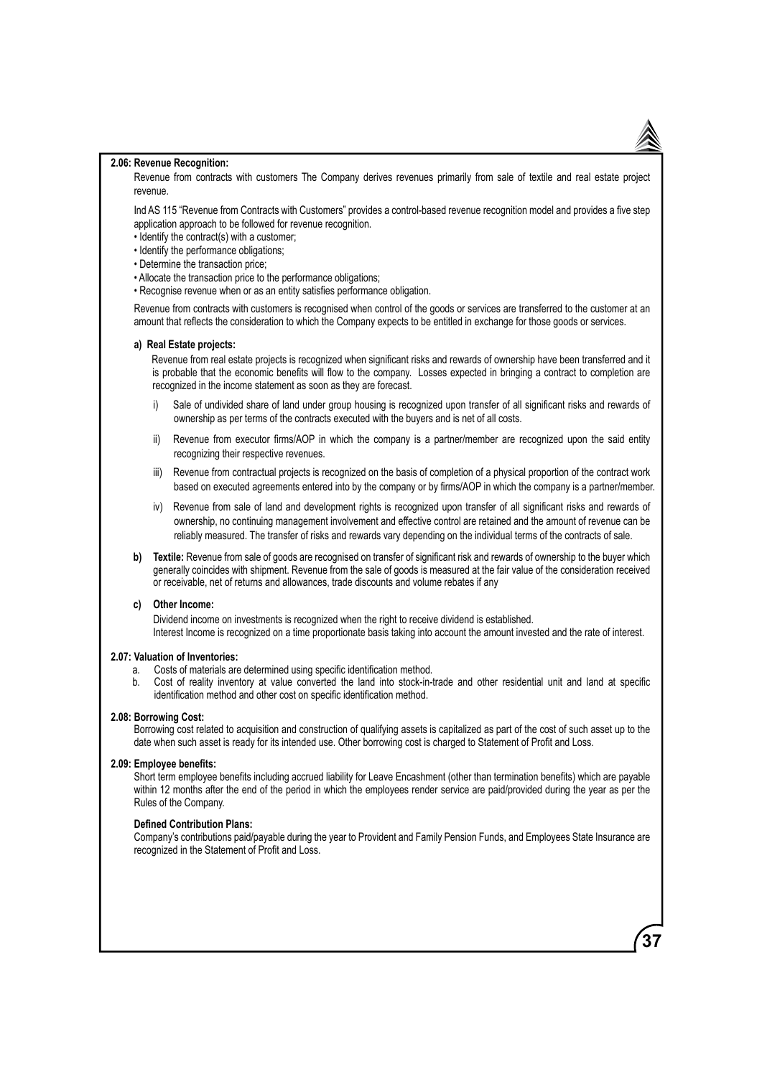### **Note 1 & 2**

### **Significant Accounting Policies**

### **1. Company overview:**

 The Prime Urban Development India Limited ("the Company") is public limited company incorporated and domiciled in India and has registered office at No.83, Site No.4, 3rd Floor, Near Petrol Bunk, Avinashi Road, Gandhinagar Post, Tirupur Tamil Nadu. It is incorporated under the Indian Companies Act, 1913 and its shares are listed on the Bombay Stock Exchange.

The Company is having business of Realty and textile.

### **2. Significant Accounting Policies:**

### **2.01. Basis of Accounting:**

### **(i) Compliance with Ind AS :**

 The financial statements comply in all material aspects with Indian Accounting Standards (hereinafter referred to as the 'Ind AS') as notified under the Companies (Indian Accounting Standards) Rules, 2015 read with Companies (Indian Accounting Standards) Amendment Rules, 216 and other relevant provisions of the Act.

### **(ii) Historical Cost Convention :**

 The financial statements have been prepared on an accrual basis and under the historical cost convention except for the following :

- 1. certain financial assets and liabilities that are measured at fair value;
- 2. assets held for sale measured at lower of cost to sell;
- 3. defined benefit plans plan assets measured at fair value;

#### **(iii) Classification of assets and liabilities :**

 All assets and liabilities have been classified as current or non-current as per the Company's normal operating cycle (twelve months) and other cirteria set out in the Schedule III to the Act.

#### **(iv) Rounding of amounts:**

 All amounts disclosed in the financial statements and notes have been rounded off to the nearest lakhs as per the requirement of Schedule III, unless otherwise stated.

### **2.02: Use of estimates:**

The preparation of financial statements in conformity with generally accepted accounting principles requires management to make estimates and assumptions that affect the reported amounts of assets and liabilities and the disclosures of contingent liabilities as at the date of the financial statement and reported amount of revenues and expenses during the reporting period. Actual results could differ from these estimates. Any revision to the estimates is recognized prospectively.

### **2.03: Property, Plant and Equipment:**

The Company has elected to continue with the carrying value of all its Property, Plant and Equipment under the Indian GAAP as on 31st March, 2016, as the deemed cost for the purpose of transition to Ind AS.

 All other items of property, plant and equipment are measured at cost less accumulated depreciation. All costs relating to the acquisition and installation of fixed assets are capitalized and include borrowing costs directly attributable to construction or acquisition of fixed assets, up to the date the asset is put to use.

 Capital Work-in-Progress: Projects under which assets are not ready for their intended use and other capital work-in-progress are carried at cost, comprising direct cost and attributable interest. Once it becomes available for use, their cost is re-classified to appropriate caption and are subjected to depreciation.

### **2.04: Impairment of Assets :**

 The Company assesses at each Balance Sheet date whether there is any indication that any asset/group of assets may be impaired. If any such indication exists, the carrying value of such assets is reduced to recoverable amount and the impairment loss is charged to Statement of Profit and Loss. If at Balance Sheet date, there is any indication that a previously assessed impairment loss no longer exists, then such loss is reversed and the asset is restated to that effect.

### **2.05: Depreciation:**

 a. Depreciation on fixed assets is provided on straight line method at the rates prescribed in Schedule II to the Companies Act 2013.

**36**

b. Assets sold/discarded/demolished during the year; no depreciation is provided for.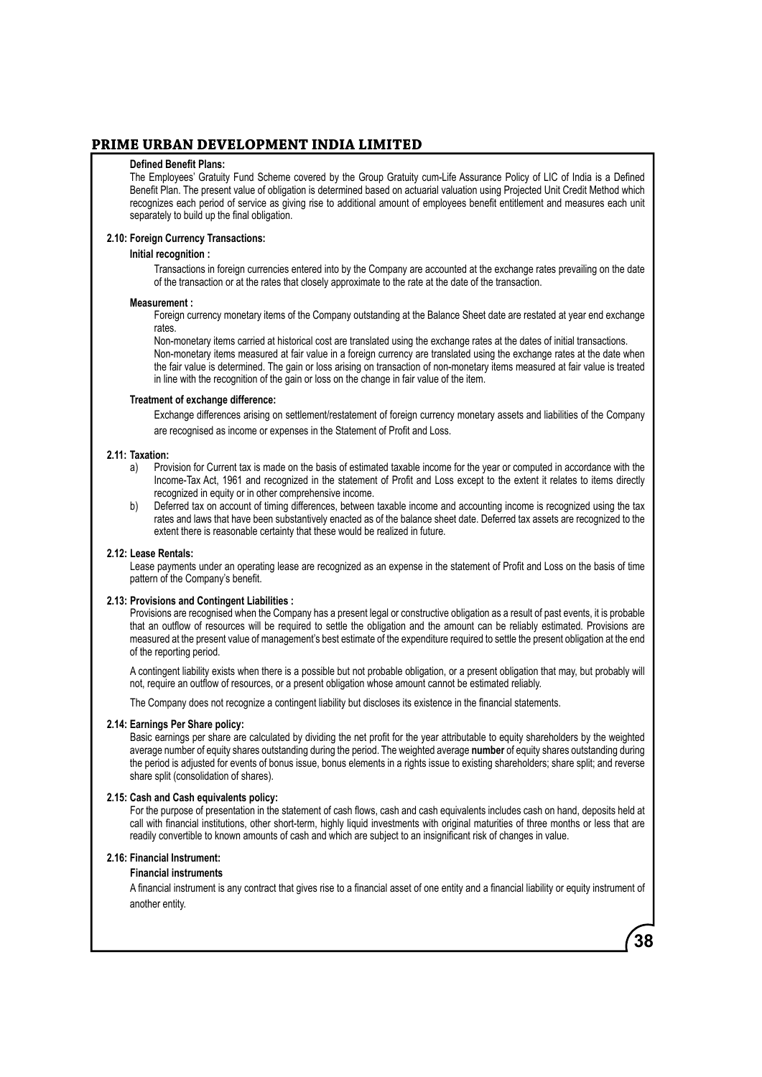### **2.06: Revenue Recognition:**

Revenue from contracts with customers The Company derives revenues primarily from sale of textile and real estate project revenue.

 Ind AS 115 "Revenue from Contracts with Customers" provides a control-based revenue recognition model and provides a five step application approach to be followed for revenue recognition.

- Identify the contract(s) with a customer;
- Identify the performance obligations;
- Determine the transaction price;
- Allocate the transaction price to the performance obligations;

• Recognise revenue when or as an entity satisfies performance obligation.

 Revenue from contracts with customers is recognised when control of the goods or services are transferred to the customer at an amount that reflects the consideration to which the Company expects to be entitled in exchange for those goods or services.

### **a) Real Estate projects:**

 Revenue from real estate projects is recognized when significant risks and rewards of ownership have been transferred and it is probable that the economic benefits will flow to the company. Losses expected in bringing a contract to completion are recognized in the income statement as soon as they are forecast.

- Sale of undivided share of land under group housing is recognized upon transfer of all significant risks and rewards of ownership as per terms of the contracts executed with the buyers and is net of all costs.
- ii) Revenue from executor firms/AOP in which the company is a partner/member are recognized upon the said entity recognizing their respective revenues.
- iii) Revenue from contractual projects is recognized on the basis of completion of a physical proportion of the contract work based on executed agreements entered into by the company or by firms/AOP in which the company is a partner/member.
- iv) Revenue from sale of land and development rights is recognized upon transfer of all significant risks and rewards of ownership, no continuing management involvement and effective control are retained and the amount of revenue can be reliably measured. The transfer of risks and rewards vary depending on the individual terms of the contracts of sale.
- **b) Textile:** Revenue from sale of goods are recognised on transfer of significant risk and rewards of ownership to the buyer which generally coincides with shipment. Revenue from the sale of goods is measured at the fair value of the consideration received or receivable, net of returns and allowances, trade discounts and volume rebates if any

#### **c) Other Income:**

 Dividend income on investments is recognized when the right to receive dividend is established. Interest Income is recognized on a time proportionate basis taking into account the amount invested and the rate of interest.

#### **2.07: Valuation of Inventories:**

- a. Costs of materials are determined using specific identification method.
- b. Cost of reality inventory at value converted the land into stock-in-trade and other residential unit and land at specific identification method and other cost on specific identification method.

#### **2.08: Borrowing Cost:**

 Borrowing cost related to acquisition and construction of qualifying assets is capitalized as part of the cost of such asset up to the date when such asset is ready for its intended use. Other borrowing cost is charged to Statement of Profit and Loss.

#### **2.09: Employee benefits:**

 Short term employee benefits including accrued liability for Leave Encashment (other than termination benefits) which are payable within 12 months after the end of the period in which the employees render service are paid/provided during the year as per the Rules of the Company.

### **Defined Contribution Plans:**

 Company's contributions paid/payable during the year to Provident and Family Pension Funds, and Employees State Insurance are recognized in the Statement of Profit and Loss.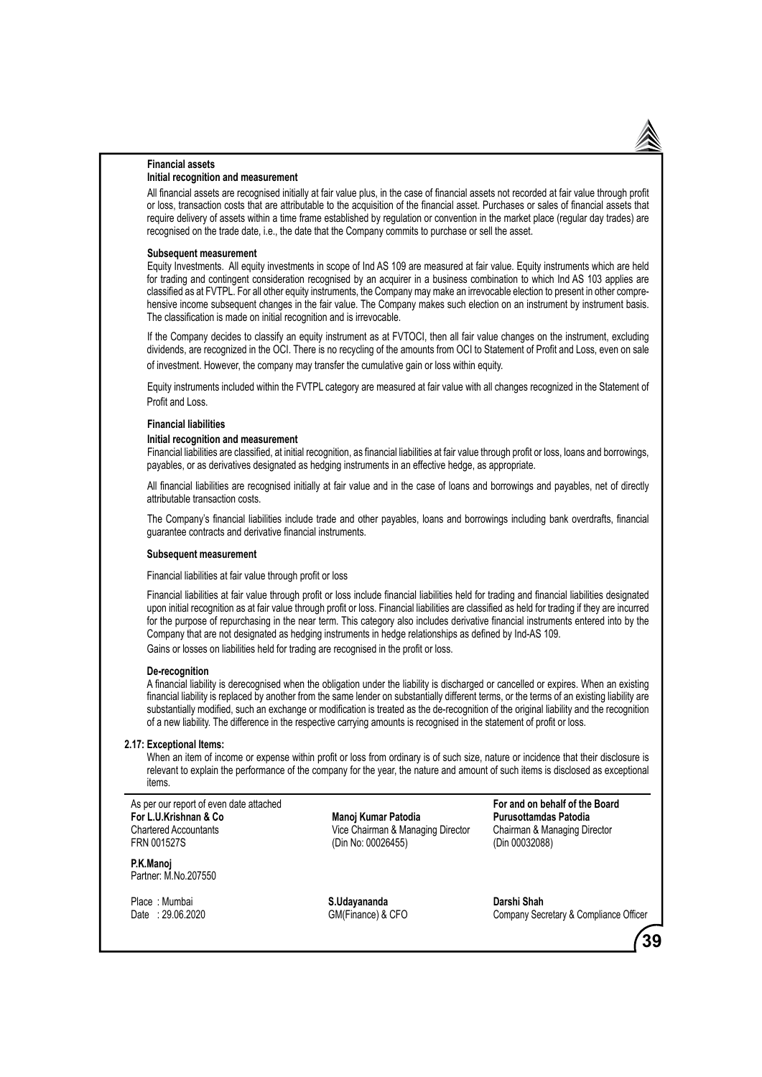#### **Defined Benefit Plans:**

 The Employees' Gratuity Fund Scheme covered by the Group Gratuity cum-Life Assurance Policy of LIC of India is a Defined Benefit Plan. The present value of obligation is determined based on actuarial valuation using Projected Unit Credit Method which recognizes each period of service as giving rise to additional amount of employees benefit entitlement and measures each unit separately to build up the final obligation.

### **2.10: Foreign Currency Transactions:**

### **Initial recognition :**

 Transactions in foreign currencies entered into by the Company are accounted at the exchange rates prevailing on the date of the transaction or at the rates that closely approximate to the rate at the date of the transaction.

#### **Measurement :**

 Foreign currency monetary items of the Company outstanding at the Balance Sheet date are restated at year end exchange rates.

 Non-monetary items carried at historical cost are translated using the exchange rates at the dates of initial transactions. Non-monetary items measured at fair value in a foreign currency are translated using the exchange rates at the date when the fair value is determined. The gain or loss arising on transaction of non-monetary items measured at fair value is treated in line with the recognition of the gain or loss on the change in fair value of the item.

#### **Treatment of exchange difference:**

 Exchange differences arising on settlement/restatement of foreign currency monetary assets and liabilities of the Company are recognised as income or expenses in the Statement of Profit and Loss.

#### **2.11: Taxation:**

- a) Provision for Current tax is made on the basis of estimated taxable income for the year or computed in accordance with the Income-Tax Act, 1961 and recognized in the statement of Profit and Loss except to the extent it relates to items directly recognized in equity or in other comprehensive income.
- b) Deferred tax on account of timing differences, between taxable income and accounting income is recognized using the tax rates and laws that have been substantively enacted as of the balance sheet date. Deferred tax assets are recognized to the extent there is reasonable certainty that these would be realized in future.

#### **2.12: Lease Rentals:**

 Lease payments under an operating lease are recognized as an expense in the statement of Profit and Loss on the basis of time pattern of the Company's benefit.

### **2.13: Provisions and Contingent Liabilities :**

 Provisions are recognised when the Company has a present legal or constructive obligation as a result of past events, it is probable that an outflow of resources will be required to settle the obligation and the amount can be reliably estimated. Provisions are measured at the present value of management's best estimate of the expenditure required to settle the present obligation at the end of the reporting period.

 A contingent liability exists when there is a possible but not probable obligation, or a present obligation that may, but probably will not, require an outflow of resources, or a present obligation whose amount cannot be estimated reliably.

The Company does not recognize a contingent liability but discloses its existence in the financial statements.

### **2.14: Earnings Per Share policy:**

 Basic earnings per share are calculated by dividing the net profit for the year attributable to equity shareholders by the weighted average number of equity shares outstanding during the period. The weighted average **number** of equity shares outstanding during the period is adjusted for events of bonus issue, bonus elements in a rights issue to existing shareholders; share split; and reverse share split (consolidation of shares).

#### **2.15: Cash and Cash equivalents policy:**

 For the purpose of presentation in the statement of cash flows, cash and cash equivalents includes cash on hand, deposits held at call with financial institutions, other short-term, highly liquid investments with original maturities of three months or less that are readily convertible to known amounts of cash and which are subject to an insignificant risk of changes in value.

### **2.16: Financial Instrument:**

### **Financial instruments**

 A financial instrument is any contract that gives rise to a financial asset of one entity and a financial liability or equity instrument of another entity.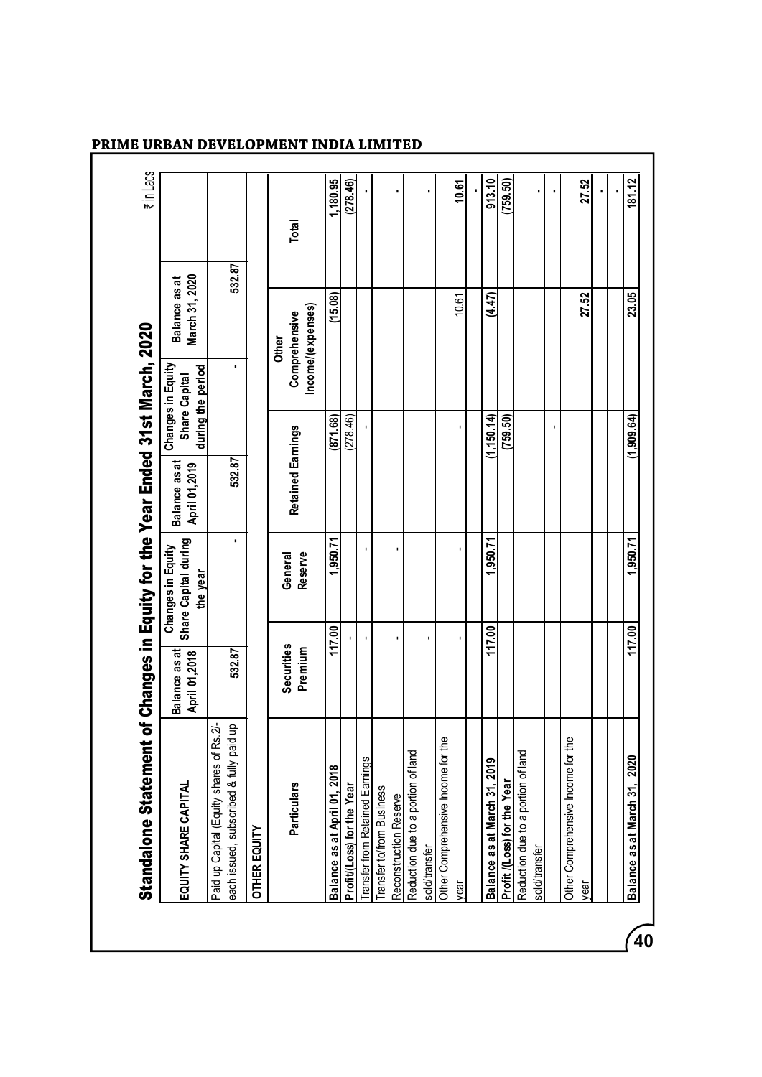#### **Financial assets Initial recognition and measurement**

All financial assets are recognised initially at fair value plus, in the case of financial assets not recorded at fair value through profit or loss, transaction costs that are attributable to the acquisition of the financial asset. Purchases or sales of financial assets that require delivery of assets within a time frame established by regulation or convention in the market place (regular day trades) are recognised on the trade date, i.e., the date that the Company commits to purchase or sell the asset.

#### **Subsequent measurement**

 Equity Investments. All equity investments in scope of Ind AS 109 are measured at fair value. Equity instruments which are held for trading and contingent consideration recognised by an acquirer in a business combination to which Ind AS 103 applies are classified as at FVTPL. For all other equity instruments, the Company may make an irrevocable election to present in other comprehensive income subsequent changes in the fair value. The Company makes such election on an instrument by instrument basis. The classification is made on initial recognition and is irrevocable.

 If the Company decides to classify an equity instrument as at FVTOCI, then all fair value changes on the instrument, excluding dividends, are recognized in the OCI. There is no recycling of the amounts from OCI to Statement of Profit and Loss, even on sale of investment. However, the company may transfer the cumulative gain or loss within equity.

 Equity instruments included within the FVTPL category are measured at fair value with all changes recognized in the Statement of Profit and Loss.

### **Financial liabilities**

### **Initial recognition and measurement**

 Financial liabilities are classified, at initial recognition, as financial liabilities at fair value through profit or loss, loans and borrowings, payables, or as derivatives designated as hedging instruments in an effective hedge, as appropriate.

 All financial liabilities are recognised initially at fair value and in the case of loans and borrowings and payables, net of directly attributable transaction costs.

 The Company's financial liabilities include trade and other payables, loans and borrowings including bank overdrafts, financial guarantee contracts and derivative financial instruments.

### **Subsequent measurement**

Financial liabilities at fair value through profit or loss

 Financial liabilities at fair value through profit or loss include financial liabilities held for trading and financial liabilities designated upon initial recognition as at fair value through profit or loss. Financial liabilities are classified as held for trading if they are incurred for the purpose of repurchasing in the near term. This category also includes derivative financial instruments entered into by the Company that are not designated as hedging instruments in hedge relationships as defined by Ind-AS 109. Gains or losses on liabilities held for trading are recognised in the profit or loss.

#### **De-recognition**

 A financial liability is derecognised when the obligation under the liability is discharged or cancelled or expires. When an existing financial liability is replaced by another from the same lender on substantially different terms, or the terms of an existing liability are substantially modified, such an exchange or modification is treated as the de-recognition of the original liability and the recognition of a new liability. The difference in the respective carrying amounts is recognised in the statement of profit or loss.

#### **2.17: Exceptional Items:**

 When an item of income or expense within profit or loss from ordinary is of such size, nature or incidence that their disclosure is relevant to explain the performance of the company for the year, the nature and amount of such items is disclosed as exceptional items.

As per our report of even date attached **Forman and a server of the Board Forman and on behalf of the Board For LU.<br>
<b>For L.U.Krishnan & Co Forman and a Server of the Board Manoi Kumar Patodia Forman and Purusottamdas** 

**P.K.Manoj**  Partner: M.No.207550

**Manoj Kumar Patodia** Chartered Accountants Vice Chairman & Managing Director Chairman & Managing Director FRN 001527S (Din No: 00026455) (Din 00032088)

Place : Mumbai **Carry Communist S.Ddayananda CALC Darshi Shah Darshi Shah Darshi Shah Company Sec** Company Sec

Company Secretary & Compliance Officer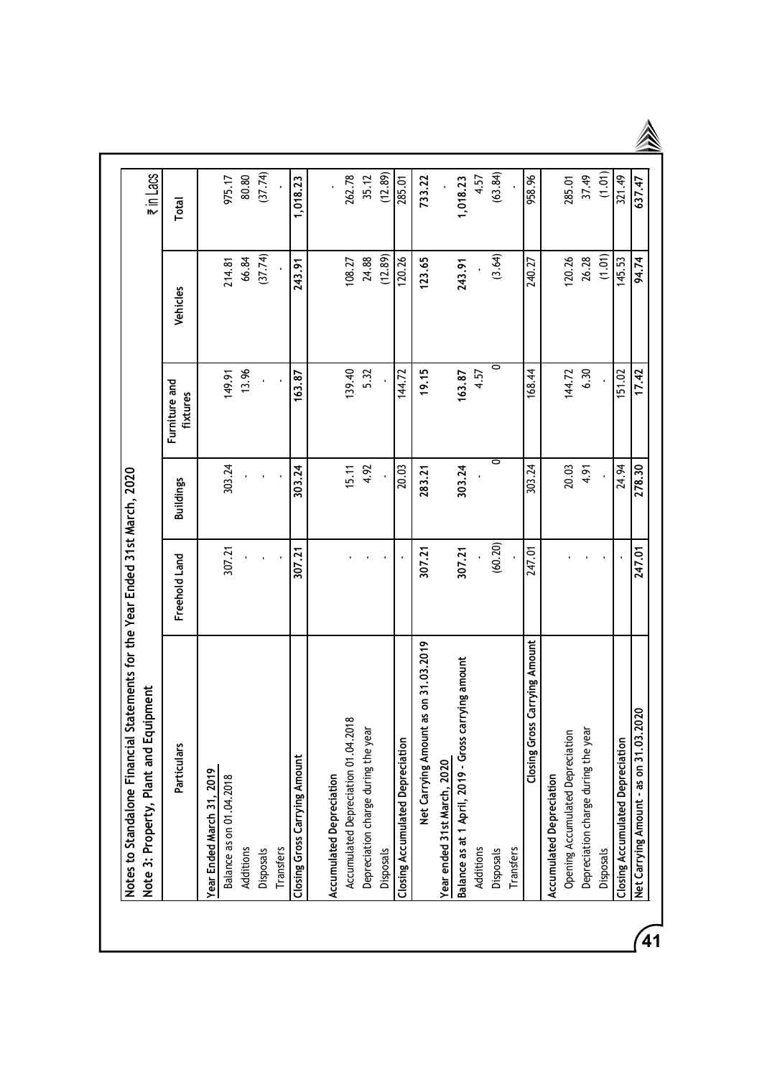| of Changes in Equity for the Year Ended 31st March, 2020<br>Standalone Statement                                 |                                |                                                       |                                |                                                         |                                             |              |
|------------------------------------------------------------------------------------------------------------------|--------------------------------|-------------------------------------------------------|--------------------------------|---------------------------------------------------------|---------------------------------------------|--------------|
| EQUITY SHARE CAPITAL                                                                                             | Balance as at<br>April 01,2018 | Share Capital during<br>Changes in Equity<br>the year | Balance as at<br>April 01,2019 | Changes in Equity<br>during the period<br>Share Capital | March 31, 2020<br>Balance as at             |              |
| $\frac{1}{2}$<br>$\overline{a}$<br>Paid up Capital (Equity shares of Rs.<br>each issued, subscribed & fully paid | 532.87                         |                                                       | 532.87                         | $\blacksquare$                                          | 532.87                                      |              |
| OTHER EQUITY                                                                                                     |                                |                                                       |                                |                                                         |                                             |              |
| Particulars                                                                                                      | <b>Securities</b><br>Premium   | <b>Reserve</b><br>General                             | Retained Earnings              |                                                         | Income/(expenses)<br>Comprehensive<br>Other | <b>Total</b> |
| Balance as at April 01, 2018                                                                                     |                                | 1,950.71<br>117.00                                    |                                | (871.68)                                                | (15.08)                                     | 1,180.95     |
| Profit/(Loss) for the Year                                                                                       |                                |                                                       |                                | (278.46)                                                |                                             | (278.46)     |
| Transfer from Retained Earnings                                                                                  |                                |                                                       |                                |                                                         |                                             |              |
| Transfer to/from Business                                                                                        |                                |                                                       |                                |                                                         |                                             |              |
| Reconstruction Reserve                                                                                           |                                | ٠                                                     |                                |                                                         |                                             |              |
| Reduction due to a portion of land<br>sold/transfer                                                              |                                |                                                       |                                |                                                         |                                             |              |
| Other Comprehensive Income for the                                                                               |                                |                                                       |                                |                                                         |                                             |              |
| year                                                                                                             |                                |                                                       |                                |                                                         | 10.61                                       | 10.61        |
| Balance as at March 31, 2019                                                                                     |                                | 1,950.71<br>117.00                                    |                                | (1, 150.14)                                             | (4.47)                                      | 913.10       |
| Profit /(Loss) for the Year                                                                                      |                                |                                                       |                                | (759.50)                                                |                                             | (759.50)     |
| Reduction due to a portion of land<br>sold/transfer                                                              |                                |                                                       |                                |                                                         |                                             |              |
|                                                                                                                  |                                |                                                       |                                | f,                                                      |                                             |              |
| Other Comprehensive Income for the<br>year                                                                       |                                |                                                       |                                |                                                         | 27.52                                       | 27.52        |
|                                                                                                                  |                                |                                                       |                                |                                                         |                                             |              |
| Balance as at March 31, 2020                                                                                     |                                | 1,950.71<br>117.00                                    |                                | (1,909.64)                                              | 23.05                                       | 181.12       |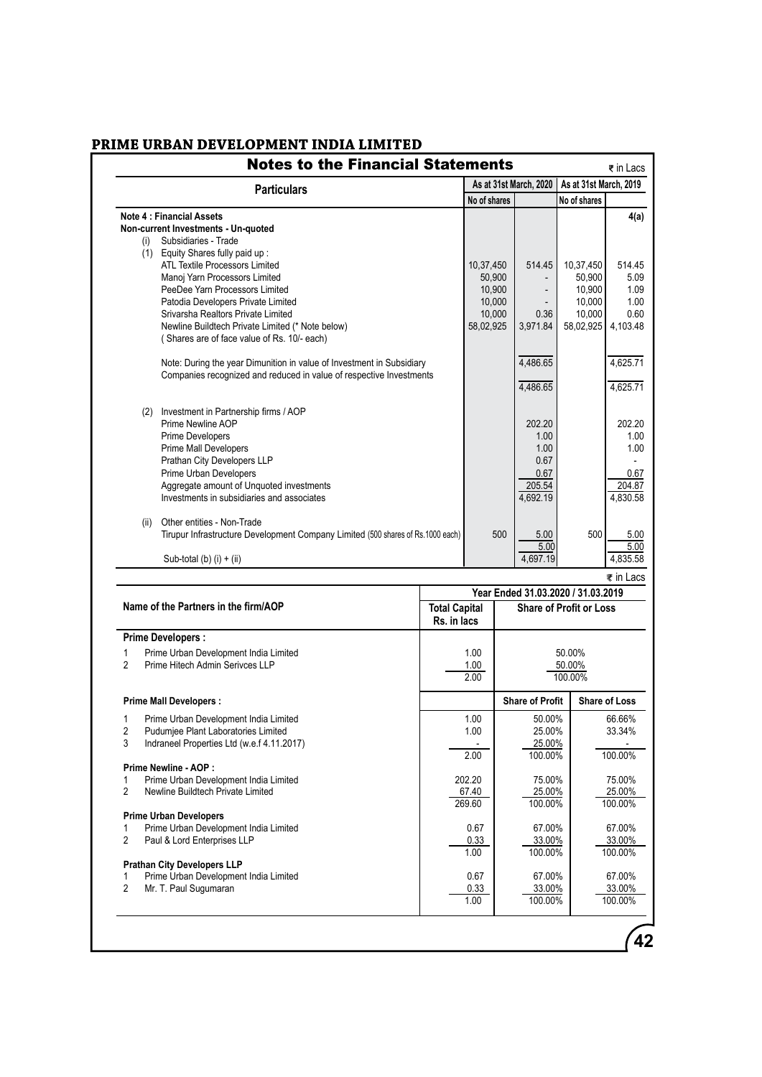| Note 3: Property, Plant and Equipment               |                | Notes to Standalone Financial Statements for the Year Ended 31st March, 2020 |                           |          | $\frac{1}{3}$ in Lacs |
|-----------------------------------------------------|----------------|------------------------------------------------------------------------------|---------------------------|----------|-----------------------|
| <b>Particulars</b>                                  | Freehold Land  | <b>Buildings</b>                                                             | Furniture and<br>fixtures | Vehicles | <b>Total</b>          |
| Year Ended March 31, 2019                           |                |                                                                              |                           |          |                       |
| Balance as on 01.04.2018                            | 307.21         | 303.24                                                                       | 149.91                    | 214.81   | 975.17                |
| Additions                                           |                |                                                                              | 13.96                     | 66.84    | 80.80                 |
| <b>Disposals</b>                                    |                |                                                                              |                           | (37.74)  | (37.74)               |
| Transfers                                           | $\blacksquare$ |                                                                              | Ŷ.                        |          |                       |
| <b>Closing Gross Carrying Amount</b>                | 307.21         | 303.24                                                                       | 163.87                    | 243.91   | 1,018.23              |
| Accumulated Depreciation                            |                |                                                                              |                           |          |                       |
| Accumulated Depreciation 01.04.2018                 |                | 15.11                                                                        | 139.40                    | 108.27   | 262.78                |
| Depreciation charge during the year                 |                | 4.92                                                                         | 5.32                      | 24.88    | 35.12                 |
| <b>Disposals</b>                                    |                |                                                                              |                           | (12.89)  | (12.89)               |
| Closing Accumulated Depreciation                    |                | 20.03                                                                        | 144.72                    | 120.26   | 285.01                |
| Net Carrying Amount as on 31.03.2019                | 307.21         | 283.21                                                                       | 19.15                     | 123.65   | 733.22                |
| Year ended 31st March, 2020                         |                |                                                                              |                           |          |                       |
| Balance as at 1 April, 2019 - Gross carrying amount | 307.21         | 303.24                                                                       | 163.87                    | 243.91   | 1,018.23              |
| Additions                                           |                |                                                                              | 4.57                      |          | 4.57                  |
| Transfers<br><b>Disposals</b>                       | (60.20)        | $\circ$                                                                      | $\circ$                   | (3.64)   | (63.84)               |
| ng Amount<br>Closing Gross Carryi                   | 247.01         | 303.24                                                                       | 168.44                    | 240.27   | 958.96                |
| <b>Accumulated Depreciation</b>                     |                |                                                                              |                           |          |                       |
| Opening Accumulated Depreciation                    |                | 20.03                                                                        | 144.72                    | 120.26   | 285.01                |
| Depreciation charge during the year                 |                | 4.91                                                                         | 6.30                      | 26.28    | 37.49                 |
| <b>Disposals</b>                                    | $\blacksquare$ |                                                                              |                           | (1.01)   | (1.01)                |
| Closing Accumulated Depreciation                    |                | 24.94                                                                        | 151.02                    | 145.53   | 321.49                |
| Net Carrying Amount - as on 31.03.2020              | 247.01         | 278.30                                                                       | 17.42                     | 94.74    | 637.47                |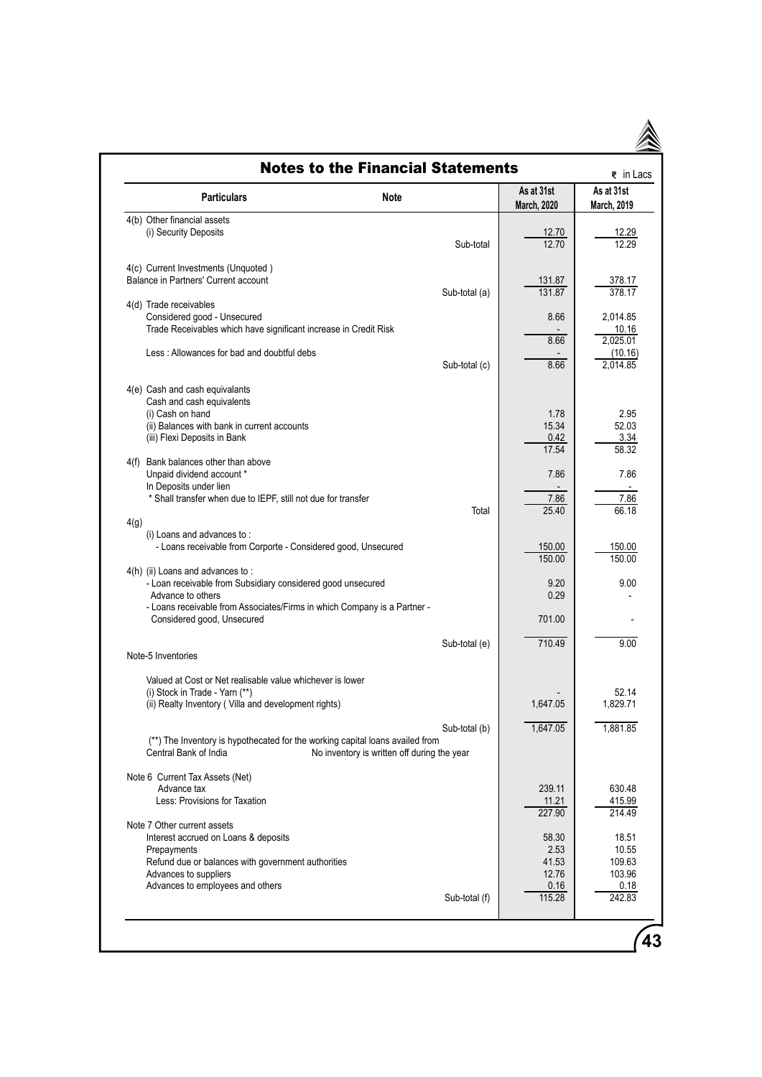|                     |                                                                                                                                                                                                                                                                                                                                                                                                                         |                                     |                                                                |     | As at 31st March, 2020                                       | As at 31st March, 2019                                         |                                                            |
|---------------------|-------------------------------------------------------------------------------------------------------------------------------------------------------------------------------------------------------------------------------------------------------------------------------------------------------------------------------------------------------------------------------------------------------------------------|-------------------------------------|----------------------------------------------------------------|-----|--------------------------------------------------------------|----------------------------------------------------------------|------------------------------------------------------------|
|                     | <b>Particulars</b>                                                                                                                                                                                                                                                                                                                                                                                                      |                                     | No of shares                                                   |     |                                                              | No of shares                                                   |                                                            |
|                     |                                                                                                                                                                                                                                                                                                                                                                                                                         |                                     |                                                                |     |                                                              |                                                                |                                                            |
| (i)                 | <b>Note 4: Financial Assets</b><br>Non-current Investments - Un-quoted<br>Subsidiaries - Trade<br>(1) Equity Shares fully paid up :<br>ATL Textile Processors Limited<br>Manoj Yarn Processors Limited<br>PeeDee Yarn Processors Limited<br>Patodia Developers Private Limited<br>Srivarsha Realtors Private Limited<br>Newline Buildtech Private Limited (* Note below)<br>(Shares are of face value of Rs. 10/- each) |                                     | 10,37,450<br>50,900<br>10,900<br>10,000<br>10,000<br>58,02,925 |     | 514.45<br>0.36<br>3,971.84                                   | 10,37,450<br>50,900<br>10,900<br>10,000<br>10,000<br>58,02,925 | 4(a)<br>514.45<br>5.09<br>1.09<br>1.00<br>0.60<br>4,103.48 |
|                     | Note: During the year Dimunition in value of Investment in Subsidiary<br>Companies recognized and reduced in value of respective Investments                                                                                                                                                                                                                                                                            |                                     |                                                                |     | 4,486.65<br>4,486.65                                         |                                                                | 4,625.71<br>4,625.71                                       |
|                     | (2) Investment in Partnership firms / AOP<br>Prime Newline AOP<br><b>Prime Developers</b><br>Prime Mall Developers<br>Prathan City Developers LLP<br>Prime Urban Developers<br>Aggregate amount of Unquoted investments<br>Investments in subsidiaries and associates                                                                                                                                                   |                                     |                                                                |     | 202.20<br>1.00<br>1.00<br>0.67<br>0.67<br>205.54<br>4,692.19 |                                                                | 202.20<br>1.00<br>1.00<br>0.67<br>204.87<br>4,830.58       |
| (ii)                | Other entities - Non-Trade<br>Tirupur Infrastructure Development Company Limited (500 shares of Rs.1000 each)<br>Sub-total (b) $(i) + (ii)$                                                                                                                                                                                                                                                                             |                                     |                                                                | 500 | 5.00<br>5.00<br>4,697.19                                     | 500                                                            | 5.00<br>5.00<br>4,835.58                                   |
|                     |                                                                                                                                                                                                                                                                                                                                                                                                                         |                                     |                                                                |     |                                                              |                                                                | ₹ in Lacs                                                  |
|                     |                                                                                                                                                                                                                                                                                                                                                                                                                         |                                     |                                                                |     |                                                              | Year Ended 31.03.2020 / 31.03.2019                             |                                                            |
|                     | Name of the Partners in the firm/AOP                                                                                                                                                                                                                                                                                                                                                                                    | <b>Total Capital</b><br>Rs. in lacs |                                                                |     |                                                              | <b>Share of Profit or Loss</b>                                 |                                                            |
| 1<br>$\overline{2}$ | Prime Developers :<br>Prime Urban Development India Limited<br>Prime Hitech Admin Serivces LLP                                                                                                                                                                                                                                                                                                                          |                                     | 1.00<br>1.00<br>2.00                                           |     |                                                              | 50.00%<br>50.00%<br>100.00%                                    |                                                            |
|                     | <b>Prime Mall Developers:</b>                                                                                                                                                                                                                                                                                                                                                                                           |                                     |                                                                |     | <b>Share of Profit</b>                                       |                                                                | Share of Loss                                              |
| 1<br>2<br>3         | Prime Urban Development India Limited<br>Pudumjee Plant Laboratories Limited<br>Indraneel Properties Ltd (w.e.f 4.11.2017)                                                                                                                                                                                                                                                                                              |                                     | 1.00<br>1.00<br>2.00                                           |     | 50.00%<br>25.00%<br>25.00%<br>100.00%                        |                                                                | 66.66%<br>33.34%<br>100.00%                                |
|                     | Prime Newline - AOP :<br>Prime Urban Development India Limited                                                                                                                                                                                                                                                                                                                                                          |                                     | 202.20<br>67.40<br>269.60                                      |     | 75.00%<br>25.00%<br>100.00%                                  |                                                                | 75.00%<br>25.00%<br>100.00%                                |
| 1<br>$\overline{c}$ | Newline Buildtech Private Limited                                                                                                                                                                                                                                                                                                                                                                                       |                                     |                                                                |     |                                                              |                                                                |                                                            |
| $\mathbf{1}$<br>2   | <b>Prime Urban Developers</b><br>Prime Urban Development India Limited<br>Paul & Lord Enterprises LLP                                                                                                                                                                                                                                                                                                                   |                                     | 0.67<br>0.33<br>1.00                                           |     | 67.00%<br>33.00%<br>100.00%                                  |                                                                | 67.00%<br>33.00%<br>100.00%                                |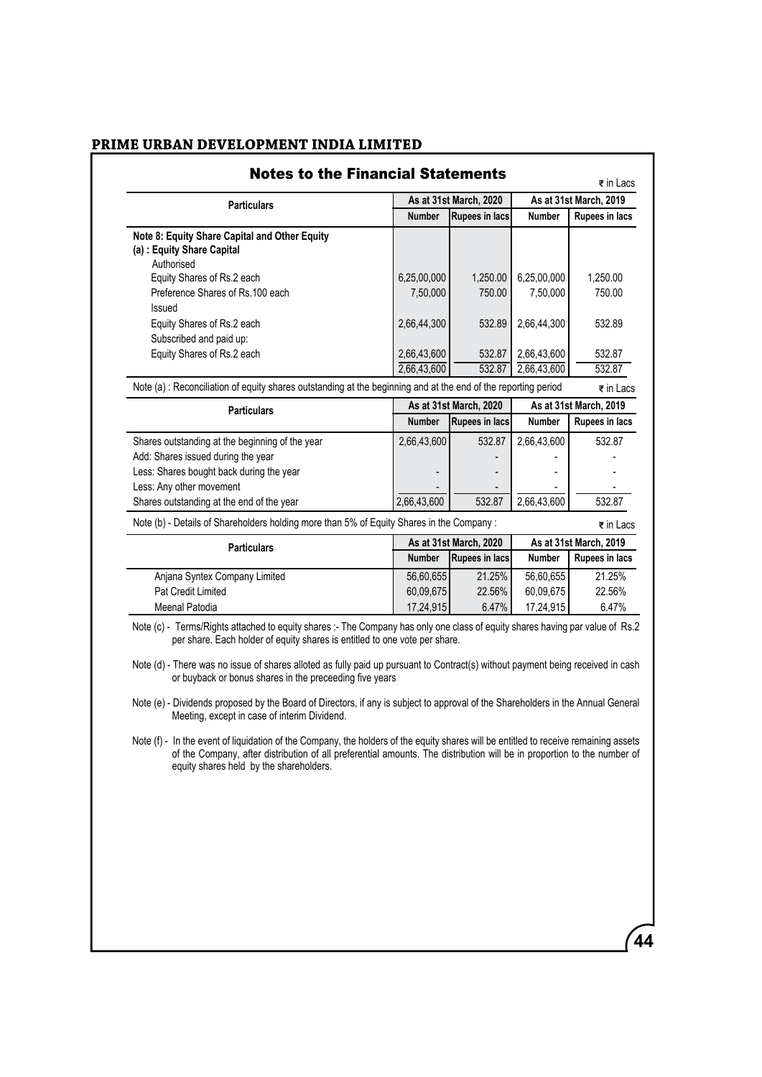|                                                                                                 | <b>Notes to the Financial Statements</b>                                                                                     |               |                                  | ₹ in Lacs                 |
|-------------------------------------------------------------------------------------------------|------------------------------------------------------------------------------------------------------------------------------|---------------|----------------------------------|---------------------------|
| <b>Particulars</b>                                                                              | <b>Note</b>                                                                                                                  |               | As at 31st<br><b>March, 2020</b> | As at 31st<br>March, 2019 |
| 4(b) Other financial assets                                                                     |                                                                                                                              |               |                                  |                           |
| (i) Security Deposits                                                                           |                                                                                                                              | Sub-total     | <u>12.70</u><br>1270             | 12.29<br>12 29            |
| 4(c) Current Investments (Unquoted)                                                             |                                                                                                                              |               |                                  |                           |
| Balance in Partners' Current account                                                            |                                                                                                                              |               | 131.87                           | 378.17                    |
|                                                                                                 |                                                                                                                              | Sub-total (a) | 131.87                           | 378.17                    |
| 4(d) Trade receivables<br>Considered good - Unsecured                                           |                                                                                                                              |               | 8.66                             | 2,014.85                  |
|                                                                                                 | Trade Receivables which have significant increase in Credit Risk                                                             |               |                                  | 10.16                     |
| Less: Allowances for bad and doubtful debs                                                      |                                                                                                                              |               | 8.66                             | 2.025.01                  |
|                                                                                                 |                                                                                                                              | Sub-total (c) | 8.66                             | (10.16)<br>2.014.85       |
|                                                                                                 |                                                                                                                              |               |                                  |                           |
| 4(e) Cash and cash equivalants<br>Cash and cash equivalents                                     |                                                                                                                              |               |                                  |                           |
| (i) Cash on hand                                                                                |                                                                                                                              |               | 1.78                             | 2.95                      |
| (ii) Balances with bank in current accounts                                                     |                                                                                                                              |               | 15.34                            | 52.03                     |
| (iii) Flexi Deposits in Bank                                                                    |                                                                                                                              |               | 0.42<br>17.54                    | 3.34<br>58.32             |
| 4(f) Bank balances other than above                                                             |                                                                                                                              |               |                                  |                           |
| Unpaid dividend account *                                                                       |                                                                                                                              |               | 7.86                             | 7.86                      |
| In Deposits under lien<br>* Shall transfer when due to IEPF, still not due for transfer         |                                                                                                                              |               | 7.86                             | 7.86                      |
|                                                                                                 |                                                                                                                              | Total         | 25.40                            | 66.18                     |
| 4(g)<br>(i) Loans and advances to:                                                              |                                                                                                                              |               |                                  |                           |
|                                                                                                 | - Loans receivable from Corporte - Considered good, Unsecured                                                                |               | 150.00                           | 150.00                    |
|                                                                                                 |                                                                                                                              |               | 150.00                           | 150.00                    |
| 4(h) (ii) Loans and advances to:<br>- Loan receivable from Subsidiary considered good unsecured |                                                                                                                              |               | 9.20                             | 9.00                      |
| Advance to others                                                                               |                                                                                                                              |               | 0.29                             |                           |
| Considered good, Unsecured                                                                      | - Loans receivable from Associates/Firms in which Company is a Partner -                                                     |               | 701.00                           |                           |
|                                                                                                 |                                                                                                                              |               |                                  |                           |
|                                                                                                 |                                                                                                                              | Sub-total (e) | 710.49                           | 9.00                      |
| Note-5 Inventories                                                                              |                                                                                                                              |               |                                  |                           |
| Valued at Cost or Net realisable value whichever is lower                                       |                                                                                                                              |               |                                  |                           |
| (i) Stock in Trade - Yarn (**)                                                                  |                                                                                                                              |               |                                  | 52.14                     |
| (ii) Realty Inventory (Villa and development rights)                                            |                                                                                                                              |               | 1,647.05                         | 1,829.71                  |
|                                                                                                 |                                                                                                                              | Sub-total (b) | 1,647.05                         | 1,881.85                  |
| Central Bank of India                                                                           | (**) The Inventory is hypothecated for the working capital loans availed from<br>No inventory is written off during the year |               |                                  |                           |
|                                                                                                 |                                                                                                                              |               |                                  |                           |
| Note 6 Current Tax Assets (Net)                                                                 |                                                                                                                              |               |                                  |                           |
| Advance tax<br>Less: Provisions for Taxation                                                    |                                                                                                                              |               | 239.11<br>11.21                  | 630.48<br>415.99          |
|                                                                                                 |                                                                                                                              |               | 227.90                           | 214.49                    |
| Note 7 Other current assets<br>Interest accrued on Loans & deposits                             |                                                                                                                              |               | 58.30                            | 18.51                     |
| Prepayments                                                                                     |                                                                                                                              |               | 2.53                             | 10.55                     |
| Refund due or balances with government authorities                                              |                                                                                                                              |               | 41.53                            | 109.63                    |
| Advances to suppliers<br>Advances to employees and others                                       |                                                                                                                              |               | 12.76<br>0.16                    | 103.96<br>0.18            |
|                                                                                                 |                                                                                                                              | Sub-total (f) | 115.28                           | 242.83                    |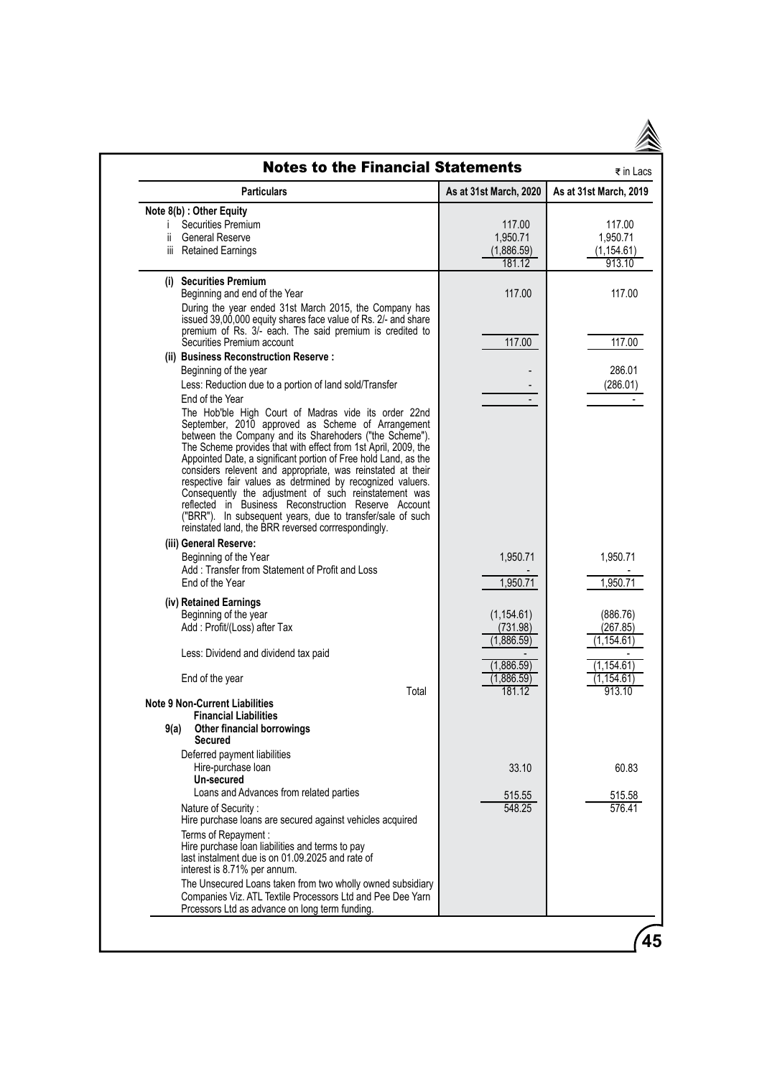| <b>Particulars</b>                                                                                                            |                                                                            | As at 31st March, 2020 |               | As at 31st March, 2019                                                                                                          |
|-------------------------------------------------------------------------------------------------------------------------------|----------------------------------------------------------------------------|------------------------|---------------|---------------------------------------------------------------------------------------------------------------------------------|
|                                                                                                                               | <b>Number</b>                                                              | <b>Rupees in lacs</b>  | <b>Number</b> | <b>Rupees in lacs</b>                                                                                                           |
| Note 8: Equity Share Capital and Other Equity                                                                                 |                                                                            |                        |               |                                                                                                                                 |
| (a) : Equity Share Capital                                                                                                    |                                                                            |                        |               |                                                                                                                                 |
| Authorised                                                                                                                    |                                                                            |                        |               |                                                                                                                                 |
| Equity Shares of Rs.2 each                                                                                                    | 6,25,00,000                                                                | 1,250.00               | 6,25,00,000   | 1.250.00                                                                                                                        |
| Preference Shares of Rs.100 each                                                                                              | 7,50,000                                                                   | 750.00                 | 7,50,000      | 750.00                                                                                                                          |
| Issued                                                                                                                        |                                                                            |                        |               |                                                                                                                                 |
| Equity Shares of Rs.2 each                                                                                                    | 2,66,44,300                                                                | 532.89                 | 2,66,44,300   | 532.89                                                                                                                          |
| Subscribed and paid up:                                                                                                       |                                                                            |                        |               |                                                                                                                                 |
| Equity Shares of Rs.2 each                                                                                                    | 2,66,43,600                                                                | 532.87                 | 2,66,43,600   | 532.87                                                                                                                          |
|                                                                                                                               | 2,66,43,600                                                                | 532.87                 | 2,66,43,600   | 532.87                                                                                                                          |
| Note (a): Reconciliation of equity shares outstanding at the beginning and at the end of the reporting period                 |                                                                            |                        |               | $\overline{\epsilon}$ in Lacs                                                                                                   |
| <b>Particulars</b>                                                                                                            |                                                                            | As at 31st March, 2020 |               | As at 31st March, 2019                                                                                                          |
|                                                                                                                               | <b>Number</b>                                                              | Rupees in lacs         | <b>Number</b> | Rupees in lacs                                                                                                                  |
| Shares outstanding at the beginning of the year                                                                               | 2,66,43,600                                                                | 532.87                 | 2,66,43,600   | 532.87                                                                                                                          |
| Add: Shares issued during the year                                                                                            |                                                                            |                        |               |                                                                                                                                 |
| Less: Shares bought back during the year                                                                                      |                                                                            |                        |               |                                                                                                                                 |
| Less: Any other movement                                                                                                      |                                                                            |                        |               |                                                                                                                                 |
| Shares outstanding at the end of the year                                                                                     | 2,66,43,600                                                                | 532.87                 | 2,66,43,600   | 532.87                                                                                                                          |
| Note (b) - Details of Shareholders holding more than 5% of Equity Shares in the Company :                                     |                                                                            |                        |               | $\overline{\epsilon}$ in Lacs                                                                                                   |
| <b>Particulars</b>                                                                                                            |                                                                            | As at 31st March, 2020 |               | As at 31st March, 2019                                                                                                          |
|                                                                                                                               | <b>Number</b>                                                              | Rupees in lacs         | <b>Number</b> | Rupees in lacs                                                                                                                  |
| Anjana Syntex Company Limited                                                                                                 | 56,60,655                                                                  | 21.25%                 | 56,60,655     | 21.25%                                                                                                                          |
| Pat Credit Limited                                                                                                            | 60,09,675                                                                  | 22.56%                 | 60,09,675     | 22.56%                                                                                                                          |
| Meenal Patodia                                                                                                                | 17,24,915                                                                  | 6.47%                  | 17,24,915     | 6.47%                                                                                                                           |
| Note (c) - Terms/Rights attached to equity shares :- The Company has only one class of equity shares having par value of Rs.2 | per share. Each holder of equity shares is entitled to one vote per share. |                        |               | Note (d) - There was no issue of shares alloted as fully paid up pursuant to Contract(s) without payment being received in cash |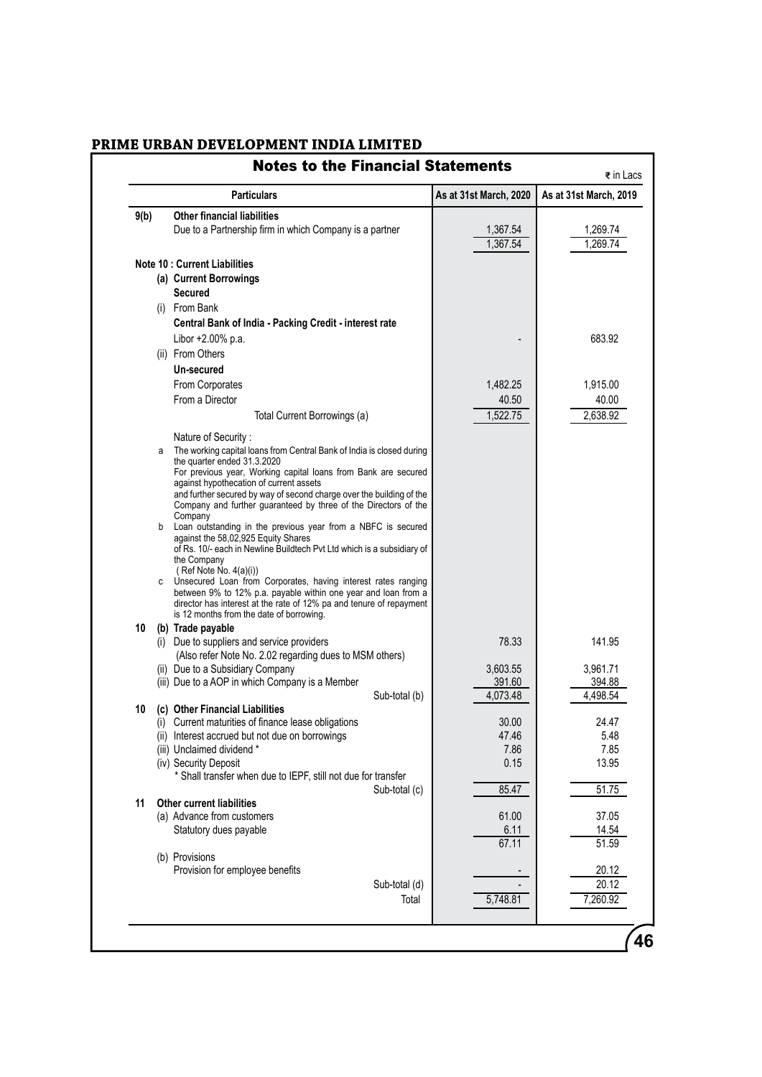|      | <b>Notes to the Financial Statements</b>                                                                                  |                          | ₹ in Lacs                |
|------|---------------------------------------------------------------------------------------------------------------------------|--------------------------|--------------------------|
|      | <b>Particulars</b>                                                                                                        | As at 31st March, 2020   | As at 31st March, 2019   |
|      | Note 8(b) : Other Equity                                                                                                  |                          |                          |
|      | <b>Securities Premium</b>                                                                                                 | 117.00                   | 117.00                   |
| ii.  | <b>General Reserve</b>                                                                                                    | 1,950.71                 | 1,950.71                 |
|      | iii Retained Earnings                                                                                                     | (1,886.59)               | (1, 154.61)              |
|      |                                                                                                                           | 181.12                   | 913.10                   |
|      | (i) Securities Premium<br>Beginning and end of the Year                                                                   | 117.00                   | 117.00                   |
|      | During the year ended 31st March 2015, the Company has                                                                    |                          |                          |
|      | issued 39,00,000 equity shares face value of Rs. 2/- and share                                                            |                          |                          |
|      | premium of Rs. 3/- each. The said premium is credited to                                                                  |                          |                          |
|      | Securities Premium account                                                                                                | 117.00                   | 117.00                   |
|      | (ii) Business Reconstruction Reserve :                                                                                    |                          |                          |
|      | Beginning of the year                                                                                                     |                          | 286.01                   |
|      | Less: Reduction due to a portion of land sold/Transfer                                                                    |                          | (286.01)                 |
|      | End of the Year                                                                                                           |                          |                          |
|      | The Hob'ble High Court of Madras vide its order 22nd                                                                      |                          |                          |
|      | September, 2010 approved as Scheme of Arrangement                                                                         |                          |                          |
|      | between the Company and its Sharehoders ("the Scheme").<br>The Scheme provides that with effect from 1st April, 2009, the |                          |                          |
|      | Appointed Date, a significant portion of Free hold Land, as the                                                           |                          |                          |
|      | considers relevent and appropriate, was reinstated at their                                                               |                          |                          |
|      | respective fair values as detrmined by recognized valuers.                                                                |                          |                          |
|      | Consequently the adjustment of such reinstatement was                                                                     |                          |                          |
|      | reflected in Business Reconstruction Reserve Account<br>("BRR"). In subsequent years, due to transfer/sale of such        |                          |                          |
|      | reinstated land, the BRR reversed corrrespondingly.                                                                       |                          |                          |
|      | (iii) General Reserve:                                                                                                    |                          |                          |
|      | Beginning of the Year                                                                                                     | 1,950.71                 | 1,950.71                 |
|      | Add: Transfer from Statement of Profit and Loss                                                                           |                          |                          |
|      | End of the Year                                                                                                           | 1,950.71                 | 1,950.71                 |
|      | (iv) Retained Earnings                                                                                                    |                          |                          |
|      | Beginning of the year                                                                                                     | (1, 154.61)              | (886.76)                 |
|      | Add: Profit/(Loss) after Tax                                                                                              | (731.98)                 | (267.85)                 |
|      |                                                                                                                           | (1,886.59)               | (1, 154.61)              |
|      | Less: Dividend and dividend tax paid                                                                                      |                          |                          |
|      | End of the year                                                                                                           | (1,886.59)<br>(1,886.59) | (1,154.61<br>(1, 154.61) |
|      | Total                                                                                                                     | 181.12                   | 913.10                   |
|      | <b>Note 9 Non-Current Liabilities</b>                                                                                     |                          |                          |
|      | <b>Financial Liabilities</b>                                                                                              |                          |                          |
| 9(a) | Other financial borrowings                                                                                                |                          |                          |
|      | Secured<br>Deferred payment liabilities                                                                                   |                          |                          |
|      | Hire-purchase loan                                                                                                        | 33.10                    | 60.83                    |
|      | Un-secured                                                                                                                |                          |                          |
|      | Loans and Advances from related parties                                                                                   | 515.55                   | 515.58                   |
|      | Nature of Security:                                                                                                       | 548.25                   | 576.41                   |
|      | Hire purchase loans are secured against vehicles acquired                                                                 |                          |                          |
|      | Terms of Repayment :                                                                                                      |                          |                          |
|      | Hire purchase loan liabilities and terms to pay                                                                           |                          |                          |
|      | last instalment due is on 01.09.2025 and rate of                                                                          |                          |                          |
|      | interest is 8.71% per annum.                                                                                              |                          |                          |
|      | The Unsecured Loans taken from two wholly owned subsidiary                                                                |                          |                          |
|      | Companies Viz. ATL Textile Processors Ltd and Pee Dee Yarn<br>Prcessors Ltd as advance on long term funding.              |                          |                          |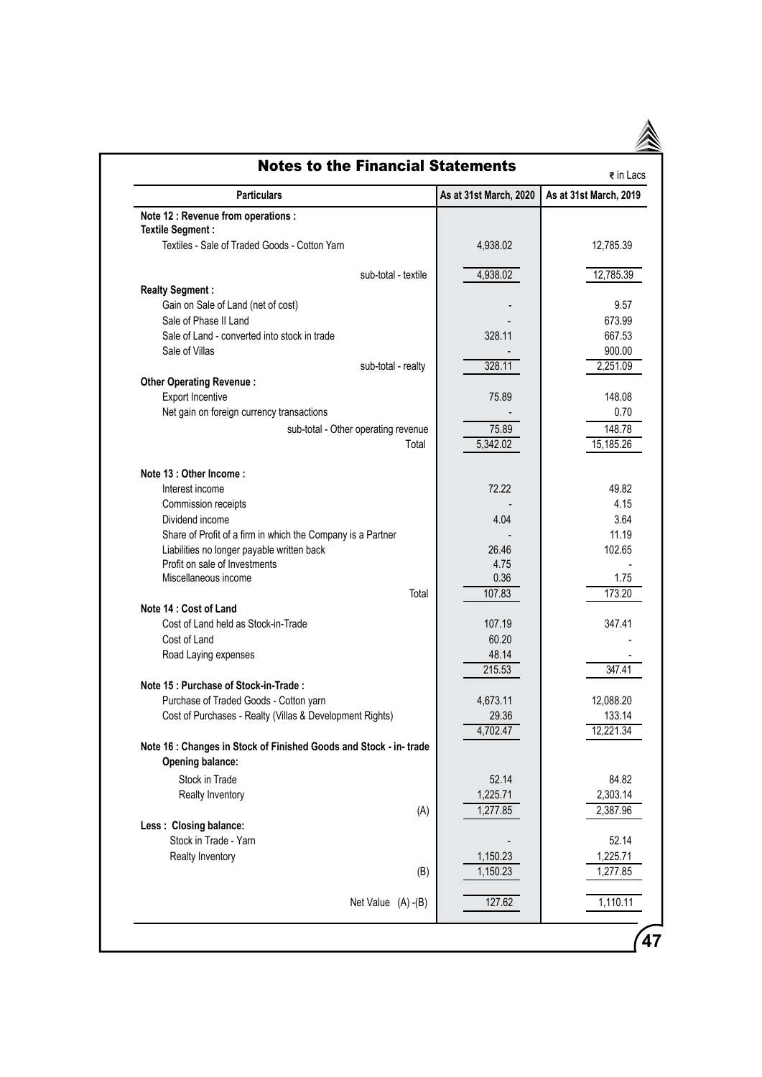|      | <b>Particulars</b>                                                                                            | As at 31st March, 2020 | As at 31st March, 2019 |
|------|---------------------------------------------------------------------------------------------------------------|------------------------|------------------------|
| 9(b) | <b>Other financial liabilities</b>                                                                            |                        |                        |
|      | Due to a Partnership firm in which Company is a partner                                                       | 1,367.54               | 1,269.74               |
|      |                                                                                                               | 1,367.54               | 1,269.74               |
|      | <b>Note 10: Current Liabilities</b>                                                                           |                        |                        |
|      | (a) Current Borrowings                                                                                        |                        |                        |
|      | <b>Secured</b>                                                                                                |                        |                        |
|      | (i) From Bank                                                                                                 |                        |                        |
|      | Central Bank of India - Packing Credit - interest rate                                                        |                        |                        |
|      | Libor $+2.00\%$ p.a.                                                                                          |                        | 683.92                 |
|      | (ii) From Others                                                                                              |                        |                        |
|      | Un-secured                                                                                                    |                        |                        |
|      | From Corporates                                                                                               | 1,482.25               | 1,915.00               |
|      | From a Director                                                                                               | 40.50                  | 40.00                  |
|      | Total Current Borrowings (a)                                                                                  | 1,522.75               | 2,638.92               |
|      | Nature of Security:                                                                                           |                        |                        |
| a    | The working capital loans from Central Bank of India is closed during                                         |                        |                        |
|      | the quarter ended 31.3.2020                                                                                   |                        |                        |
|      | For previous year, Working capital loans from Bank are secured<br>against hypothecation of current assets     |                        |                        |
|      | and further secured by way of second charge over the building of the                                          |                        |                        |
|      | Company and further guaranteed by three of the Directors of the<br>Company                                    |                        |                        |
|      | b Loan outstanding in the previous year from a NBFC is secured                                                |                        |                        |
|      | against the 58,02,925 Equity Shares<br>of Rs. 10/- each in Newline Buildtech Pvt Ltd which is a subsidiary of |                        |                        |
|      | the Company                                                                                                   |                        |                        |
|      | $($ Ref Note No. 4 $(a)(i))$<br>c Unsecured Loan from Corporates, having interest rates ranging               |                        |                        |
|      | between 9% to 12% p.a. payable within one year and loan from a                                                |                        |                        |
|      | director has interest at the rate of 12% pa and tenure of repayment                                           |                        |                        |
| 10   | is 12 months from the date of borrowing.<br>(b) Trade payable                                                 |                        |                        |
|      | (i) Due to suppliers and service providers                                                                    | 78.33                  | 141.95                 |
|      | (Also refer Note No. 2.02 regarding dues to MSM others)                                                       |                        |                        |
|      | (ii) Due to a Subsidiary Company                                                                              | 3,603.55               | 3,961.71               |
|      | (iii) Due to a AOP in which Company is a Member                                                               | 391.60                 | 394.88                 |
| 10   | Sub-total (b)<br>(c) Other Financial Liabilities                                                              | 4,073.48               | 4,498.54               |
|      | (i) Current maturities of finance lease obligations                                                           | 30.00                  | 24.47                  |
|      | (ii) Interest accrued but not due on borrowings                                                               | 47.46                  | 5.48                   |
|      | (iii) Unclaimed dividend *                                                                                    | 7.86                   | 7.85                   |
|      | (iv) Security Deposit                                                                                         | 0.15                   | 13.95                  |
|      | * Shall transfer when due to IEPF, still not due for transfer                                                 |                        |                        |
| 11   | Sub-total (c)<br><b>Other current liabilities</b>                                                             | 85.47                  | 51.75                  |
|      | (a) Advance from customers                                                                                    | 61.00                  | 37.05                  |
|      | Statutory dues payable                                                                                        | 6.11                   | 14.54                  |
|      |                                                                                                               | 67.11                  | 51.59                  |
|      | (b) Provisions                                                                                                |                        |                        |
|      | Provision for employee benefits                                                                               |                        | 20.12                  |
|      | Sub-total (d)                                                                                                 |                        | 20.12                  |
|      | Total                                                                                                         | 5,748.81               | 7,260.92               |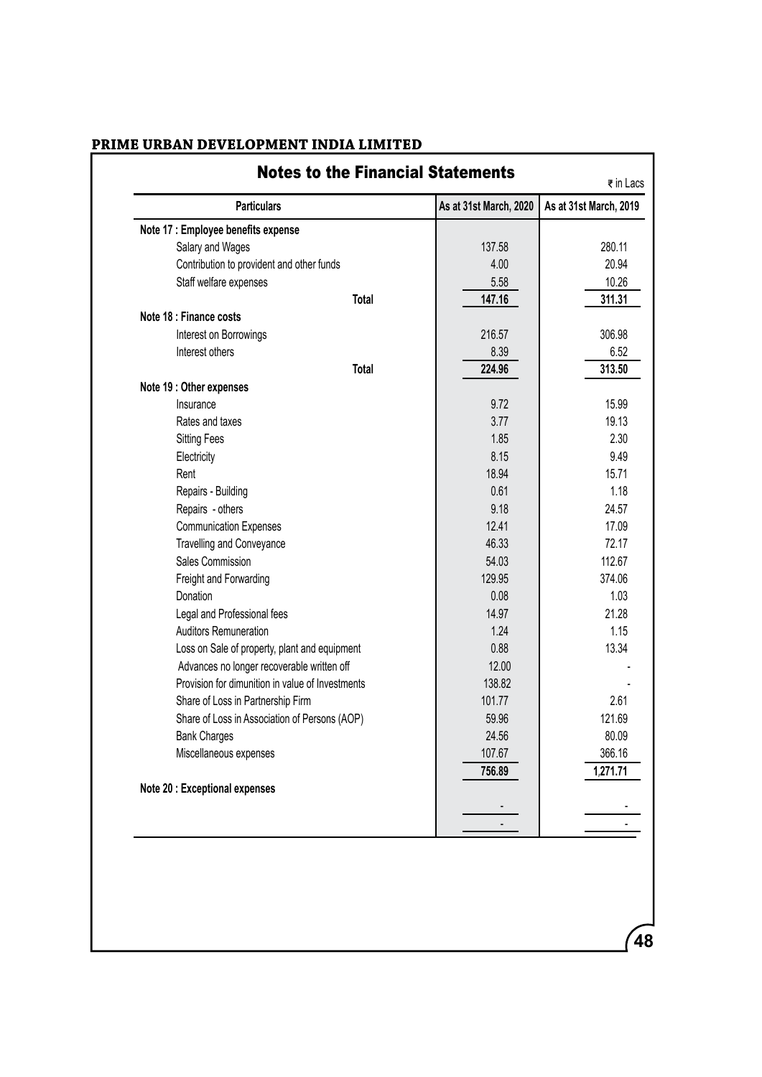| <b>Notes to the Financial Statements</b>                          |                        | ₹ in Lacs              |
|-------------------------------------------------------------------|------------------------|------------------------|
| <b>Particulars</b>                                                | As at 31st March, 2020 | As at 31st March, 2019 |
| Note 12 : Revenue from operations :                               |                        |                        |
| <b>Textile Segment:</b>                                           |                        |                        |
| Textiles - Sale of Traded Goods - Cotton Yarn                     | 4,938.02               | 12,785.39              |
| sub-total - textile                                               | 4,938.02               | 12,785.39              |
| <b>Realty Segment:</b>                                            |                        |                        |
| Gain on Sale of Land (net of cost)                                |                        | 9.57                   |
| Sale of Phase II Land                                             |                        | 673.99                 |
| Sale of Land - converted into stock in trade                      | 328.11                 | 667.53                 |
| Sale of Villas                                                    |                        | 900.00                 |
|                                                                   |                        |                        |
| sub-total - realty                                                | 328.11                 | 2,251.09               |
| Other Operating Revenue :                                         |                        |                        |
| <b>Export Incentive</b>                                           | 75.89                  | 148.08                 |
| Net gain on foreign currency transactions                         |                        | 0.70                   |
| sub-total - Other operating revenue                               | 75.89                  | 148.78                 |
| Total                                                             | 5,342.02               | 15,185.26              |
| Note 13 : Other Income :                                          |                        |                        |
|                                                                   | 72.22                  |                        |
| Interest income                                                   |                        | 49.82                  |
| Commission receipts                                               |                        | 4.15                   |
| Dividend income                                                   | 4.04                   | 3.64                   |
| Share of Profit of a firm in which the Company is a Partner       |                        | 11.19                  |
| Liabilities no longer payable written back                        | 26.46                  | 102.65                 |
| Profit on sale of Investments                                     | 4.75                   |                        |
| Miscellaneous income<br>Total                                     | 0.36<br>107.83         | 1.75<br>173.20         |
| Note 14 : Cost of Land                                            |                        |                        |
| Cost of Land held as Stock-in-Trade                               | 107.19                 | 347.41                 |
| Cost of Land                                                      | 60.20                  |                        |
| Road Laying expenses                                              | 48.14                  |                        |
|                                                                   | 215.53                 | 347.41                 |
| Note 15 : Purchase of Stock-in-Trade :                            |                        |                        |
| Purchase of Traded Goods - Cotton yarn                            | 4,673.11               | 12,088.20              |
| Cost of Purchases - Realty (Villas & Development Rights)          | 29.36                  | 133.14                 |
|                                                                   | 4,702.47               | 12,221.34              |
| Note 16 : Changes in Stock of Finished Goods and Stock - in-trade |                        |                        |
| <b>Opening balance:</b>                                           |                        |                        |
| Stock in Trade                                                    | 52.14                  | 84.82                  |
| Realty Inventory                                                  | 1,225.71               | 2,303.14               |
| (A)                                                               | 1,277.85               | 2,387.96               |
| Less: Closing balance:                                            |                        |                        |
| Stock in Trade - Yarn                                             |                        | 52.14                  |
| Realty Inventory                                                  | 1,150.23               | 1,225.71               |
| (B)                                                               | 1,150.23               | 1,277.85               |
|                                                                   |                        |                        |
| Net Value $(A)$ -(B)                                              | 127.62                 | 1,110.11               |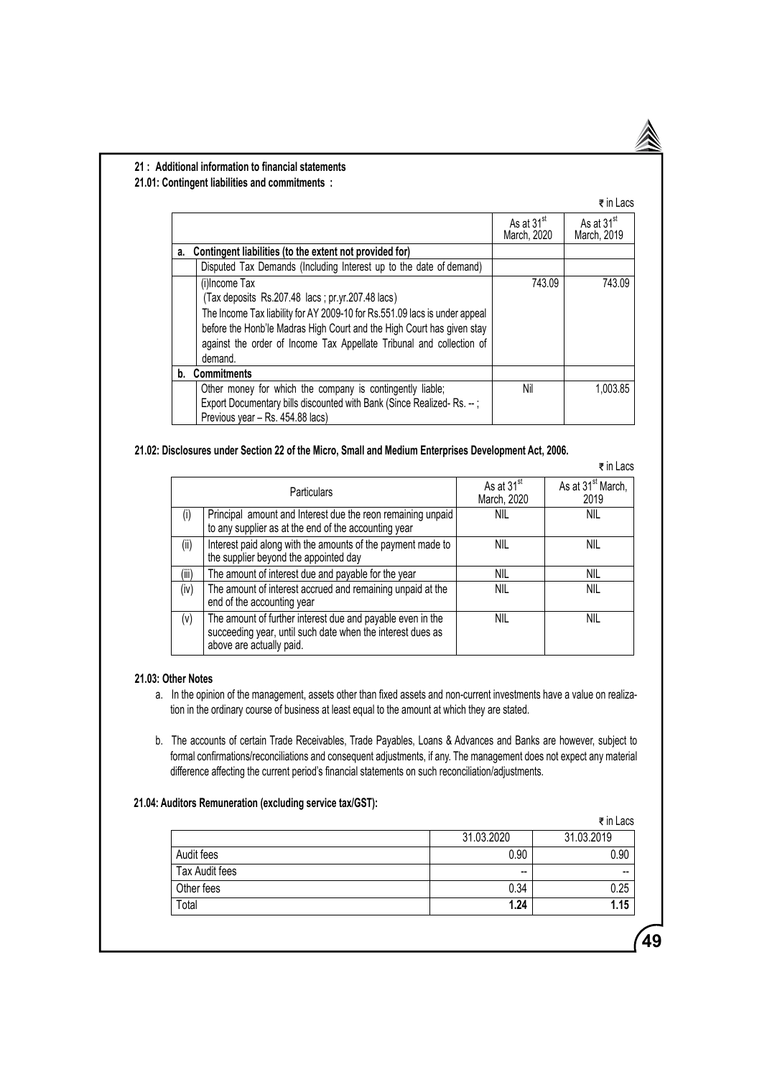| <b>Particulars</b>                               | As at 31st March, 2020 | As at 31st March, 2019 |
|--------------------------------------------------|------------------------|------------------------|
| Note 17 : Employee benefits expense              |                        |                        |
| Salary and Wages                                 | 137.58                 | 280.11                 |
| Contribution to provident and other funds        | 4.00                   | 20.94                  |
| Staff welfare expenses                           | 5.58                   | 10.26                  |
| Total                                            | 147.16                 | 311.31                 |
| Note 18 : Finance costs                          |                        |                        |
| Interest on Borrowings                           | 216.57                 | 306.98                 |
| Interest others                                  | 8.39                   | 6.52                   |
| Total                                            | 224.96                 | 313.50                 |
| Note 19 : Other expenses                         |                        |                        |
| Insurance                                        | 9.72                   | 15.99                  |
| Rates and taxes                                  | 3.77                   | 19.13                  |
| <b>Sitting Fees</b>                              | 1.85                   | 2.30                   |
| Electricity                                      | 8.15                   | 9.49                   |
| Rent                                             | 18.94                  | 15.71                  |
| Repairs - Building                               | 0.61                   | 1.18                   |
| Repairs - others                                 | 9.18                   | 24.57                  |
| <b>Communication Expenses</b>                    | 12.41                  | 17.09                  |
| Travelling and Conveyance                        | 46.33                  | 72.17                  |
| Sales Commission                                 | 54.03                  | 112.67                 |
| Freight and Forwarding                           | 129.95                 | 374.06                 |
| Donation                                         | 0.08                   | 1.03                   |
| Legal and Professional fees                      | 14.97                  | 21.28                  |
| <b>Auditors Remuneration</b>                     | 1.24                   | 1.15                   |
| Loss on Sale of property, plant and equipment    | 0.88                   | 13.34                  |
| Advances no longer recoverable written off       | 12.00                  |                        |
| Provision for dimunition in value of Investments | 138.82                 |                        |
| Share of Loss in Partnership Firm                | 101.77                 | 2.61                   |
| Share of Loss in Association of Persons (AOP)    | 59.96                  | 121.69                 |
| <b>Bank Charges</b>                              | 24.56                  | 80.09                  |
| Miscellaneous expenses                           | 107.67                 | 366.16                 |
|                                                  | 756.89                 | 1,271.71               |
| Note 20 : Exceptional expenses                   |                        |                        |
|                                                  |                        |                        |
|                                                  |                        |                        |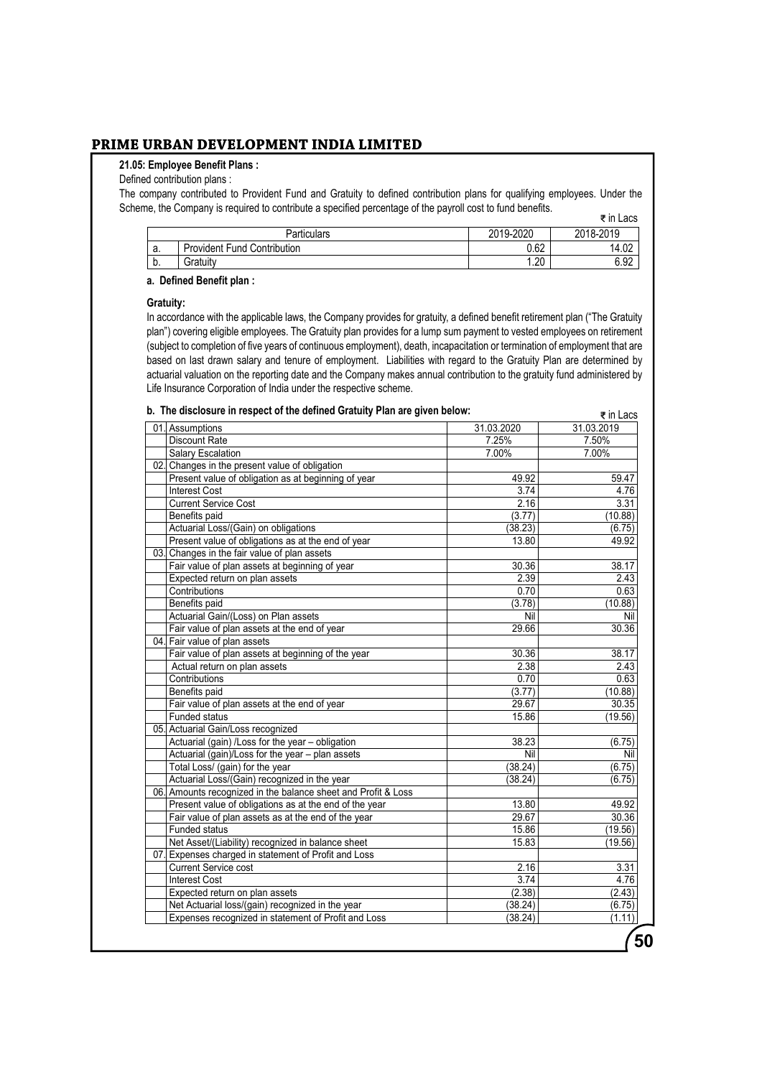# **21 : Additional information to financial statements**

### **21.01: Contingent liabilities and commitments :**

### ₹ in Lacs

**49**

|                                                                                                                                                                                                                                                                                                              | As at 31 <sup>st</sup><br>March, 2020 | As at 31 <sup>st</sup><br>March, 2019 |
|--------------------------------------------------------------------------------------------------------------------------------------------------------------------------------------------------------------------------------------------------------------------------------------------------------------|---------------------------------------|---------------------------------------|
| a. Contingent liabilities (to the extent not provided for)                                                                                                                                                                                                                                                   |                                       |                                       |
| Disputed Tax Demands (Including Interest up to the date of demand)                                                                                                                                                                                                                                           |                                       |                                       |
| (i)Income Tax<br>(Tax deposits Rs.207.48 lacs; pr.yr.207.48 lacs)<br>The Income Tax liability for AY 2009-10 for Rs.551.09 lacs is under appeal<br>before the Honb'le Madras High Court and the High Court has given stay<br>against the order of Income Tax Appellate Tribunal and collection of<br>demand. | 743.09                                | 743.09                                |
| b. Commitments                                                                                                                                                                                                                                                                                               |                                       |                                       |
| Other money for which the company is contingently liable;<br>Export Documentary bills discounted with Bank (Since Realized-Rs. --;<br>Previous year - Rs. 454.88 lacs)                                                                                                                                       | Nil                                   | 1,003.85                              |

### **21.02: Disclosures under Section 22 of the Micro, Small and Medium Enterprises Development Act, 2006.**

|                   |                                                                                                                                                      |                                       | ₹ in Lacs                             |
|-------------------|------------------------------------------------------------------------------------------------------------------------------------------------------|---------------------------------------|---------------------------------------|
|                   | <b>Particulars</b>                                                                                                                                   | As at 31 <sup>st</sup><br>March, 2020 | As at 31 <sup>st</sup> March,<br>2019 |
| $\left( i\right)$ | Principal amount and Interest due the reon remaining unpaid<br>to any supplier as at the end of the accounting year                                  | <b>NIL</b>                            | <b>NIL</b>                            |
| (ii)              | Interest paid along with the amounts of the payment made to<br>the supplier beyond the appointed day                                                 | NIL                                   | NIL                                   |
| (iii)             | The amount of interest due and payable for the year                                                                                                  | NIL                                   | NIL                                   |
| (iv)              | The amount of interest accrued and remaining unpaid at the<br>end of the accounting year                                                             | NIL                                   | <b>NIL</b>                            |
| (v)               | The amount of further interest due and payable even in the<br>succeeding year, until such date when the interest dues as<br>above are actually paid. | NIL                                   | <b>NIL</b>                            |

### **21.03: Other Notes**

- a. In the opinion of the management, assets other than fixed assets and non-current investments have a value on realization in the ordinary course of business at least equal to the amount at which they are stated.
- b. The accounts of certain Trade Receivables, Trade Payables, Loans & Advances and Banks are however, subject to formal confirmations/reconciliations and consequent adjustments, if any. The management does not expect any material difference affecting the current period's financial statements on such reconciliation/adjustments.

## **21.04: Auditors Remuneration (excluding service tax/GST):**

|                |            | $\overline{\mathbf{z}}$ in Lacs |
|----------------|------------|---------------------------------|
|                | 31.03.2020 | 31.03.2019                      |
| Audit fees     | 0.90       | 0.90                            |
| Tax Audit fees | $- -$      | $- -$                           |
| Other fees     | 0.34       | 0.25                            |
| Total          | 1.24       | 1.15                            |
|                |            |                                 |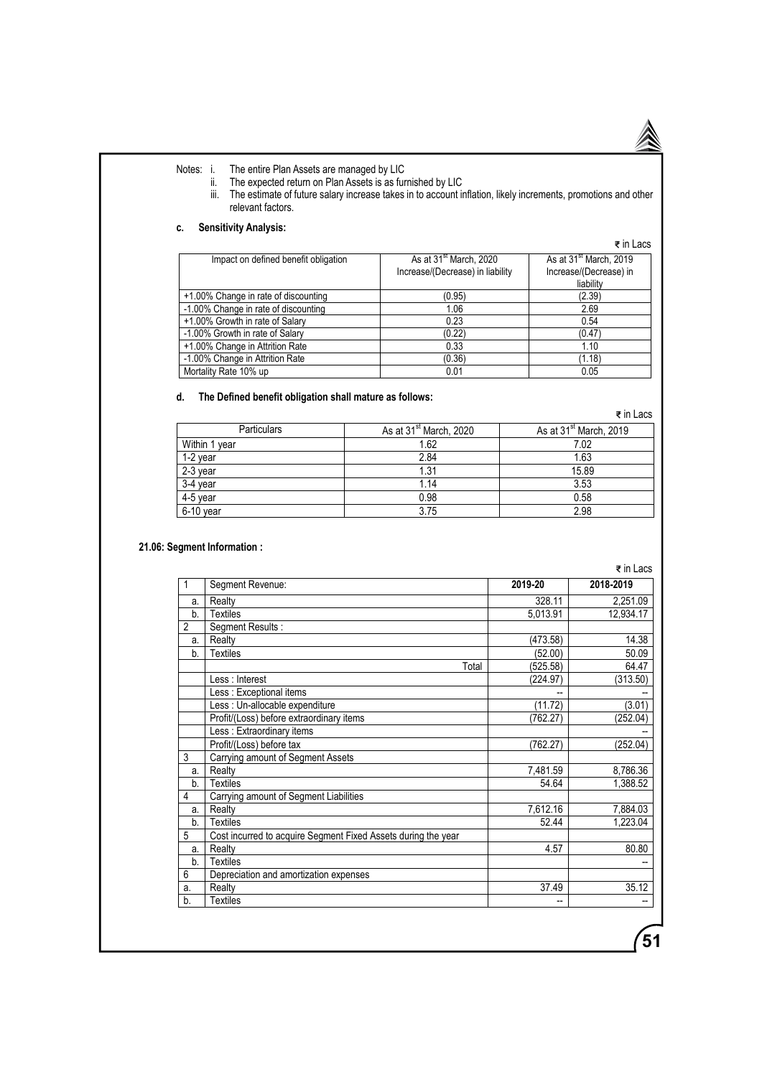### **21.05: Employee Benefit Plans :**

Defined contribution plans :

The company contributed to Provident Fund and Gratuity to defined contribution plans for qualifying employees. Under the Scheme, the Company is required to contribute a specified percentage of the payroll cost to fund benefits.

|  | in Lacs |
|--|---------|
|  |         |

|    | Particulars                           | 19-2020<br>2010<br>∠∪ | 2018-2019 |
|----|---------------------------------------|-----------------------|-----------|
| а. | Contribution<br><b>Provident Fund</b> | 0.62                  | 14.02     |
| υ. | iratuıtvن                             | .20                   | 6.92      |

### **a. Defined Benefit plan :**

### **Gratuity:**

In accordance with the applicable laws, the Company provides for gratuity, a defined benefit retirement plan ("The Gratuity plan") covering eligible employees. The Gratuity plan provides for a lump sum payment to vested employees on retirement (subject to completion of five years of continuous employment), death, incapacitation or termination of employment that are based on last drawn salary and tenure of employment. Liabilities with regard to the Gratuity Plan are determined by actuarial valuation on the reporting date and the Company makes annual contribution to the gratuity fund administered by Life Insurance Corporation of India under the respective scheme.

|  | b. The disclosure in respect of the defined Gratuity Plan are given below: |  |
|--|----------------------------------------------------------------------------|--|
|  |                                                                            |  |

| 01. Assumptions                                               | 31.03.2020 | 31.03.2019 |
|---------------------------------------------------------------|------------|------------|
| <b>Discount Rate</b>                                          | 7.25%      | 7.50%      |
| Salary Escalation                                             | 7.00%      | 7.00%      |
| 02. Changes in the present value of obligation                |            |            |
| Present value of obligation as at beginning of year           | 49.92      | 59.47      |
| <b>Interest Cost</b>                                          | 3.74       | 4.76       |
| <b>Current Service Cost</b>                                   | 2.16       | 3.31       |
| Benefits paid                                                 | (3.77)     | (10.88)    |
| Actuarial Loss/(Gain) on obligations                          | (38.23)    | (6.75)     |
| Present value of obligations as at the end of year            | 13.80      | 49.92      |
| 03. Changes in the fair value of plan assets                  |            |            |
| Fair value of plan assets at beginning of year                | 30.36      | 38.17      |
| Expected return on plan assets                                | 2.39       | 2.43       |
| Contributions                                                 | 0.70       | 0.63       |
| Benefits paid                                                 | (3.78)     | (10.88)    |
| Actuarial Gain/(Loss) on Plan assets                          | Nil        | Nil        |
| Fair value of plan assets at the end of year                  | 29.66      | 30.36      |
| 04. Fair value of plan assets                                 |            |            |
| Fair value of plan assets at beginning of the year            | 30.36      | 38.17      |
| Actual return on plan assets                                  | 2.38       | 2.43       |
| Contributions                                                 | 0.70       | 0.63       |
| Benefits paid                                                 | (3.77)     | (10.88)    |
| Fair value of plan assets at the end of year                  | 29.67      | 30.35      |
| <b>Funded status</b>                                          | 15.86      | (19.56)    |
| 05. Actuarial Gain/Loss recognized                            |            |            |
| Actuarial (gain) /Loss for the year - obligation              | 38.23      | (6.75)     |
| Actuarial (gain)/Loss for the year - plan assets              | Nil        | Nil        |
| Total Loss/ (gain) for the year                               | (38.24)    | (6.75)     |
| Actuarial Loss/(Gain) recognized in the year                  | (38.24)    | (6.75)     |
| 06. Amounts recognized in the balance sheet and Profit & Loss |            |            |
| Present value of obligations as at the end of the year        | 13.80      | 49.92      |
| Fair value of plan assets as at the end of the year           | 29.67      | 30.36      |
| <b>Funded status</b>                                          | 15.86      | (19.56)    |
| Net Asset/(Liability) recognized in balance sheet             | 15.83      | (19.56)    |
| 07. Expenses charged in statement of Profit and Loss          |            |            |
| <b>Current Service cost</b>                                   | 2.16       | 3.31       |
| <b>Interest Cost</b>                                          | 3.74       | 4.76       |
| Expected return on plan assets                                | (2.38)     | (2.43)     |
| Net Actuarial loss/(gain) recognized in the year              | (38.24)    | (6.75)     |
| Expenses recognized in statement of Profit and Loss           | (38.24)    | (1.11)     |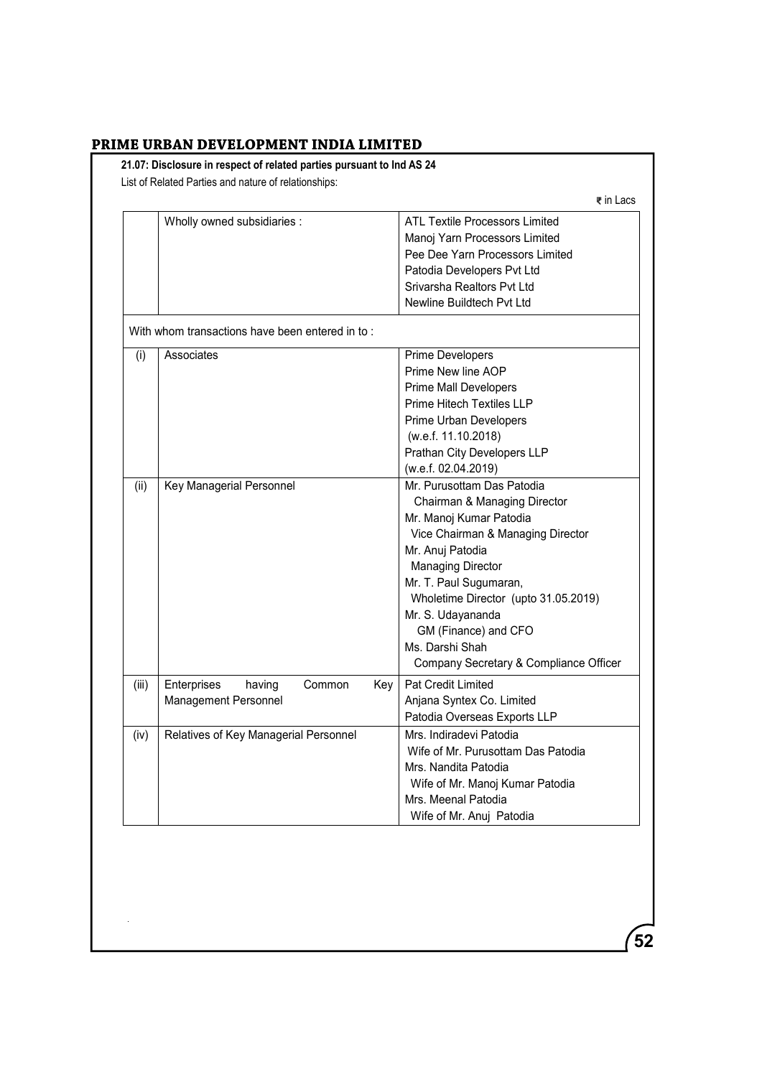Notes: i. The entire Plan Assets are managed by LIC

- ii. The expected return on Plan Assets is as furnished by LIC
- iii. The estimate of future salary increase takes in to account inflation, likely increments, promotions and other relevant factors.

### **c. Sensitivity Analysis:**

### ₹ in Lacs

| Impact on defined benefit obligation | As at 31 <sup>st</sup> March, 2020<br>Increase/(Decrease) in liability | As at 31 <sup>st</sup> March, 2019<br>Increase/(Decrease) in<br>liability |
|--------------------------------------|------------------------------------------------------------------------|---------------------------------------------------------------------------|
|                                      |                                                                        |                                                                           |
| +1.00% Change in rate of discounting | (0.95)                                                                 | (2.39)                                                                    |
| -1.00% Change in rate of discounting | 1.06                                                                   | 2.69                                                                      |
| +1.00% Growth in rate of Salary      | 0.23                                                                   | 0.54                                                                      |
| -1.00% Growth in rate of Salary      | (0.22)                                                                 | (0.47)                                                                    |
| +1.00% Change in Attrition Rate      | 0.33                                                                   | 1.10                                                                      |
| -1.00% Change in Attrition Rate      | (0.36)                                                                 | (1.18)                                                                    |
| Mortality Rate 10% up                | 0.01                                                                   | 0.05                                                                      |

### **d. The Defined benefit obligation shall mature as follows:**

₹ in Lacs

**51**

| <b>Particulars</b> | As at 31 <sup>st</sup> March, 2020 | As at 31 <sup>st</sup> March, 2019 |
|--------------------|------------------------------------|------------------------------------|
| Within 1 year      | 1.62                               | 7.02                               |
| 1-2 year           | 2.84                               | 1.63                               |
| 2-3 year           | 1.31                               | 15.89                              |
| 3-4 year           | 1.14                               | 3.53                               |
| 4-5 year           | 0.98                               | 0.58                               |
| 6-10 year          | 3.75                               | 2.98                               |

### **21.06: Segment Information :**

|                |                                                               |          | $\overline{\mathbf{z}}$ in Lacs |
|----------------|---------------------------------------------------------------|----------|---------------------------------|
| $\mathbf{1}$   | Segment Revenue:                                              | 2019-20  | 2018-2019                       |
| a.             | Realty                                                        | 328.11   | 2,251.09                        |
| b.             | <b>Textiles</b>                                               | 5,013.91 | 12,934.17                       |
| $\overline{2}$ | Segment Results:                                              |          |                                 |
| a.             | Realty                                                        | (473.58) | 14.38                           |
| $b$ .          | <b>Textiles</b>                                               | (52.00)  | 50.09                           |
|                | Total                                                         | (525.58) | 64.47                           |
|                | Less: Interest                                                | (224.97) | (313.50)                        |
|                | Less : Exceptional items                                      |          |                                 |
|                | Less : Un-allocable expenditure                               | (11.72)  | (3.01)                          |
|                | Profit/(Loss) before extraordinary items                      | (762.27) | (252.04)                        |
|                | Less: Extraordinary items                                     |          |                                 |
|                | Profit/(Loss) before tax                                      | (762.27) | (252.04)                        |
| 3              | Carrying amount of Segment Assets                             |          |                                 |
| a.             | Realty                                                        | 7,481.59 | 8,786.36                        |
| b.             | <b>Textiles</b>                                               | 54.64    | 1,388.52                        |
| $\overline{4}$ | Carrying amount of Segment Liabilities                        |          |                                 |
| a.             | Realty                                                        | 7,612.16 | 7,884.03                        |
| b.             | <b>Textiles</b>                                               | 52.44    | 1,223.04                        |
| 5              | Cost incurred to acquire Segment Fixed Assets during the year |          |                                 |
| a.             | Realty                                                        | 4.57     | 80.80                           |
| b.             | <b>Textiles</b>                                               |          |                                 |
| 6              | Depreciation and amortization expenses                        |          |                                 |
| a.             | Realty                                                        | 37.49    | 35.12                           |
| b.             | <b>Textiles</b>                                               |          |                                 |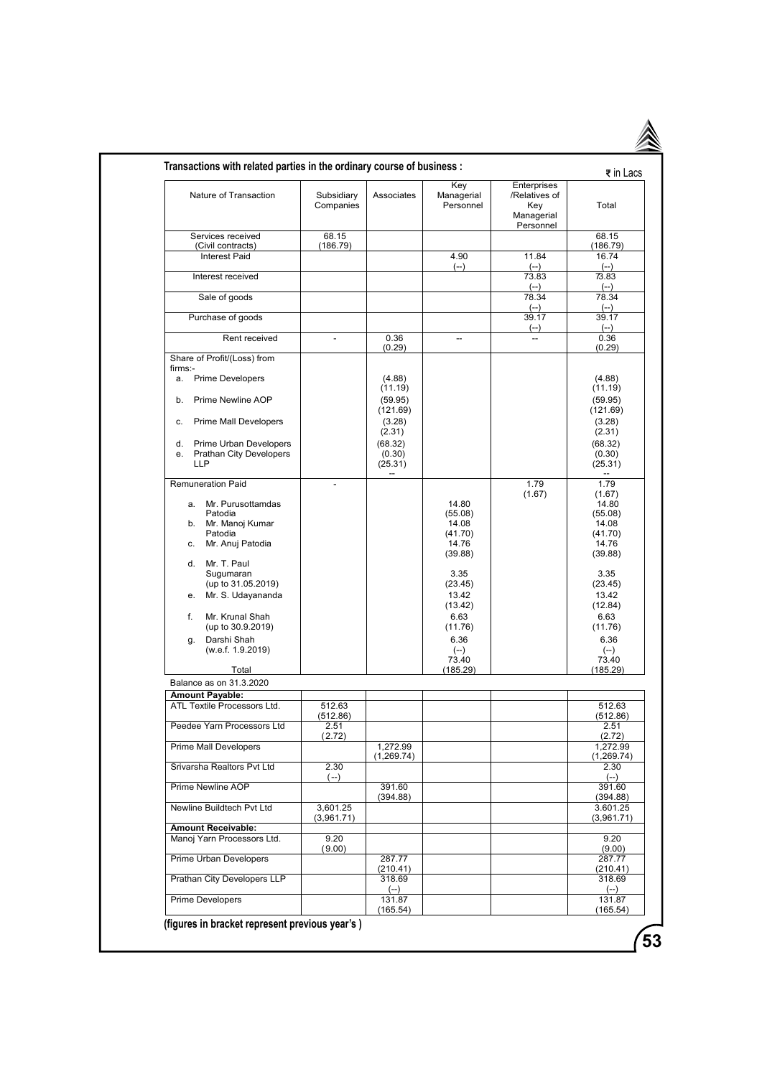|       |                                                 | ₹ in Lacs                              |
|-------|-------------------------------------------------|----------------------------------------|
|       | Wholly owned subsidiaries :                     | <b>ATL Textile Processors Limited</b>  |
|       |                                                 | Manoj Yarn Processors Limited          |
|       |                                                 | Pee Dee Yarn Processors Limited        |
|       |                                                 | Patodia Developers Pvt Ltd             |
|       |                                                 | Srivarsha Realtors Pvt Ltd             |
|       |                                                 | Newline Buildtech Pvt Ltd              |
|       | With whom transactions have been entered in to: |                                        |
| (i)   | Associates                                      | Prime Developers                       |
|       |                                                 | Prime New line AOP                     |
|       |                                                 | Prime Mall Developers                  |
|       |                                                 | Prime Hitech Textiles LLP              |
|       |                                                 | Prime Urban Developers                 |
|       |                                                 | (w.e.f. 11.10.2018)                    |
|       |                                                 | Prathan City Developers LLP            |
|       |                                                 | (w.e.f. 02.04.2019)                    |
| (ii)  | Key Managerial Personnel                        | Mr. Purusottam Das Patodia             |
|       |                                                 | Chairman & Managing Director           |
|       |                                                 | Mr. Manoj Kumar Patodia                |
|       |                                                 | Vice Chairman & Managing Director      |
|       |                                                 | Mr. Anuj Patodia                       |
|       |                                                 | <b>Managing Director</b>               |
|       |                                                 | Mr. T. Paul Sugumaran,                 |
|       |                                                 | Wholetime Director (upto 31.05.2019)   |
|       |                                                 | Mr. S. Udayananda                      |
|       |                                                 | GM (Finance) and CFO                   |
|       |                                                 | Ms. Darshi Shah                        |
|       |                                                 | Company Secretary & Compliance Officer |
| (iii) | Enterprises<br>Common<br>Key<br>having          | Pat Credit Limited                     |
|       | Management Personnel                            | Anjana Syntex Co. Limited              |
|       |                                                 | Patodia Overseas Exports LLP           |
| (iv)  | Relatives of Key Managerial Personnel           | Mrs. Indiradevi Patodia                |
|       |                                                 | Wife of Mr. Purusottam Das Patodia     |
|       |                                                 | Mrs. Nandita Patodia                   |
|       |                                                 | Wife of Mr. Manoj Kumar Patodia        |
|       |                                                 | Mrs. Meenal Patodia                    |
|       |                                                 | Wife of Mr. Anuj Patodia               |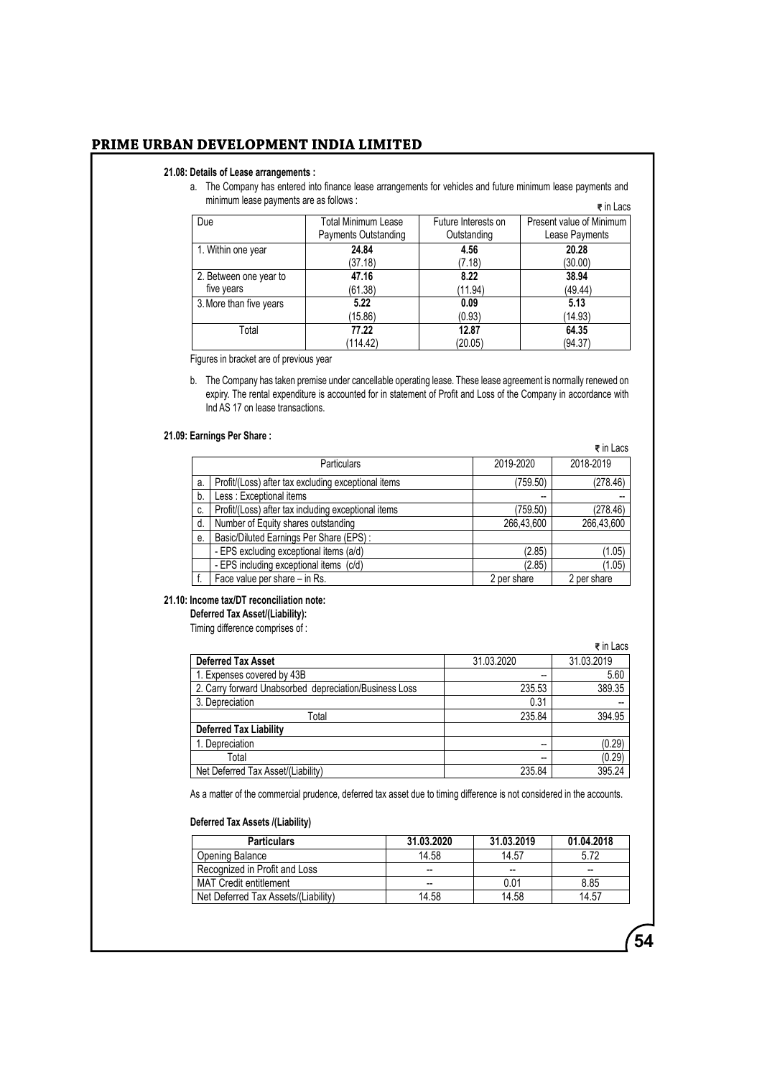| Transactions with related parties in the ordinary course of business :          |                         |                              |                                |                                                                | ₹ in Lacs                    |
|---------------------------------------------------------------------------------|-------------------------|------------------------------|--------------------------------|----------------------------------------------------------------|------------------------------|
| Nature of Transaction                                                           | Subsidiary<br>Companies | Associates                   | Key<br>Managerial<br>Personnel | Enterprises<br>/Relatives of<br>Key<br>Managerial<br>Personnel | Total                        |
| Services received                                                               | 68.15                   |                              |                                |                                                                | 68.15                        |
| (Civil contracts)<br><b>Interest Paid</b>                                       | (186.79)                |                              | 4.90                           | 11.84                                                          | (186.79)<br>16.74            |
|                                                                                 |                         |                              | $(--)$                         | $(--)$                                                         | $(--)$                       |
| Interest received                                                               |                         |                              |                                | 73.83<br>$(--)$                                                | 73.83<br>$(--)$              |
| Sale of goods                                                                   |                         |                              |                                | 78.34                                                          | 78.34                        |
| Purchase of goods                                                               |                         |                              |                                | $(--)$<br>39.17                                                | $(--)$<br>39.17              |
| Rent received                                                                   | $\overline{a}$          | 0.36<br>(0.29)               | $\overline{a}$                 | $(-)$<br>$\overline{\phantom{a}}$                              | $(--)$<br>0.36<br>(0.29)     |
| Share of Profit/(Loss) from                                                     |                         |                              |                                |                                                                |                              |
| firms:-<br><b>Prime Developers</b><br>a.                                        |                         | (4.88)<br>(11.19)            |                                |                                                                | (4.88)<br>(11.19)            |
| Prime Newline AOP<br>b <sub>1</sub>                                             |                         | (59.95)<br>(121.69)          |                                |                                                                | (59.95)<br>(121.69)          |
| <b>Prime Mall Developers</b><br>c.                                              |                         | (3.28)<br>(2.31)             |                                |                                                                | (3.28)<br>(2.31)             |
| d. Prime Urban Developers<br><b>Prathan City Developers</b><br>e.<br><b>LLP</b> |                         | (68.32)<br>(0.30)<br>(25.31) |                                |                                                                | (68.32)<br>(0.30)<br>(25.31) |
| <b>Remuneration Paid</b>                                                        |                         |                              |                                | 1.79<br>(1.67)                                                 | 1.79<br>(1.67)               |
| Mr. Purusottamdas<br>a.                                                         |                         |                              | 14.80                          |                                                                | 14.80                        |
| Patodia<br>Mr. Manoj Kumar<br>b.                                                |                         |                              | (55.08)<br>14.08               |                                                                | (55.08)<br>14.08             |
| Patodia<br>Mr. Anuj Patodia<br>c.                                               |                         |                              | (41.70)<br>14.76<br>(39.88)    |                                                                | (41.70)<br>14.76<br>(39.88)  |
| Mr. T. Paul<br>d.                                                               |                         |                              |                                |                                                                |                              |
| Sugumaran<br>(up to 31.05.2019)<br>e. Mr. S. Udayananda                         |                         |                              | 3.35<br>(23.45)<br>13.42       |                                                                | 3.35<br>(23.45)<br>13.42     |
| Mr. Krunal Shah<br>f.<br>(up to 30.9.2019)                                      |                         |                              | (13.42)<br>6.63<br>(11.76)     |                                                                | (12.84)<br>6.63<br>(11.76)   |
| Darshi Shah<br>g.<br>(w.e.f. 1.9.2019)                                          |                         |                              | 6.36<br>$(--)$                 |                                                                | 6.36<br>$(--)$               |
| Total                                                                           |                         |                              | 73.40<br>(185.29)              |                                                                | 73.40<br>(185.29)            |
| Balance as on 31.3.2020                                                         |                         |                              |                                |                                                                |                              |
| <b>Amount Payable:</b><br>ATL Textile Processors Ltd.                           |                         |                              |                                |                                                                |                              |
|                                                                                 | 512.63<br>(512.86)      |                              |                                |                                                                | 512.63<br>(512.86)           |
| Peedee Yarn Processors Ltd                                                      | 2.51<br>(2.72)          |                              |                                |                                                                | 2.51<br>(2.72)               |
| <b>Prime Mall Developers</b>                                                    |                         | 1,272.99                     |                                |                                                                | 1,272.99                     |
| Srivarsha Realtors Pvt Ltd                                                      | 2.30<br>$(-)$           | (1,269.74)                   |                                |                                                                | (1,269.74)<br>2.30<br>$(--)$ |
| Prime Newline AOP                                                               |                         | 391.60<br>(394.88)           |                                |                                                                | 391.60<br>(394.88)           |
| Newline Buildtech Pvt Ltd                                                       | 3,601.25<br>(3,961.71)  |                              |                                |                                                                | 3.601.25<br>(3,961.71)       |
| <b>Amount Receivable:</b>                                                       |                         |                              |                                |                                                                |                              |
| Manoj Yarn Processors Ltd.                                                      | 9.20<br>(9.00)          |                              |                                |                                                                | 9.20<br>(9.00)               |
| Prime Urban Developers                                                          |                         | 287.77<br>(210.41)           |                                |                                                                | 287.77<br>(210.41)           |
| Prathan City Developers LLP                                                     |                         | 318.69                       |                                |                                                                | 318.69                       |
| Prime Developers                                                                |                         | $(--)$<br>131.87             |                                |                                                                | $(--)$<br>131.87             |
|                                                                                 |                         | (165.54)                     |                                |                                                                | (165.54)                     |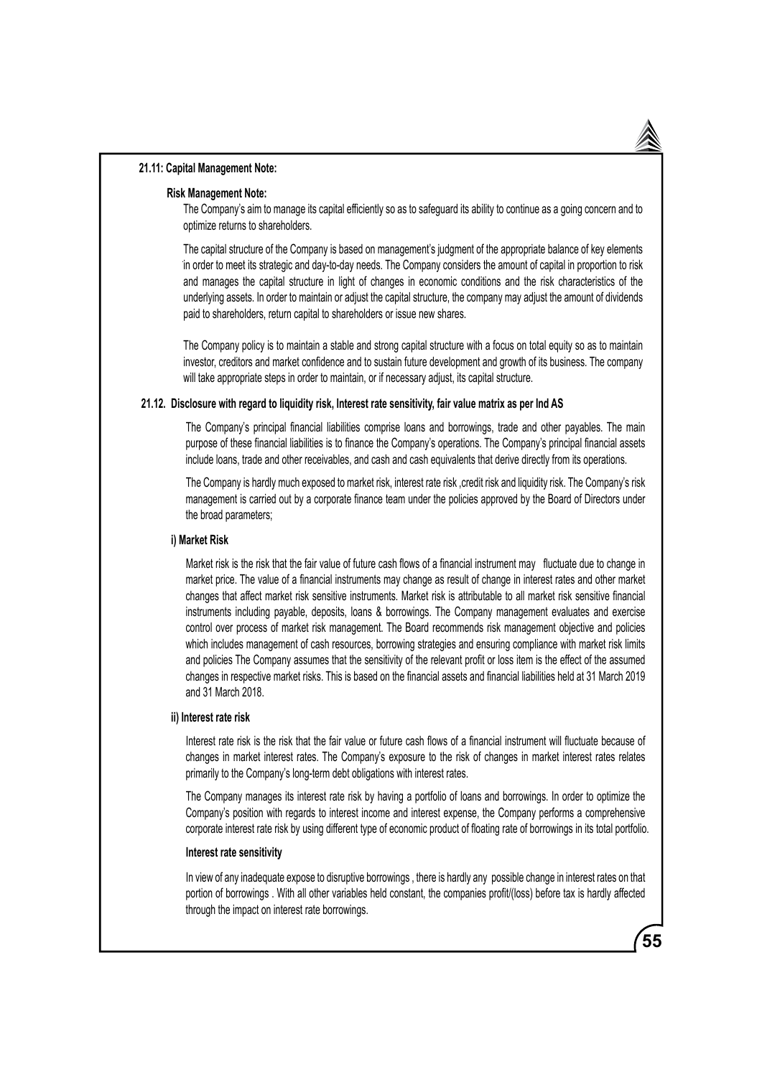#### **21.08: Details of Lease arrangements :**

 a. The Company has entered into finance lease arrangements for vehicles and future minimum lease payments and minimum lease payments are as follows :  $\overline{P}$  in Lacs

|                         |                            |                     | ่∖ ⊪⊩∟น∪ง                |
|-------------------------|----------------------------|---------------------|--------------------------|
| Due                     | <b>Total Minimum Lease</b> | Future Interests on | Present value of Minimum |
|                         | Payments Outstanding       | Outstanding         | Lease Payments           |
| 1. Within one year      | 24.84                      | 4.56                | 20.28                    |
|                         | (37.18)                    | (7.18)              | (30.00)                  |
| 2. Between one year to  | 47.16                      | 8.22                | 38.94                    |
| five years              | (61.38)                    | (11.94)             | (49.44)                  |
| 3. More than five years | 5.22                       | 0.09                | 5.13                     |
|                         | (15.86)                    | (0.93)              | (14.93)                  |
| Total                   | 77.22                      | 12.87               | 64.35                    |
|                         | (114.42)                   | (20.05)             | (94.37)                  |

Figures in bracket are of previous year

 b. The Company has taken premise under cancellable operating lease. These lease agreement is normally renewed on expiry. The rental expenditure is accounted for in statement of Profit and Loss of the Company in accordance with Ind AS 17 on lease transactions.

### **21.09: Earnings Per Share :**

|    | י שווייש ושו שמוווווא-                              |             | $\overline{\mathbf{z}}$ in Lacs |
|----|-----------------------------------------------------|-------------|---------------------------------|
|    | <b>Particulars</b>                                  | 2019-2020   | 2018-2019                       |
| a. | Profit/(Loss) after tax excluding exceptional items | (759.50)    | (278.46)                        |
| b. | Less: Exceptional items                             | --          |                                 |
| C. | Profit/(Loss) after tax including exceptional items | (759.50)    | (278.46)                        |
| d. | Number of Equity shares outstanding                 | 266,43,600  | 266,43,600                      |
| е. | Basic/Diluted Earnings Per Share (EPS):             |             |                                 |
|    | - EPS excluding exceptional items (a/d)             | (2.85)      | (1.05)                          |
|    | - EPS including exceptional items (c/d)             | (2.85)      | (1.05)                          |
|    | Face value per share - in Rs.                       | 2 per share | 2 per share                     |

### **21.10: Income tax/DT reconciliation note:**

 **Deferred Tax Asset/(Liability):**

Timing difference comprises of :

|                                                        |            | $\overline{\mathbf{z}}$ in Lacs |
|--------------------------------------------------------|------------|---------------------------------|
| <b>Deferred Tax Asset</b>                              | 31.03.2020 | 31.03.2019                      |
| 1. Expenses covered by 43B                             | --         | 5.60                            |
| 2. Carry forward Unabsorbed depreciation/Business Loss | 235.53     | 389.35                          |
| 3. Depreciation                                        | 0.31       | --                              |
| Total                                                  | 235.84     | 394.95                          |
| <b>Deferred Tax Liability</b>                          |            |                                 |
| 1. Depreciation                                        | --         | (0.29)                          |
| Total                                                  | --         | (0.29)                          |
| Net Deferred Tax Asset/(Liability)                     | 235.84     | 395.24                          |

As a matter of the commercial prudence, deferred tax asset due to timing difference is not considered in the accounts.

### **Deferred Tax Assets /(Liability)**

| <b>Particulars</b>                  | 31.03.2020 | 31.03.2019 | 01.04.2018 |
|-------------------------------------|------------|------------|------------|
| Opening Balance                     | 14.58      | 14.57      | 5.72       |
| Recognized in Profit and Loss       | --         | --         | --         |
| <b>MAT Credit entitlement</b>       | --         | 0.01       | 8.85       |
| Net Deferred Tax Assets/(Liability) | 14.58      | 14.58      | 14.57      |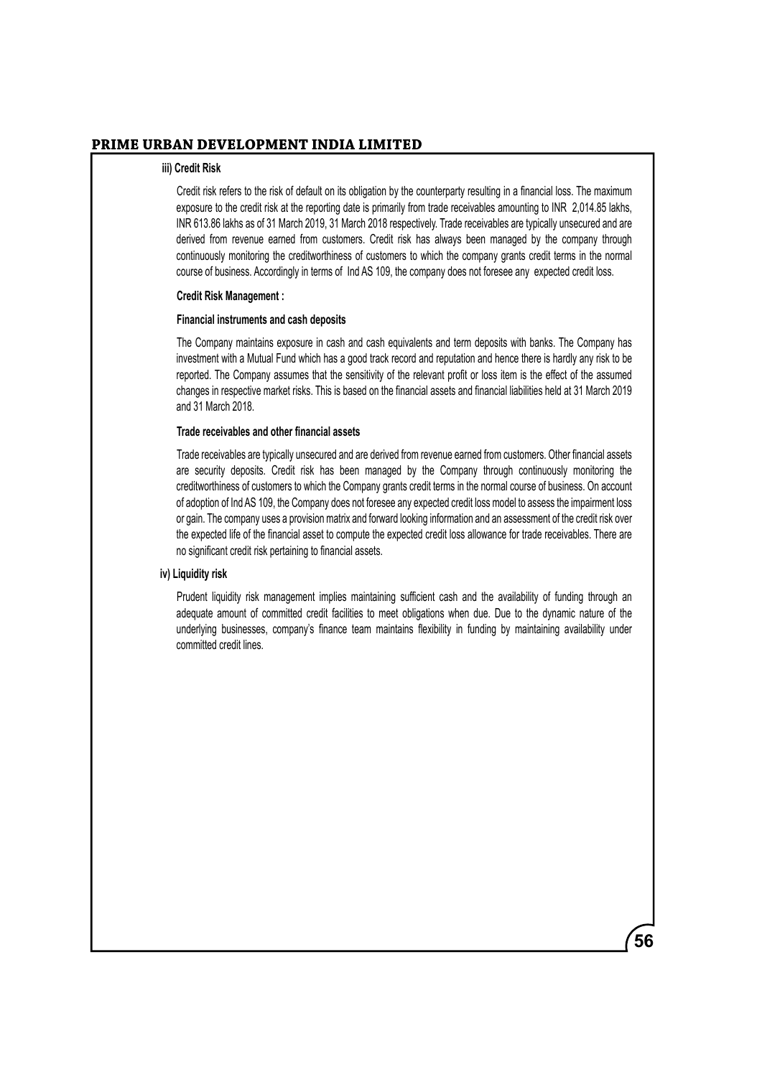### **21.11: Capital Management Note:**

### **Risk Management Note:**

The Company's aim to manage its capital efficiently so as to safeguard its ability to continue as a going concern and to optimize returns to shareholders.

 The capital structure of the Company is based on management's judgment of the appropriate balance of key elements in order to meet its strategic and day-to-day needs. The Company considers the amount of capital in proportion to risk and manages the capital structure in light of changes in economic conditions and the risk characteristics of the underlying assets. In order to maintain or adjust the capital structure, the company may adjust the amount of dividends paid to shareholders, return capital to shareholders or issue new shares.

 The Company policy is to maintain a stable and strong capital structure with a focus on total equity so as to maintain investor, creditors and market confidence and to sustain future development and growth of its business. The company will take appropriate steps in order to maintain, or if necessary adjust, its capital structure.

### **21.12. Disclosure with regard to liquidity risk, Interest rate sensitivity, fair value matrix as per Ind AS**

 The Company's principal financial liabilities comprise loans and borrowings, trade and other payables. The main purpose of these financial liabilities is to finance the Company's operations. The Company's principal financial assets include loans, trade and other receivables, and cash and cash equivalents that derive directly from its operations.

The Company is hardly much exposed to market risk, interest rate risk, credit risk and liquidity risk. The Company's risk management is carried out by a corporate finance team under the policies approved by the Board of Directors under the broad parameters;

### **i) Market Risk**

 Market risk is the risk that the fair value of future cash flows of a financial instrument may fluctuate due to change in market price. The value of a financial instruments may change as result of change in interest rates and other market changes that affect market risk sensitive instruments. Market risk is attributable to all market risk sensitive financial instruments including payable, deposits, loans & borrowings. The Company management evaluates and exercise control over process of market risk management. The Board recommends risk management objective and policies which includes management of cash resources, borrowing strategies and ensuring compliance with market risk limits and policies The Company assumes that the sensitivity of the relevant profit or loss item is the effect of the assumed changes in respective market risks. This is based on the financial assets and financial liabilities held at 31 March 2019 and 31 March 2018.

### **ii) Interest rate risk**

 Interest rate risk is the risk that the fair value or future cash flows of a financial instrument will fluctuate because of changes in market interest rates. The Company's exposure to the risk of changes in market interest rates relates primarily to the Company's long-term debt obligations with interest rates.

 The Company manages its interest rate risk by having a portfolio of loans and borrowings. In order to optimize the Company's position with regards to interest income and interest expense, the Company performs a comprehensive corporate interest rate risk by using different type of economic product of floating rate of borrowings in its total portfolio.

### **Interest rate sensitivity**

 In view of any inadequate expose to disruptive borrowings , there is hardly any possible change in interest rates on that portion of borrowings . With all other variables held constant, the companies profit/(loss) before tax is hardly affected through the impact on interest rate borrowings.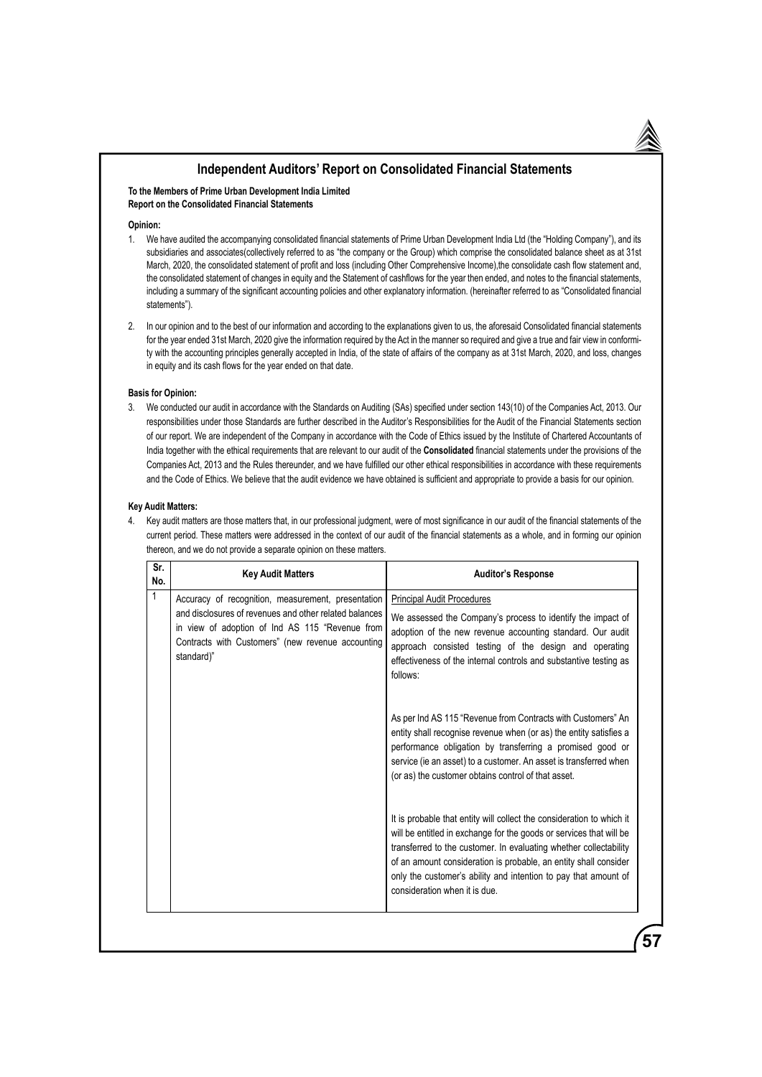### **iii) Credit Risk**

Credit risk refers to the risk of default on its obligation by the counterparty resulting in a financial loss. The maximum exposure to the credit risk at the reporting date is primarily from trade receivables amounting to INR 2,014.85 lakhs, INR 613.86 lakhs as of 31 March 2019, 31 March 2018 respectively. Trade receivables are typically unsecured and are derived from revenue earned from customers. Credit risk has always been managed by the company through continuously monitoring the creditworthiness of customers to which the company grants credit terms in the normal course of business. Accordingly in terms of Ind AS 109, the company does not foresee any expected credit loss.

### **Credit Risk Management :**

### **Financial instruments and cash deposits**

 The Company maintains exposure in cash and cash equivalents and term deposits with banks. The Company has investment with a Mutual Fund which has a good track record and reputation and hence there is hardly any risk to be reported. The Company assumes that the sensitivity of the relevant profit or loss item is the effect of the assumed changes in respective market risks. This is based on the financial assets and financial liabilities held at 31 March 2019 and 31 March 2018.

### **Trade receivables and other financial assets**

 Trade receivables are typically unsecured and are derived from revenue earned from customers. Other financial assets are security deposits. Credit risk has been managed by the Company through continuously monitoring the creditworthiness of customers to which the Company grants credit terms in the normal course of business. On account of adoption of Ind AS 109, the Company does not foresee any expected credit loss model to assess the impairment loss or gain. The company uses a provision matrix and forward looking information and an assessment of the credit risk over the expected life of the financial asset to compute the expected credit loss allowance for trade receivables. There are no significant credit risk pertaining to financial assets.

### **iv) Liquidity risk**

Prudent liquidity risk management implies maintaining sufficient cash and the availability of funding through an adequate amount of committed credit facilities to meet obligations when due. Due to the dynamic nature of the underlying businesses, company's finance team maintains flexibility in funding by maintaining availability under committed credit lines.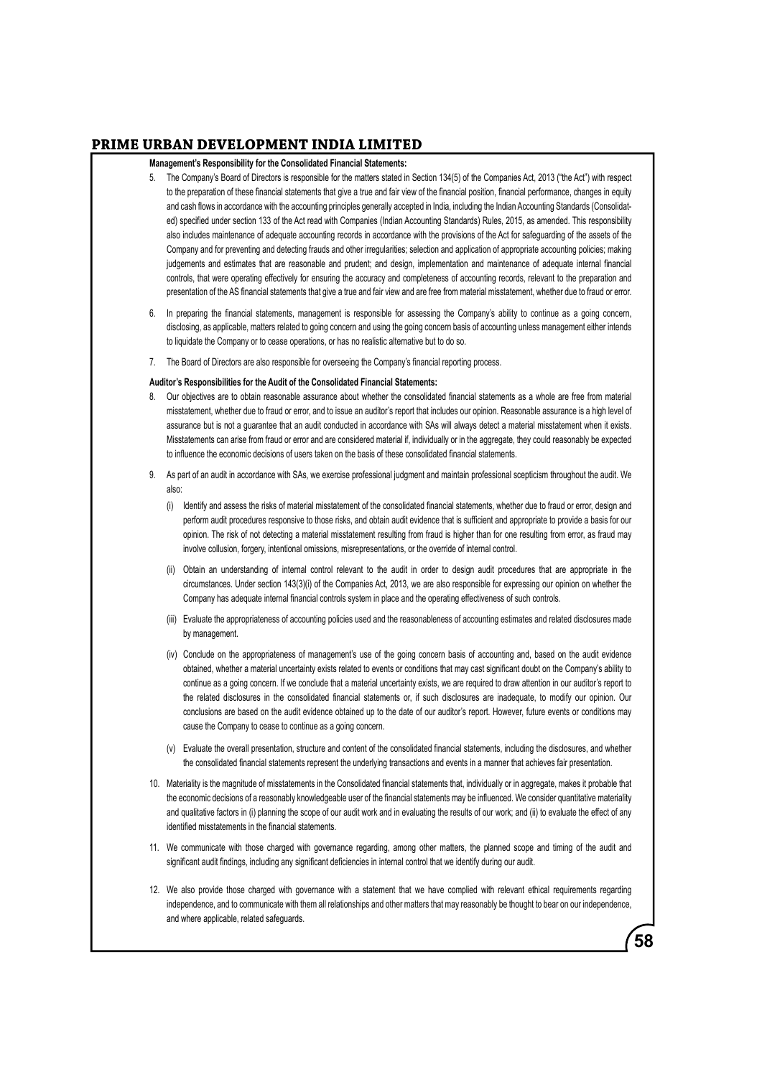### **Independent Auditors' Report on Consolidated Financial Statements**

### **To the Members of Prime Urban Development India Limited Report on the Consolidated Financial Statements**

#### **Opinion:**

- 1. We have audited the accompanying consolidated financial statements of Prime Urban Development India Ltd (the "Holding Company"), and its subsidiaries and associates(collectively referred to as "the company or the Group) which comprise the consolidated balance sheet as at 31st March, 2020, the consolidated statement of profit and loss (including Other Comprehensive Income),the consolidate cash flow statement and, the consolidated statement of changes in equity and the Statement of cashflows for the year then ended, and notes to the financial statements, including a summary of the significant accounting policies and other explanatory information. (hereinafter referred to as "Consolidated financial statements").
- 2. In our opinion and to the best of our information and according to the explanations given to us, the aforesaid Consolidated financial statements for the year ended 31st March, 2020 give the information required by the Act in the manner so required and give a true and fair view in conformity with the accounting principles generally accepted in India, of the state of affairs of the company as at 31st March, 2020, and loss, changes in equity and its cash flows for the year ended on that date.

#### **Basis for Opinion:**

3. We conducted our audit in accordance with the Standards on Auditing (SAs) specified under section 143(10) of the Companies Act, 2013. Our responsibilities under those Standards are further described in the Auditor's Responsibilities for the Audit of the Financial Statements section of our report. We are independent of the Company in accordance with the Code of Ethics issued by the Institute of Chartered Accountants of India together with the ethical requirements that are relevant to our audit of the **Consolidated** financial statements under the provisions of the Companies Act, 2013 and the Rules thereunder, and we have fulfilled our other ethical responsibilities in accordance with these requirements and the Code of Ethics. We believe that the audit evidence we have obtained is sufficient and appropriate to provide a basis for our opinion.

#### **Key Audit Matters:**

4. Key audit matters are those matters that, in our professional judgment, were of most significance in our audit of the financial statements of the current period. These matters were addressed in the context of our audit of the financial statements as a whole, and in forming our opinion thereon, and we do not provide a separate opinion on these matters.

| Sr.<br>No. | <b>Key Audit Matters</b>                                                                                                                                                                                                           | <b>Auditor's Response</b>                                                                                                                                                                                                                                                                                                                                                                 |
|------------|------------------------------------------------------------------------------------------------------------------------------------------------------------------------------------------------------------------------------------|-------------------------------------------------------------------------------------------------------------------------------------------------------------------------------------------------------------------------------------------------------------------------------------------------------------------------------------------------------------------------------------------|
| 1          | Accuracy of recognition, measurement, presentation<br>and disclosures of revenues and other related balances<br>in view of adoption of Ind AS 115 "Revenue from<br>Contracts with Customers" (new revenue accounting<br>standard)" | <b>Principal Audit Procedures</b><br>We assessed the Company's process to identify the impact of<br>adoption of the new revenue accounting standard. Our audit<br>approach consisted testing of the design and operating<br>effectiveness of the internal controls and substantive testing as<br>follows:                                                                                 |
|            |                                                                                                                                                                                                                                    | As per Ind AS 115 "Revenue from Contracts with Customers" An<br>entity shall recognise revenue when (or as) the entity satisfies a<br>performance obligation by transferring a promised good or<br>service (ie an asset) to a customer. An asset is transferred when<br>(or as) the customer obtains control of that asset.                                                               |
|            |                                                                                                                                                                                                                                    | It is probable that entity will collect the consideration to which it<br>will be entitled in exchange for the goods or services that will be<br>transferred to the customer. In evaluating whether collectability<br>of an amount consideration is probable, an entity shall consider<br>only the customer's ability and intention to pay that amount of<br>consideration when it is due. |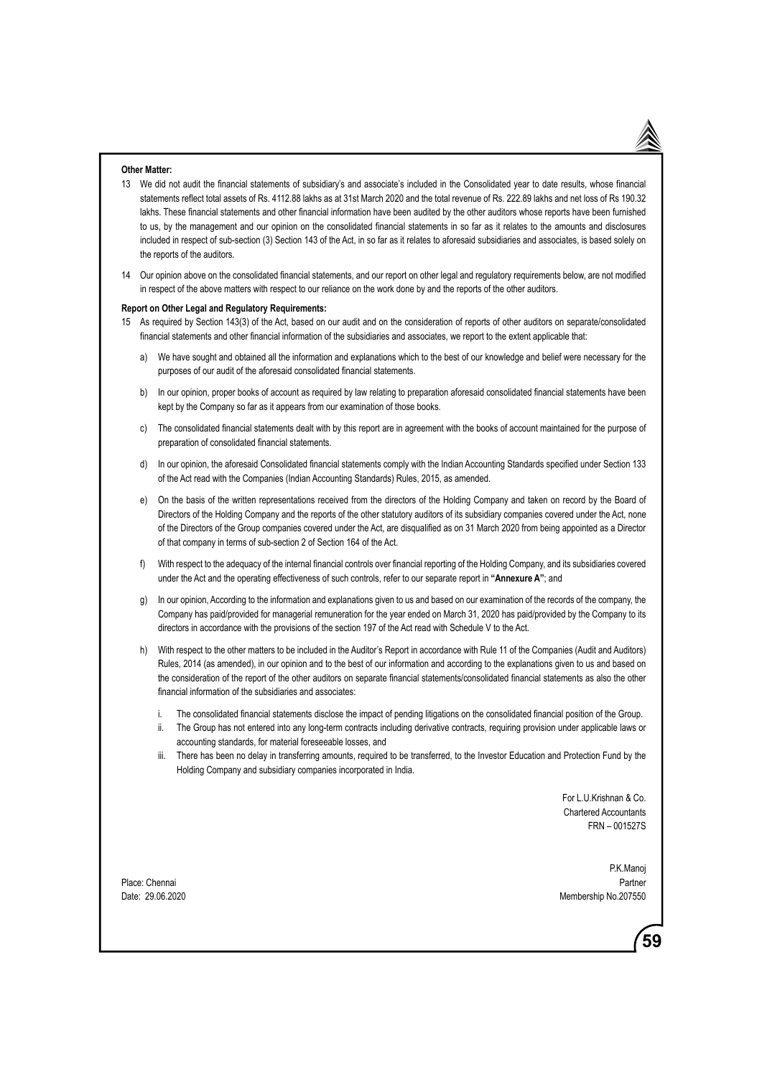**Management's Responsibility for the Consolidated Financial Statements:**

- 5. The Company's Board of Directors is responsible for the matters stated in Section 134(5) of the Companies Act, 2013 ("the Act") with respect to the preparation of these financial statements that give a true and fair view of the financial position, financial performance, changes in equity and cash flows in accordance with the accounting principles generally accepted in India, including the Indian Accounting Standards (Consolidated) specified under section 133 of the Act read with Companies (Indian Accounting Standards) Rules, 2015, as amended. This responsibility also includes maintenance of adequate accounting records in accordance with the provisions of the Act for safeguarding of the assets of the Company and for preventing and detecting frauds and other irregularities; selection and application of appropriate accounting policies; making judgements and estimates that are reasonable and prudent; and design, implementation and maintenance of adequate internal financial controls, that were operating effectively for ensuring the accuracy and completeness of accounting records, relevant to the preparation and presentation of the AS financial statements that give a true and fair view and are free from material misstatement, whether due to fraud or error.
- 6. In preparing the financial statements, management is responsible for assessing the Company's ability to continue as a going concern, disclosing, as applicable, matters related to going concern and using the going concern basis of accounting unless management either intends to liquidate the Company or to cease operations, or has no realistic alternative but to do so.
- 7. The Board of Directors are also responsible for overseeing the Company's financial reporting process.

### **Auditor's Responsibilities for the Audit of the Consolidated Financial Statements:**

- 8. Our objectives are to obtain reasonable assurance about whether the consolidated financial statements as a whole are free from material misstatement, whether due to fraud or error, and to issue an auditor's report that includes our opinion. Reasonable assurance is a high level of assurance but is not a guarantee that an audit conducted in accordance with SAs will always detect a material misstatement when it exists. Misstatements can arise from fraud or error and are considered material if, individually or in the aggregate, they could reasonably be expected to influence the economic decisions of users taken on the basis of these consolidated financial statements.
- 9. As part of an audit in accordance with SAs, we exercise professional judgment and maintain professional scepticism throughout the audit. We also:
	- (i) Identify and assess the risks of material misstatement of the consolidated financial statements, whether due to fraud or error, design and perform audit procedures responsive to those risks, and obtain audit evidence that is sufficient and appropriate to provide a basis for our opinion. The risk of not detecting a material misstatement resulting from fraud is higher than for one resulting from error, as fraud may involve collusion, forgery, intentional omissions, misrepresentations, or the override of internal control.
	- (ii) Obtain an understanding of internal control relevant to the audit in order to design audit procedures that are appropriate in the circumstances. Under section 143(3)(i) of the Companies Act, 2013, we are also responsible for expressing our opinion on whether the Company has adequate internal financial controls system in place and the operating effectiveness of such controls.
	- (iii) Evaluate the appropriateness of accounting policies used and the reasonableness of accounting estimates and related disclosures made by management.
	- (iv) Conclude on the appropriateness of management's use of the going concern basis of accounting and, based on the audit evidence obtained, whether a material uncertainty exists related to events or conditions that may cast significant doubt on the Company's ability to continue as a going concern. If we conclude that a material uncertainty exists, we are required to draw attention in our auditor's report to the related disclosures in the consolidated financial statements or, if such disclosures are inadequate, to modify our opinion. Our conclusions are based on the audit evidence obtained up to the date of our auditor's report. However, future events or conditions may cause the Company to cease to continue as a going concern.
	- (v) Evaluate the overall presentation, structure and content of the consolidated financial statements, including the disclosures, and whether the consolidated financial statements represent the underlying transactions and events in a manner that achieves fair presentation.
- 10. Materiality is the magnitude of misstatements in the Consolidated financial statements that, individually or in aggregate, makes it probable that the economic decisions of a reasonably knowledgeable user of the financial statements may be influenced. We consider quantitative materiality and qualitative factors in (i) planning the scope of our audit work and in evaluating the results of our work; and (ii) to evaluate the effect of any identified misstatements in the financial statements.
- 11. We communicate with those charged with governance regarding, among other matters, the planned scope and timing of the audit and significant audit findings, including any significant deficiencies in internal control that we identify during our audit.
- 12. We also provide those charged with governance with a statement that we have complied with relevant ethical requirements regarding independence, and to communicate with them all relationships and other matters that may reasonably be thought to bear on our independence, and where applicable, related safeguards.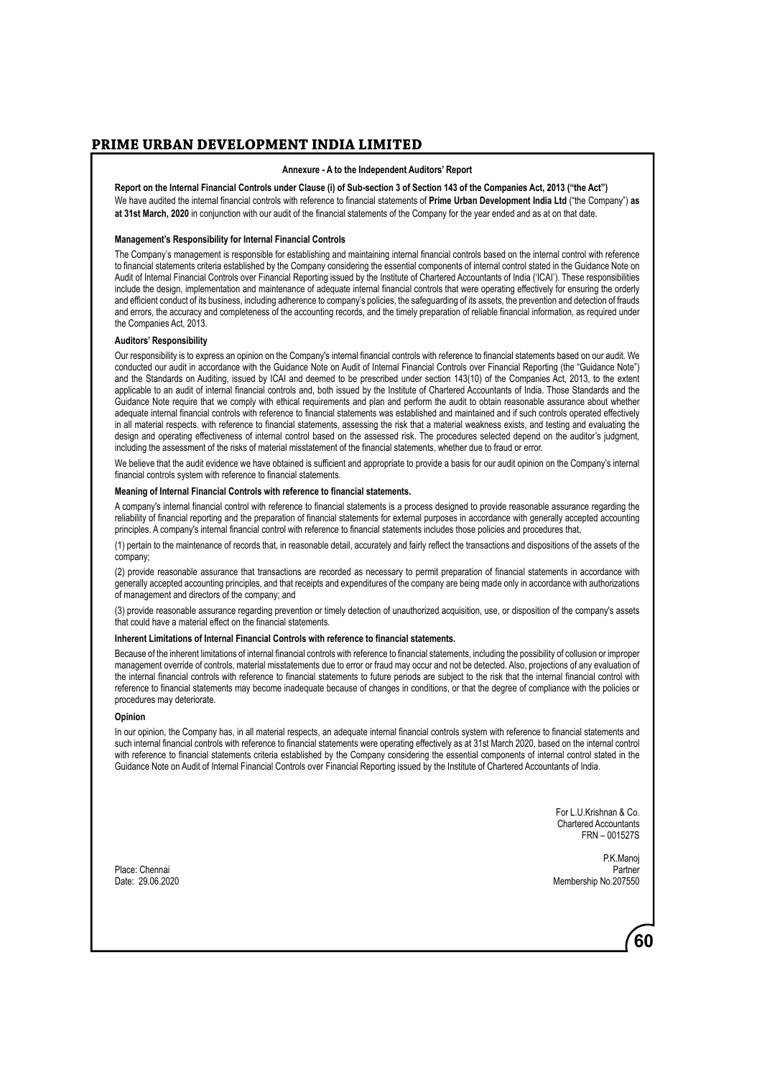#### **Other Matter:**

- 13 We did not audit the financial statements of subsidiary's and associate's included in the Consolidated year to date results, whose financial statements reflect total assets of Rs. 4112.88 lakhs as at 31st March 2020 and the total revenue of Rs. 222.89 lakhs and net loss of Rs 190.32 lakhs. These financial statements and other financial information have been audited by the other auditors whose reports have been furnished to us, by the management and our opinion on the consolidated financial statements in so far as it relates to the amounts and disclosures included in respect of sub-section (3) Section 143 of the Act, in so far as it relates to aforesaid subsidiaries and associates, is based solely on the reports of the auditors.
- 14 Our opinion above on the consolidated financial statements, and our report on other legal and regulatory requirements below, are not modified in respect of the above matters with respect to our reliance on the work done by and the reports of the other auditors.

#### **Report on Other Legal and Regulatory Requirements:**

- 15 As required by Section 143(3) of the Act, based on our audit and on the consideration of reports of other auditors on separate/consolidated financial statements and other financial information of the subsidiaries and associates, we report to the extent applicable that:
	- a) We have sought and obtained all the information and explanations which to the best of our knowledge and belief were necessary for the purposes of our audit of the aforesaid consolidated financial statements.
	- b) In our opinion, proper books of account as required by law relating to preparation aforesaid consolidated financial statements have been kept by the Company so far as it appears from our examination of those books.
	- c) The consolidated financial statements dealt with by this report are in agreement with the books of account maintained for the purpose of preparation of consolidated financial statements.
	- d) In our opinion, the aforesaid Consolidated financial statements comply with the Indian Accounting Standards specified under Section 133 of the Act read with the Companies (Indian Accounting Standards) Rules, 2015, as amended.
	- e) On the basis of the written representations received from the directors of the Holding Company and taken on record by the Board of Directors of the Holding Company and the reports of the other statutory auditors of its subsidiary companies covered under the Act, none of the Directors of the Group companies covered under the Act, are disqualified as on 31 March 2020 from being appointed as a Director of that company in terms of sub-section 2 of Section 164 of the Act.
	- f) With respect to the adequacy of the internal financial controls over financial reporting of the Holding Company, and its subsidiaries covered under the Act and the operating effectiveness of such controls, refer to our separate report in **"Annexure A"**; and
	- g) In our opinion, According to the information and explanations given to us and based on our examination of the records of the company, the Company has paid/provided for managerial remuneration for the year ended on March 31, 2020 has paid/provided by the Company to its directors in accordance with the provisions of the section 197 of the Act read with Schedule V to the Act.
	- h) With respect to the other matters to be included in the Auditor's Report in accordance with Rule 11 of the Companies (Audit and Auditors) Rules, 2014 (as amended), in our opinion and to the best of our information and according to the explanations given to us and based on the consideration of the report of the other auditors on separate financial statements/consolidated financial statements as also the other financial information of the subsidiaries and associates:
		- i. The consolidated financial statements disclose the impact of pending litigations on the consolidated financial position of the Group.
		- ii. The Group has not entered into any long-term contracts including derivative contracts, requiring provision under applicable laws or accounting standards, for material foreseeable losses, and
		- iii. There has been no delay in transferring amounts, required to be transferred, to the Investor Education and Protection Fund by the Holding Company and subsidiary companies incorporated in India.

For L.U.Krishnan & Co. Chartered Accountants FRN – 001527S

Date: 29.06.2020 Membership No.207550

P.K.Manoj Place: Chennai Partner et al. 2006. Il suoi est anno 1992 anno 1992 anno 1992 anno 1992 anno 1992 anno 1992 an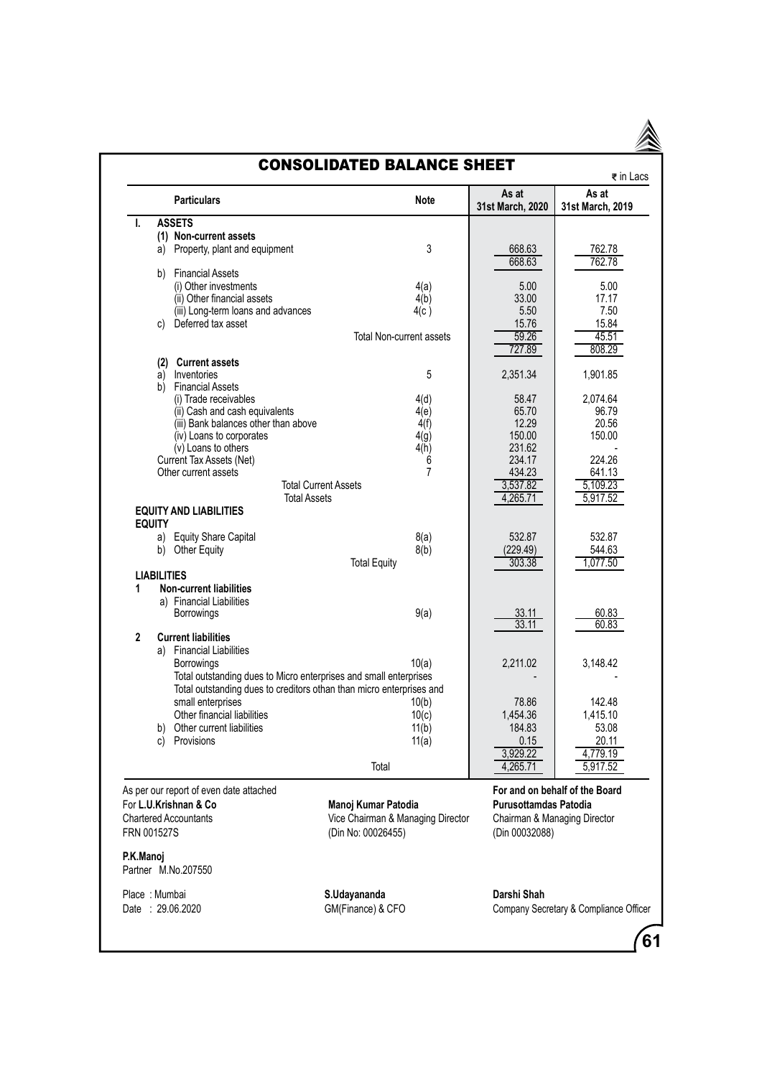#### **Annexure - A to the Independent Auditors' Report**

**Report on the Internal Financial Controls under Clause (i) of Sub-section 3 of Section 143 of the Companies Act, 2013 ("the Act")** We have audited the internal financial controls with reference to financial statements of **Prime Urban Development India Ltd** ("the Company") **as at 31st March, 2020** in conjunction with our audit of the financial statements of the Company for the year ended and as at on that date.

#### **Management's Responsibility for Internal Financial Controls**

The Company's management is responsible for establishing and maintaining internal financial controls based on the internal control with reference to financial statements criteria established by the Company considering the essential components of internal control stated in the Guidance Note on Audit of Internal Financial Controls over Financial Reporting issued by the Institute of Chartered Accountants of India ('ICAI'). These responsibilities include the design, implementation and maintenance of adequate internal financial controls that were operating effectively for ensuring the orderly and efficient conduct of its business, including adherence to company's policies, the safeguarding of its assets, the prevention and detection of frauds and errors, the accuracy and completeness of the accounting records, and the timely preparation of reliable financial information, as required under the Companies Act, 2013.

#### **Auditors' Responsibility**

Our responsibility is to express an opinion on the Company's internal financial controls with reference to financial statements based on our audit. We conducted our audit in accordance with the Guidance Note on Audit of Internal Financial Controls over Financial Reporting (the "Guidance Note") and the Standards on Auditing, issued by ICAI and deemed to be prescribed under section 143(10) of the Companies Act, 2013, to the extent applicable to an audit of internal financial controls and, both issued by the Institute of Chartered Accountants of India. Those Standards and the Guidance Note require that we comply with ethical requirements and plan and perform the audit to obtain reasonable assurance about whether adequate internal financial controls with reference to financial statements was established and maintained and if such controls operated effectively in all material respects. with reference to financial statements, assessing the risk that a material weakness exists, and testing and evaluating the design and operating effectiveness of internal control based on the assessed risk. The procedures selected depend on the auditor's judgment, including the assessment of the risks of material misstatement of the financial statements, whether due to fraud or error.

We believe that the audit evidence we have obtained is sufficient and appropriate to provide a basis for our audit opinion on the Company's internal financial controls system with reference to financial statements.

#### **Meaning of Internal Financial Controls with reference to financial statements.**

A company's internal financial control with reference to financial statements is a process designed to provide reasonable assurance regarding the reliability of financial reporting and the preparation of financial statements for external purposes in accordance with generally accepted accounting principles. A company's internal financial control with reference to financial statements includes those policies and procedures that,

(1) pertain to the maintenance of records that, in reasonable detail, accurately and fairly reflect the transactions and dispositions of the assets of the company;

(2) provide reasonable assurance that transactions are recorded as necessary to permit preparation of financial statements in accordance with generally accepted accounting principles, and that receipts and expenditures of the company are being made only in accordance with authorizations of management and directors of the company; and

(3) provide reasonable assurance regarding prevention or timely detection of unauthorized acquisition, use, or disposition of the company's assets that could have a material effect on the financial statements.

#### rent Limitations of Internal Financial Controls with reference to financial statements.

Because of the inherent limitations of internal financial controls with reference to financial statements, including the possibility of collusion or improper management override of controls, material misstatements due to error or fraud may occur and not be detected. Also, projections of any evaluation of the internal financial controls with reference to financial statements to future periods are subject to the risk that the internal financial control with reference to financial statements may become inadequate because of changes in conditions, or that the degree of compliance with the policies or procedures may deteriorate.

#### **Opinion**

In our opinion, the Company has, in all material respects, an adequate internal financial controls system with reference to financial statements and such internal financial controls with reference to financial statements were operating effectively as at 31st March 2020, based on the internal control with reference to financial statements criteria established by the Company considering the essential components of internal control stated in the Guidance Note on Audit of Internal Financial Controls over Financial Reporting issued by the Institute of Chartered Accountants of India.

> For L.U.Krishnan & Co. Chartered Accountants FRN – 001527S

P.K.Manoj Place: Chennai Partner et al. 2006. Il suoi est anno 1992 anno 1992 anno 1992 anno 1992 anno 1992 anno 1992 an Date: 29.06.2020 Membership No.207550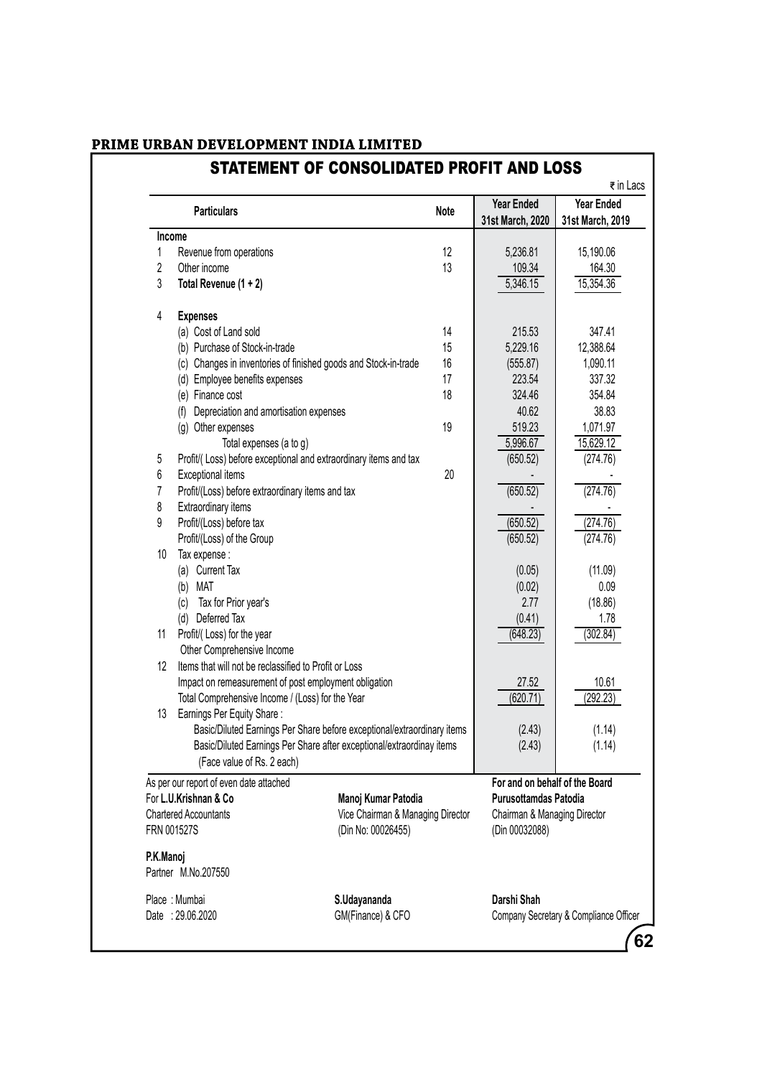|              |                    |                                                             | <b>CONSOLIDATED BALANCE SHEET</b>                                    |                              | $\overline{\mathbf{z}}$ in Lacs        |
|--------------|--------------------|-------------------------------------------------------------|----------------------------------------------------------------------|------------------------------|----------------------------------------|
|              |                    | <b>Particulars</b>                                          | <b>Note</b>                                                          | As at<br>31st March, 2020    | As at<br>31st March, 2019              |
| I.           |                    | <b>ASSETS</b>                                               |                                                                      |                              |                                        |
|              |                    | (1) Non-current assets                                      |                                                                      |                              |                                        |
|              |                    | a) Property, plant and equipment                            | 3                                                                    | 668.63<br>668.63             | 762.78<br>762.78                       |
|              |                    | b) Financial Assets                                         |                                                                      |                              |                                        |
|              |                    | (i) Other investments                                       | 4(a)                                                                 | 5.00                         | 5.00                                   |
|              |                    | (ii) Other financial assets                                 | 4(b)                                                                 | 33.00<br>5.50                | 17.17<br>7.50                          |
|              |                    | (iii) Long-term loans and advances<br>c) Deferred tax asset | 4(c)                                                                 | 15.76                        | 15.84                                  |
|              |                    |                                                             | <b>Total Non-current assets</b>                                      | 59.26                        | 45.51                                  |
|              |                    |                                                             |                                                                      | 727.89                       | 808.29                                 |
|              |                    | (2) Current assets<br>a) Inventories                        | 5                                                                    |                              | 1.901.85                               |
|              |                    | b) Financial Assets                                         |                                                                      | 2,351.34                     |                                        |
|              |                    | (i) Trade receivables                                       | 4(d)                                                                 | 58.47                        | 2,074.64                               |
|              |                    | (ii) Cash and cash equivalents                              | 4(e)                                                                 | 65.70                        | 96.79                                  |
|              |                    | (iii) Bank balances other than above                        | 4(f)                                                                 | 12.29                        | 20.56                                  |
|              |                    | (iv) Loans to corporates                                    | 4(g)                                                                 | 150.00                       | 150.00                                 |
|              |                    | (v) Loans to others                                         | 4(h)                                                                 | 231.62                       |                                        |
|              |                    | Current Tax Assets (Net)                                    | 6                                                                    | 234.17                       | 224.26                                 |
|              |                    | Other current assets                                        | 7                                                                    | 434.23                       | 641.13                                 |
|              |                    |                                                             | <b>Total Current Assets</b><br><b>Total Assets</b>                   | 3,537.82<br>4,265.71         | 5,109.23<br>5,917.52                   |
|              | <b>EQUITY</b>      | <b>EQUITY AND LIABILITIES</b>                               |                                                                      |                              |                                        |
|              |                    | a) Equity Share Capital<br>b) Other Equity                  | 8(a)                                                                 | 532.87                       | 532.87<br>544.63                       |
|              |                    |                                                             | 8(b)<br><b>Total Equity</b>                                          | (229.49)<br>303.38           | 1,077.50                               |
|              | <b>LIABILITIES</b> |                                                             |                                                                      |                              |                                        |
| 1            |                    | <b>Non-current liabilities</b>                              |                                                                      |                              |                                        |
|              |                    | a) Financial Liabilities                                    |                                                                      |                              |                                        |
|              |                    | Borrowings                                                  | 9(a)                                                                 | 33.11<br>33.11               | 60.83<br>60.83                         |
| $\mathbf{2}$ |                    | <b>Current liabilities</b>                                  |                                                                      |                              |                                        |
|              |                    | a) Financial Liabilities                                    |                                                                      |                              |                                        |
|              |                    | Borrowings                                                  | 10(a)                                                                | 2,211.02                     | 3,148.42                               |
|              |                    |                                                             | Total outstanding dues to Micro enterprises and small enterprises    |                              |                                        |
|              |                    |                                                             | Total outstanding dues to creditors othan than micro enterprises and |                              |                                        |
|              |                    | small enterprises                                           | 10(b)                                                                | 78.86                        | 142.48                                 |
|              |                    | Other financial liabilities                                 | 10(c)                                                                | 1,454.36                     | 1,415.10                               |
|              |                    | b) Other current liabilities                                | 11(b)                                                                | 184.83                       | 53.08                                  |
|              |                    | c) Provisions                                               | 11(a)                                                                | 0.15                         | 20.11                                  |
|              |                    |                                                             |                                                                      | 3,929.22                     | 4,779.19                               |
|              |                    |                                                             | Total                                                                | 4,265.71                     | 5,917.52                               |
|              |                    | As per our report of even date attached                     |                                                                      |                              | For and on behalf of the Board         |
|              |                    | For L.U.Krishnan & Co                                       | Manoj Kumar Patodia                                                  | <b>Purusottamdas Patodia</b> |                                        |
|              |                    | <b>Chartered Accountants</b>                                | Vice Chairman & Managing Director                                    |                              | Chairman & Managing Director           |
| FRN 001527S  |                    |                                                             | (Din No: 00026455)                                                   | (Din 00032088)               |                                        |
| P.K.Manoj    |                    | Partner M.No.207550                                         |                                                                      |                              |                                        |
|              | Place: Mumbai      |                                                             | S.Udayananda                                                         | Darshi Shah                  |                                        |
|              |                    | Date: 29.06.2020                                            | GM(Finance) & CFO                                                    |                              | Company Secretary & Compliance Officer |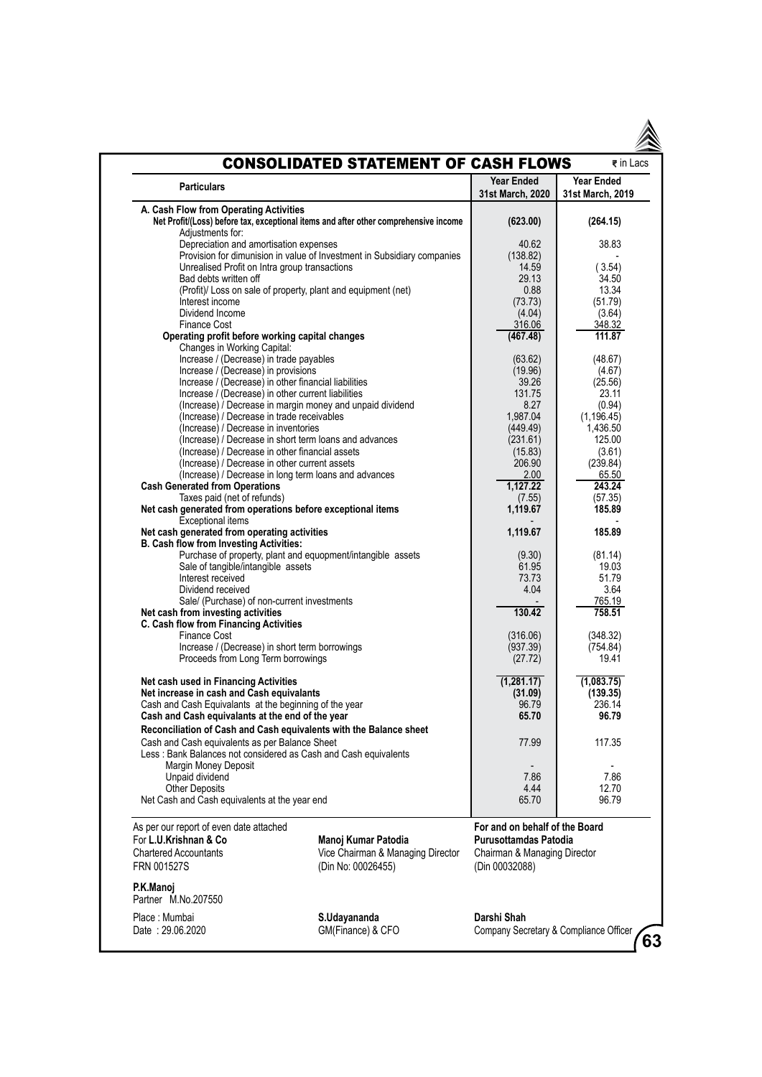|                | <b>Particulars</b>                                                      | Note                              | <b>Year Ended</b><br>31st March, 2020          | <b>Year Ended</b><br>31st March, 2019  |
|----------------|-------------------------------------------------------------------------|-----------------------------------|------------------------------------------------|----------------------------------------|
|                | Income                                                                  |                                   |                                                |                                        |
| 1              | Revenue from operations                                                 | 12                                | 5,236.81                                       | 15,190.06                              |
| $\overline{2}$ | Other income                                                            | 13                                | 109.34                                         | 164.30                                 |
| 3              | Total Revenue (1 + 2)                                                   |                                   | 5,346.15                                       | 15,354.36                              |
| 4              | <b>Expenses</b>                                                         |                                   |                                                |                                        |
|                | (a) Cost of Land sold                                                   | 14                                | 215.53                                         | 347.41                                 |
|                | (b) Purchase of Stock-in-trade                                          | 15                                | 5,229.16                                       | 12,388.64                              |
|                | (c) Changes in inventories of finished goods and Stock-in-trade         | 16                                | (555.87)                                       | 1,090.11                               |
|                | (d) Employee benefits expenses                                          | 17                                | 223.54                                         | 337.32                                 |
|                | (e) Finance cost                                                        | 18                                | 324.46                                         | 354.84                                 |
|                | (f) Depreciation and amortisation expenses                              |                                   | 40.62                                          | 38.83                                  |
|                | (g) Other expenses                                                      | 19                                | 519.23                                         | 1,071.97                               |
|                | Total expenses (a to g)                                                 |                                   | 5,996.67                                       | 15,629.12                              |
| 5              | Profit/(Loss) before exceptional and extraordinary items and tax        |                                   | (650.52)                                       | (274.76)                               |
| 6              | Exceptional items                                                       | 20                                |                                                |                                        |
| $\overline{7}$ | Profit/(Loss) before extraordinary items and tax                        |                                   | (650.52)                                       | (274.76)                               |
| 8              | Extraordinary items                                                     |                                   |                                                |                                        |
| 9              | Profit/(Loss) before tax                                                |                                   | (650.52)                                       | (274.76)                               |
|                | Profit/(Loss) of the Group                                              |                                   | (650.52)                                       | (274.76)                               |
| 10             | Tax expense :                                                           |                                   |                                                |                                        |
|                | (a) Current Tax                                                         |                                   | (0.05)                                         | (11.09)                                |
|                | $(b)$ MAT                                                               |                                   | (0.02)                                         | 0.09                                   |
|                | (c) Tax for Prior year's                                                |                                   | 2.77                                           | (18.86)                                |
|                | (d) Deferred Tax                                                        |                                   | (0.41)                                         | 1.78                                   |
| 11             | Profit/(Loss) for the year                                              |                                   | (648.23)                                       | (302.84)                               |
|                | Other Comprehensive Income                                              |                                   |                                                |                                        |
| 12             | Items that will not be reclassified to Profit or Loss                   |                                   |                                                |                                        |
|                | Impact on remeasurement of post employment obligation                   |                                   | 27.52                                          | 10.61                                  |
|                | Total Comprehensive Income / (Loss) for the Year                        |                                   | (620.71)                                       | (292.23)                               |
| 13             | Earnings Per Equity Share:                                              |                                   |                                                |                                        |
|                | Basic/Diluted Earnings Per Share before exceptional/extraordinary items |                                   | (2.43)                                         | (1.14)                                 |
|                | Basic/Diluted Earnings Per Share after exceptional/extraordinay items   |                                   | (2.43)                                         | (1.14)                                 |
|                | (Face value of Rs. 2 each)                                              |                                   |                                                |                                        |
|                | As per our report of even date attached                                 |                                   |                                                | For and on behalf of the Board         |
|                | For L.U.Krishnan & Co<br><b>Chartered Accountants</b>                   | Manoj Kumar Patodia               | Purusottamdas Patodia                          |                                        |
|                |                                                                         | Vice Chairman & Managing Director | Chairman & Managing Director<br>(Din 00032088) |                                        |
| P.K.Manoj      | FRN 001527S                                                             | (Din No: 00026455)                |                                                |                                        |
|                | Partner M.No.207550                                                     |                                   |                                                |                                        |
|                | Place: Mumbai                                                           | S.Udayananda                      | Darshi Shah                                    |                                        |
|                | Date: 29.06.2020<br>GM(Finance) & CFO                                   |                                   |                                                | Company Secretary & Compliance Officer |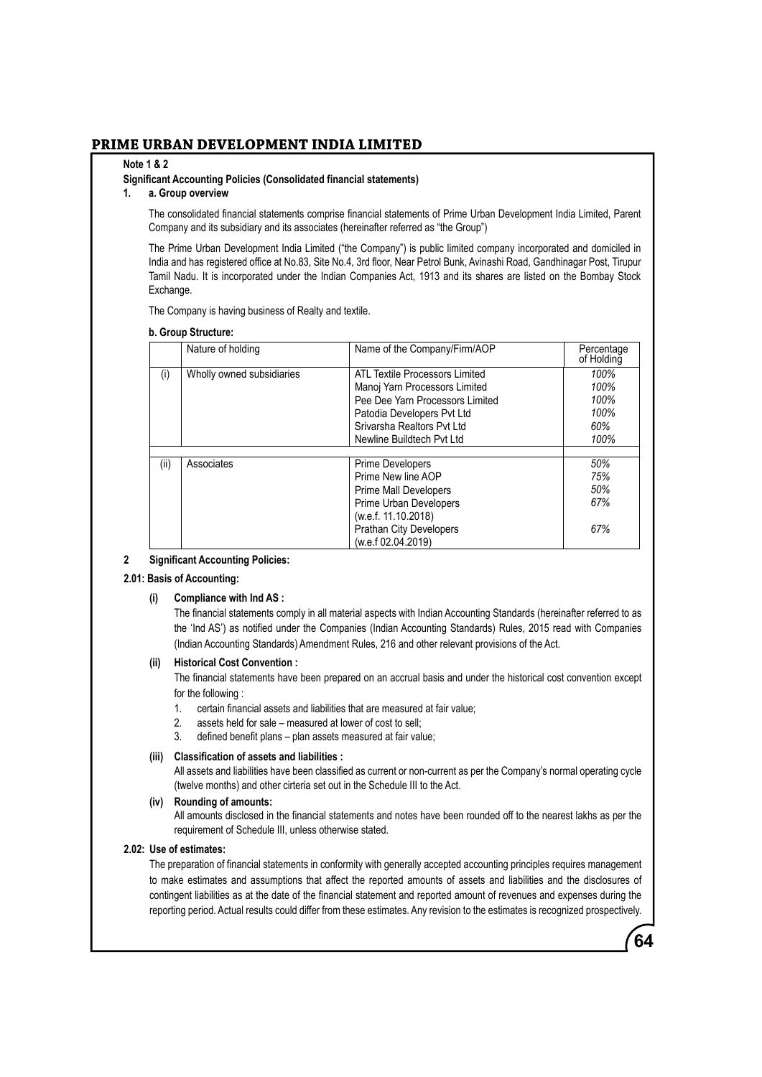|                                                                                      | <b>CONSOLIDATED STATEMENT OF CASH FLOWS</b>                             |                                       | $\overline{\mathbf{z}}$ in Lacs       |  |
|--------------------------------------------------------------------------------------|-------------------------------------------------------------------------|---------------------------------------|---------------------------------------|--|
| <b>Particulars</b>                                                                   |                                                                         | <b>Year Ended</b><br>31st March, 2020 | <b>Year Ended</b><br>31st March, 2019 |  |
| A. Cash Flow from Operating Activities                                               |                                                                         |                                       |                                       |  |
| Net Profit/(Loss) before tax, exceptional items and after other comprehensive income |                                                                         | (623.00)                              | (264.15)                              |  |
| Adjustments for:                                                                     |                                                                         |                                       |                                       |  |
| Depreciation and amortisation expenses                                               |                                                                         | 40.62                                 | 38.83                                 |  |
|                                                                                      | Provision for dimunision in value of Investment in Subsidiary companies | (138.82)                              |                                       |  |
| Unrealised Profit on Intra group transactions                                        |                                                                         | 14.59                                 | (3.54)                                |  |
| Bad debts written off                                                                |                                                                         | 29.13                                 | 34.50                                 |  |
| (Profit)/ Loss on sale of property, plant and equipment (net)<br>Interest income     |                                                                         | 0.88<br>(73.73)                       | 13.34<br>(51.79)                      |  |
| Dividend Income                                                                      |                                                                         | (4.04)                                | (3.64)                                |  |
| <b>Finance Cost</b>                                                                  |                                                                         | 316.06                                | 348.32                                |  |
| Operating profit before working capital changes                                      |                                                                         | (467.48)                              | 111.87                                |  |
| Changes in Working Capital:                                                          |                                                                         |                                       |                                       |  |
| Increase / (Decrease) in trade payables                                              |                                                                         | (63.62)                               | (48.67)                               |  |
| Increase / (Decrease) in provisions                                                  |                                                                         | (19.96)                               | (4.67)                                |  |
| Increase / (Decrease) in other financial liabilities                                 |                                                                         | 39.26                                 | (25.56)                               |  |
| Increase / (Decrease) in other current liabilities                                   |                                                                         | 131.75                                | 23.11                                 |  |
| (Increase) / Decrease in margin money and unpaid dividend                            |                                                                         | 8.27                                  | (0.94)                                |  |
| (Increase) / Decrease in trade receivables                                           |                                                                         | 1,987.04                              | (1, 196.45)                           |  |
| (Increase) / Decrease in inventories                                                 |                                                                         | (449.49)                              | 1,436.50                              |  |
| (Increase) / Decrease in short term loans and advances                               |                                                                         | (231.61)                              | 125.00                                |  |
| (Increase) / Decrease in other financial assets                                      |                                                                         | (15.83)                               | (3.61)                                |  |
| (Increase) / Decrease in other current assets                                        |                                                                         | 206.90                                | (239.84)                              |  |
| (Increase) / Decrease in long term loans and advances                                |                                                                         | 2.00                                  | 65.50                                 |  |
| <b>Cash Generated from Operations</b>                                                |                                                                         | 1,127.22<br>(7.55)                    | 243.24<br>(57.35)                     |  |
| Taxes paid (net of refunds)                                                          | Net cash generated from operations before exceptional items             |                                       |                                       |  |
| Exceptional items                                                                    |                                                                         |                                       |                                       |  |
| Net cash generated from operating activities                                         |                                                                         | 1,119.67                              | 185.89                                |  |
| <b>B. Cash flow from Investing Activities:</b>                                       |                                                                         |                                       |                                       |  |
| Purchase of property, plant and equopment/intangible assets                          |                                                                         | (9.30)                                | (81.14)                               |  |
| Sale of tangible/intangible assets                                                   |                                                                         | 61.95                                 | 19.03                                 |  |
| Interest received                                                                    |                                                                         | 73.73                                 | 51.79                                 |  |
| Dividend received                                                                    |                                                                         | 4.04                                  | 3.64                                  |  |
| Sale/ (Purchase) of non-current investments<br>Net cash from investing activities    |                                                                         | 130.42                                | 765.19<br>758.51                      |  |
| C. Cash flow from Financing Activities                                               |                                                                         |                                       |                                       |  |
| <b>Finance Cost</b>                                                                  |                                                                         | (316.06)                              | (348.32)                              |  |
| Increase / (Decrease) in short term borrowings                                       |                                                                         | (937.39)                              | (754.84)                              |  |
| Proceeds from Long Term borrowings                                                   |                                                                         | (27.72)                               | 19.41                                 |  |
|                                                                                      |                                                                         |                                       |                                       |  |
| Net cash used in Financing Activities                                                |                                                                         | (1, 281.17)                           | (1,083.75)                            |  |
| Net increase in cash and Cash equivalants                                            |                                                                         | (31.09)                               | (139.35)                              |  |
| Cash and Cash Equivalants at the beginning of the year                               |                                                                         | 96.79                                 | 236.14                                |  |
| Cash and Cash equivalants at the end of the year                                     |                                                                         | 65.70                                 | 96.79                                 |  |
| Reconciliation of Cash and Cash equivalents with the Balance sheet                   |                                                                         |                                       |                                       |  |
| Cash and Cash equivalents as per Balance Sheet                                       |                                                                         | 77.99                                 | 117.35                                |  |
| Less: Bank Balances not considered as Cash and Cash equivalents                      |                                                                         |                                       |                                       |  |
| Margin Money Deposit                                                                 |                                                                         |                                       |                                       |  |
| Unpaid dividend<br><b>Other Deposits</b>                                             |                                                                         | 7.86                                  | 7.86<br>12.70                         |  |
| Net Cash and Cash equivalents at the year end                                        |                                                                         | 4.44<br>65.70                         | 96.79                                 |  |
|                                                                                      |                                                                         |                                       |                                       |  |
| As per our report of even date attached                                              |                                                                         | For and on behalf of the Board        |                                       |  |
| For L.U.Krishnan & Co                                                                | Manoj Kumar Patodia                                                     | Purusottamdas Patodia                 |                                       |  |
| <b>Chartered Accountants</b>                                                         | Vice Chairman & Managing Director                                       | Chairman & Managing Director          |                                       |  |
| FRN 001527S                                                                          | (Din No: 00026455)                                                      | (Din 00032088)                        |                                       |  |
|                                                                                      |                                                                         |                                       |                                       |  |
| P.K.Manoj                                                                            |                                                                         |                                       |                                       |  |
| Partner M.No.207550                                                                  |                                                                         |                                       |                                       |  |
|                                                                                      |                                                                         |                                       |                                       |  |
| Place: Mumbai                                                                        | S.Udayananda                                                            | Darshi Shah                           |                                       |  |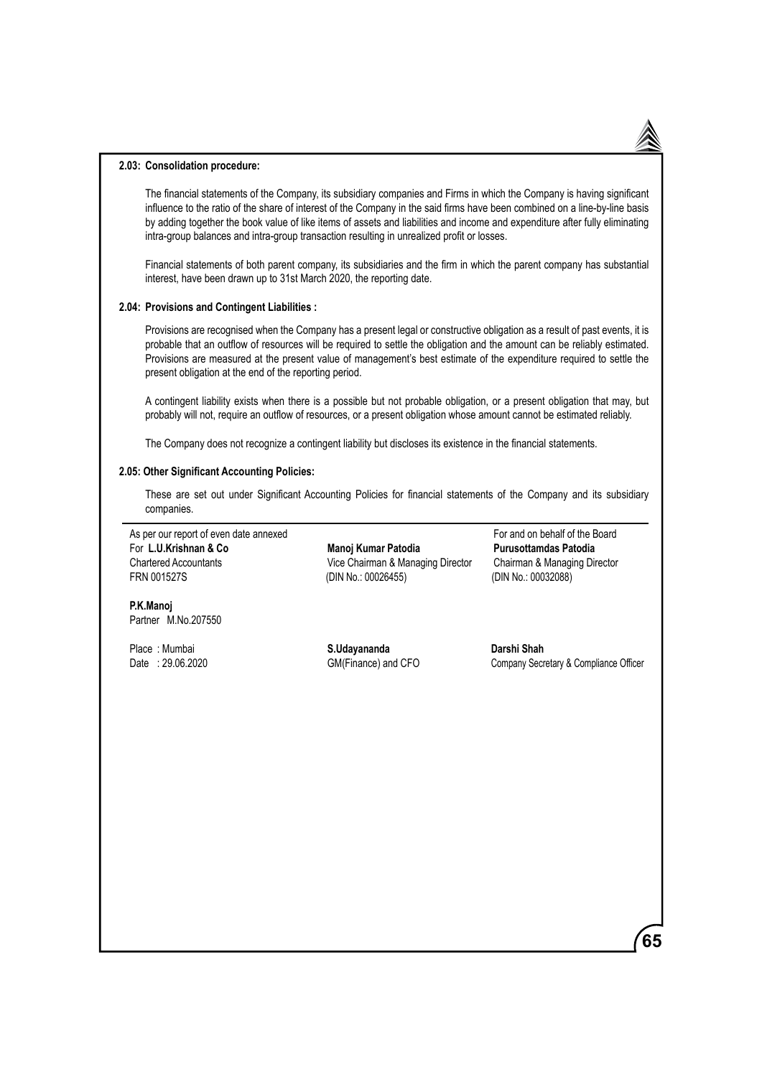### **Note 1 & 2**

### **Significant Accounting Policies (Consolidated financial statements)**

### **1. a. Group overview**

 The consolidated financial statements comprise financial statements of Prime Urban Development India Limited, Parent Company and its subsidiary and its associates (hereinafter referred as "the Group")

 The Prime Urban Development India Limited ("the Company") is public limited company incorporated and domiciled in India and has registered office at No.83, Site No.4, 3rd floor, Near Petrol Bunk, Avinashi Road, Gandhinagar Post, Tirupur Tamil Nadu. It is incorporated under the Indian Companies Act, 1913 and its shares are listed on the Bombay Stock Exchange.

The Company is having business of Realty and textile.

### **b. Group Structure:**

|      | Nature of holding         | Name of the Company/Firm/AOP                                                                                                                                                    | Percentage<br>of Holding        |
|------|---------------------------|---------------------------------------------------------------------------------------------------------------------------------------------------------------------------------|---------------------------------|
| (i)  | Wholly owned subsidiaries | ATL Textile Processors Limited<br>Manoj Yarn Processors Limited<br>Pee Dee Yarn Processors Limited                                                                              | 100%<br>100%<br>100%            |
|      |                           | Patodia Developers Pvt Ltd<br>Srivarsha Realtors Pyt Ltd<br>Newline Buildtech Pyt Ltd                                                                                           | 100%<br>60%<br>100%             |
|      |                           |                                                                                                                                                                                 |                                 |
| (ii) | Associates                | Prime Developers<br>Prime New line AOP<br><b>Prime Mall Developers</b><br>Prime Urban Developers<br>(w.e.f. 11.10.2018)<br><b>Prathan City Developers</b><br>(w.e.f 02.04.2019) | 50%<br>75%<br>50%<br>67%<br>67% |

### **2 Significant Accounting Policies:**

### **2.01: Basis of Accounting:**

### **(i) Compliance with Ind AS :**

 The financial statements comply in all material aspects with Indian Accounting Standards (hereinafter referred to as the 'Ind AS') as notified under the Companies (Indian Accounting Standards) Rules, 2015 read with Companies (Indian Accounting Standards) Amendment Rules, 216 and other relevant provisions of the Act.

### **(ii) Historical Cost Convention :**

 The financial statements have been prepared on an accrual basis and under the historical cost convention except for the following :

- 1. certain financial assets and liabilities that are measured at fair value;
- 2. assets held for sale measured at lower of cost to sell;
- 3. defined benefit plans plan assets measured at fair value;

### **(iii) Classification of assets and liabilities :**

 All assets and liabilities have been classified as current or non-current as per the Company's normal operating cycle (twelve months) and other cirteria set out in the Schedule III to the Act.

### **(iv) Rounding of amounts:**

 All amounts disclosed in the financial statements and notes have been rounded off to the nearest lakhs as per the requirement of Schedule III, unless otherwise stated.

### **2.02: Use of estimates:**

The preparation of financial statements in conformity with generally accepted accounting principles requires management to make estimates and assumptions that affect the reported amounts of assets and liabilities and the disclosures of contingent liabilities as at the date of the financial statement and reported amount of revenues and expenses during the reporting period. Actual results could differ from these estimates. Any revision to the estimates is recognized prospectively.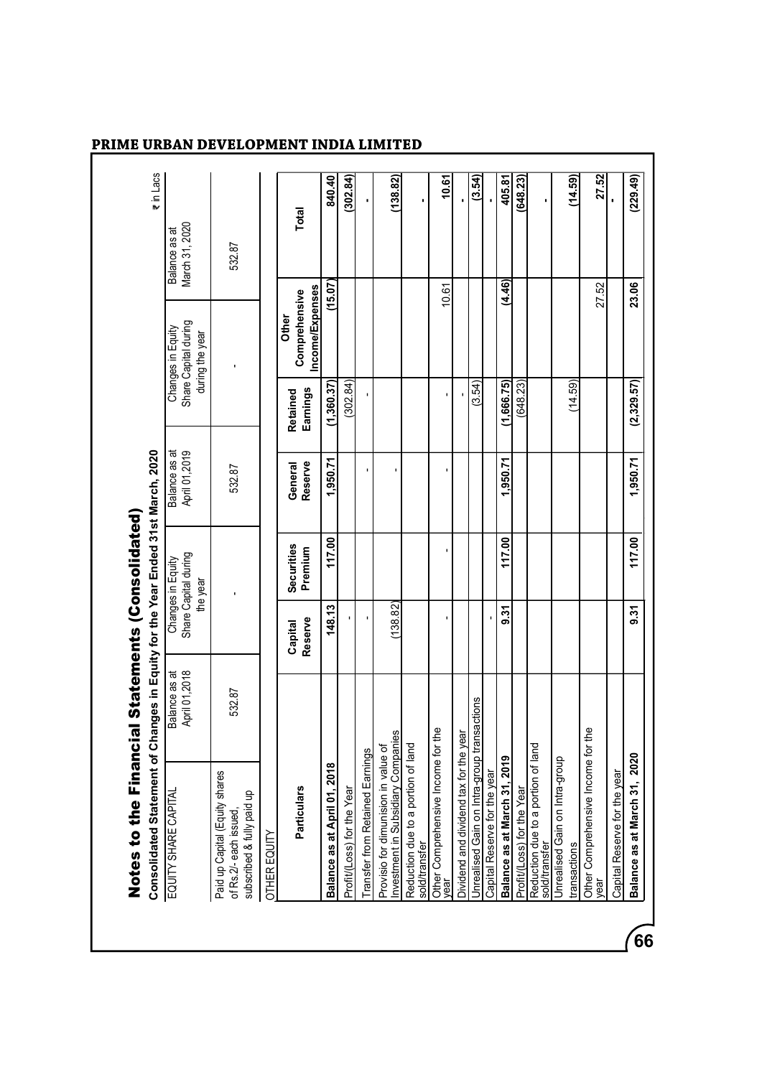### **2.03: Consolidation procedure:**

 The financial statements of the Company, its subsidiary companies and Firms in which the Company is having significant influence to the ratio of the share of interest of the Company in the said firms have been combined on a line-by-line basis by adding together the book value of like items of assets and liabilities and income and expenditure after fully eliminating intra-group balances and intra-group transaction resulting in unrealized profit or losses.

 Financial statements of both parent company, its subsidiaries and the firm in which the parent company has substantial interest, have been drawn up to 31st March 2020, the reporting date.

### **2.04: Provisions and Contingent Liabilities :**

 Provisions are recognised when the Company has a present legal or constructive obligation as a result of past events, it is probable that an outflow of resources will be required to settle the obligation and the amount can be reliably estimated. Provisions are measured at the present value of management's best estimate of the expenditure required to settle the present obligation at the end of the reporting period.

 A contingent liability exists when there is a possible but not probable obligation, or a present obligation that may, but probably will not, require an outflow of resources, or a present obligation whose amount cannot be estimated reliably.

The Company does not recognize a contingent liability but discloses its existence in the financial statements.

### **2.05: Other Significant Accounting Policies:**

 These are set out under Significant Accounting Policies for financial statements of the Company and its subsidiary companies.

**65** As per our report of even date annexed For and on behalf of the Board For **L.U.Krishnan & Co Manoj Kumar Patodia Purusottamdas Patodia**  Chartered Accountants Vice Chairman & Managing Director Chairman & Managing Director FRN 001527S (DIN No.: 00026455) (DIN No.: 00032088) **P.K.Manoj**  Partner M.No.207550 Place : Mumbai **S.Udayananda Darshi Shah** Date : 29.06.2020 GM(Finance) and CFO Company Secretary & Compliance Officer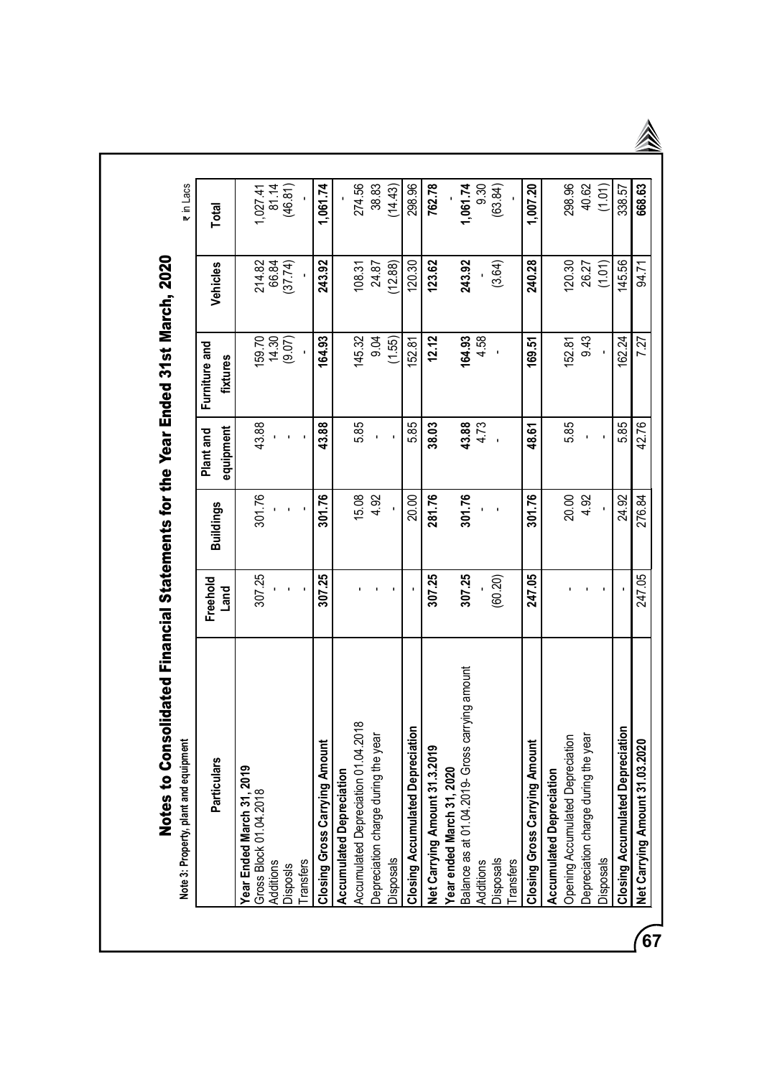| Consolidated Statement of Changes in Equity for the Year Ended 31st March, 2020      |                                |                    |                                                       |                                |                      |                                                              |                                 | ₹ in Lacs |
|--------------------------------------------------------------------------------------|--------------------------------|--------------------|-------------------------------------------------------|--------------------------------|----------------------|--------------------------------------------------------------|---------------------------------|-----------|
| EQUITY SHARE CAPITAL                                                                 | April 01,2018<br>Balance as at |                    | Share Capital during<br>Changes in Equity<br>the year | Balance as at<br>April 01,2019 |                      | Share Capital during<br>Changes in Equity<br>during the year | March 31, 2020<br>Balance as at |           |
| Paid up Capital (Equity shares<br>subscribed & fully paid up<br>of Rs.2/-each issued | 532.87                         |                    |                                                       | 532.87                         |                      |                                                              | 532.87                          |           |
| OTHER EQUITY                                                                         |                                |                    |                                                       |                                |                      |                                                              |                                 |           |
| <b>Particulars</b>                                                                   |                                | Reserve<br>Capital | <b>Securities</b><br>Premium                          | Reserve<br>General             | Earnings<br>Retained | Income/Expenses<br>Comprehensive<br>Other                    | Total                           |           |
| Balance as at April 01, 2018                                                         |                                | 148.13             | 117.00                                                | 1,950.71                       | (1,360.37)           |                                                              | (15.07)                         | 840.40    |
| Profit/(Loss) for the Year                                                           |                                |                    |                                                       |                                | (302.84)             |                                                              |                                 | (302.84)  |
| Transfer from Retained Earnings                                                      |                                |                    |                                                       |                                |                      |                                                              |                                 |           |
| Investment in Subsidiary Companies<br>Provisio for dimunision in value of            |                                | (138.82)           |                                                       |                                |                      |                                                              |                                 | (138.82)  |
| Reduction due to a portion of land<br>sold/transfer                                  |                                |                    |                                                       |                                |                      |                                                              |                                 |           |
| Other Comprehensive Income for the<br>year                                           |                                |                    |                                                       |                                | $\mathbf{I}$         |                                                              | 10.61                           | 10.61     |
| Dividend and dividend tax for the year                                               |                                |                    |                                                       |                                |                      |                                                              |                                 |           |
| Unrealised Gain on Intra-group transactions                                          |                                |                    |                                                       |                                | (3.54)               |                                                              |                                 | (3.54)    |
| Capital Reserve for the year                                                         |                                |                    |                                                       |                                |                      |                                                              |                                 |           |
| Balance as at March 31, 2019                                                         |                                | 31                 | 117.00                                                | 1,950.71                       | (1,666.75)           |                                                              | (4.46)                          | 405.81    |
| Profit/(Loss) for the Year                                                           |                                |                    |                                                       |                                | (648.23)             |                                                              |                                 | (648.23)  |
| Reduction due to a portion of land<br>sold/transfer                                  |                                |                    |                                                       |                                |                      |                                                              |                                 | ı,        |
| Unrealised Gain on Intra-group<br>transactions                                       |                                |                    |                                                       |                                | (14.59)              |                                                              |                                 | (14.59)   |
| Other Comprehensive Income for th<br>year                                            | $\mathbf{\underline{\omega}}$  |                    |                                                       |                                |                      |                                                              | 27.52                           | 27.52     |
| Capital Reserve for the year                                                         |                                |                    |                                                       |                                |                      |                                                              |                                 |           |
| Balance as at March 31, 2020                                                         |                                | 31                 | 117.00                                                | 1,950.71                       | (2,329.57)           |                                                              | 23.06                           | (229.49)  |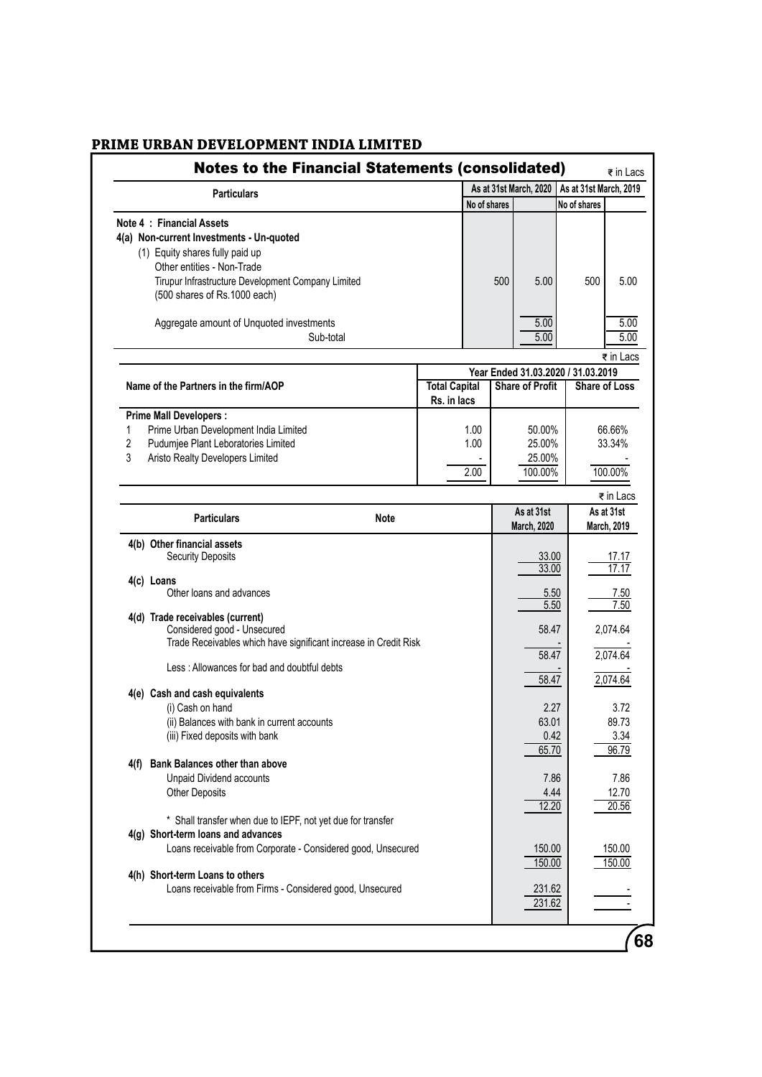| Notes to Consolidate<br>Note 3: Property, plant and equipment |                         |                  |                        | ed Financial Statements for the Year Ended 31st March, 2020 |                 | ₹in Lacs          |
|---------------------------------------------------------------|-------------------------|------------------|------------------------|-------------------------------------------------------------|-----------------|-------------------|
| <b>Particulars</b>                                            | Freehold<br><b>Land</b> | <b>Buildings</b> | equipment<br>Plant and | Furniture and<br>fixtures                                   | Vehicles        | Total             |
| Year Ended March 31, 2019                                     |                         |                  |                        |                                                             |                 |                   |
| Gross Block 01.04.2018<br>Additions                           | 307.25                  | 301.76           | 43.88                  | 159.70<br>14.30                                             | 214.82<br>66.84 | 81.14<br>1,027.41 |
| <b>Disposls</b>                                               |                         |                  |                        | (9.07)                                                      | (37.74)         | (46.81)           |
| ransfers                                                      |                         |                  |                        |                                                             |                 |                   |
| Closing Gross Carrying Amount                                 | 307.25                  | 301.76           | 43.88                  | 164.93                                                      | 243.92          | 1,061.74          |
| <b>Accumulated Depreciation</b>                               |                         |                  |                        |                                                             |                 |                   |
| Accumulated Depreciation 01.04.2018                           |                         | 15.08            | 5.85                   | 145.32                                                      | 108.31          | 274.56            |
| Depreciation charge during the year                           |                         | 4.92             |                        | 9.04                                                        | 24.87           | 38.83             |
| <b>Disposals</b>                                              |                         |                  | $\mathbf{I}$           | (1.55)                                                      | (12.88)         | (14.43)           |
| <b>Closing Accumulated Depreciation</b>                       |                         | 20.00            | 5.85                   | 152.81                                                      | 120.30          | 298.96            |
| Net Carrying Amount 31.3.2019                                 | 307.25                  | 281.76           | 38.03                  | 12.12                                                       | 123.62          | 762.78            |
| Year ended March 31, 2020                                     |                         |                  |                        |                                                             |                 |                   |
| Balance as at 01.04.2019- Gross carrying amount               | 307.25                  | 301.76           | 43.88                  | 164.93                                                      | 243.92          | 1,061.74          |
| Additions                                                     |                         |                  | 4.73                   | 4.58                                                        |                 | 9.30              |
| <b>Disposals</b><br>Transfers                                 | (60.20)                 | $\blacksquare$   |                        |                                                             | (3.64)          | (63.84)           |
| Closing Gross Carrying Amount                                 | 247.05                  | 301.76           | 48.61                  | 169.51                                                      | 240.28          | 1,007.20          |
| <b>Accumulated Depreciation</b>                               |                         |                  |                        |                                                             |                 |                   |
| Opening Accumulated Depreciation                              |                         | 20.00            | 5.85                   | 152.81                                                      | 120.30          | 298.96            |
| Depreciation charge during the year                           |                         | 4.92             |                        | 9.43                                                        | 26.27           | 40.62             |
| Disposals                                                     |                         |                  |                        |                                                             | (1.01)          | (1.01)            |
| <b>Closing Accumulated Depreciation</b>                       |                         | 24.92            | 5.85                   | 162.24                                                      | 145.56          | 338.57            |
|                                                               |                         |                  |                        |                                                             |                 |                   |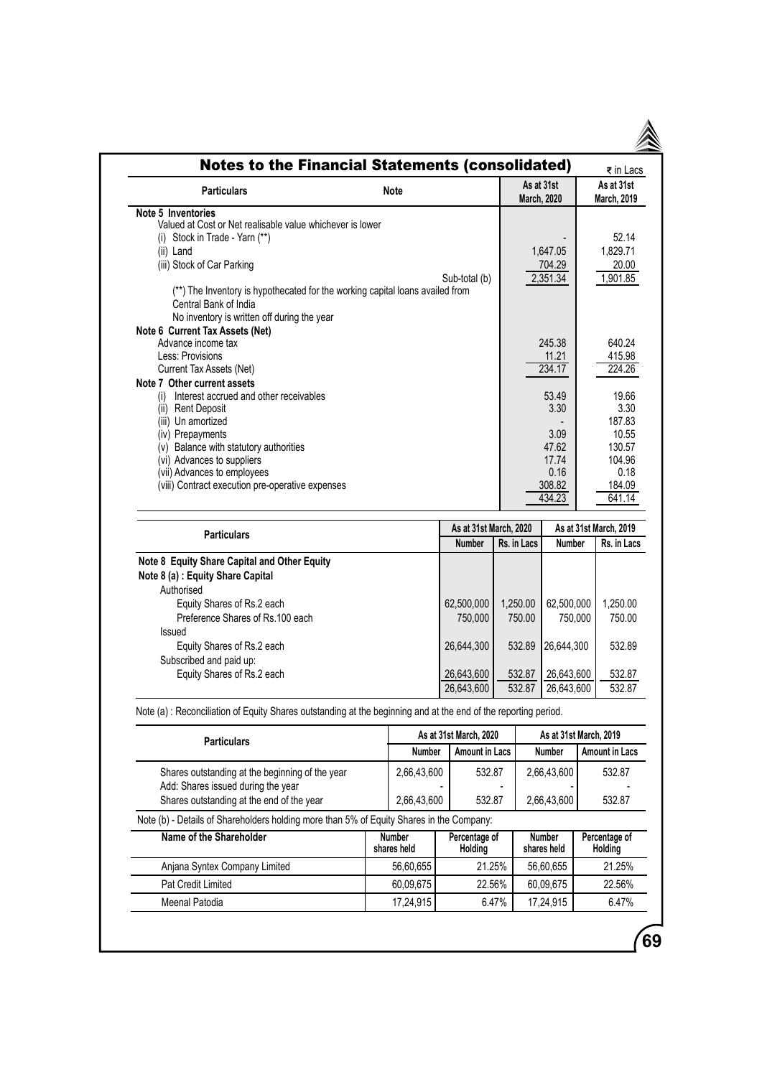|                          |                                                                                                                                                                   |                                     |              |     | As at 31st March, 2020           | As at 31st March, 2019                                     |                                 |
|--------------------------|-------------------------------------------------------------------------------------------------------------------------------------------------------------------|-------------------------------------|--------------|-----|----------------------------------|------------------------------------------------------------|---------------------------------|
|                          | <b>Particulars</b>                                                                                                                                                |                                     | No of shares |     |                                  | No of shares                                               |                                 |
|                          | Note 4: Financial Assets<br>4(a) Non-current Investments - Un-quoted<br>(1) Equity shares fully paid up<br>Other entities - Non-Trade                             |                                     |              |     |                                  |                                                            |                                 |
|                          | Tirupur Infrastructure Development Company Limited<br>(500 shares of Rs.1000 each)                                                                                |                                     |              | 500 | 5.00                             | 500                                                        | 5.00                            |
|                          | Aggregate amount of Unquoted investments<br>Sub-total                                                                                                             |                                     |              |     | 5.00<br>5.00                     |                                                            | 5.00<br>5.00                    |
|                          |                                                                                                                                                                   |                                     |              |     |                                  |                                                            | $\overline{\epsilon}$ in Lacs   |
|                          | Name of the Partners in the firm/AOP                                                                                                                              | <b>Total Capital</b><br>Rs. in lacs |              |     | <b>Share of Profit</b>           | Year Ended 31.03.2020 / 31.03.2019<br><b>Share of Loss</b> |                                 |
|                          | <b>Prime Mall Developers:</b>                                                                                                                                     |                                     |              |     |                                  |                                                            |                                 |
| 1<br>$\overline{2}$<br>3 | Prime Urban Development India Limited<br>Pudumjee Plant Leboratories Limited<br>Aristo Realty Developers Limited                                                  |                                     | 1.00<br>1.00 |     | 50.00%<br>25.00%<br>25.00%       |                                                            | 66.66%<br>33.34%                |
|                          |                                                                                                                                                                   |                                     | 2.00         |     | 100.00%                          |                                                            | 100.00%                         |
|                          |                                                                                                                                                                   |                                     |              |     |                                  |                                                            | $\overline{\mathbf{z}}$ in Lacs |
|                          | <b>Particulars</b><br><b>Note</b>                                                                                                                                 |                                     |              |     | As at 31st<br><b>March, 2020</b> |                                                            | As at 31st<br>March, 2019       |
|                          | 4(b) Other financial assets<br><b>Security Deposits</b>                                                                                                           |                                     |              |     | 33.00<br>33.00                   |                                                            | 17.17<br>17.17                  |
|                          | 4(c) Loans<br>Other loans and advances                                                                                                                            |                                     |              |     | 5.50<br>5.50                     |                                                            | <u>7.50</u><br>7.50             |
|                          | 4(d) Trade receivables (current)<br>Considered good - Unsecured<br>Trade Receivables which have significant increase in Credit Risk                               |                                     |              |     | 58.47                            |                                                            | 2,074.64                        |
|                          | Less: Allowances for bad and doubtful debts                                                                                                                       |                                     |              |     | 58.47<br>58.47                   |                                                            | 2,074.64<br>2,074.64            |
|                          | 4(e) Cash and cash equivalents<br>(i) Cash on hand                                                                                                                |                                     |              |     | 2.27                             |                                                            | 3.72                            |
|                          | (ii) Balances with bank in current accounts<br>(iii) Fixed deposits with bank                                                                                     |                                     |              |     | 63.01<br>0.42<br>65.70           |                                                            | 89.73<br>3.34<br>96.79          |
|                          | 4(f) Bank Balances other than above<br>Unpaid Dividend accounts<br><b>Other Deposits</b>                                                                          |                                     |              |     | 7.86<br>4.44<br>12.20            |                                                            | 7.86<br>12.70<br>20.56          |
|                          | * Shall transfer when due to IEPF, not yet due for transfer<br>4(g) Short-term loans and advances<br>Loans receivable from Corporate - Considered good, Unsecured |                                     |              |     | 150.00<br>150.00                 |                                                            | 150.00<br>150.00                |
|                          | 4(h) Short-term Loans to others<br>Loans receivable from Firms - Considered good, Unsecured                                                                       |                                     |              |     | 231.62                           |                                                            |                                 |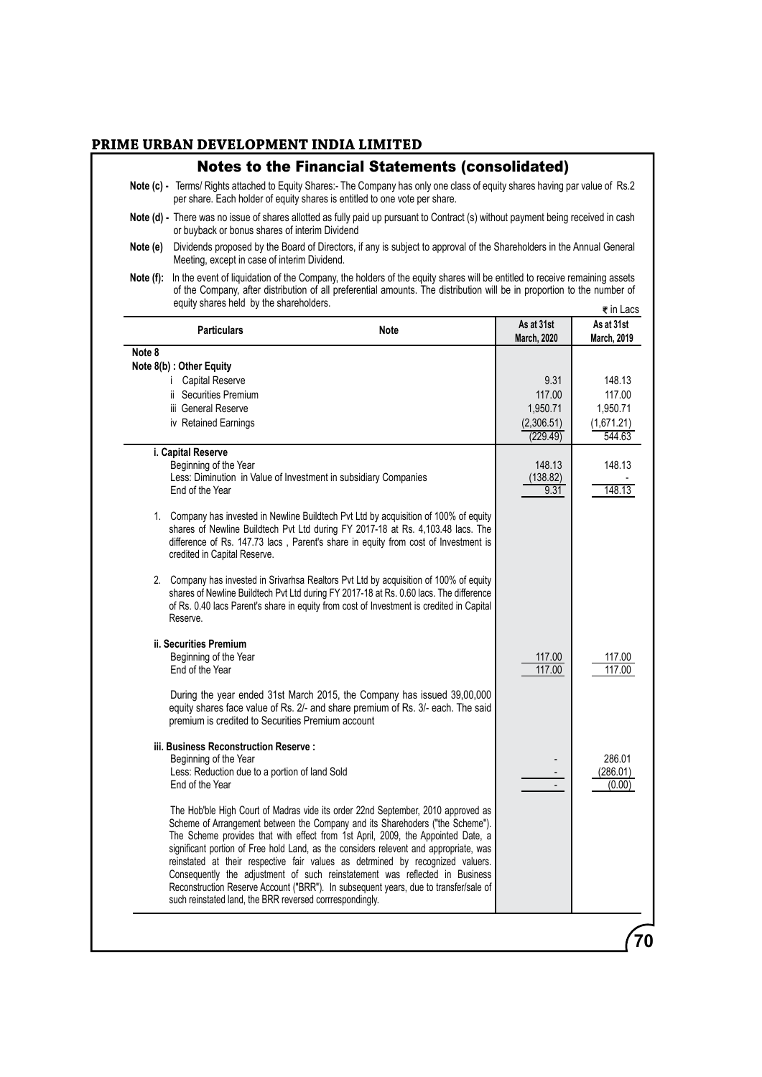| <b>Notes to the Financial Statements (consolidated)</b>                                                        |             |                        |             |                                  | ₹ in Lacs                                           |
|----------------------------------------------------------------------------------------------------------------|-------------|------------------------|-------------|----------------------------------|-----------------------------------------------------|
| <b>Particulars</b>                                                                                             | <b>Note</b> |                        |             | As at 31st<br><b>March, 2020</b> | As at 31st<br>March, 2019                           |
| Note 5 Inventories                                                                                             |             |                        |             |                                  |                                                     |
| Valued at Cost or Net realisable value whichever is lower                                                      |             |                        |             |                                  |                                                     |
| (i) Stock in Trade - Yarn (**)                                                                                 |             |                        |             |                                  | 52.14                                               |
| (ii) Land                                                                                                      |             |                        |             | 1,647.05                         | 1,829.71                                            |
| (iii) Stock of Car Parking                                                                                     |             |                        |             | 704.29                           | 20.00                                               |
|                                                                                                                |             | Sub-total (b)          |             | 2,351.34                         | 1,901.85                                            |
| (**) The Inventory is hypothecated for the working capital loans availed from                                  |             |                        |             |                                  |                                                     |
| Central Bank of India                                                                                          |             |                        |             |                                  |                                                     |
| No inventory is written off during the year<br>Note 6 Current Tax Assets (Net)                                 |             |                        |             |                                  |                                                     |
| Advance income tax                                                                                             |             |                        |             | 245.38                           | 640.24                                              |
| Less: Provisions                                                                                               |             |                        |             | 11.21                            | 415.98                                              |
| Current Tax Assets (Net)                                                                                       |             |                        |             | 234.17                           | 224.26                                              |
| Note 7 Other current assets                                                                                    |             |                        |             |                                  |                                                     |
| (i) Interest accrued and other receivables                                                                     |             |                        |             | 53.49                            | 19.66                                               |
| (ii) Rent Deposit                                                                                              |             |                        |             | 3.30                             | 3.30                                                |
| (iii) Un amortized                                                                                             |             |                        |             |                                  | 187.83                                              |
| (iv) Prepayments                                                                                               |             |                        |             | 3.09                             | 10.55                                               |
| (v) Balance with statutory authorities                                                                         |             |                        |             | 47.62                            | 130.57                                              |
| (vi) Advances to suppliers                                                                                     |             |                        |             | 17.74                            | 104.96                                              |
| (vii) Advances to employees                                                                                    |             |                        |             | 0.16                             | 0.18                                                |
| (viii) Contract execution pre-operative expenses                                                               |             |                        |             | 308.82                           | 184.09                                              |
|                                                                                                                |             |                        |             | 434.23                           | 641.14                                              |
| <b>Particulars</b>                                                                                             |             | As at 31st March, 2020 |             |                                  | As at 31st March, 2019                              |
|                                                                                                                |             | <b>Number</b>          | Rs. in Lacs | <b>Number</b>                    | Rs. in Lacs                                         |
| Note 8 Equity Share Capital and Other Equity                                                                   |             |                        |             |                                  |                                                     |
| Note 8 (a) : Equity Share Capital                                                                              |             |                        |             |                                  |                                                     |
| Authorised                                                                                                     |             |                        |             |                                  |                                                     |
| Equity Shares of Rs.2 each                                                                                     |             | 62,500,000             | 1,250.00    | 62,500,000                       | 1,250.00                                            |
| Preference Shares of Rs.100 each                                                                               |             | 750,000                | 750.00      | 750,000                          | 750.00                                              |
| Issued                                                                                                         |             |                        |             |                                  |                                                     |
|                                                                                                                |             | 26,644,300             | 532.89      | 26,644,300                       | 532.89                                              |
| Equity Shares of Rs.2 each                                                                                     |             |                        |             |                                  |                                                     |
| Subscribed and paid up:                                                                                        |             |                        |             |                                  |                                                     |
| Equity Shares of Rs.2 each                                                                                     |             | 26,643,600             | 532.87      | 26,643,600                       |                                                     |
|                                                                                                                |             | 26,643,600             | 532.87      | 26,643,600                       |                                                     |
|                                                                                                                |             |                        |             |                                  |                                                     |
| Note (a): Reconciliation of Equity Shares outstanding at the beginning and at the end of the reporting period. |             | As at 31st March, 2020 |             | As at 31st March, 2019           |                                                     |
| <b>Particulars</b>                                                                                             | Number      | <b>Amount in Lacs</b>  |             | Number                           |                                                     |
| Shares outstanding at the beginning of the year                                                                | 2,66,43,600 | 532.87                 |             | 2,66,43,600                      | 532.87<br>532.87<br><b>Amount in Lacs</b><br>532.87 |
| Add: Shares issued during the year                                                                             |             |                        |             |                                  |                                                     |

| Name of the Shareholder       | Number<br>shares held | Percentage of<br>Holding | Number<br>shares held | Percentage of<br>Holding |
|-------------------------------|-----------------------|--------------------------|-----------------------|--------------------------|
| Anjana Syntex Company Limited | 56.60.655             | 21.25%                   | 56.60.655             | 21.25%                   |
| <b>Pat Credit Limited</b>     | 60.09.675             | 22.56%                   | 60.09.675             | 22.56%                   |
| Meenal Patodia                | 17.24.915             | 6.47%                    | 17.24.915             | 6.47%                    |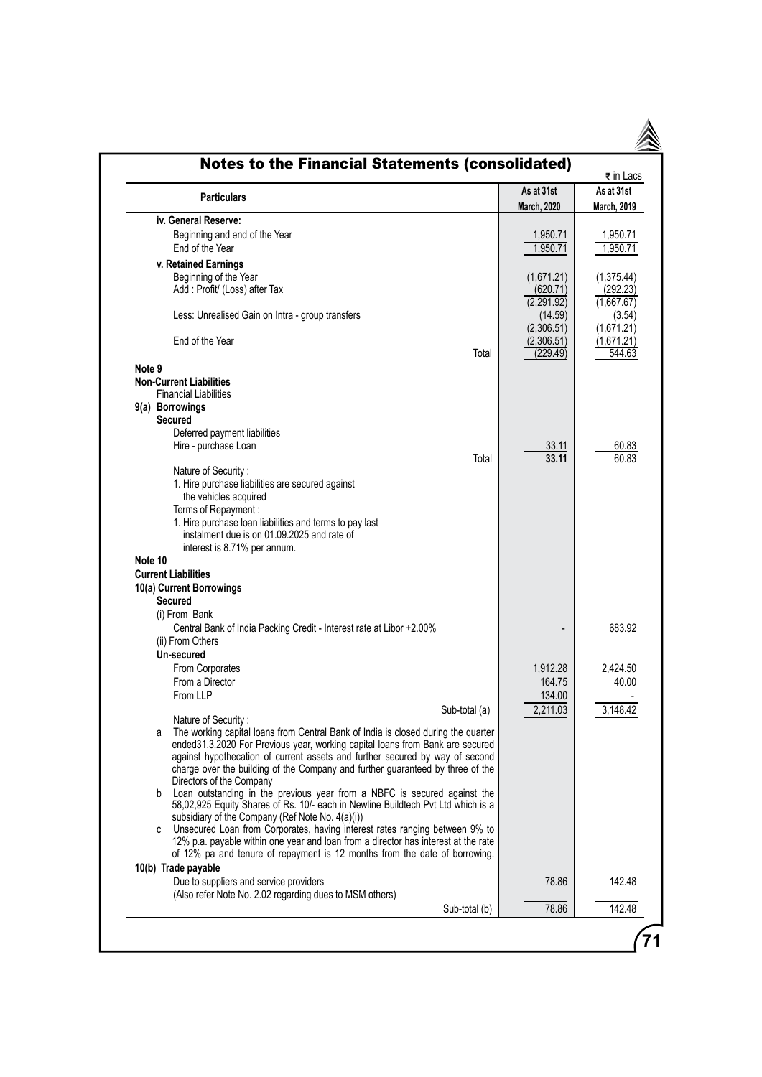### Notes to the Financial Statements (consolidated)

- **Note (c) -** Terms/ Rights attached to Equity Shares:- The Company has only one class of equity shares having par value of Rs.2 per share. Each holder of equity shares is entitled to one vote per share.
- **Note (d) -** There was no issue of shares allotted as fully paid up pursuant to Contract (s) without payment being received in cash or buyback or bonus shares of interim Dividend
- **Note (e)** Dividends proposed by the Board of Directors, if any is subject to approval of the Shareholders in the Annual General Meeting, except in case of interim Dividend.
- $\equiv$  in Lace Note (f): In the event of liquidation of the Company, the holders of the equity shares will be entitled to receive remaining assets of the Company, after distribution of all preferential amounts. The distribution will be in proportion to the number of equity shares held by the shareholders.

|                                                                                    |                                                                                          |                    | <b>⊀ ΙΙΙ L</b> αυδ |
|------------------------------------------------------------------------------------|------------------------------------------------------------------------------------------|--------------------|--------------------|
| <b>Particulars</b>                                                                 | <b>Note</b>                                                                              | As at 31st         | As at 31st         |
|                                                                                    |                                                                                          | <b>March, 2020</b> | <b>March, 2019</b> |
| Note 8                                                                             |                                                                                          |                    |                    |
| Note 8(b) : Other Equity                                                           |                                                                                          |                    |                    |
| i Capital Reserve                                                                  |                                                                                          | 9.31               | 148.13             |
| ii Securities Premium                                                              |                                                                                          | 117.00             | 117.00             |
| iii General Reserve                                                                |                                                                                          | 1,950.71           | 1,950.71           |
| iv Retained Earnings                                                               |                                                                                          | (2,306.51)         | (1,671.21)         |
|                                                                                    |                                                                                          | (229.49)           | 544.63             |
| i. Capital Reserve                                                                 |                                                                                          |                    |                    |
| Beginning of the Year                                                              |                                                                                          | 148.13             | 148.13             |
| Less: Diminution in Value of Investment in subsidiary Companies<br>End of the Year |                                                                                          | (138.82)           |                    |
|                                                                                    |                                                                                          | 9.31               | 148.13             |
|                                                                                    | 1. Company has invested in Newline Buildtech Pvt Ltd by acquisition of 100% of equity    |                    |                    |
|                                                                                    | shares of Newline Buildtech Pvt Ltd during FY 2017-18 at Rs. 4,103.48 lacs. The          |                    |                    |
|                                                                                    | difference of Rs. 147.73 lacs, Parent's share in equity from cost of Investment is       |                    |                    |
| credited in Capital Reserve.                                                       |                                                                                          |                    |                    |
|                                                                                    |                                                                                          |                    |                    |
|                                                                                    | 2. Company has invested in Srivarhsa Realtors Pvt Ltd by acquisition of 100% of equity   |                    |                    |
|                                                                                    | shares of Newline Buildtech Pvt Ltd during FY 2017-18 at Rs. 0.60 lacs. The difference   |                    |                    |
|                                                                                    | of Rs. 0.40 lacs Parent's share in equity from cost of Investment is credited in Capital |                    |                    |
| Reserve.                                                                           |                                                                                          |                    |                    |
| ii. Securities Premium                                                             |                                                                                          |                    |                    |
| Beginning of the Year                                                              |                                                                                          | 117.00             | 117.00             |
| End of the Year                                                                    |                                                                                          | 117.00             | 117.00             |
|                                                                                    |                                                                                          |                    |                    |
|                                                                                    | During the year ended 31st March 2015, the Company has issued 39,00,000                  |                    |                    |
|                                                                                    | equity shares face value of Rs. 2/- and share premium of Rs. 3/- each. The said          |                    |                    |
| premium is credited to Securities Premium account                                  |                                                                                          |                    |                    |
|                                                                                    |                                                                                          |                    |                    |
| iii. Business Reconstruction Reserve:                                              |                                                                                          |                    |                    |
| Beginning of the Year<br>Less: Reduction due to a portion of land Sold             |                                                                                          |                    | 286.01<br>(286.01) |
| End of the Year                                                                    |                                                                                          | ÷.                 | (0.00)             |
|                                                                                    |                                                                                          |                    |                    |
|                                                                                    | The Hob'ble High Court of Madras vide its order 22nd September, 2010 approved as         |                    |                    |
|                                                                                    | Scheme of Arrangement between the Company and its Sharehoders ("the Scheme").            |                    |                    |
|                                                                                    | The Scheme provides that with effect from 1st April, 2009, the Appointed Date, a         |                    |                    |
|                                                                                    | significant portion of Free hold Land, as the considers relevent and appropriate, was    |                    |                    |
|                                                                                    | reinstated at their respective fair values as detrmined by recognized valuers.           |                    |                    |
|                                                                                    | Consequently the adjustment of such reinstatement was reflected in Business              |                    |                    |
|                                                                                    | Reconstruction Reserve Account ("BRR"). In subsequent years, due to transfer/sale of     |                    |                    |
| such reinstated land, the BRR reversed corrrespondingly.                           |                                                                                          |                    |                    |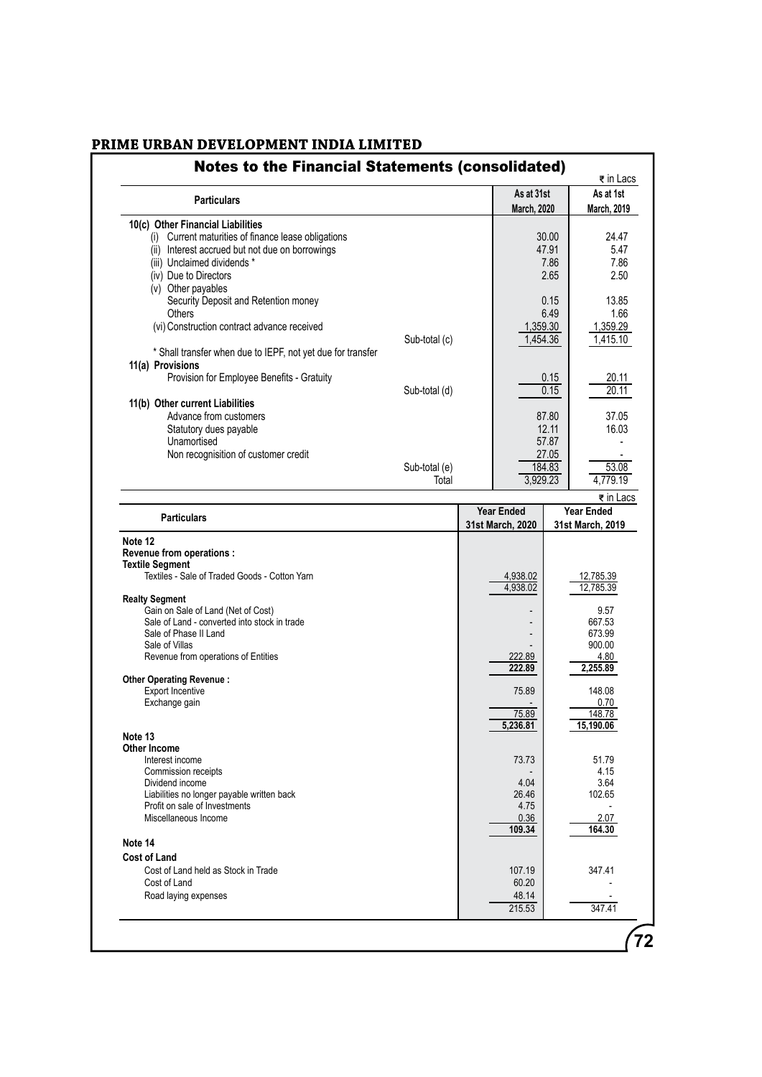| <b>Notes to the Financial Statements (consolidated)</b>                                                                                                                 |                       |                         |
|-------------------------------------------------------------------------------------------------------------------------------------------------------------------------|-----------------------|-------------------------|
|                                                                                                                                                                         | As at 31st            | ₹ in Lacs<br>As at 31st |
| <b>Particulars</b>                                                                                                                                                      | <b>March, 2020</b>    | <b>March, 2019</b>      |
| iv. General Reserve:                                                                                                                                                    |                       |                         |
| Beginning and end of the Year                                                                                                                                           | 1,950.71              | 1,950.71                |
| End of the Year                                                                                                                                                         | 1,950.71              | 1,950.71                |
| v. Retained Earnings                                                                                                                                                    |                       |                         |
| Beginning of the Year                                                                                                                                                   | (1,671.21)            | (1,375.44)              |
| Add: Profit/ (Loss) after Tax                                                                                                                                           | (620.71)              | (292.23)                |
|                                                                                                                                                                         | (2,291.92)            | (1,667.67)              |
| Less: Unrealised Gain on Intra - group transfers                                                                                                                        | (14.59)               | (3.54)                  |
|                                                                                                                                                                         | (2,306.51)            | (1,671.21)              |
| End of the Year                                                                                                                                                         | (2,306.51)            | (1,671.21)              |
| Total                                                                                                                                                                   | (229.49)              | 544.63                  |
| Note 9                                                                                                                                                                  |                       |                         |
| <b>Non-Current Liabilities</b>                                                                                                                                          |                       |                         |
| <b>Financial Liabilities</b>                                                                                                                                            |                       |                         |
| 9(a) Borrowings                                                                                                                                                         |                       |                         |
| <b>Secured</b>                                                                                                                                                          |                       |                         |
| Deferred payment liabilities                                                                                                                                            |                       |                         |
| Hire - purchase Loan                                                                                                                                                    | <u>33.11</u><br>33.11 | 60.83                   |
| Total                                                                                                                                                                   |                       | 60.83                   |
| Nature of Security:<br>1. Hire purchase liabilities are secured against                                                                                                 |                       |                         |
| the vehicles acquired                                                                                                                                                   |                       |                         |
| Terms of Repayment:                                                                                                                                                     |                       |                         |
| 1. Hire purchase loan liabilities and terms to pay last                                                                                                                 |                       |                         |
| instalment due is on 01.09.2025 and rate of                                                                                                                             |                       |                         |
| interest is 8.71% per annum.                                                                                                                                            |                       |                         |
| Note 10                                                                                                                                                                 |                       |                         |
| <b>Current Liabilities</b>                                                                                                                                              |                       |                         |
| 10(a) Current Borrowings                                                                                                                                                |                       |                         |
| <b>Secured</b>                                                                                                                                                          |                       |                         |
| (i) From Bank                                                                                                                                                           |                       |                         |
| Central Bank of India Packing Credit - Interest rate at Libor +2.00%                                                                                                    |                       | 683.92                  |
| (ii) From Others                                                                                                                                                        |                       |                         |
| Un-secured                                                                                                                                                              |                       |                         |
| From Corporates                                                                                                                                                         | 1,912.28              | 2.424.50                |
| From a Director                                                                                                                                                         | 164.75                | 40.00                   |
| From LLP                                                                                                                                                                | 134.00                |                         |
| Sub-total (a)                                                                                                                                                           | 2,211.03              | 3,148.42                |
| Nature of Security:                                                                                                                                                     |                       |                         |
| The working capital loans from Central Bank of India is closed during the quarter<br>a<br>ended31.3.2020 For Previous year, working capital loans from Bank are secured |                       |                         |
| against hypothecation of current assets and further secured by way of second                                                                                            |                       |                         |
| charge over the building of the Company and further guaranteed by three of the                                                                                          |                       |                         |
| Directors of the Company                                                                                                                                                |                       |                         |
| b Loan outstanding in the previous year from a NBFC is secured against the                                                                                              |                       |                         |
| 58,02,925 Equity Shares of Rs. 10/- each in Newline Buildtech Pvt Ltd which is a                                                                                        |                       |                         |
| subsidiary of the Company (Ref Note No. 4(a)(i))                                                                                                                        |                       |                         |
| c Unsecured Loan from Corporates, having interest rates ranging between 9% to                                                                                           |                       |                         |
| 12% p.a. payable within one year and loan from a director has interest at the rate<br>of 12% pa and tenure of repayment is 12 months from the date of borrowing.        |                       |                         |
|                                                                                                                                                                         |                       |                         |
| 10(b) Trade payable                                                                                                                                                     |                       |                         |
| Due to suppliers and service providers                                                                                                                                  | 78.86                 | 142.48                  |
| (Also refer Note No. 2.02 regarding dues to MSM others)                                                                                                                 |                       |                         |
| Sub-total (b)                                                                                                                                                           | 78.86                 | 142.48                  |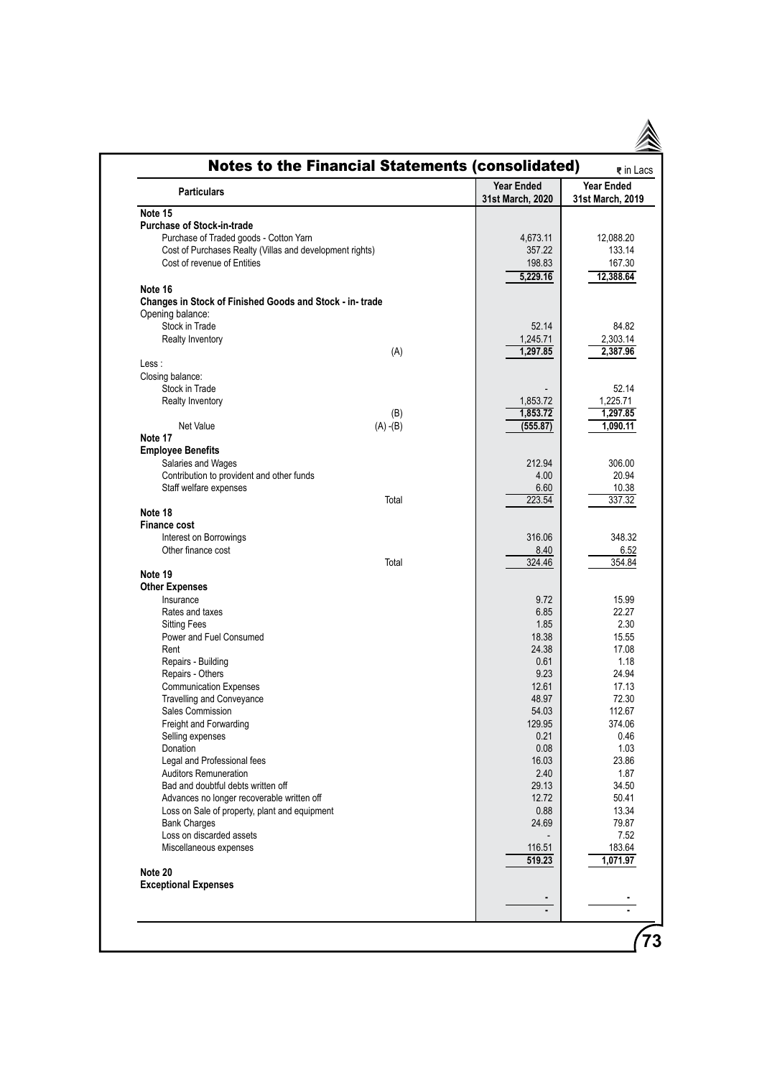| <b>Notes to the Financial Statements (consolidated)</b>                                                                                                                                                                                                                                                                              |               |                                                                 |        | ₹ in Lacs                                                                                                                |
|--------------------------------------------------------------------------------------------------------------------------------------------------------------------------------------------------------------------------------------------------------------------------------------------------------------------------------------|---------------|-----------------------------------------------------------------|--------|--------------------------------------------------------------------------------------------------------------------------|
| <b>Particulars</b>                                                                                                                                                                                                                                                                                                                   |               | As at 31st                                                      |        | As at 1st                                                                                                                |
|                                                                                                                                                                                                                                                                                                                                      |               | <b>March, 2020</b>                                              |        | <b>March, 2019</b>                                                                                                       |
| 10(c) Other Financial Liabilities                                                                                                                                                                                                                                                                                                    |               |                                                                 |        |                                                                                                                          |
| (i) Current maturities of finance lease obligations                                                                                                                                                                                                                                                                                  |               |                                                                 | 30.00  | 24.47                                                                                                                    |
| (ii) Interest accrued but not due on borrowings                                                                                                                                                                                                                                                                                      |               |                                                                 | 47.91  | 5.47                                                                                                                     |
| (iii) Unclaimed dividends *                                                                                                                                                                                                                                                                                                          |               |                                                                 | 7.86   | 7.86                                                                                                                     |
| (iv) Due to Directors                                                                                                                                                                                                                                                                                                                |               |                                                                 | 2.65   | 2.50                                                                                                                     |
| (v) Other payables                                                                                                                                                                                                                                                                                                                   |               |                                                                 |        |                                                                                                                          |
| Security Deposit and Retention money                                                                                                                                                                                                                                                                                                 |               |                                                                 | 0.15   | 13.85                                                                                                                    |
| <b>Others</b>                                                                                                                                                                                                                                                                                                                        |               |                                                                 | 6.49   | 1.66                                                                                                                     |
| (vi) Construction contract advance received                                                                                                                                                                                                                                                                                          |               | 1,359.30                                                        |        | 1,359.29                                                                                                                 |
|                                                                                                                                                                                                                                                                                                                                      | Sub-total (c) | 1,454.36                                                        |        | 1,415.10                                                                                                                 |
| * Shall transfer when due to IEPF, not yet due for transfer                                                                                                                                                                                                                                                                          |               |                                                                 |        |                                                                                                                          |
| 11(a) Provisions                                                                                                                                                                                                                                                                                                                     |               |                                                                 |        |                                                                                                                          |
| Provision for Employee Benefits - Gratuity                                                                                                                                                                                                                                                                                           |               |                                                                 | 0.15   | <u>20.11</u>                                                                                                             |
|                                                                                                                                                                                                                                                                                                                                      | Sub-total (d) |                                                                 | 0.15   | 20.11                                                                                                                    |
| 11(b) Other current Liabilities                                                                                                                                                                                                                                                                                                      |               |                                                                 |        |                                                                                                                          |
| Advance from customers                                                                                                                                                                                                                                                                                                               |               |                                                                 | 87.80  | 37.05                                                                                                                    |
| Statutory dues payable                                                                                                                                                                                                                                                                                                               |               |                                                                 | 12.11  | 16.03                                                                                                                    |
| Unamortised                                                                                                                                                                                                                                                                                                                          |               |                                                                 | 57.87  |                                                                                                                          |
| Non recognisition of customer credit                                                                                                                                                                                                                                                                                                 |               |                                                                 | 27.05  |                                                                                                                          |
|                                                                                                                                                                                                                                                                                                                                      | Sub-total (e) |                                                                 | 184.83 | 53.08                                                                                                                    |
|                                                                                                                                                                                                                                                                                                                                      | Total         | 3,929.23                                                        |        | 4,779.19                                                                                                                 |
|                                                                                                                                                                                                                                                                                                                                      |               |                                                                 |        |                                                                                                                          |
|                                                                                                                                                                                                                                                                                                                                      |               |                                                                 |        | $\overline{\mathbf{z}}$ in Lacs                                                                                          |
| <b>Particulars</b>                                                                                                                                                                                                                                                                                                                   |               | <b>Year Ended</b>                                               |        | <b>Year Ended</b>                                                                                                        |
|                                                                                                                                                                                                                                                                                                                                      |               | 31st March, 2020                                                |        | 31st March, 2019                                                                                                         |
| <b>Realty Segment</b><br>Gain on Sale of Land (Net of Cost)<br>Sale of Land - converted into stock in trade<br>Sale of Phase II Land<br>Sale of Villas<br>Revenue from operations of Entities<br>Other Operating Revenue :<br>Export Incentive<br>Exchange gain<br>Note 13<br>Other Income<br>Interest income<br>Commission receipts |               | 222.89<br>222.89<br>75.89<br>75.89<br>5,236.81<br>73.73<br>4.04 |        | 9.57<br>667.53<br>673.99<br>900.00<br>4.80<br>2,255.89<br>148.08<br>0.70<br>148.78<br>15,190.06<br>51.79<br>4.15<br>3.64 |
|                                                                                                                                                                                                                                                                                                                                      |               | 26.46                                                           |        | 102.65                                                                                                                   |
| Dividend income                                                                                                                                                                                                                                                                                                                      |               | 4.75                                                            |        |                                                                                                                          |
| Liabilities no longer payable written back<br>Profit on sale of Investments                                                                                                                                                                                                                                                          |               | 0.36                                                            |        | 2.07                                                                                                                     |
| Miscellaneous Income                                                                                                                                                                                                                                                                                                                 |               |                                                                 |        | 164.30                                                                                                                   |
|                                                                                                                                                                                                                                                                                                                                      |               | 109.34                                                          |        |                                                                                                                          |
|                                                                                                                                                                                                                                                                                                                                      |               |                                                                 |        |                                                                                                                          |
|                                                                                                                                                                                                                                                                                                                                      |               |                                                                 |        |                                                                                                                          |
| Cost of Land held as Stock in Trade                                                                                                                                                                                                                                                                                                  |               | 107.19                                                          |        | 347.41                                                                                                                   |
| Note 14<br><b>Cost of Land</b><br>Cost of Land                                                                                                                                                                                                                                                                                       |               | 60.20                                                           |        |                                                                                                                          |
| Road laying expenses                                                                                                                                                                                                                                                                                                                 |               |                                                                 |        |                                                                                                                          |
|                                                                                                                                                                                                                                                                                                                                      |               | 48.14<br>215.53                                                 |        | 347.41                                                                                                                   |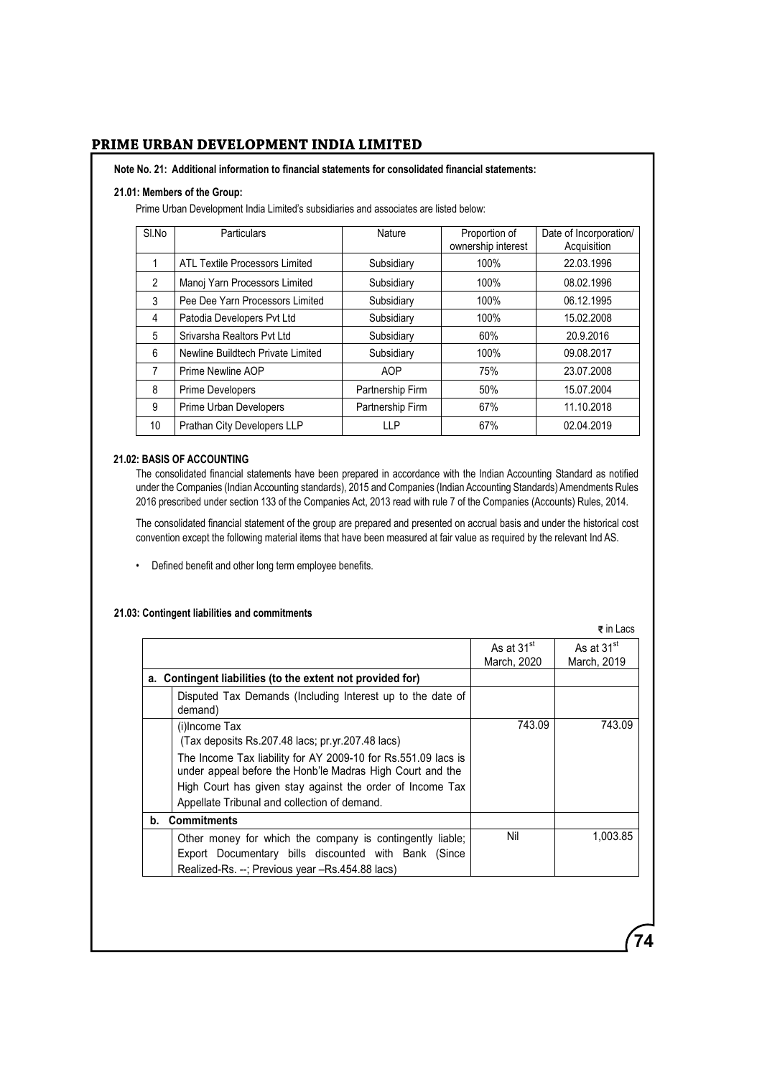| <b>Notes to the Financial Statements (consolidated)</b>                                     |                                       | $\overline{\mathbf{z}}$ in Lacs       |
|---------------------------------------------------------------------------------------------|---------------------------------------|---------------------------------------|
| <b>Particulars</b>                                                                          | <b>Year Ended</b><br>31st March, 2020 | <b>Year Ended</b><br>31st March, 2019 |
| Note 15                                                                                     |                                       |                                       |
| <b>Purchase of Stock-in-trade</b>                                                           |                                       |                                       |
| Purchase of Traded goods - Cotton Yarn                                                      | 4,673.11                              | 12,088.20                             |
| Cost of Purchases Realty (Villas and development rights)                                    | 357.22                                | 133.14                                |
| Cost of revenue of Entities                                                                 | 198.83                                | 167.30                                |
|                                                                                             | 5,229.16                              | 12,388.64                             |
| Note 16                                                                                     |                                       |                                       |
| Changes in Stock of Finished Goods and Stock - in-trade                                     |                                       |                                       |
| Opening balance:                                                                            |                                       |                                       |
| Stock in Trade                                                                              | 52.14                                 | 84.82<br>2,303.14                     |
| Realty Inventory<br>(A)                                                                     | 1,245.71<br>1,297.85                  | 2,387.96                              |
| Less:                                                                                       |                                       |                                       |
| Closing balance:                                                                            |                                       |                                       |
| Stock in Trade                                                                              |                                       | 52.14                                 |
| Realty Inventory                                                                            | 1,853.72                              | 1,225.71                              |
| (B)                                                                                         | 1,853.72                              | 1,297.85                              |
| Net Value<br>$(A) - (B)$                                                                    | (555.87)                              | 1,090.11                              |
| Note 17                                                                                     |                                       |                                       |
| <b>Employee Benefits</b>                                                                    |                                       |                                       |
| Salaries and Wages                                                                          | 212.94                                | 306.00                                |
| Contribution to provident and other funds                                                   | 4.00                                  | 20.94                                 |
| Staff welfare expenses<br>Total                                                             | 6.60<br>223.54                        | 10.38<br>337.32                       |
| Note 18                                                                                     |                                       |                                       |
| <b>Finance cost</b>                                                                         |                                       |                                       |
| Interest on Borrowings                                                                      | 316.06                                | 348.32                                |
| Other finance cost                                                                          | 8.40                                  | 6.52                                  |
| Total                                                                                       | 324.46                                | 354.84                                |
| Note 19                                                                                     |                                       |                                       |
| <b>Other Expenses</b>                                                                       |                                       |                                       |
| Insurance                                                                                   | 9.72                                  | 15.99                                 |
| Rates and taxes                                                                             | 6.85                                  | 22.27                                 |
| <b>Sitting Fees</b><br>Power and Fuel Consumed                                              | 1.85                                  | 2.30                                  |
| Rent                                                                                        | 18.38<br>24.38                        | 15.55<br>17.08                        |
| Repairs - Building                                                                          | 0.61                                  | 1.18                                  |
| Repairs - Others                                                                            | 9.23                                  | 24.94                                 |
| <b>Communication Expenses</b>                                                               | 12.61                                 | 17.13                                 |
| <b>Travelling and Conveyance</b>                                                            | 48.97                                 | 72.30                                 |
| Sales Commission                                                                            | 54.03                                 | 112.67                                |
| Freight and Forwarding                                                                      | 129.95                                | 374.06                                |
| Selling expenses                                                                            | 0.21                                  | 0.46                                  |
| Donation                                                                                    | 0.08                                  | 1.03                                  |
| Legal and Professional fees                                                                 | 16.03                                 | 23.86                                 |
| Auditors Remuneration                                                                       | 2.40                                  | 1.87                                  |
| Bad and doubtful debts written off                                                          | 29.13                                 | 34.50                                 |
| Advances no longer recoverable written off<br>Loss on Sale of property, plant and equipment | 12.72<br>0.88                         | 50.41<br>13.34                        |
| <b>Bank Charges</b>                                                                         | 24.69                                 | 79.87                                 |
| Loss on discarded assets                                                                    |                                       | 7.52                                  |
| Miscellaneous expenses                                                                      | 116.51                                | 183.64                                |
|                                                                                             | 519.23                                | 1,071.97                              |
| Note 20                                                                                     |                                       |                                       |
| <b>Exceptional Expenses</b>                                                                 |                                       |                                       |
|                                                                                             |                                       |                                       |
|                                                                                             |                                       |                                       |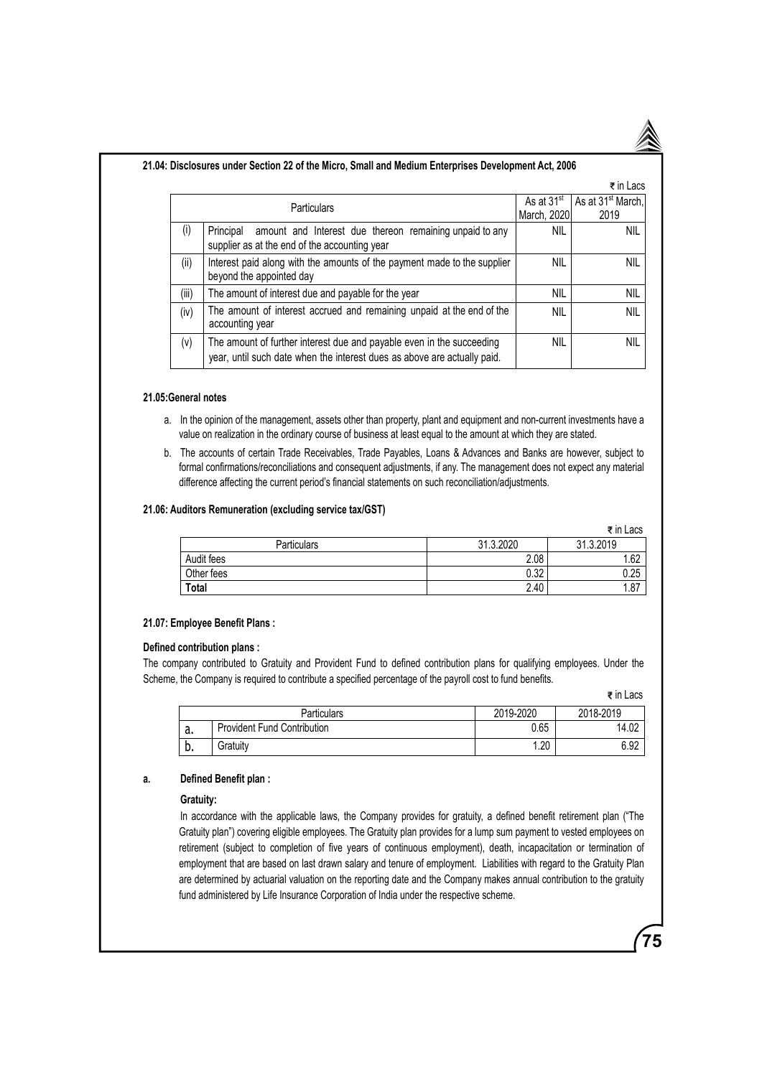### **Note No. 21: Additional information to financial statements for consolidated financial statements:**

### **21.01: Members of the Group:**

Prime Urban Development India Limited's subsidiaries and associates are listed below:

| SI.No          | <b>Particulars</b>                | Nature           | Proportion of<br>ownership interest | Date of Incorporation/<br>Acquisition |
|----------------|-----------------------------------|------------------|-------------------------------------|---------------------------------------|
|                | ATL Textile Processors Limited    | Subsidiary       | 100%                                | 22.03.1996                            |
| 2              | Manoj Yarn Processors Limited     | Subsidiary       | 100%                                | 08.02.1996                            |
| 3              | Pee Dee Yarn Processors Limited   | Subsidiary       | 100%                                | 06.12.1995                            |
| 4              | Patodia Developers Pvt Ltd        | Subsidiary       | 100%                                | 15.02.2008                            |
| 5              | Srivarsha Realtors Pvt Ltd        | Subsidiary       | 60%                                 | 20.9.2016                             |
| 6              | Newline Buildtech Private Limited | Subsidiary       | 100%                                | 09.08.2017                            |
| $\overline{7}$ | Prime Newline AOP                 | <b>AOP</b>       | 75%                                 | 23.07.2008                            |
| 8              | <b>Prime Developers</b>           | Partnership Firm | 50%                                 | 15.07.2004                            |
| 9              | Prime Urban Developers            | Partnership Firm | 67%                                 | 11.10.2018                            |
| 10             | Prathan City Developers LLP       | LLP              | 67%                                 | 02.04.2019                            |

### **21.02: BASIS OF ACCOUNTING**

 The consolidated financial statements have been prepared in accordance with the Indian Accounting Standard as notified under the Companies (Indian Accounting standards), 2015 and Companies (Indian Accounting Standards) Amendments Rules 2016 prescribed under section 133 of the Companies Act, 2013 read with rule 7 of the Companies (Accounts) Rules, 2014.

 The consolidated financial statement of the group are prepared and presented on accrual basis and under the historical cost convention except the following material items that have been measured at fair value as required by the relevant Ind AS.

• Defined benefit and other long term employee benefits.

### **21.03: Contingent liabilities and commitments**

₹ in Lacs As at 31<sup>st</sup> March, 2020 As at 31<sup>st</sup> March, 2019 **a. Contingent liabilities (to the extent not provided for)** Disputed Tax Demands (Including Interest up to the date of demand) (i)Income Tax (Tax deposits Rs.207.48 lacs; pr.yr.207.48 lacs) The Income Tax liability for AY 2009-10 for Rs.551.09 lacs is under appeal before the Honb'le Madras High Court and the High Court has given stay against the order of Income Tax Appellate Tribunal and collection of demand. 743.09 743.09 **b. Commitments** Other money for which the company is contingently liable; Export Documentary bills discounted with Bank (Since Realized-Rs. --; Previous year –Rs.454.88 lacs) Nil 1,003.85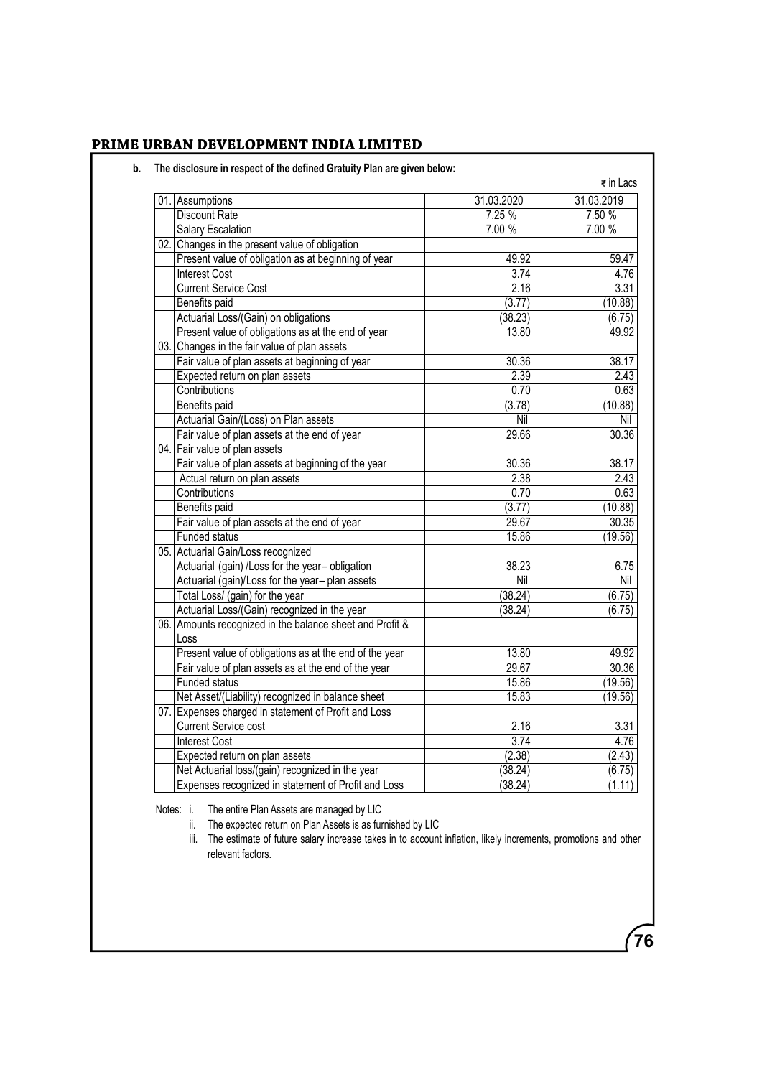### **21.04: Disclosures under Section 22 of the Micro, Small and Medium Enterprises Development Act, 2006**

|       |                                                                                                                                                   |                        | ₹ in Lacs                     |
|-------|---------------------------------------------------------------------------------------------------------------------------------------------------|------------------------|-------------------------------|
|       | <b>Particulars</b>                                                                                                                                | As at 31 <sup>st</sup> | As at 31 <sup>st</sup> March, |
|       | March, 2020                                                                                                                                       |                        | 2019                          |
| (i)   | amount and Interest due thereon remaining unpaid to any<br>Principal<br>supplier as at the end of the accounting year                             | <b>NIL</b>             | <b>NIL</b>                    |
| (ii)  | Interest paid along with the amounts of the payment made to the supplier<br>beyond the appointed day                                              | NIL                    | <b>NIL</b>                    |
| (iii) | The amount of interest due and payable for the year                                                                                               | NIL                    | <b>NIL</b>                    |
| (iv)  | The amount of interest accrued and remaining unpaid at the end of the<br>accounting year                                                          | <b>NIL</b>             | <b>NIL</b>                    |
| (v)   | The amount of further interest due and payable even in the succeeding<br>year, until such date when the interest dues as above are actually paid. | NIL                    | <b>NIL</b>                    |

### **21.05:General notes**

- a. In the opinion of the management, assets other than property, plant and equipment and non-current investments have a value on realization in the ordinary course of business at least equal to the amount at which they are stated.
- b. The accounts of certain Trade Receivables, Trade Payables, Loans & Advances and Banks are however, subject to formal confirmations/reconciliations and consequent adjustments, if any. The management does not expect any material difference affecting the current period's financial statements on such reconciliation/adjustments.

### **21.06: Auditors Remuneration (excluding service tax/GST)**

|             |           | ₹ in Lacs |
|-------------|-----------|-----------|
| Particulars | 31.3.2020 | 31.3.2019 |
| Audit fees  | 2.08      | .62       |
| Other fees  | 0.32      | 0.25      |
| Total       | 2.40      | 87. ا     |

### **21.07: Employee Benefit Plans :**

#### **Defined contribution plans :**

The company contributed to Gratuity and Provident Fund to defined contribution plans for qualifying employees. Under the Scheme, the Company is required to contribute a specified percentage of the payroll cost to fund benefits.

|    |                                    |           | ₹ in Lacs |
|----|------------------------------------|-----------|-----------|
|    | <b>Particulars</b>                 | 2019-2020 | 2018-2019 |
| a. | <b>Provident Fund Contribution</b> | 0.65      | 14.02     |
| b. | Gratuitv                           | 1.20      | 6.92      |

### **a. Defined Benefit plan :**

### **Gratuity:**

 In accordance with the applicable laws, the Company provides for gratuity, a defined benefit retirement plan ("The Gratuity plan") covering eligible employees. The Gratuity plan provides for a lump sum payment to vested employees on retirement (subject to completion of five years of continuous employment), death, incapacitation or termination of employment that are based on last drawn salary and tenure of employment. Liabilities with regard to the Gratuity Plan are determined by actuarial valuation on the reporting date and the Company makes annual contribution to the gratuity fund administered by Life Insurance Corporation of India under the respective scheme.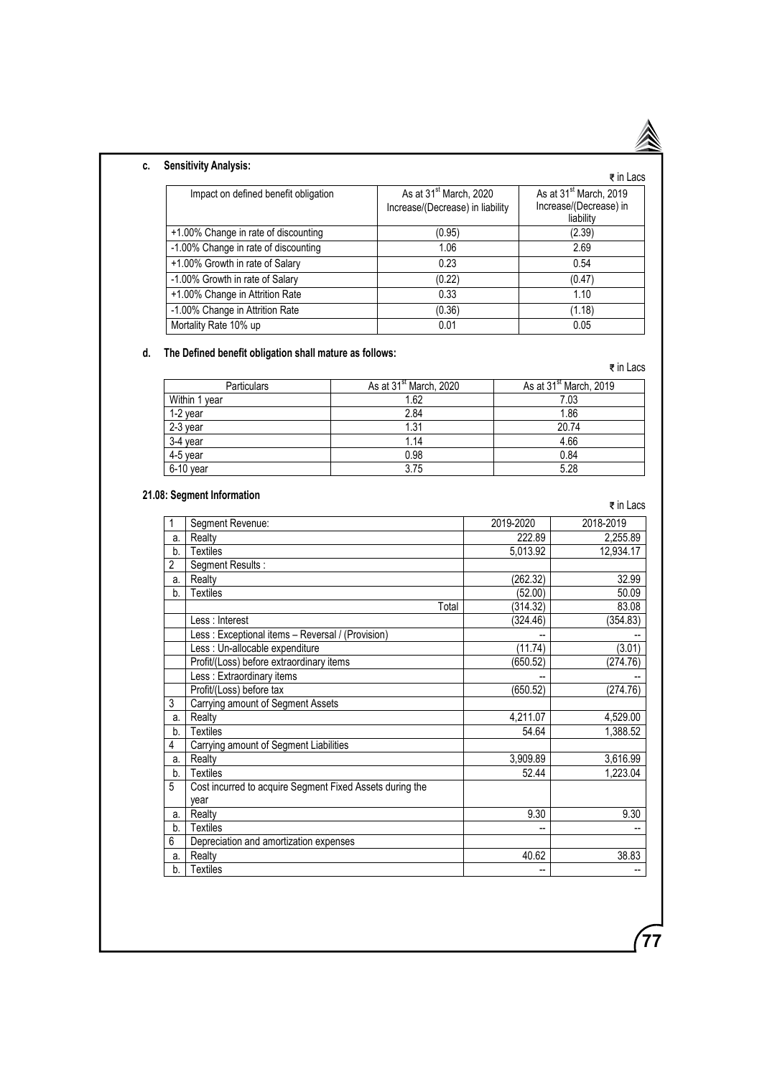| 01. Assumptions                                          | 31.03.2020              | 31.03.2019              |
|----------------------------------------------------------|-------------------------|-------------------------|
| <b>Discount Rate</b>                                     | 7.25 %                  | 7.50 %                  |
| <b>Salary Escalation</b>                                 | 7.00 %                  | 7.00 %                  |
| 02. Changes in the present value of obligation           |                         |                         |
| Present value of obligation as at beginning of year      | 49.92                   | 59.47                   |
| <b>Interest Cost</b>                                     | 3.74                    | 4.76                    |
| <b>Current Service Cost</b>                              | 2.16                    | 3.31                    |
| Benefits paid                                            | (3.77)                  | (10.88)                 |
| Actuarial Loss/(Gain) on obligations                     | (38.23)                 | (6.75)                  |
| Present value of obligations as at the end of year       | 13.80                   | 49.92                   |
| 03. Changes in the fair value of plan assets             |                         |                         |
| Fair value of plan assets at beginning of year           | 30.36                   | 38.17                   |
| Expected return on plan assets                           | 2.39                    | 2.43                    |
| <b>Contributions</b>                                     | 0.70                    | 0.63                    |
| Benefits paid                                            | (3.78)                  | (10.88)                 |
| Actuarial Gain/(Loss) on Plan assets                     | $\overline{\text{Nil}}$ | Nil                     |
| Fair value of plan assets at the end of year             | 29.66                   | 30.36                   |
| 04. Fair value of plan assets                            |                         |                         |
| Fair value of plan assets at beginning of the year       | 30.36                   | 38.17                   |
| Actual return on plan assets                             | 2.38                    | 2.43                    |
| Contributions                                            | 0.70                    | 0.63                    |
| Benefits paid                                            | (3.77)                  | (10.88)                 |
| Fair value of plan assets at the end of year             | 29.67                   | 30.35                   |
| Funded status                                            | 15.86                   | (19.56)                 |
| 05. Actuarial Gain/Loss recognized                       |                         |                         |
| Actuarial (gain) /Loss for the year-obligation           | 38.23                   | 6.75                    |
| Actuarial (gain)/Loss for the year-plan assets           | $\overline{\text{Nil}}$ | $\overline{\text{Nil}}$ |
| Total Loss/ (gain) for the year                          | (38.24)                 | (6.75)                  |
| Actuarial Loss/(Gain) recognized in the year             | (38.24)                 | (6.75)                  |
| 06. Amounts recognized in the balance sheet and Profit & |                         |                         |
| Loss                                                     |                         |                         |
| Present value of obligations as at the end of the year   | 13.80                   | 49.92                   |
| Fair value of plan assets as at the end of the year      | 29.67                   | 30.36                   |
| <b>Funded status</b>                                     | 15.86                   | (19.56)                 |
| Net Asset/(Liability) recognized in balance sheet        | 15.83                   | (19.56)                 |
| 07. Expenses charged in statement of Profit and Loss     |                         |                         |
| <b>Current Service cost</b>                              | 2.16                    | 3.31                    |
| <b>Interest Cost</b>                                     | 3.74                    | 4.76                    |
| Expected return on plan assets                           | (2.38)                  | (2.43)                  |
| Net Actuarial loss/(gain) recognized in the year         | (38.24)                 | (6.75)                  |
| Expenses recognized in statement of Profit and Loss      | (38.24)                 | (1.11)                  |

Notes: i. The entire Plan Assets are managed by LIC

- ii. The expected return on Plan Assets is as furnished by LIC
- iii. The estimate of future salary increase takes in to account inflation, likely increments, promotions and other relevant factors.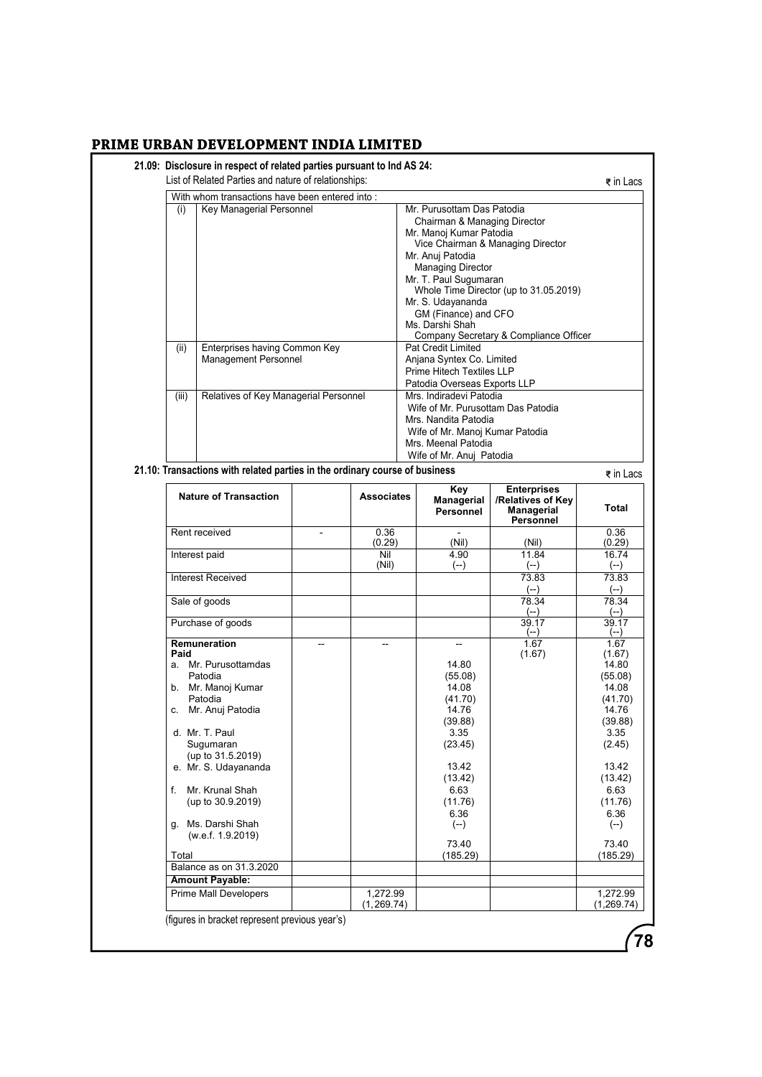# **c. Sensitivity Analysis:**

### ₹ in Lacs

| Impact on defined benefit obligation | As at 31 <sup>st</sup> March, 2020<br>Increase/(Decrease) in liability | As at 31 <sup>st</sup> March, 2019<br>Increase/(Decrease) in<br>liability |
|--------------------------------------|------------------------------------------------------------------------|---------------------------------------------------------------------------|
| +1.00% Change in rate of discounting | (0.95)                                                                 | (2.39)                                                                    |
| -1.00% Change in rate of discounting | 1.06                                                                   | 2.69                                                                      |
| +1.00% Growth in rate of Salary      | 0.23                                                                   | 0.54                                                                      |
| -1.00% Growth in rate of Salary      | (0.22)                                                                 | (0.47)                                                                    |
| +1.00% Change in Attrition Rate      | 0.33                                                                   | 1.10                                                                      |
| -1.00% Change in Attrition Rate      | (0.36)                                                                 | (1.18)                                                                    |
| Mortality Rate 10% up                | 0.01                                                                   | 0.05                                                                      |

### **d. The Defined benefit obligation shall mature as follows:**

₹ in Lacs

| <b>Particulars</b> | As at 31 <sup>st</sup> March, 2020 | As at 31 <sup>st</sup> March, 2019 |
|--------------------|------------------------------------|------------------------------------|
| Within 1 year      | 1.62                               | 7.03                               |
| 1-2 year           | 2.84                               | 1.86                               |
| 2-3 year           | 1.31                               | 20.74                              |
| $3-4$ year         | 1.14                               | 4.66                               |
| 4-5 year           | 0.98                               | 0.84                               |
| 6-10 year          | 3.75                               | 5.28                               |

### **21.08: Segment Information**

| 2019-2020<br>Segment Revenue:<br>2018-2019<br>222.89<br>Realty<br>2,255.89<br>a.<br><b>Textiles</b><br>5,013.92<br>b.<br>12,934.17<br>Segment Results:<br>2<br>Realty<br>32.99<br>(262.32)<br>a.<br><b>Textiles</b><br>50.09<br>(52.00)<br>b.<br>Total<br>(314.32)<br>83.08<br>Less : Interest<br>(324.46)<br>(354.83)<br>Less: Exceptional items - Reversal / (Provision)<br>Less : Un-allocable expenditure<br>(11.74)<br>(3.01)<br>Profit/(Loss) before extraordinary items<br>(650.52)<br>(274.76)<br>Less : Extraordinary items<br>Profit/(Loss) before tax<br>(650.52)<br>(274.76)<br>Carrying amount of Segment Assets<br>3<br>Realty<br>4,211.07<br>4,529.00<br>a.<br><b>Textiles</b><br>54.64<br>1,388.52<br>b.<br>Carrying amount of Segment Liabilities<br>4<br>Realty<br>3,909.89<br>3,616.99<br>a.<br>Textiles<br>52.44<br>1,223.04<br>b.<br>Cost incurred to acquire Segment Fixed Assets during the<br>5<br>vear<br>9.30<br>Realty<br>9.30<br>a.<br><b>Textiles</b><br>b.<br>$-$<br>6<br>Depreciation and amortization expenses<br>40.62<br>38.83<br>Realty<br>a.<br>-- |    |          |  |
|----------------------------------------------------------------------------------------------------------------------------------------------------------------------------------------------------------------------------------------------------------------------------------------------------------------------------------------------------------------------------------------------------------------------------------------------------------------------------------------------------------------------------------------------------------------------------------------------------------------------------------------------------------------------------------------------------------------------------------------------------------------------------------------------------------------------------------------------------------------------------------------------------------------------------------------------------------------------------------------------------------------------------------------------------------------------------------------|----|----------|--|
|                                                                                                                                                                                                                                                                                                                                                                                                                                                                                                                                                                                                                                                                                                                                                                                                                                                                                                                                                                                                                                                                                        |    |          |  |
|                                                                                                                                                                                                                                                                                                                                                                                                                                                                                                                                                                                                                                                                                                                                                                                                                                                                                                                                                                                                                                                                                        |    |          |  |
|                                                                                                                                                                                                                                                                                                                                                                                                                                                                                                                                                                                                                                                                                                                                                                                                                                                                                                                                                                                                                                                                                        |    |          |  |
|                                                                                                                                                                                                                                                                                                                                                                                                                                                                                                                                                                                                                                                                                                                                                                                                                                                                                                                                                                                                                                                                                        |    |          |  |
|                                                                                                                                                                                                                                                                                                                                                                                                                                                                                                                                                                                                                                                                                                                                                                                                                                                                                                                                                                                                                                                                                        |    |          |  |
|                                                                                                                                                                                                                                                                                                                                                                                                                                                                                                                                                                                                                                                                                                                                                                                                                                                                                                                                                                                                                                                                                        |    |          |  |
|                                                                                                                                                                                                                                                                                                                                                                                                                                                                                                                                                                                                                                                                                                                                                                                                                                                                                                                                                                                                                                                                                        |    |          |  |
|                                                                                                                                                                                                                                                                                                                                                                                                                                                                                                                                                                                                                                                                                                                                                                                                                                                                                                                                                                                                                                                                                        |    |          |  |
|                                                                                                                                                                                                                                                                                                                                                                                                                                                                                                                                                                                                                                                                                                                                                                                                                                                                                                                                                                                                                                                                                        |    |          |  |
|                                                                                                                                                                                                                                                                                                                                                                                                                                                                                                                                                                                                                                                                                                                                                                                                                                                                                                                                                                                                                                                                                        |    |          |  |
|                                                                                                                                                                                                                                                                                                                                                                                                                                                                                                                                                                                                                                                                                                                                                                                                                                                                                                                                                                                                                                                                                        |    |          |  |
|                                                                                                                                                                                                                                                                                                                                                                                                                                                                                                                                                                                                                                                                                                                                                                                                                                                                                                                                                                                                                                                                                        |    |          |  |
|                                                                                                                                                                                                                                                                                                                                                                                                                                                                                                                                                                                                                                                                                                                                                                                                                                                                                                                                                                                                                                                                                        |    |          |  |
|                                                                                                                                                                                                                                                                                                                                                                                                                                                                                                                                                                                                                                                                                                                                                                                                                                                                                                                                                                                                                                                                                        |    |          |  |
|                                                                                                                                                                                                                                                                                                                                                                                                                                                                                                                                                                                                                                                                                                                                                                                                                                                                                                                                                                                                                                                                                        |    |          |  |
|                                                                                                                                                                                                                                                                                                                                                                                                                                                                                                                                                                                                                                                                                                                                                                                                                                                                                                                                                                                                                                                                                        |    |          |  |
|                                                                                                                                                                                                                                                                                                                                                                                                                                                                                                                                                                                                                                                                                                                                                                                                                                                                                                                                                                                                                                                                                        |    |          |  |
|                                                                                                                                                                                                                                                                                                                                                                                                                                                                                                                                                                                                                                                                                                                                                                                                                                                                                                                                                                                                                                                                                        |    |          |  |
|                                                                                                                                                                                                                                                                                                                                                                                                                                                                                                                                                                                                                                                                                                                                                                                                                                                                                                                                                                                                                                                                                        |    |          |  |
|                                                                                                                                                                                                                                                                                                                                                                                                                                                                                                                                                                                                                                                                                                                                                                                                                                                                                                                                                                                                                                                                                        |    |          |  |
|                                                                                                                                                                                                                                                                                                                                                                                                                                                                                                                                                                                                                                                                                                                                                                                                                                                                                                                                                                                                                                                                                        |    |          |  |
|                                                                                                                                                                                                                                                                                                                                                                                                                                                                                                                                                                                                                                                                                                                                                                                                                                                                                                                                                                                                                                                                                        |    |          |  |
|                                                                                                                                                                                                                                                                                                                                                                                                                                                                                                                                                                                                                                                                                                                                                                                                                                                                                                                                                                                                                                                                                        |    |          |  |
|                                                                                                                                                                                                                                                                                                                                                                                                                                                                                                                                                                                                                                                                                                                                                                                                                                                                                                                                                                                                                                                                                        |    |          |  |
|                                                                                                                                                                                                                                                                                                                                                                                                                                                                                                                                                                                                                                                                                                                                                                                                                                                                                                                                                                                                                                                                                        |    |          |  |
|                                                                                                                                                                                                                                                                                                                                                                                                                                                                                                                                                                                                                                                                                                                                                                                                                                                                                                                                                                                                                                                                                        | b. | Textiles |  |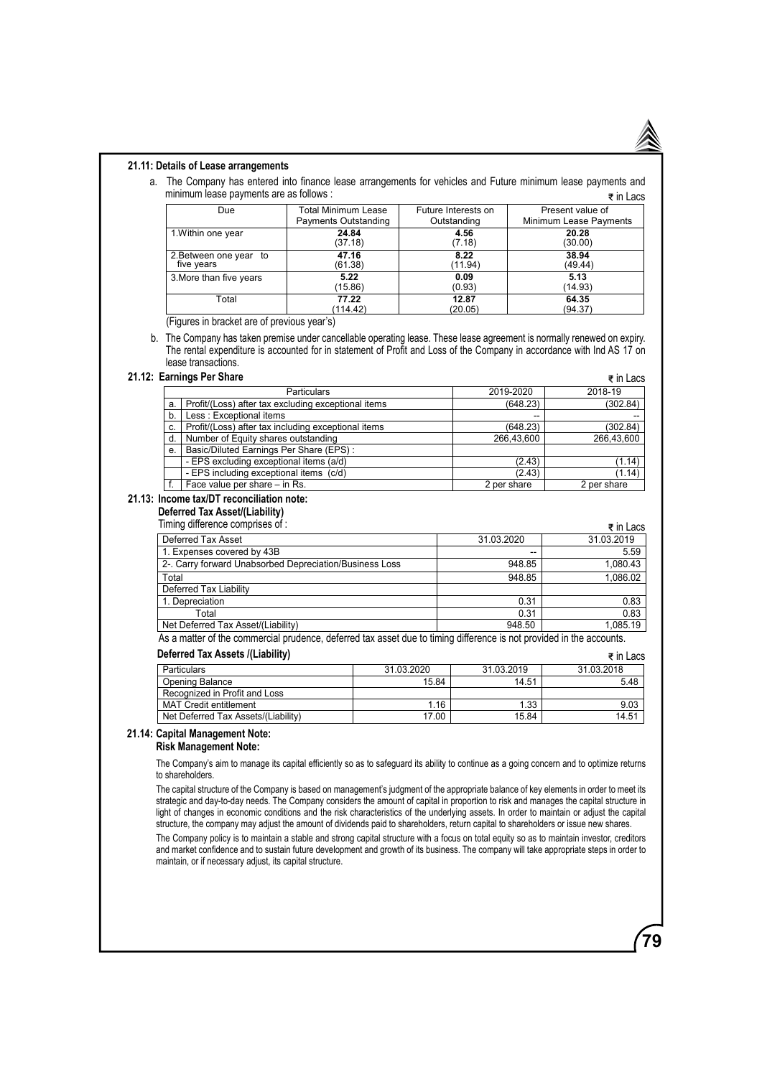|                          | List of Related Parties and nature of relationships:                        |  |                            |                                                         |                                                               |                                                     | $\overline{\mathbf{z}}$ in Lacs |
|--------------------------|-----------------------------------------------------------------------------|--|----------------------------|---------------------------------------------------------|---------------------------------------------------------------|-----------------------------------------------------|---------------------------------|
|                          | With whom transactions have been entered into:                              |  |                            |                                                         |                                                               |                                                     |                                 |
| (i)                      | Key Managerial Personnel                                                    |  | Mr. Purusottam Das Patodia |                                                         |                                                               |                                                     |                                 |
|                          |                                                                             |  |                            | Chairman & Managing Director<br>Mr. Manoj Kumar Patodia |                                                               |                                                     |                                 |
|                          |                                                                             |  |                            |                                                         |                                                               | Vice Chairman & Managing Director                   |                                 |
|                          |                                                                             |  |                            |                                                         | Mr. Anuj Patodia                                              |                                                     |                                 |
|                          |                                                                             |  |                            |                                                         | <b>Managing Director</b>                                      |                                                     |                                 |
|                          |                                                                             |  |                            | Mr. T. Paul Sugumaran                                   |                                                               |                                                     |                                 |
|                          |                                                                             |  |                            | Whole Time Director (up to 31.05.2019)                  |                                                               |                                                     |                                 |
|                          |                                                                             |  | Mr. S. Udayananda          |                                                         |                                                               |                                                     |                                 |
|                          |                                                                             |  |                            |                                                         | GM (Finance) and CFO<br>Ms. Darshi Shah                       |                                                     |                                 |
|                          |                                                                             |  |                            |                                                         |                                                               | Company Secretary & Compliance Officer              |                                 |
| (ii)                     | Enterprises having Common Key                                               |  |                            |                                                         | Pat Credit Limited                                            |                                                     |                                 |
|                          | Management Personnel                                                        |  |                            |                                                         | Anjana Syntex Co. Limited                                     |                                                     |                                 |
|                          |                                                                             |  |                            |                                                         | Prime Hitech Textiles LLP                                     |                                                     |                                 |
|                          |                                                                             |  |                            |                                                         | Patodia Overseas Exports LLP                                  |                                                     |                                 |
| (iii)                    | Relatives of Key Managerial Personnel                                       |  |                            |                                                         | Mrs. Indiradevi Patodia<br>Wife of Mr. Purusottam Das Patodia |                                                     |                                 |
|                          |                                                                             |  |                            |                                                         | Mrs. Nandita Patodia                                          |                                                     |                                 |
|                          |                                                                             |  |                            |                                                         | Wife of Mr. Manoj Kumar Patodia                               |                                                     |                                 |
|                          |                                                                             |  |                            |                                                         | Mrs. Meenal Patodia                                           |                                                     |                                 |
|                          |                                                                             |  |                            |                                                         | Wife of Mr. Anui Patodia                                      |                                                     |                                 |
|                          | 21.10: Transactions with related parties in the ordinary course of business |  |                            |                                                         |                                                               |                                                     | $\overline{\mathbf{z}}$ in Lacs |
|                          |                                                                             |  |                            |                                                         | Key                                                           | <b>Enterprises</b>                                  |                                 |
|                          | <b>Nature of Transaction</b>                                                |  | <b>Associates</b>          |                                                         | <b>Managerial</b><br>Personnel                                | /Relatives of Key<br><b>Managerial</b><br>Personnel | Total                           |
| Rent received            |                                                                             |  | 0.36                       |                                                         |                                                               |                                                     | 0.36                            |
|                          |                                                                             |  | (0.29)                     |                                                         | (Nil)                                                         | (Nil)                                               | (0.29)                          |
| Interest paid            |                                                                             |  | Nil<br>(Nil)               |                                                         | 4.90<br>$(--)$                                                | 11.84<br>$(--)$                                     | 16.74<br>$(--)$                 |
| <b>Interest Received</b> |                                                                             |  |                            |                                                         |                                                               | 73.83                                               | 73.83                           |
|                          |                                                                             |  |                            |                                                         |                                                               | $(--)$                                              | (--)                            |
| Sale of goods            |                                                                             |  |                            |                                                         |                                                               | 78.34                                               | 78.34                           |
| Purchase of goods        |                                                                             |  |                            |                                                         |                                                               | $(--)$<br>39.17                                     | $(--)$<br>39.17                 |
|                          |                                                                             |  |                            |                                                         |                                                               | (--)                                                | $(--)$                          |
| Remuneration<br>Paid     |                                                                             |  |                            |                                                         |                                                               | 1.67                                                | 1.67                            |
|                          | a. Mr. Purusottamdas                                                        |  |                            |                                                         | 14.80                                                         | (1.67)                                              | (1.67)<br>14.80                 |
| Patodia                  |                                                                             |  |                            |                                                         | (55.08)                                                       |                                                     | (55.08)                         |
|                          | b. Mr. Manoj Kumar                                                          |  |                            |                                                         | 14.08                                                         |                                                     | 14.08                           |
| Patodia                  |                                                                             |  |                            |                                                         | (41.70)                                                       |                                                     | (41.70)                         |
|                          | c. Mr. Anuj Patodia                                                         |  |                            |                                                         | 14.76                                                         |                                                     | 14.76                           |
| d. Mr. T. Paul           |                                                                             |  |                            |                                                         | (39.88)<br>3.35                                               |                                                     | (39.88)<br>3.35                 |
| Sugumaran                |                                                                             |  |                            |                                                         | (23.45)                                                       |                                                     | (2.45)                          |
|                          | (up to 31.5.2019)                                                           |  |                            |                                                         |                                                               |                                                     |                                 |
|                          | e. Mr. S. Udayananda                                                        |  |                            |                                                         | 13.42                                                         |                                                     | 13.42                           |
|                          |                                                                             |  |                            |                                                         | (13.42)                                                       |                                                     | (13.42)                         |
| f.                       | Mr. Krunal Shah                                                             |  |                            |                                                         | 6.63                                                          |                                                     | 6.63                            |
|                          | (up to 30.9.2019)                                                           |  |                            |                                                         | (11.76)<br>6.36                                               |                                                     | (11.76)<br>6.36                 |
|                          | g. Ms. Darshi Shah                                                          |  |                            |                                                         | $(-)$                                                         |                                                     | $(-)$                           |
|                          | (w.e.f. 1.9.2019)                                                           |  |                            |                                                         |                                                               |                                                     |                                 |
|                          |                                                                             |  |                            |                                                         | 73.40<br>(185.29)                                             |                                                     | 73.40<br>(185.29)               |
|                          | Total                                                                       |  |                            |                                                         |                                                               |                                                     |                                 |
|                          | Balance as on 31.3.2020                                                     |  |                            |                                                         |                                                               |                                                     |                                 |
| <b>Amount Payable:</b>   |                                                                             |  |                            |                                                         |                                                               |                                                     |                                 |
|                          | <b>Prime Mall Developers</b>                                                |  | 1,272.99<br>(1, 269.74)    |                                                         |                                                               |                                                     | 1,272.99<br>(1,269.74)          |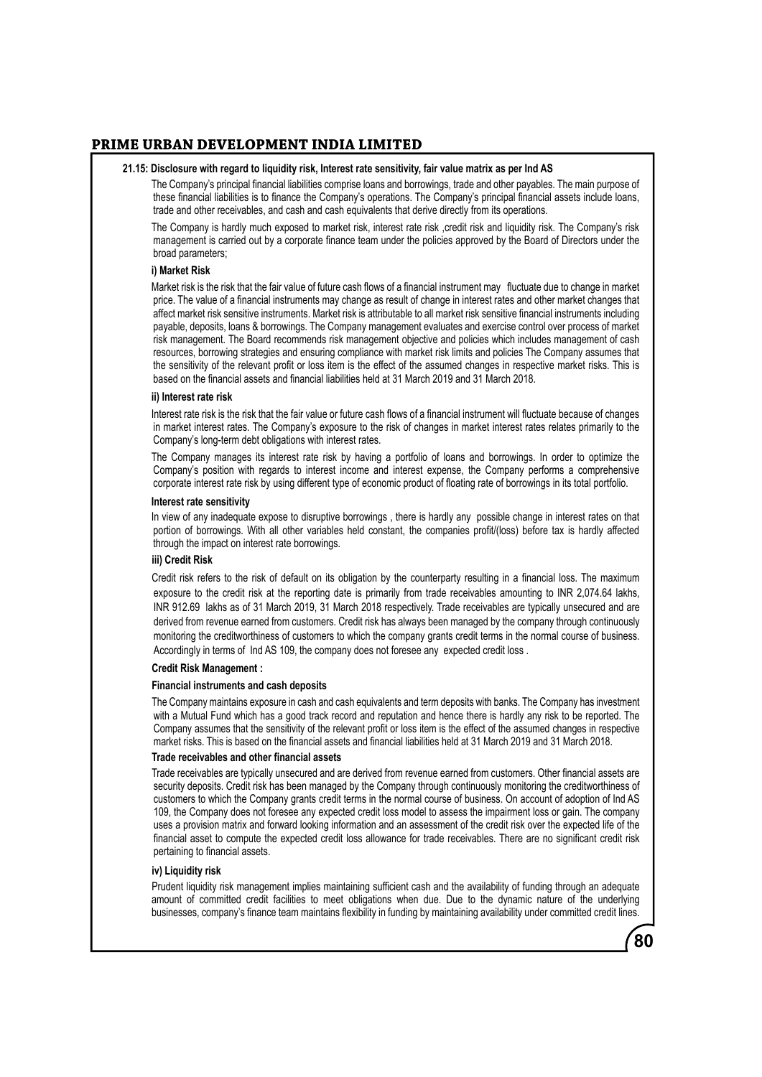### **21.11: Details of Lease arrangements**

a. The Company has entered into finance lease arrangements for vehicles and Future minimum lease payments and minimum lease payments are as follows : ₹ in Lacs

| Due                     | <b>Total Minimum Lease</b> | Future Interests on | Present value of       |
|-------------------------|----------------------------|---------------------|------------------------|
|                         | Payments Outstanding       | Outstanding         | Minimum Lease Payments |
| 1. Within one year      | 24.84                      | 4.56                | 20.28                  |
|                         | (37.18)                    | (7.18)              | (30.00)                |
| 2. Between one year to  | 47.16                      | 8.22                | 38.94                  |
| five years              | (61.38)                    | (11.94)             | (49.44)                |
| 3. More than five years | 5.22                       | 0.09                | 5.13                   |
|                         | (15.86)                    | (0.93)              | (14.93)                |
| Total                   | 77.22                      | 12.87               | 64.35                  |
|                         | (114.42)                   | (20.05)             | (94.37)                |

(Figures in bracket are of previous year's)

b. The Company has taken premise under cancellable operating lease. These lease agreement is normally renewed on expiry. The rental expenditure is accounted for in statement of Profit and Loss of the Company in accordance with Ind AS 17 on lease transactions.

#### **21.12: Earnings Per Share**

|    | <b>Particulars</b>                                  | 2019-2020   | 2018-19     |
|----|-----------------------------------------------------|-------------|-------------|
| a. | Profit/(Loss) after tax excluding exceptional items | (648.23)    | (302.84)    |
| b. | Less: Exceptional items                             | --          |             |
| C. | Profit/(Loss) after tax including exceptional items | (648.23)    | (302.84)    |
| d. | Number of Equity shares outstanding                 | 266.43.600  | 266,43,600  |
| e. | Basic/Diluted Earnings Per Share (EPS):             |             |             |
|    | - EPS excluding exceptional items (a/d)             | (2.43)      | (1.14)      |
|    | - EPS including exceptional items (c/d)             | (2.43)      | (1.14)      |
|    | Face value per share - in Rs.                       | 2 per share | 2 per share |

#### **21.13: Income tax/DT reconciliation note:**

 **Deferred Tax Asset/(Liability)**

| Timing difference comprises of: |  |
|---------------------------------|--|
|                                 |  |
|                                 |  |
|                                 |  |

| Timing difference comprises of:                         |            | $\overline{\epsilon}$ in Lacs |
|---------------------------------------------------------|------------|-------------------------------|
| Deferred Tax Asset                                      | 31.03.2020 | 31.03.2019                    |
| 1. Expenses covered by 43B                              | --         | 5.59                          |
| 2-. Carry forward Unabsorbed Depreciation/Business Loss | 948.85     | 1,080.43                      |
| Total                                                   | 948.85     | 1.086.02                      |
| Deferred Tax Liability                                  |            |                               |
| 1. Depreciation                                         | 0.31       | 0.83                          |
| Total                                                   | 0.31       | 0.83                          |
| Net Deferred Tax Asset/(Liability)                      | 948.50     | 1.085.19                      |

As a matter of the commercial prudence, deferred tax asset due to timing difference is not provided in the accounts.

|            |            | ₹ in Lacs  |
|------------|------------|------------|
| 31.03.2020 | 31.03.2019 | 31.03.2018 |
| 15.84      | 14.51      | 5.48       |
|            |            |            |
| 1.16       | 1.33       | 9.03       |
| 17.00      | 15.84      | 14.51      |
|            |            |            |

### **21.14: Capital Management Note:**

### **Risk Management Note:**

The Company's aim to manage its capital efficiently so as to safeguard its ability to continue as a going concern and to optimize returns to shareholders.

 The capital structure of the Company is based on management's judgment of the appropriate balance of key elements in order to meet its strategic and day-to-day needs. The Company considers the amount of capital in proportion to risk and manages the capital structure in light of changes in economic conditions and the risk characteristics of the underlying assets. In order to maintain or adjust the capital structure, the company may adjust the amount of dividends paid to shareholders, return capital to shareholders or issue new shares.

 The Company policy is to maintain a stable and strong capital structure with a focus on total equity so as to maintain investor, creditors and market confidence and to sustain future development and growth of its business. The company will take appropriate steps in order to maintain, or if necessary adjust, its capital structure.

**79**

 $\overline{\epsilon}$  in Lacs